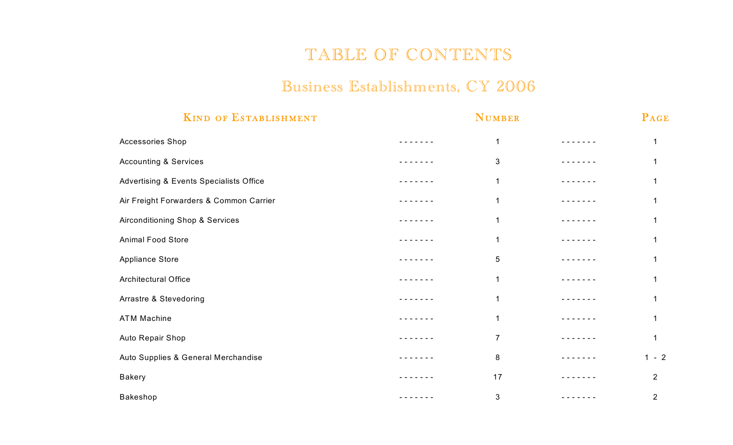## TABLE OF CONTENTS

## Business Establishments, CY 2006

| <b>KIND OF ESTABLISHMENT</b>            | <b>NUMBER</b> |                |  | PAGE           |  |
|-----------------------------------------|---------------|----------------|--|----------------|--|
| Accessories Shop                        |               | 1              |  |                |  |
| <b>Accounting &amp; Services</b>        |               | 3              |  |                |  |
| Advertising & Events Specialists Office |               | 1              |  |                |  |
| Air Freight Forwarders & Common Carrier |               | 1              |  |                |  |
| Airconditioning Shop & Services         |               | 1              |  |                |  |
| <b>Animal Food Store</b>                |               | 1              |  |                |  |
| Appliance Store                         |               | 5              |  |                |  |
| Architectural Office                    |               | 1              |  |                |  |
| Arrastre & Stevedoring                  |               | 1              |  |                |  |
| <b>ATM Machine</b>                      |               | 1              |  |                |  |
| Auto Repair Shop                        |               | $\overline{7}$ |  |                |  |
| Auto Supplies & General Merchandise     |               | 8              |  | $1 - 2$        |  |
| <b>Bakery</b>                           |               | 17             |  | $\overline{2}$ |  |
| Bakeshop                                |               | 3              |  | $\overline{2}$ |  |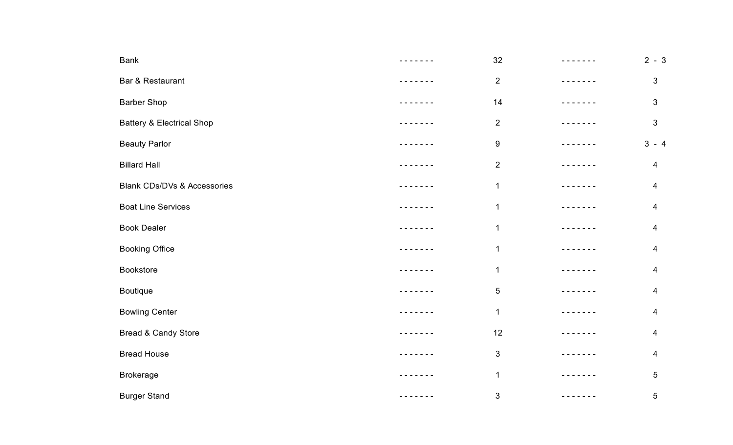| <b>Bank</b>                            | - - - - - - - | 32             |                                                                                                                                                                                                                                                                                                                                                                                                                                                                            | $2 - 3$                 |
|----------------------------------------|---------------|----------------|----------------------------------------------------------------------------------------------------------------------------------------------------------------------------------------------------------------------------------------------------------------------------------------------------------------------------------------------------------------------------------------------------------------------------------------------------------------------------|-------------------------|
| Bar & Restaurant                       | - - - - - - - | $\overline{2}$ | -------                                                                                                                                                                                                                                                                                                                                                                                                                                                                    | $\sqrt{3}$              |
| <b>Barber Shop</b>                     | - - - - - - - | 14             | - - - - - - -                                                                                                                                                                                                                                                                                                                                                                                                                                                              | $\sqrt{3}$              |
| <b>Battery &amp; Electrical Shop</b>   |               | $\overline{2}$ | - - - - - - -                                                                                                                                                                                                                                                                                                                                                                                                                                                              | $\sqrt{3}$              |
| <b>Beauty Parlor</b>                   | $\frac{1}{2}$ | 9              |                                                                                                                                                                                                                                                                                                                                                                                                                                                                            | $3 - 4$                 |
| <b>Billard Hall</b>                    | - - - - - - - | $\overline{2}$ | $\frac{1}{2} \left( \frac{1}{2} \right) \left( \frac{1}{2} \right) \left( \frac{1}{2} \right) \left( \frac{1}{2} \right) \left( \frac{1}{2} \right) \left( \frac{1}{2} \right) \left( \frac{1}{2} \right) \left( \frac{1}{2} \right) \left( \frac{1}{2} \right) \left( \frac{1}{2} \right) \left( \frac{1}{2} \right) \left( \frac{1}{2} \right) \left( \frac{1}{2} \right) \left( \frac{1}{2} \right) \left( \frac{1}{2} \right) \left( \frac{1}{2} \right) \left( \frac$ | $\overline{\mathbf{4}}$ |
| <b>Blank CDs/DVs &amp; Accessories</b> | .             | 1              | - - - - - - -                                                                                                                                                                                                                                                                                                                                                                                                                                                              | 4                       |
| <b>Boat Line Services</b>              |               | 1              | $- - -$                                                                                                                                                                                                                                                                                                                                                                                                                                                                    | $\overline{4}$          |
| <b>Book Dealer</b>                     |               | $\mathbf 1$    |                                                                                                                                                                                                                                                                                                                                                                                                                                                                            | 4                       |
| <b>Booking Office</b>                  |               | $\mathbf 1$    |                                                                                                                                                                                                                                                                                                                                                                                                                                                                            | $\overline{\mathbf{4}}$ |
| <b>Bookstore</b>                       | $  -$         | 1              | $\frac{1}{2}$                                                                                                                                                                                                                                                                                                                                                                                                                                                              | $\overline{\mathbf{4}}$ |
| <b>Boutique</b>                        | $  -$         | $\sqrt{5}$     | $   -$                                                                                                                                                                                                                                                                                                                                                                                                                                                                     | $\overline{\mathbf{4}}$ |
| <b>Bowling Center</b>                  | $  -$         | 1              |                                                                                                                                                                                                                                                                                                                                                                                                                                                                            | $\overline{\mathbf{4}}$ |
| Bread & Candy Store                    |               | 12             |                                                                                                                                                                                                                                                                                                                                                                                                                                                                            | 4                       |
| <b>Bread House</b>                     | $- - -$       | $\mathfrak{S}$ | ----                                                                                                                                                                                                                                                                                                                                                                                                                                                                       | $\overline{\mathbf{4}}$ |
| <b>Brokerage</b>                       | - - -         | $\mathbf 1$    | - - -                                                                                                                                                                                                                                                                                                                                                                                                                                                                      | $\sqrt{5}$              |
| <b>Burger Stand</b>                    | $\frac{1}{2}$ | 3              |                                                                                                                                                                                                                                                                                                                                                                                                                                                                            | $\sqrt{5}$              |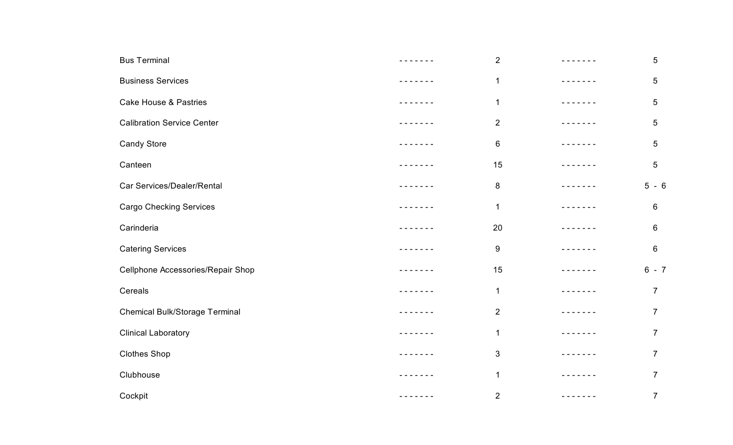| <b>Bus Terminal</b>                   | - - - - - - -                                                                                                                                                                                                                                                                                                                                                                                                                                                              | $\overline{2}$ |                 | $5\phantom{.0}$ |
|---------------------------------------|----------------------------------------------------------------------------------------------------------------------------------------------------------------------------------------------------------------------------------------------------------------------------------------------------------------------------------------------------------------------------------------------------------------------------------------------------------------------------|----------------|-----------------|-----------------|
| <b>Business Services</b>              | $- - - - - - - -$                                                                                                                                                                                                                                                                                                                                                                                                                                                          | $\mathbf 1$    |                 | 5               |
| <b>Cake House &amp; Pastries</b>      | - - - - - - -                                                                                                                                                                                                                                                                                                                                                                                                                                                              | $\mathbf 1$    | - - - - - - -   | 5               |
| <b>Calibration Service Center</b>     |                                                                                                                                                                                                                                                                                                                                                                                                                                                                            | $\overline{2}$ | $\frac{1}{2}$   | 5               |
| <b>Candy Store</b>                    | - - - - - - -                                                                                                                                                                                                                                                                                                                                                                                                                                                              | $\,6\,$        | $\frac{1}{2}$   | $5\phantom{.0}$ |
| Canteen                               | - - - - - - -                                                                                                                                                                                                                                                                                                                                                                                                                                                              | 15             |                 | $5\phantom{.0}$ |
| Car Services/Dealer/Rental            | - - - - - -                                                                                                                                                                                                                                                                                                                                                                                                                                                                | 8              | ------          | $5 - 6$         |
| <b>Cargo Checking Services</b>        | - - - - - -                                                                                                                                                                                                                                                                                                                                                                                                                                                                | 1              | $- - - - - - -$ | $6\phantom{1}$  |
| Carinderia                            | $\frac{1}{2} \left( \frac{1}{2} \right) \left( \frac{1}{2} \right) \left( \frac{1}{2} \right) \left( \frac{1}{2} \right) \left( \frac{1}{2} \right) \left( \frac{1}{2} \right) \left( \frac{1}{2} \right) \left( \frac{1}{2} \right) \left( \frac{1}{2} \right) \left( \frac{1}{2} \right) \left( \frac{1}{2} \right) \left( \frac{1}{2} \right) \left( \frac{1}{2} \right) \left( \frac{1}{2} \right) \left( \frac{1}{2} \right) \left( \frac{1}{2} \right) \left( \frac$ | 20             |                 | $6\phantom{1}$  |
| <b>Catering Services</b>              | - - - - - -                                                                                                                                                                                                                                                                                                                                                                                                                                                                | 9              | ------          | $\,6\,$         |
| Cellphone Accessories/Repair Shop     | $- - - - - -$                                                                                                                                                                                                                                                                                                                                                                                                                                                              | 15             | - - - - - - -   | $6 - 7$         |
| Cereals                               | -----                                                                                                                                                                                                                                                                                                                                                                                                                                                                      | $\mathbf 1$    | -----           | $\overline{7}$  |
| <b>Chemical Bulk/Storage Terminal</b> |                                                                                                                                                                                                                                                                                                                                                                                                                                                                            | 2              |                 | $\overline{7}$  |
| <b>Clinical Laboratory</b>            | - - - - - - -                                                                                                                                                                                                                                                                                                                                                                                                                                                              | $\mathbf 1$    | - - - - - - -   | $\overline{7}$  |
| <b>Clothes Shop</b>                   |                                                                                                                                                                                                                                                                                                                                                                                                                                                                            | 3              | .               | $\overline{7}$  |
| Clubhouse                             | ----                                                                                                                                                                                                                                                                                                                                                                                                                                                                       | 1              | $\frac{1}{2}$   | $\overline{7}$  |
| Cockpit                               | -------                                                                                                                                                                                                                                                                                                                                                                                                                                                                    | $\overline{2}$ | -------         | $\overline{7}$  |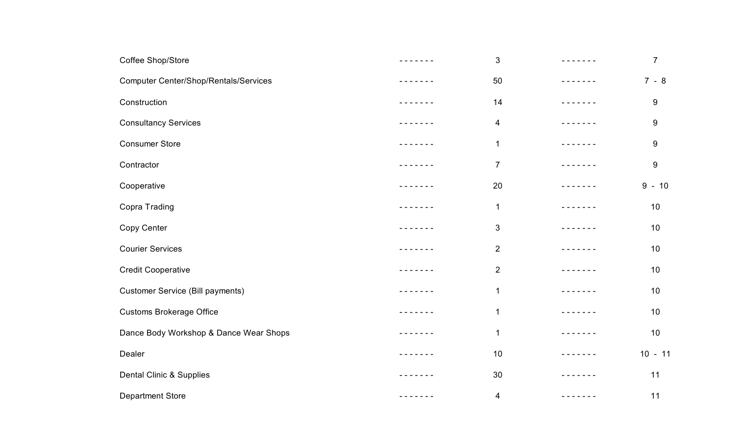| Coffee Shop/Store                            | - - - - - - - | $\sqrt{3}$              |                                                                                                                                                                                                                                                                                                                                                                                                                                                                            | $\overline{7}$ |
|----------------------------------------------|---------------|-------------------------|----------------------------------------------------------------------------------------------------------------------------------------------------------------------------------------------------------------------------------------------------------------------------------------------------------------------------------------------------------------------------------------------------------------------------------------------------------------------------|----------------|
| <b>Computer Center/Shop/Rentals/Services</b> |               | 50                      |                                                                                                                                                                                                                                                                                                                                                                                                                                                                            | $7 - 8$        |
| Construction                                 | - - - - - - - | 14                      | $- - - - - - -$                                                                                                                                                                                                                                                                                                                                                                                                                                                            | 9              |
| <b>Consultancy Services</b>                  | -----         | $\overline{4}$          | $- - - - - -$                                                                                                                                                                                                                                                                                                                                                                                                                                                              | 9              |
| <b>Consumer Store</b>                        |               | 1                       |                                                                                                                                                                                                                                                                                                                                                                                                                                                                            | 9              |
| Contractor                                   | - - - - - - - | $\overline{7}$          | - - - - - -                                                                                                                                                                                                                                                                                                                                                                                                                                                                | 9              |
| Cooperative                                  | - - - - - - - | 20                      | - - - - - - -                                                                                                                                                                                                                                                                                                                                                                                                                                                              | $-10$<br>9     |
| Copra Trading                                | - - - - - -   | 1                       | $- - - - - - - -$                                                                                                                                                                                                                                                                                                                                                                                                                                                          | 10             |
| Copy Center                                  |               | 3                       |                                                                                                                                                                                                                                                                                                                                                                                                                                                                            | 10             |
| <b>Courier Services</b>                      | - - - - - - - | $\overline{2}$          | $\frac{1}{2} \left( \frac{1}{2} \right) \left( \frac{1}{2} \right) \left( \frac{1}{2} \right) \left( \frac{1}{2} \right) \left( \frac{1}{2} \right) \left( \frac{1}{2} \right) \left( \frac{1}{2} \right) \left( \frac{1}{2} \right) \left( \frac{1}{2} \right) \left( \frac{1}{2} \right) \left( \frac{1}{2} \right) \left( \frac{1}{2} \right) \left( \frac{1}{2} \right) \left( \frac{1}{2} \right) \left( \frac{1}{2} \right) \left( \frac{1}{2} \right) \left( \frac$ | 10             |
| <b>Credit Cooperative</b>                    | - - - - - -   | $\overline{2}$          | ------                                                                                                                                                                                                                                                                                                                                                                                                                                                                     | 10             |
| <b>Customer Service (Bill payments)</b>      | - - - - - -   | 1                       | .                                                                                                                                                                                                                                                                                                                                                                                                                                                                          | 10             |
| <b>Customs Brokerage Office</b>              | - - - - - - - | $\mathbf 1$             | $- - - - - -$                                                                                                                                                                                                                                                                                                                                                                                                                                                              | 10             |
| Dance Body Workshop & Dance Wear Shops       | - - - - - - - | $\mathbf 1$             | - - - - - - -                                                                                                                                                                                                                                                                                                                                                                                                                                                              | 10             |
| Dealer                                       | - - - - - - - | 10                      | .                                                                                                                                                                                                                                                                                                                                                                                                                                                                          | $10 - 11$      |
| Dental Clinic & Supplies                     | $\frac{1}{2}$ | 30                      |                                                                                                                                                                                                                                                                                                                                                                                                                                                                            | 11             |
| <b>Department Store</b>                      | - - - - - - - | $\overline{\mathbf{4}}$ | - - - - - - -                                                                                                                                                                                                                                                                                                                                                                                                                                                              | 11             |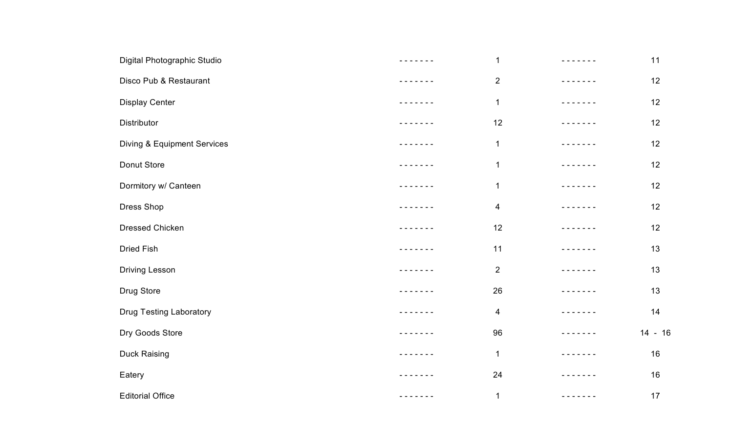| Digital Photographic Studio            | -------       | $\mathbf{1}$            |                                                                                                                                                                                                                                                                                                                                                                                                                                                                            | 11        |
|----------------------------------------|---------------|-------------------------|----------------------------------------------------------------------------------------------------------------------------------------------------------------------------------------------------------------------------------------------------------------------------------------------------------------------------------------------------------------------------------------------------------------------------------------------------------------------------|-----------|
| Disco Pub & Restaurant                 |               | $\overline{2}$          |                                                                                                                                                                                                                                                                                                                                                                                                                                                                            | 12        |
| <b>Display Center</b>                  |               | $\mathbf 1$             | - - - - - - -                                                                                                                                                                                                                                                                                                                                                                                                                                                              | 12        |
| Distributor                            | -----         | 12                      |                                                                                                                                                                                                                                                                                                                                                                                                                                                                            | 12        |
| <b>Diving &amp; Equipment Services</b> |               | $\mathbf 1$             |                                                                                                                                                                                                                                                                                                                                                                                                                                                                            | 12        |
| Donut Store                            | $- - - - - -$ | $\mathbf 1$             |                                                                                                                                                                                                                                                                                                                                                                                                                                                                            | 12        |
| Dormitory w/ Canteen                   |               | $\mathbf{1}$            |                                                                                                                                                                                                                                                                                                                                                                                                                                                                            | 12        |
| Dress Shop                             | $- - - - -$   | $\overline{\mathbf{4}}$ | $\frac{1}{2} \frac{1}{2} \frac{1}{2} \frac{1}{2} \frac{1}{2} \frac{1}{2} \frac{1}{2} \frac{1}{2} \frac{1}{2} \frac{1}{2}$                                                                                                                                                                                                                                                                                                                                                  | 12        |
| Dressed Chicken                        |               | 12                      |                                                                                                                                                                                                                                                                                                                                                                                                                                                                            | 12        |
| <b>Dried Fish</b>                      | - - - - - - - | 11                      | $- - - - - -$                                                                                                                                                                                                                                                                                                                                                                                                                                                              | 13        |
| Driving Lesson                         | -----         | $\mathbf{2}$            | $-$                                                                                                                                                                                                                                                                                                                                                                                                                                                                        | 13        |
| Drug Store                             | $- - - - - -$ | 26                      | $\frac{1}{2} \left( \frac{1}{2} \right) \left( \frac{1}{2} \right) \left( \frac{1}{2} \right) \left( \frac{1}{2} \right) \left( \frac{1}{2} \right) \left( \frac{1}{2} \right) \left( \frac{1}{2} \right) \left( \frac{1}{2} \right) \left( \frac{1}{2} \right) \left( \frac{1}{2} \right) \left( \frac{1}{2} \right) \left( \frac{1}{2} \right) \left( \frac{1}{2} \right) \left( \frac{1}{2} \right) \left( \frac{1}{2} \right) \left( \frac{1}{2} \right) \left( \frac$ | 13        |
| <b>Drug Testing Laboratory</b>         |               | $\overline{\mathbf{4}}$ |                                                                                                                                                                                                                                                                                                                                                                                                                                                                            | 14        |
| Dry Goods Store                        |               | 96                      | -----                                                                                                                                                                                                                                                                                                                                                                                                                                                                      | $14 - 16$ |
| <b>Duck Raising</b>                    | $- - - - - -$ | $\mathbf{1}$            | - - - - - - -                                                                                                                                                                                                                                                                                                                                                                                                                                                              | 16        |
| Eatery                                 | $- - -$       | 24                      | - - - -                                                                                                                                                                                                                                                                                                                                                                                                                                                                    | 16        |
| <b>Editorial Office</b>                | - - - - - - - | $\mathbf{1}$            | - - - - - - -                                                                                                                                                                                                                                                                                                                                                                                                                                                              | 17        |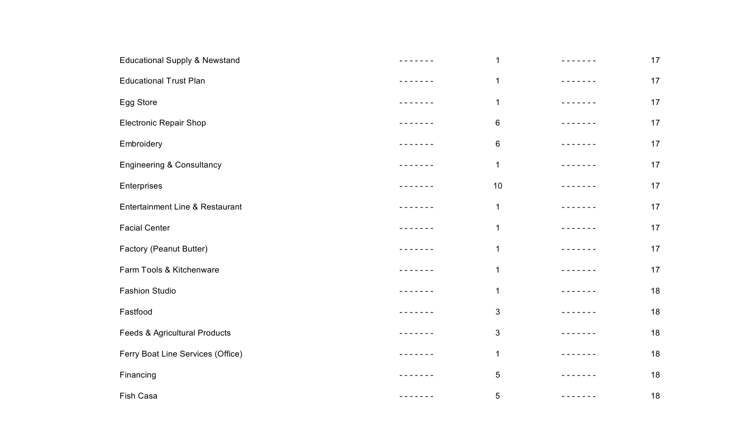| <b>Educational Supply &amp; Newstand</b> |               | $\mathbf 1$     |               | 17 |
|------------------------------------------|---------------|-----------------|---------------|----|
| <b>Educational Trust Plan</b>            |               | $\mathbf 1$     |               | 17 |
| Egg Store                                | . <i>.</i> .  | 1               |               | 17 |
| <b>Electronic Repair Shop</b>            |               | $6\phantom{.}6$ | $- - - - -$   | 17 |
| Embroidery                               |               | 6               |               | 17 |
| <b>Engineering &amp; Consultancy</b>     |               | $\mathbf 1$     |               | 17 |
| Enterprises                              | $- - - - -$   | 10              |               | 17 |
| Entertainment Line & Restaurant          |               | 1               |               | 17 |
| <b>Facial Center</b>                     |               | $\mathbf 1$     |               | 17 |
| Factory (Peanut Butter)                  |               | $\mathbf 1$     |               | 17 |
| Farm Tools & Kitchenware                 | .             | 1               | -----         | 17 |
| <b>Fashion Studio</b>                    | $\frac{1}{2}$ | $\mathbf 1$     | $- - - - -$   | 18 |
| Fastfood                                 | . <i>.</i> .  | 3               | - - - -       | 18 |
| Feeds & Agricultural Products            | .             | 3               | - - - - - - - | 18 |
| Ferry Boat Line Services (Office)        | .             | $\mathbf 1$     | - - - - - - - | 18 |
| Financing                                |               | 5               | $\frac{1}{2}$ | 18 |
| Fish Casa                                | - - - - - - - | 5               | $- - - -$     | 18 |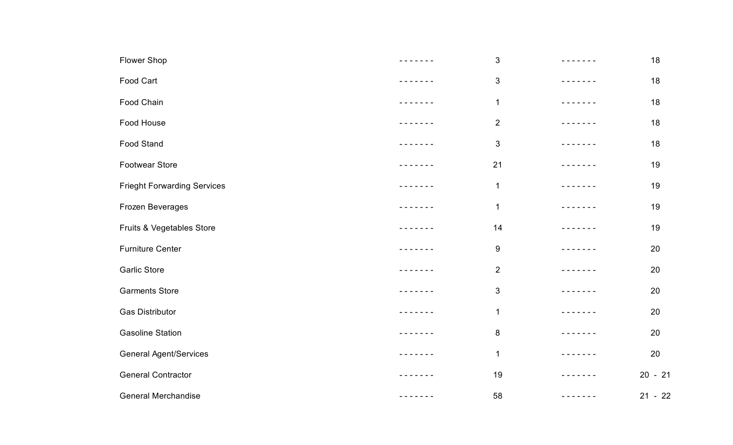| Flower Shop                        | - - - - - - - | $\sqrt{3}$       | ------                                                                                                                                                                                                                                                                                                                                                                                                                                                                     | 18        |
|------------------------------------|---------------|------------------|----------------------------------------------------------------------------------------------------------------------------------------------------------------------------------------------------------------------------------------------------------------------------------------------------------------------------------------------------------------------------------------------------------------------------------------------------------------------------|-----------|
| Food Cart                          |               | $\sqrt{3}$       |                                                                                                                                                                                                                                                                                                                                                                                                                                                                            | 18        |
| Food Chain                         | - - - - - -   | $\mathbf 1$      | - - - - - - -                                                                                                                                                                                                                                                                                                                                                                                                                                                              | 18        |
| Food House                         | -----         | $\overline{2}$   | $- - - - - -$                                                                                                                                                                                                                                                                                                                                                                                                                                                              | 18        |
| <b>Food Stand</b>                  |               | $\mathfrak{S}$   |                                                                                                                                                                                                                                                                                                                                                                                                                                                                            | 18        |
| <b>Footwear Store</b>              |               | 21               |                                                                                                                                                                                                                                                                                                                                                                                                                                                                            | 19        |
| <b>Frieght Forwarding Services</b> |               | $\mathbf{1}$     | $- - - - - - -$                                                                                                                                                                                                                                                                                                                                                                                                                                                            | 19        |
| Frozen Beverages                   | $\frac{1}{2}$ | $\mathbf 1$      | .                                                                                                                                                                                                                                                                                                                                                                                                                                                                          | 19        |
| Fruits & Vegetables Store          |               | 14               |                                                                                                                                                                                                                                                                                                                                                                                                                                                                            | 19        |
| <b>Furniture Center</b>            | - - - - - - - | $\boldsymbol{9}$ | $- - - - - -$                                                                                                                                                                                                                                                                                                                                                                                                                                                              | 20        |
| <b>Garlic Store</b>                | $\frac{1}{2}$ | $\overline{2}$   | - - - - - -                                                                                                                                                                                                                                                                                                                                                                                                                                                                | 20        |
| <b>Garments Store</b>              | $- - - - - -$ | $\mathfrak{S}$   | $\frac{1}{2} \left( \frac{1}{2} \right) \left( \frac{1}{2} \right) \left( \frac{1}{2} \right) \left( \frac{1}{2} \right) \left( \frac{1}{2} \right) \left( \frac{1}{2} \right) \left( \frac{1}{2} \right) \left( \frac{1}{2} \right) \left( \frac{1}{2} \right) \left( \frac{1}{2} \right) \left( \frac{1}{2} \right) \left( \frac{1}{2} \right) \left( \frac{1}{2} \right) \left( \frac{1}{2} \right) \left( \frac{1}{2} \right) \left( \frac{1}{2} \right) \left( \frac$ | 20        |
| <b>Gas Distributor</b>             |               | $\mathbf 1$      |                                                                                                                                                                                                                                                                                                                                                                                                                                                                            | 20        |
| <b>Gasoline Station</b>            |               | $\,8\,$          |                                                                                                                                                                                                                                                                                                                                                                                                                                                                            | 20        |
| <b>General Agent/Services</b>      |               | $\mathbf 1$      | $- - - - - -$                                                                                                                                                                                                                                                                                                                                                                                                                                                              | 20        |
| <b>General Contractor</b>          | $  -$         | 19               | $- - - -$                                                                                                                                                                                                                                                                                                                                                                                                                                                                  | $20 - 21$ |
| <b>General Merchandise</b>         | - - - - - - - | 58               | - - - - - - -                                                                                                                                                                                                                                                                                                                                                                                                                                                              | $21 - 22$ |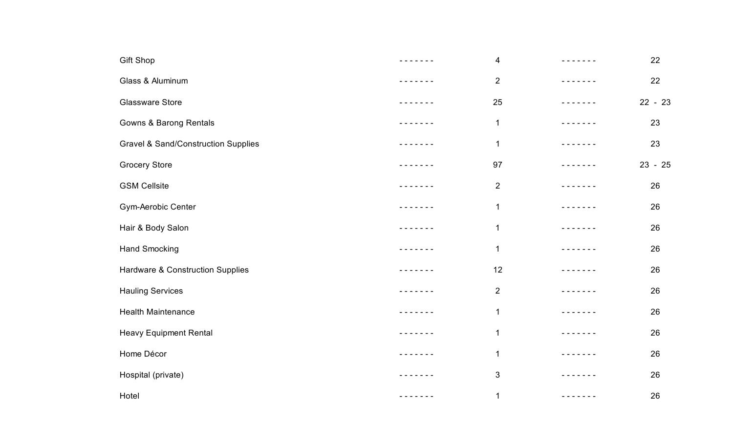| Gift Shop                                      | -------       | 4              | - - - - - - -                                                                                                                                                                                                                                                                                                                                                                                                                                                              | 22        |
|------------------------------------------------|---------------|----------------|----------------------------------------------------------------------------------------------------------------------------------------------------------------------------------------------------------------------------------------------------------------------------------------------------------------------------------------------------------------------------------------------------------------------------------------------------------------------------|-----------|
| Glass & Aluminum                               | - - - - - - - | $\overline{2}$ | - - - - - - -                                                                                                                                                                                                                                                                                                                                                                                                                                                              | 22        |
| <b>Glassware Store</b>                         | - - - - - - - | 25             | -------                                                                                                                                                                                                                                                                                                                                                                                                                                                                    | $22 - 23$ |
| Gowns & Barong Rentals                         | $\frac{1}{2}$ | $\mathbf 1$    | .                                                                                                                                                                                                                                                                                                                                                                                                                                                                          | 23        |
| <b>Gravel &amp; Sand/Construction Supplies</b> |               | $\mathbf 1$    | $- - - - -$                                                                                                                                                                                                                                                                                                                                                                                                                                                                | 23        |
| <b>Grocery Store</b>                           |               | 97             | $- - - - -$                                                                                                                                                                                                                                                                                                                                                                                                                                                                | $23 - 25$ |
| <b>GSM Cellsite</b>                            | - - - - - - - | $\overline{2}$ | .                                                                                                                                                                                                                                                                                                                                                                                                                                                                          | 26        |
| Gym-Aerobic Center                             |               | $\mathbf 1$    | -------                                                                                                                                                                                                                                                                                                                                                                                                                                                                    | 26        |
| Hair & Body Salon                              |               | $\mathbf 1$    |                                                                                                                                                                                                                                                                                                                                                                                                                                                                            | 26        |
| <b>Hand Smocking</b>                           | - - - - - - - | $\mathbf 1$    |                                                                                                                                                                                                                                                                                                                                                                                                                                                                            | 26        |
| Hardware & Construction Supplies               | -----         | 12             | - - - - - - -                                                                                                                                                                                                                                                                                                                                                                                                                                                              | 26        |
| <b>Hauling Services</b>                        | $\frac{1}{2}$ | $\overline{2}$ | $\frac{1}{2} \left( \frac{1}{2} \right) \left( \frac{1}{2} \right) \left( \frac{1}{2} \right) \left( \frac{1}{2} \right) \left( \frac{1}{2} \right) \left( \frac{1}{2} \right) \left( \frac{1}{2} \right) \left( \frac{1}{2} \right) \left( \frac{1}{2} \right) \left( \frac{1}{2} \right) \left( \frac{1}{2} \right) \left( \frac{1}{2} \right) \left( \frac{1}{2} \right) \left( \frac{1}{2} \right) \left( \frac{1}{2} \right) \left( \frac{1}{2} \right) \left( \frac$ | 26        |
| <b>Health Maintenance</b>                      | $\frac{1}{2}$ | 1              | .                                                                                                                                                                                                                                                                                                                                                                                                                                                                          | 26        |
| <b>Heavy Equipment Rental</b>                  | - - - - - - - | $\mathbf 1$    | - - - - - - -                                                                                                                                                                                                                                                                                                                                                                                                                                                              | 26        |
| Home Décor                                     | - - - - - - - | $\mathbf{1}$   | - - - - - - -                                                                                                                                                                                                                                                                                                                                                                                                                                                              | 26        |
| Hospital (private)                             | - - - - -     | 3              | $\frac{1}{2} \frac{1}{2} \frac{1}{2} \frac{1}{2} \frac{1}{2} \frac{1}{2} \frac{1}{2} \frac{1}{2} \frac{1}{2} \frac{1}{2}$                                                                                                                                                                                                                                                                                                                                                  | 26        |
| Hotel                                          | - - - - - - - | 1              | - - - - - - -                                                                                                                                                                                                                                                                                                                                                                                                                                                              | 26        |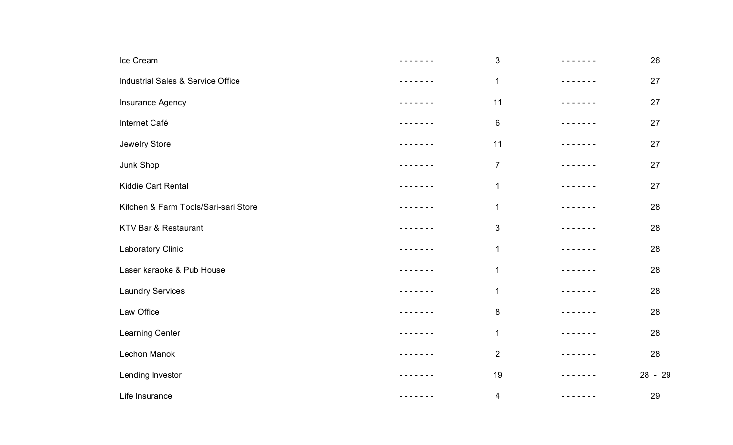| Ice Cream                            | -------       | $\sqrt{3}$     | - - - - - - -                                                                                                                                                                                                                                                                                                                                                                                                                                                              | 26      |
|--------------------------------------|---------------|----------------|----------------------------------------------------------------------------------------------------------------------------------------------------------------------------------------------------------------------------------------------------------------------------------------------------------------------------------------------------------------------------------------------------------------------------------------------------------------------------|---------|
| Industrial Sales & Service Office    | - - - - - - - | $\mathbf 1$    |                                                                                                                                                                                                                                                                                                                                                                                                                                                                            | 27      |
| Insurance Agency                     | - - - - - - - | 11             | $\frac{1}{2} \left( \frac{1}{2} \right) \left( \frac{1}{2} \right) \left( \frac{1}{2} \right) \left( \frac{1}{2} \right) \left( \frac{1}{2} \right) \left( \frac{1}{2} \right) \left( \frac{1}{2} \right) \left( \frac{1}{2} \right) \left( \frac{1}{2} \right) \left( \frac{1}{2} \right) \left( \frac{1}{2} \right) \left( \frac{1}{2} \right) \left( \frac{1}{2} \right) \left( \frac{1}{2} \right) \left( \frac{1}{2} \right) \left( \frac{1}{2} \right) \left( \frac$ | 27      |
| Internet Café                        |               | $\,6\,$        | .                                                                                                                                                                                                                                                                                                                                                                                                                                                                          | 27      |
| Jewelry Store                        |               | 11             |                                                                                                                                                                                                                                                                                                                                                                                                                                                                            | 27      |
| Junk Shop                            | - - - - - - - | $\overline{7}$ | $\frac{1}{2} \left( \frac{1}{2} \right) \left( \frac{1}{2} \right) \left( \frac{1}{2} \right) \left( \frac{1}{2} \right) \left( \frac{1}{2} \right) \left( \frac{1}{2} \right) \left( \frac{1}{2} \right) \left( \frac{1}{2} \right) \left( \frac{1}{2} \right) \left( \frac{1}{2} \right) \left( \frac{1}{2} \right) \left( \frac{1}{2} \right) \left( \frac{1}{2} \right) \left( \frac{1}{2} \right) \left( \frac{1}{2} \right) \left( \frac{1}{2} \right) \left( \frac$ | 27      |
| Kiddie Cart Rental                   | ------        | $\mathbf 1$    | - - - - - - -                                                                                                                                                                                                                                                                                                                                                                                                                                                              | 27      |
| Kitchen & Farm Tools/Sari-sari Store |               | $\mathbf 1$    | $- - - - - -$                                                                                                                                                                                                                                                                                                                                                                                                                                                              | 28      |
| KTV Bar & Restaurant                 | - - - - - -   | $\sqrt{3}$     | ------                                                                                                                                                                                                                                                                                                                                                                                                                                                                     | 28      |
| Laboratory Clinic                    | - - - - - - - | $\mathbf 1$    | - - - - - - -                                                                                                                                                                                                                                                                                                                                                                                                                                                              | 28      |
| Laser karaoke & Pub House            | - - - - - -   | $\mathbf 1$    | - - - - - - -                                                                                                                                                                                                                                                                                                                                                                                                                                                              | 28      |
| <b>Laundry Services</b>              | - - - - - -   | $\mathbf 1$    | .                                                                                                                                                                                                                                                                                                                                                                                                                                                                          | 28      |
| Law Office                           | ------        | $\bf 8$        | -----                                                                                                                                                                                                                                                                                                                                                                                                                                                                      | 28      |
| Learning Center                      | - - - - - - - | $\mathbf 1$    | -------                                                                                                                                                                                                                                                                                                                                                                                                                                                                    | 28      |
| Lechon Manok                         | - - - - - -   | $\overline{2}$ | - - - - - - -                                                                                                                                                                                                                                                                                                                                                                                                                                                              | 28      |
| Lending Investor                     | $\frac{1}{2}$ | 19             | $\frac{1}{2} \left( \frac{1}{2} \right) \left( \frac{1}{2} \right) \left( \frac{1}{2} \right) \left( \frac{1}{2} \right) \left( \frac{1}{2} \right) \left( \frac{1}{2} \right) \left( \frac{1}{2} \right) \left( \frac{1}{2} \right) \left( \frac{1}{2} \right) \left( \frac{1}{2} \right) \left( \frac{1}{2} \right) \left( \frac{1}{2} \right) \left( \frac{1}{2} \right) \left( \frac{1}{2} \right) \left( \frac{1}{2} \right) \left( \frac{1}{2} \right) \left( \frac$ | 28 - 29 |
| Life Insurance                       | - - - - - - - | 4              | -------                                                                                                                                                                                                                                                                                                                                                                                                                                                                    | 29      |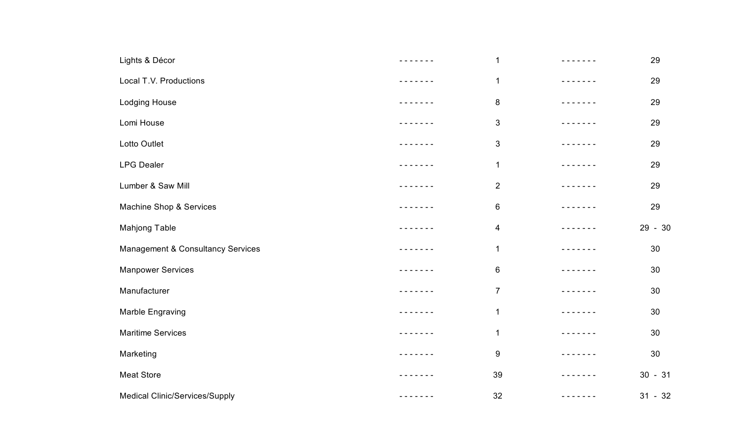| Lights & Décor                        | -------       | $\mathbf 1$    |               | 29        |
|---------------------------------------|---------------|----------------|---------------|-----------|
| Local T.V. Productions                |               | $\mathbf 1$    |               | 29        |
| Lodging House                         | - - - - - - - | $\bf 8$        |               | 29        |
| Lomi House                            |               | $\mathfrak{S}$ | $- - - - -$   | 29        |
| Lotto Outlet                          |               | 3              |               | 29        |
| <b>LPG Dealer</b>                     | - - - - - - - | $\mathbf 1$    |               | 29        |
| Lumber & Saw Mill                     |               | $\overline{c}$ |               | 29        |
| Machine Shop & Services               |               | $\,6$          | $\frac{1}{2}$ | 29        |
| Mahjong Table                         |               | 4              |               | 29 - 30   |
| Management & Consultancy Services     |               | $\mathbf{1}$   |               | 30        |
| <b>Manpower Services</b>              |               | $\,6$          |               | 30        |
| Manufacturer                          |               | $\overline{7}$ |               | 30        |
| Marble Engraving                      |               | $\mathbf 1$    |               | 30        |
| <b>Maritime Services</b>              |               | $\mathbf 1$    |               | 30        |
| Marketing                             | - - - - - - - | 9              |               | 30        |
| <b>Meat Store</b>                     |               | 39             | $- - - - -$   | $30 - 31$ |
| <b>Medical Clinic/Services/Supply</b> |               | 32             | $- - - - -$   | $31 - 32$ |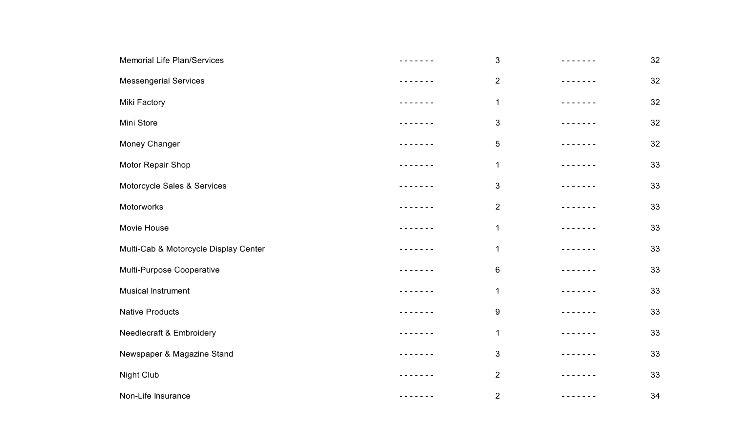| <b>Memorial Life Plan/Services</b>    | .                                                                                                                                                    | $\sqrt{3}$     | - - - - - - -                                                                                                                                                                                                                                                                                                                                                                                                                                                              | 32 |
|---------------------------------------|------------------------------------------------------------------------------------------------------------------------------------------------------|----------------|----------------------------------------------------------------------------------------------------------------------------------------------------------------------------------------------------------------------------------------------------------------------------------------------------------------------------------------------------------------------------------------------------------------------------------------------------------------------------|----|
| <b>Messengerial Services</b>          |                                                                                                                                                      | $\overline{2}$ |                                                                                                                                                                                                                                                                                                                                                                                                                                                                            | 32 |
| Miki Factory                          | - - - - - - -                                                                                                                                        | $\mathbf 1$    | - - - - - - -                                                                                                                                                                                                                                                                                                                                                                                                                                                              | 32 |
| Mini Store                            |                                                                                                                                                      | $\mathfrak{S}$ |                                                                                                                                                                                                                                                                                                                                                                                                                                                                            | 32 |
| Money Changer                         |                                                                                                                                                      | $\sqrt{5}$     |                                                                                                                                                                                                                                                                                                                                                                                                                                                                            | 32 |
| Motor Repair Shop                     |                                                                                                                                                      | $\mathbf 1$    |                                                                                                                                                                                                                                                                                                                                                                                                                                                                            | 33 |
| Motorcycle Sales & Services           | .                                                                                                                                                    | $\sqrt{3}$     | - - - - - - -                                                                                                                                                                                                                                                                                                                                                                                                                                                              | 33 |
| Motorworks                            | - - - - - - -                                                                                                                                        | $\overline{2}$ | $\frac{1}{2} \left( \frac{1}{2} \right) \left( \frac{1}{2} \right) \left( \frac{1}{2} \right) \left( \frac{1}{2} \right) \left( \frac{1}{2} \right) \left( \frac{1}{2} \right) \left( \frac{1}{2} \right) \left( \frac{1}{2} \right) \left( \frac{1}{2} \right) \left( \frac{1}{2} \right) \left( \frac{1}{2} \right) \left( \frac{1}{2} \right) \left( \frac{1}{2} \right) \left( \frac{1}{2} \right) \left( \frac{1}{2} \right) \left( \frac{1}{2} \right) \left( \frac$ | 33 |
| Movie House                           | - - - - - - -                                                                                                                                        | 1              | -----                                                                                                                                                                                                                                                                                                                                                                                                                                                                      | 33 |
| Multi-Cab & Motorcycle Display Center | - - - - - - -                                                                                                                                        | $\mathbf 1$    | $\frac{1}{2}$                                                                                                                                                                                                                                                                                                                                                                                                                                                              | 33 |
| Multi-Purpose Cooperative             | - - - - - - -                                                                                                                                        | 6              | $\frac{1}{2} \left( \frac{1}{2} \right) \left( \frac{1}{2} \right) \left( \frac{1}{2} \right) \left( \frac{1}{2} \right) \left( \frac{1}{2} \right) \left( \frac{1}{2} \right) \left( \frac{1}{2} \right) \left( \frac{1}{2} \right) \left( \frac{1}{2} \right) \left( \frac{1}{2} \right) \left( \frac{1}{2} \right) \left( \frac{1}{2} \right) \left( \frac{1}{2} \right) \left( \frac{1}{2} \right) \left( \frac{1}{2} \right) \left( \frac{1}{2} \right) \left( \frac$ | 33 |
| <b>Musical Instrument</b>             | $\frac{1}{2} \left( \frac{1}{2} \right) \left( \frac{1}{2} \right) \left( \frac{1}{2} \right) \left( \frac{1}{2} \right) \left( \frac{1}{2} \right)$ | 1              | -----                                                                                                                                                                                                                                                                                                                                                                                                                                                                      | 33 |
| <b>Native Products</b>                | .                                                                                                                                                    | 9              |                                                                                                                                                                                                                                                                                                                                                                                                                                                                            | 33 |
| <b>Needlecraft &amp; Embroidery</b>   | .                                                                                                                                                    | $\mathbf 1$    | - - - - - - -                                                                                                                                                                                                                                                                                                                                                                                                                                                              | 33 |
| Newspaper & Magazine Stand            | - - - - - - -                                                                                                                                        | $\sqrt{3}$     | - - - - - - -                                                                                                                                                                                                                                                                                                                                                                                                                                                              | 33 |
| Night Club                            | $\frac{1}{2}$                                                                                                                                        | $\overline{2}$ | -----                                                                                                                                                                                                                                                                                                                                                                                                                                                                      | 33 |
| Non-Life Insurance                    | - - - - - - -                                                                                                                                        | $\overline{2}$ |                                                                                                                                                                                                                                                                                                                                                                                                                                                                            | 34 |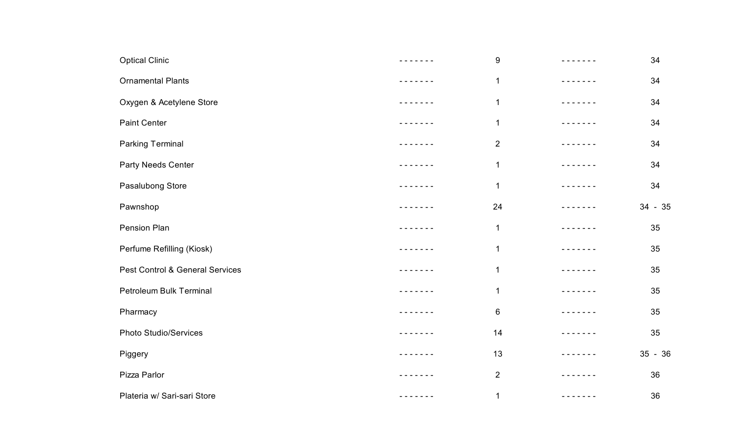| <b>Optical Clinic</b>           | ------ | $\boldsymbol{9}$ |             | 34        |
|---------------------------------|--------|------------------|-------------|-----------|
| <b>Ornamental Plants</b>        |        | $\mathbf 1$      |             | 34        |
| Oxygen & Acetylene Store        |        | $\mathbf 1$      |             | 34        |
| <b>Paint Center</b>             |        | $\mathbf 1$      |             | 34        |
| <b>Parking Terminal</b>         |        | $\overline{c}$   |             | 34        |
| Party Needs Center              |        | $\mathbf 1$      |             | 34        |
| Pasalubong Store                |        | $\mathbf 1$      |             | 34        |
| Pawnshop                        |        | 24               |             | $34 - 35$ |
| Pension Plan                    |        | $\mathbf 1$      |             | 35        |
| Perfume Refilling (Kiosk)       |        | $\mathbf 1$      |             | 35        |
| Pest Control & General Services |        | $\mathbf{1}$     |             | 35        |
| Petroleum Bulk Terminal         |        | $\mathbf 1$      |             | 35        |
| Pharmacy                        |        | 6                |             | 35        |
| <b>Photo Studio/Services</b>    |        | 14               |             | 35        |
| Piggery                         |        | 13               |             | $35 - 36$ |
| Pizza Parlor                    | $  -$  | $\overline{2}$   | $- - - - -$ | 36        |
| Plateria w/ Sari-sari Store     |        | $\mathbf 1$      |             | 36        |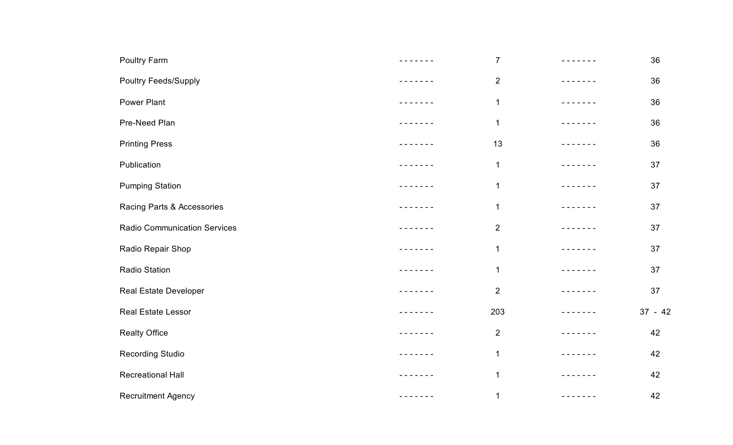| Poultry Farm                        | - - - - - - -   | $\overline{7}$ | $- - - - -$                                                                                                                                                                                                                                                                                                                                                                                                                                                                | 36        |
|-------------------------------------|-----------------|----------------|----------------------------------------------------------------------------------------------------------------------------------------------------------------------------------------------------------------------------------------------------------------------------------------------------------------------------------------------------------------------------------------------------------------------------------------------------------------------------|-----------|
| <b>Poultry Feeds/Supply</b>         | - - - - - - -   | $\overline{2}$ | $- - - - -$                                                                                                                                                                                                                                                                                                                                                                                                                                                                | 36        |
| <b>Power Plant</b>                  | - - - - - - -   | $\mathbf 1$    | - - - - - - -                                                                                                                                                                                                                                                                                                                                                                                                                                                              | 36        |
| Pre-Need Plan                       |                 | $\mathbf 1$    | .                                                                                                                                                                                                                                                                                                                                                                                                                                                                          | 36        |
| <b>Printing Press</b>               | -----           | 13             | $\frac{1}{2} \left( \frac{1}{2} \right) \left( \frac{1}{2} \right) \left( \frac{1}{2} \right) \left( \frac{1}{2} \right) \left( \frac{1}{2} \right) \left( \frac{1}{2} \right) \left( \frac{1}{2} \right) \left( \frac{1}{2} \right) \left( \frac{1}{2} \right) \left( \frac{1}{2} \right) \left( \frac{1}{2} \right) \left( \frac{1}{2} \right) \left( \frac{1}{2} \right) \left( \frac{1}{2} \right) \left( \frac{1}{2} \right) \left( \frac{1}{2} \right) \left( \frac$ | 36        |
| Publication                         | - - - - - - -   | $\mathbf 1$    | - - - - - -                                                                                                                                                                                                                                                                                                                                                                                                                                                                | 37        |
| <b>Pumping Station</b>              | - - - - - - -   | 1              | $- - - - - - - -$                                                                                                                                                                                                                                                                                                                                                                                                                                                          | 37        |
| Racing Parts & Accessories          | - - - - - - -   | 1              | - - - - - - -                                                                                                                                                                                                                                                                                                                                                                                                                                                              | 37        |
| <b>Radio Communication Services</b> | $- - - - - - -$ | $\overline{2}$ | $\frac{1}{2} \left( \frac{1}{2} \right) \left( \frac{1}{2} \right) \left( \frac{1}{2} \right) \left( \frac{1}{2} \right) \left( \frac{1}{2} \right) \left( \frac{1}{2} \right)$                                                                                                                                                                                                                                                                                            | 37        |
| Radio Repair Shop                   | - - - - - - -   | $\mathbf 1$    | - - - - - -                                                                                                                                                                                                                                                                                                                                                                                                                                                                | 37        |
| <b>Radio Station</b>                | - - - - - - -   | $\mathbf{1}$   | - - - - - - -                                                                                                                                                                                                                                                                                                                                                                                                                                                              | 37        |
| Real Estate Developer               | .               | $\overline{2}$ | - - - - - - -                                                                                                                                                                                                                                                                                                                                                                                                                                                              | 37        |
| Real Estate Lessor                  |                 | 203            | $- - - - -$                                                                                                                                                                                                                                                                                                                                                                                                                                                                | $37 - 42$ |
| <b>Realty Office</b>                | - - - - - - -   | $\overline{2}$ | ------                                                                                                                                                                                                                                                                                                                                                                                                                                                                     | 42        |
| <b>Recording Studio</b>             | - - - - - - -   | $\mathbf 1$    | - - - - - - -                                                                                                                                                                                                                                                                                                                                                                                                                                                              | 42        |
| <b>Recreational Hall</b>            | $- - - - - -$   | $\mathbf{1}$   | - - - - - - -                                                                                                                                                                                                                                                                                                                                                                                                                                                              | 42        |
| Recruitment Agency                  | - - - - - - -   | $\mathbf{1}$   | $- - - - - -$                                                                                                                                                                                                                                                                                                                                                                                                                                                              | 42        |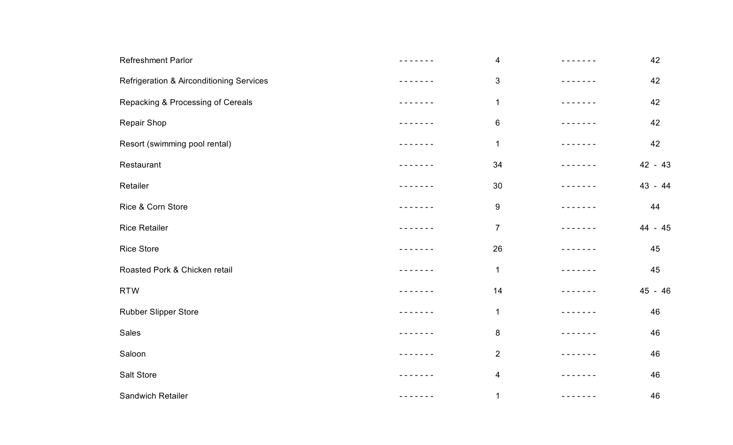| <b>Refreshment Parlor</b>                | $\overline{\mathbf{4}}$ |               | 42      |
|------------------------------------------|-------------------------|---------------|---------|
| Refrigeration & Airconditioning Services | 3                       |               | 42      |
| Repacking & Processing of Cereals        | $\mathbf 1$             |               | 42      |
| Repair Shop                              | 6                       |               | 42      |
| Resort (swimming pool rental)            | $\mathbf 1$             |               | 42      |
| Restaurant                               | 34                      |               | 42 - 43 |
| Retailer                                 | 30                      |               | 43 - 44 |
| Rice & Corn Store                        | $\boldsymbol{9}$        | $\frac{1}{2}$ | 44      |
| <b>Rice Retailer</b>                     | $\overline{7}$          |               | 44 - 45 |
| <b>Rice Store</b>                        | 26                      |               | 45      |
| Roasted Pork & Chicken retail            | 1                       |               | 45      |
| <b>RTW</b>                               | 14                      |               | 45 - 46 |
| Rubber Slipper Store                     | 1                       |               | 46      |
| Sales                                    | $\bf 8$                 |               | 46      |
| Saloon                                   | $\overline{2}$          |               | 46      |
| Salt Store                               | $\overline{\mathbf{4}}$ |               | 46      |
| Sandwich Retailer                        | 1                       |               | 46      |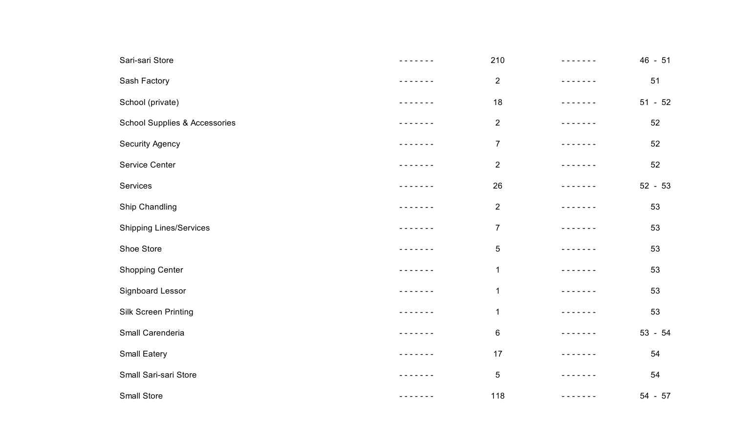| Sari-sari Store                          | - - - - - - -                                               | 210            | - - - - - - -                                                                                                                                                                                                                                                                                                                                                                                                                                                              | $46 - 51$ |
|------------------------------------------|-------------------------------------------------------------|----------------|----------------------------------------------------------------------------------------------------------------------------------------------------------------------------------------------------------------------------------------------------------------------------------------------------------------------------------------------------------------------------------------------------------------------------------------------------------------------------|-----------|
| Sash Factory                             |                                                             | $\overline{2}$ | $- - - - -$                                                                                                                                                                                                                                                                                                                                                                                                                                                                | 51        |
| School (private)                         | -------                                                     | 18             | - - - - - - -                                                                                                                                                                                                                                                                                                                                                                                                                                                              | $51 - 52$ |
| <b>School Supplies &amp; Accessories</b> |                                                             | $\overline{2}$ | $- - - - - -$                                                                                                                                                                                                                                                                                                                                                                                                                                                              | 52        |
| <b>Security Agency</b>                   | $\frac{1}{2}$                                               | $\overline{7}$ | $\frac{1}{2}$                                                                                                                                                                                                                                                                                                                                                                                                                                                              | 52        |
| Service Center                           | - - - - - - -                                               | 2              | $\frac{1}{2}$                                                                                                                                                                                                                                                                                                                                                                                                                                                              | 52        |
| Services                                 |                                                             | 26             |                                                                                                                                                                                                                                                                                                                                                                                                                                                                            | $52 - 53$ |
| Ship Chandling                           |                                                             | 2              | $\frac{1}{2}$                                                                                                                                                                                                                                                                                                                                                                                                                                                              | 53        |
| <b>Shipping Lines/Services</b>           |                                                             | $\overline{7}$ | $- - - - -$                                                                                                                                                                                                                                                                                                                                                                                                                                                                | 53        |
| Shoe Store                               |                                                             | $\sqrt{5}$     |                                                                                                                                                                                                                                                                                                                                                                                                                                                                            | 53        |
| <b>Shopping Center</b>                   |                                                             | 1              | - - - - - - -                                                                                                                                                                                                                                                                                                                                                                                                                                                              | 53        |
| Signboard Lessor                         | -----                                                       | 1              | $- - - - -$                                                                                                                                                                                                                                                                                                                                                                                                                                                                | 53        |
| <b>Silk Screen Printing</b>              | $\frac{1}{2}$ .<br><br><br><br><br><br><br><br><br><br><br> | $\mathbf 1$    | $- - - - - -$                                                                                                                                                                                                                                                                                                                                                                                                                                                              | 53        |
| Small Carenderia                         | - - - - - - -                                               | $\,6$          | - - - - - - -                                                                                                                                                                                                                                                                                                                                                                                                                                                              | $53 - 54$ |
| Small Eatery                             | $- - - - - -$                                               | 17             | .                                                                                                                                                                                                                                                                                                                                                                                                                                                                          | 54        |
| Small Sari-sari Store                    |                                                             | 5              | $\frac{1}{2}$                                                                                                                                                                                                                                                                                                                                                                                                                                                              | 54        |
| Small Store                              | - - - - - - -                                               | 118            | $\frac{1}{2} \left( \frac{1}{2} \right) \left( \frac{1}{2} \right) \left( \frac{1}{2} \right) \left( \frac{1}{2} \right) \left( \frac{1}{2} \right) \left( \frac{1}{2} \right) \left( \frac{1}{2} \right) \left( \frac{1}{2} \right) \left( \frac{1}{2} \right) \left( \frac{1}{2} \right) \left( \frac{1}{2} \right) \left( \frac{1}{2} \right) \left( \frac{1}{2} \right) \left( \frac{1}{2} \right) \left( \frac{1}{2} \right) \left( \frac{1}{2} \right) \left( \frac$ | $54 - 57$ |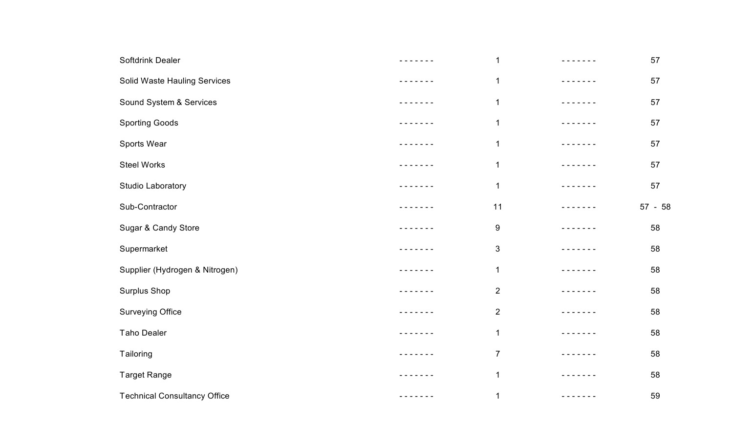| Softdrink Dealer                    | - - - - - - - | 1              |               | 57        |
|-------------------------------------|---------------|----------------|---------------|-----------|
| Solid Waste Hauling Services        |               | $\mathbf 1$    |               | 57        |
| Sound System & Services             | - - - - - - - | $\mathbf 1$    |               | 57        |
| <b>Sporting Goods</b>               |               | $\mathbf{1}$   |               | 57        |
| Sports Wear                         | $\frac{1}{2}$ | $\mathbf 1$    |               | 57        |
| <b>Steel Works</b>                  | - - - - - - - | 1              | $\frac{1}{2}$ | 57        |
| Studio Laboratory                   | -------       | $\mathbf 1$    | - - - - - - - | 57        |
| Sub-Contractor                      |               | 11             | $- - - - -$   | $57 - 58$ |
| Sugar & Candy Store                 |               | 9              |               | 58        |
| Supermarket                         |               | 3              |               | 58        |
| Supplier (Hydrogen & Nitrogen)      |               | 1              |               | 58        |
| <b>Surplus Shop</b>                 |               | $\overline{2}$ |               | 58        |
| <b>Surveying Office</b>             |               | $\overline{2}$ |               | 58        |
| <b>Taho Dealer</b>                  | - - - - - - - | $\mathbf 1$    |               | 58        |
| Tailoring                           | - - - - - - - | $\overline{7}$ | - - - - - - - | 58        |
| <b>Target Range</b>                 | $\frac{1}{2}$ | 1              | -----         | 58        |
| <b>Technical Consultancy Office</b> |               | 1              | - - - - - - - | 59        |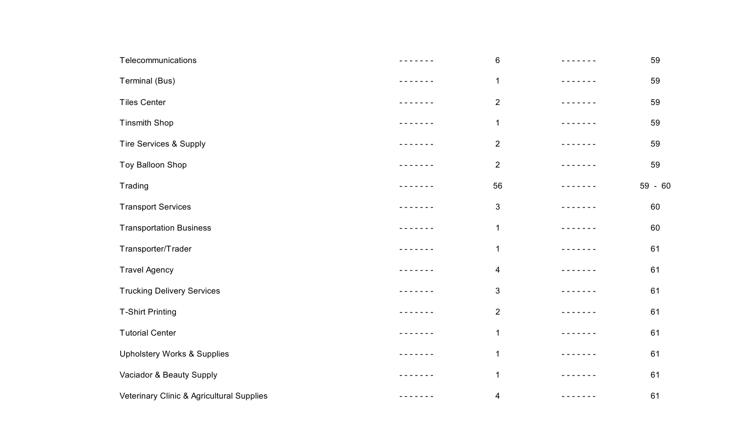| Telecommunications                        | ------                                                                                                                                                                                                                                                                                                                                                                                                                                                                     | 6                       |                                                                                                                                       | 59      |
|-------------------------------------------|----------------------------------------------------------------------------------------------------------------------------------------------------------------------------------------------------------------------------------------------------------------------------------------------------------------------------------------------------------------------------------------------------------------------------------------------------------------------------|-------------------------|---------------------------------------------------------------------------------------------------------------------------------------|---------|
| Terminal (Bus)                            |                                                                                                                                                                                                                                                                                                                                                                                                                                                                            | $\mathbf 1$             |                                                                                                                                       | 59      |
| <b>Tiles Center</b>                       | - - - - - - -                                                                                                                                                                                                                                                                                                                                                                                                                                                              | $\overline{2}$          |                                                                                                                                       | 59      |
| <b>Tinsmith Shop</b>                      |                                                                                                                                                                                                                                                                                                                                                                                                                                                                            | $\mathbf 1$             |                                                                                                                                       | 59      |
| Tire Services & Supply                    |                                                                                                                                                                                                                                                                                                                                                                                                                                                                            | $\overline{2}$          |                                                                                                                                       | 59      |
| Toy Balloon Shop                          |                                                                                                                                                                                                                                                                                                                                                                                                                                                                            | $\overline{2}$          |                                                                                                                                       | 59      |
| Trading                                   | - - - - - - -                                                                                                                                                                                                                                                                                                                                                                                                                                                              | 56                      | - - - - - - -                                                                                                                         | 59 - 60 |
| <b>Transport Services</b>                 | $- - - - -$                                                                                                                                                                                                                                                                                                                                                                                                                                                                | 3                       | $\frac{1}{2} \frac{1}{2} \frac{1}{2} \frac{1}{2} \frac{1}{2} \frac{1}{2} \frac{1}{2} \frac{1}{2} \frac{1}{2} \frac{1}{2} \frac{1}{2}$ | 60      |
| <b>Transportation Business</b>            |                                                                                                                                                                                                                                                                                                                                                                                                                                                                            | $\mathbf 1$             |                                                                                                                                       | 60      |
| Transporter/Trader                        |                                                                                                                                                                                                                                                                                                                                                                                                                                                                            | $\mathbf 1$             |                                                                                                                                       | 61      |
| <b>Travel Agency</b>                      |                                                                                                                                                                                                                                                                                                                                                                                                                                                                            | $\overline{\mathbf{4}}$ |                                                                                                                                       | 61      |
| <b>Trucking Delivery Services</b>         |                                                                                                                                                                                                                                                                                                                                                                                                                                                                            | 3                       | $- - - - - -$                                                                                                                         | 61      |
| <b>T-Shirt Printing</b>                   |                                                                                                                                                                                                                                                                                                                                                                                                                                                                            | $\overline{2}$          |                                                                                                                                       | 61      |
| <b>Tutorial Center</b>                    | - - - - - - -                                                                                                                                                                                                                                                                                                                                                                                                                                                              | $\mathbf 1$             |                                                                                                                                       | 61      |
| <b>Upholstery Works &amp; Supplies</b>    |                                                                                                                                                                                                                                                                                                                                                                                                                                                                            | $\mathbf 1$             |                                                                                                                                       | 61      |
| Vaciador & Beauty Supply                  | $\frac{1}{2} \left( \frac{1}{2} \right) \left( \frac{1}{2} \right) \left( \frac{1}{2} \right) \left( \frac{1}{2} \right) \left( \frac{1}{2} \right) \left( \frac{1}{2} \right) \left( \frac{1}{2} \right) \left( \frac{1}{2} \right) \left( \frac{1}{2} \right) \left( \frac{1}{2} \right) \left( \frac{1}{2} \right) \left( \frac{1}{2} \right) \left( \frac{1}{2} \right) \left( \frac{1}{2} \right) \left( \frac{1}{2} \right) \left( \frac{1}{2} \right) \left( \frac$ | 1                       | ------                                                                                                                                | 61      |
| Veterinary Clinic & Agricultural Supplies |                                                                                                                                                                                                                                                                                                                                                                                                                                                                            | 4                       |                                                                                                                                       | 61      |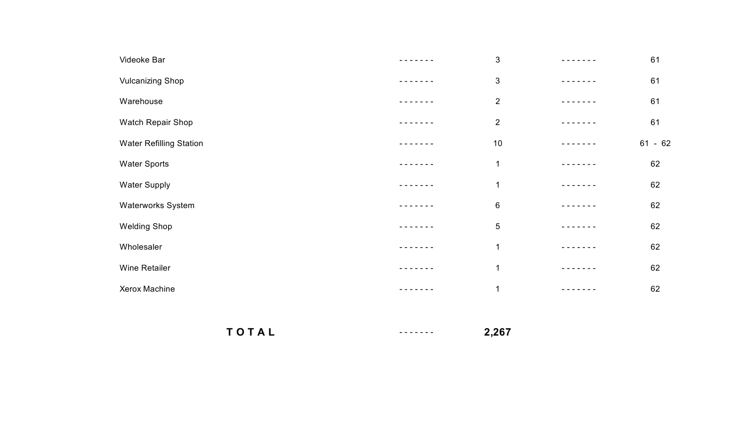| Videoke Bar                    | $\sqrt{3}$     | 61        |
|--------------------------------|----------------|-----------|
| <b>Vulcanizing Shop</b>        | $\mathbf{3}$   | 61        |
| Warehouse                      | $\overline{2}$ | 61        |
| Watch Repair Shop              | $\overline{2}$ | 61        |
| <b>Water Refilling Station</b> | 10             | $61 - 62$ |
| <b>Water Sports</b>            | $\overline{1}$ | 62        |
| <b>Water Supply</b>            | $\mathbf{1}$   | 62        |
| Waterworks System              | $\,6\,$        | 62        |
| <b>Welding Shop</b>            | $\overline{5}$ | 62        |
| Wholesaler                     | 1              | 62        |
| Wine Retailer                  | $\mathbf{1}$   | 62        |
| Xerox Machine                  | $\overline{1}$ | 62        |

**T O T A L**- - - - - - - **2,267**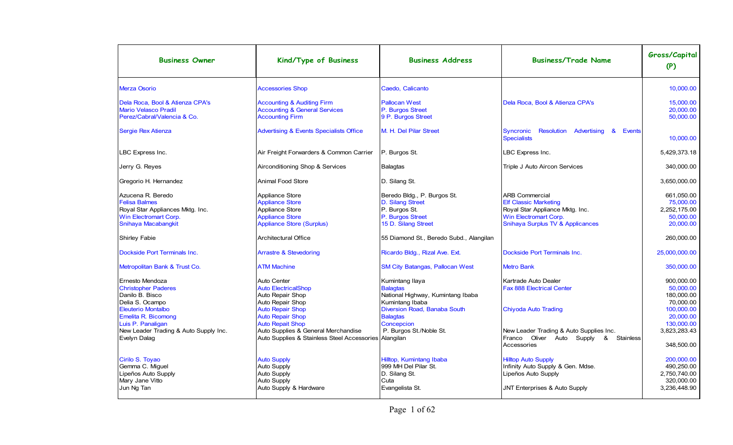| <b>Business Owner</b>                                                                                                         | Kind/Type of Business                                                                                                      | <b>Business Address</b>                                                                                     | <b>Business/Trade Name</b>                                                                                                                                       | Gross/Capital<br>(P)                                                   |
|-------------------------------------------------------------------------------------------------------------------------------|----------------------------------------------------------------------------------------------------------------------------|-------------------------------------------------------------------------------------------------------------|------------------------------------------------------------------------------------------------------------------------------------------------------------------|------------------------------------------------------------------------|
| <b>Merza Osorio</b>                                                                                                           | <b>Accessories Shop</b>                                                                                                    | Caedo, Calicanto                                                                                            |                                                                                                                                                                  | 10,000.00                                                              |
| Dela Roca, Bool & Atienza CPA's<br>Mario Velasco Pradil<br>Perez/Cabral/Valencia & Co.                                        | <b>Accounting &amp; Auditing Firm</b><br><b>Accounting &amp; General Services</b><br><b>Accounting Firm</b>                | <b>Pallocan West</b><br>P. Burgos Street<br>9 P. Burgos Street                                              | Dela Roca, Bool & Atienza CPA's                                                                                                                                  | 15.000.00<br>20,000.00<br>50.000.00                                    |
| Sergie Rex Atienza                                                                                                            | <b>Advertising &amp; Events Specialists Office</b>                                                                         | M. H. Del Pilar Street                                                                                      | Syncronic<br><b>Resolution Advertising</b><br>&<br>Events<br><b>Specialists</b>                                                                                  | 10,000.00                                                              |
| LBC Express Inc.                                                                                                              | Air Freight Forwarders & Common Carrier                                                                                    | P. Burgos St.                                                                                               | LBC Express Inc.                                                                                                                                                 | 5,429,373.18                                                           |
| Jerry G. Reyes                                                                                                                | Airconditioning Shop & Services                                                                                            | <b>Balagtas</b>                                                                                             | Triple J Auto Aircon Services                                                                                                                                    | 340,000.00                                                             |
| Gregorio H. Hernandez                                                                                                         | <b>Animal Food Store</b>                                                                                                   | D. Silang St.                                                                                               |                                                                                                                                                                  | 3,650,000.00                                                           |
| Azucena R. Beredo<br><b>Felisa Balmes</b><br>Royal Star Appliances Mktg. Inc.<br>Win Electromart Corp.<br>Snihaya Macabangkit | Appliance Store<br><b>Appliance Store</b><br>Appliance Store<br><b>Appliance Store</b><br><b>Appliance Store (Surplus)</b> | Beredo Bldg., P. Burgos St.<br>D. Silang Street<br>P. Burgos St.<br>P. Burgos Street<br>15 D. Silang Street | <b>ARB Commercial</b><br><b>Elf Classic Marketing</b><br>Royal Star Appliance Mktg. Inc.<br>Win Electromart Corp.<br><b>Snihaya Surplus TV &amp; Applicances</b> | 661,050.00<br>75,000.00<br>2,252,175.00<br>50.000.00<br>20,000.00      |
| Shirley Fabie                                                                                                                 | <b>Architectural Office</b>                                                                                                | 55 Diamond St., Beredo Subd., Alangilan                                                                     |                                                                                                                                                                  | 260.000.00                                                             |
| Dockside Port Terminals Inc.                                                                                                  | <b>Arrastre &amp; Stevedoring</b>                                                                                          | Ricardo Bldg., Rizal Ave. Ext.                                                                              | Dockside Port Terminals Inc.                                                                                                                                     | 25,000,000.00                                                          |
| Metropolitan Bank & Trust Co.                                                                                                 | <b>ATM Machine</b>                                                                                                         | SM City Batangas, Pallocan West                                                                             | <b>Metro Bank</b>                                                                                                                                                | 350,000.00                                                             |
| Ernesto Mendoza<br><b>Christopher Paderes</b><br>Danilo B. Bisco<br>Delia S. Ocampo                                           | Auto Center<br><b>Auto ElectricalShop</b><br>Auto Repair Shop<br>Auto Repair Shop                                          | Kumintang Ilaya<br><b>Balagtas</b><br>National Highway, Kumintang Ibaba<br>Kumintang Ibaba                  | Kartrade Auto Dealer<br><b>Fax 888 Electrical Center</b>                                                                                                         | 900,000.00<br>50.000.00<br>180,000.00<br>70.000.00                     |
| <b>Eleuterio Montalbo</b><br>Emelita R. Bicomong<br>Luis P. Panaligan                                                         | <b>Auto Repair Shop</b><br><b>Auto Repair Shop</b><br><b>Auto Repait Shop</b>                                              | Diversion Road, Banaba South<br><b>Balagtas</b><br>Concepcion                                               | <b>Chiyoda Auto Trading</b>                                                                                                                                      | 100,000.00<br>20.000.00<br>130,000.00                                  |
| New Leader Trading & Auto Supply Inc.<br>Evelyn Dalag                                                                         | Auto Supplies & General Merchandise<br>Auto Supplies & Stainless Steel Accessories Alangilan                               | P. Burgos St./Noble St.                                                                                     | New Leader Trading & Auto Supplies Inc.<br>Franco Oliver Auto Supply<br>&<br><b>Stainless</b><br>Accessories                                                     | 3,823,283.43<br>348,500.00                                             |
| Cirilo S. Toyao<br>Gemma C. Miguel<br>Lipeños Auto Supply<br>Mary Jane Vitto<br>Jun Ng Tan                                    | <b>Auto Supply</b><br>Auto Supply<br><b>Auto Supply</b><br>Auto Supply<br>Auto Supply & Hardware                           | Hilltop, Kumintang Ibaba<br>999 MH Del Pilar St.<br>D. Silang St.<br>Cuta<br>Evangelista St.                | <b>Hilltop Auto Supply</b><br>Infinity Auto Supply & Gen. Mdse.<br>Lipeños Auto Supply<br><b>JNT Enterprises &amp; Auto Supply</b>                               | 200.000.00<br>490,250.00<br>2.750.740.00<br>320.000.00<br>3.236.448.90 |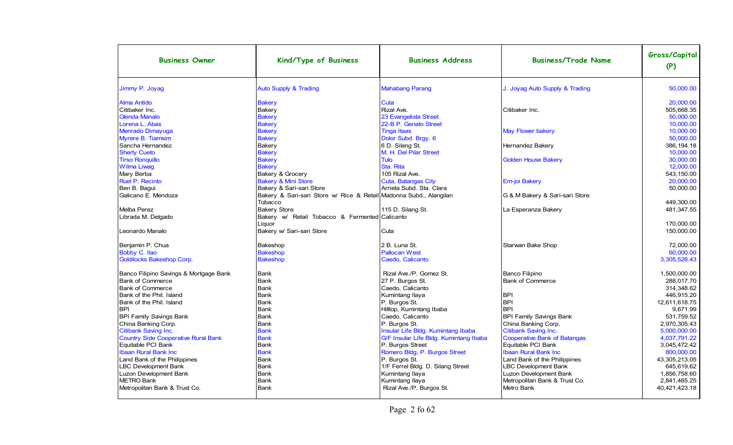| <b>Business Owner</b>                  | Kind/Type of Business                                              | <b>Business Address</b>                | <b>Business/Trade Name</b>          | Gross/Capital<br>(P) |
|----------------------------------------|--------------------------------------------------------------------|----------------------------------------|-------------------------------------|----------------------|
| Jimmy P. Joyag                         | <b>Auto Supply &amp; Trading</b>                                   | <b>Mahabang Parang</b>                 | J. Joyag Auto Supply & Trading      | 50,000.00            |
| <b>Alma Antido</b>                     | <b>Bakery</b>                                                      | Cuta                                   |                                     | 20.000.00            |
| Citibaker Inc.                         | Bakery                                                             | Rizal Ave.                             | Citibaker Inc.                      | 505.668.35           |
| <b>Glenda Manalo</b>                   | <b>Bakery</b>                                                      | 23 Evangelista Street                  |                                     | 50.000.00            |
| Lorena L. Abas                         | <b>Bakery</b>                                                      | 22-B P. Genato Street                  |                                     | 10,000.00            |
| <b>Menrado Dimayuga</b>                | <b>Bakery</b>                                                      | <b>Tinga Itaas</b>                     | <b>May Flower bakery</b>            | 10.000.00            |
| <b>Myrere B. Tiamsim</b>               | <b>Bakery</b>                                                      | Dolor Subd. Brgy. 6                    |                                     | 50,000.00            |
| Sancha Hernandez                       | Bakery                                                             | 6 D. Silang St.                        | Hernandez Bakery                    | 386.194.18           |
| <b>Sherly Cueto</b>                    | <b>Bakery</b>                                                      | M. H. Del Pilar Street                 |                                     | 10.000.00            |
| <b>Tirso Ronquillo</b>                 | <b>Bakery</b>                                                      | <b>Tulo</b>                            | <b>Golden House Bakery</b>          | 30,000.00            |
| <b>Wilma Liwag</b>                     | <b>Bakery</b>                                                      | Sta. Rita                              |                                     | 12,000.00            |
| Mary Berba                             | Bakery & Grocery                                                   | 105 Rizal Ave.                         |                                     | 543.150.00           |
| Ruel P. Recinto                        | <b>Bakery &amp; Mini Store</b>                                     | Cuta, Batangas City                    | Em-joi Bakery                       | 20,000.00            |
| Ben B. Baqui                           | Bakery & Sari-sari Store                                           | Arrieta Subd. Sta. Clara               |                                     | 50.000.00            |
| Galicano E. Mendoza                    | Bakery & Sari-sari Store w/ Rice & Retail Madonna Subd., Alangilan |                                        | G & M Bakery & Sari-sari Store      |                      |
|                                        | Tobacco                                                            |                                        |                                     | 449,300.00           |
| Melba Perez                            | <b>Bakery Store</b>                                                | 115 D. Silang St.                      | La Esperanza Bakery                 | 481,347.55           |
| Librada M. Delgado                     | Bakery w/ Retail Tobacco & Fermented Calicanto                     |                                        |                                     |                      |
|                                        | Liquor                                                             |                                        |                                     | 170.000.00           |
| Leonardo Manalo                        | Bakery w/ Sari-sari Store                                          | Cuta                                   |                                     | 150.000.00           |
|                                        |                                                                    |                                        |                                     |                      |
| Benjamin P. Chua                       | Bakeshop                                                           | 2 B. Luna St.                          | Starwan Bake Shop                   | 72,000.00            |
| Bobby C. Ilao                          | <b>Bakeshop</b>                                                    | <b>Pallocan West</b>                   |                                     | 60,000.00            |
| <b>Goldilocks Bakeshop Corp.</b>       | <b>Bakeshop</b>                                                    | Caedo, Calicanto                       |                                     | 3,305,528.43         |
| Banco Filipino Savings & Mortgage Bank | Bank                                                               | Rizal Ave./P. Gomez St.                | Banco Filipino                      | 1,500,000.00         |
| <b>Bank of Commerce</b>                | Bank                                                               | 27 P. Burgos St.                       | <b>Bank of Commerce</b>             | 288.017.70           |
| <b>Bank of Commerce</b>                | Bank                                                               | Caedo, Calicanto                       |                                     | 314,348.62           |
| Bank of the Phil. Island               | Bank                                                               | Kumintang Ilaya                        | <b>BPI</b>                          | 446,915.20           |
| Bank of the Phil. Island               | Bank                                                               | P. Burgos St.                          | <b>BPI</b>                          | 12,611,618.75        |
| <b>BPI</b>                             | Bank                                                               | Hilltop, Kumintang Ibaba               | <b>BPI</b>                          | 9.671.99             |
| <b>BPI Family Savings Bank</b>         | Bank                                                               | Caedo, Calicanto                       | <b>BPI Family Savings Bank</b>      | 531.759.52           |
| China Banking Corp.                    | Bank                                                               | P. Burgos St.                          | China Banking Corp.                 | 2,970,305.43         |
| Citibank Saving Inc.                   | <b>Bank</b>                                                        | Insular Life Bldg. Kumintang Ibaba     | Citibank Saving Inc.                | 5,000,000.00         |
| Country Side Cooperative Rural Bank    | <b>Bank</b>                                                        | G/F Insular Life Bldg. Kumintang Ibaba | <b>Cooperative Bank of Batangas</b> | 4,037,791.22         |
| Equitable PCI Bank                     | <b>Bank</b>                                                        | P. Burgos Street                       | Equitable PCI Bank                  | 3,045,472.42         |
| <b>Ibaan Rural Bank Inc.</b>           | <b>Bank</b>                                                        | Romero Bldg, P. Burgos Street          | <b>Ibaan Rural Bank Inc</b>         | 800,000.00           |
| Land Bank of the Philippines           | <b>Bank</b>                                                        | P. Burgos St.                          | Land Bank of the Philippines        | 43,305,213.05        |
| <b>LBC Development Bank</b>            | <b>Bank</b>                                                        | 1/F Ferrel Bldg. D. Silang Street      | <b>LBC Development Bank</b>         | 645,619.62           |
| Luzon Development Bank                 | <b>Bank</b>                                                        | Kumintang Ilaya                        | Luzon Development Bank              | 1.856.758.60         |
| <b>METRO Bank</b>                      | <b>Bank</b>                                                        | Kumintang Ilaya                        | Metropolitan Bank & Trust Co.       | 2.841.465.25         |
| Metropolitan Bank & Trust Co.          | <b>Bank</b>                                                        | Rizal Ave./P. Burgos St.               | Metro Bank                          | 40,421,423.18        |
|                                        |                                                                    |                                        |                                     |                      |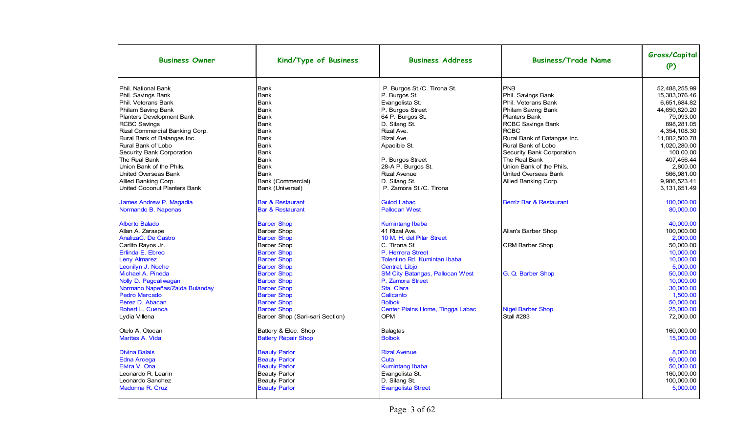| <b>Business Owner</b>          | Kind/Type of Business           | <b>Business Address</b>                | <b>Business/Trade Name</b>  | Gross/Capital<br>(P) |
|--------------------------------|---------------------------------|----------------------------------------|-----------------------------|----------------------|
| Phil. National Bank            | Bank                            | P. Burgos St./C. Tirona St.            | PNB                         | 52,488,255.99        |
| Phil. Savings Bank             | Bank                            | P. Burgos St.                          | Phil. Savings Bank          | 15,383,076.46        |
| Phil. Veterans Bank            | Bank                            | Evangelista St.                        | Phil. Veterans Bank         | 6,651,684.82         |
| Philam Saving Bank             | Bank                            | P. Burgos Street                       | Philam Saving Bank          | 44,650,820.20        |
| Planters Development Bank      | Bank                            | 64 P. Burgos St.                       | Planters Bank               | 79,093.00            |
| <b>RCBC Savings</b>            | Bank                            | D. Silang St.                          | RCBC Savings Bank           | 898,281.05           |
| Rizal Commercial Banking Corp. | Bank                            | Rizal Ave.                             | <b>RCBC</b>                 | 4,354,108.30         |
| Rural Bank of Batangas Inc.    | Bank                            | Rizal Ave.                             | Rural Bank of Batangas Inc. | 11,002,500.78        |
| Rural Bank of Lobo             | Bank                            | Apacible St.                           | Rural Bank of Lobo          | 1,020,280.00         |
| Security Bank Corporation      | Bank                            |                                        | Security Bank Corporation   | 100,00.00            |
| The Real Bank                  | Bank                            | P. Burgos Street                       | The Real Bank               | 407,456.44           |
| Union Bank of the Phils.       | Bank                            | 28-A P. Burgos St.                     | Union Bank of the Phils.    | 2,800.00             |
| United Overseas Bank           | <b>Bank</b>                     | <b>Rizal Avenue</b>                    | <b>United Overseas Bank</b> | 566.981.00           |
| Allied Banking Corp.           | Bank (Commercial)               | D. Silang St.                          | Allied Banking Corp.        | 9,986,523.41         |
| United Coconut Planters Bank   | Bank (Universal)                | P. Zamora St./C. Tirona                |                             | 3,131,651.49         |
| James Andrew P. Magadia        | <b>Bar &amp; Restaurant</b>     | <b>Gulod Labac</b>                     | Bem'z Bar & Restaurant      | 100,000.00           |
| Normando B. Napenas            | <b>Bar &amp; Restaurant</b>     | <b>Pallocan West</b>                   |                             | 80,000.00            |
| <b>Alberto Balado</b>          | <b>Barber Shop</b>              | <b>Kumintang Ibaba</b>                 |                             | 40,000.00            |
| Allan A. Zaraspe               | <b>Barber Shop</b>              | 41 Rizal Ave.                          | Allan's Barber Shop         | 100,000.00           |
| AnalizaC. De Castro            | <b>Barber Shop</b>              | 10 M. H. del Pilar Street              |                             | 2.000.00             |
| Carlito Rayos Jr.              | <b>Barber Shop</b>              | C. Tirona St.                          | <b>CRM Barber Shop</b>      | 50.000.00            |
| Erlinda E. Ebreo               | <b>Barber Shop</b>              | P. Herrera Street                      |                             | 10,000.00            |
| <b>Leny Almarez</b>            | <b>Barber Shop</b>              | Tolentino Rd. Kumintan Ibaba           |                             | 10.000.00            |
| Leonilyn J. Noche              | <b>Barber Shop</b>              | Central, Libjo                         |                             | 5,000.00             |
| Michael A. Pineda              | <b>Barber Shop</b>              | <b>SM City Batangas, Pallocan West</b> | G. Q. Barber Shop           | 50.000.00            |
| Nolly D. Pagcaliwagan          | <b>Barber Shop</b>              | P. Zamora Street                       |                             | 10.000.00            |
| Normano Napeñas/Zaida Bulanday | <b>Barber Shop</b>              | Sta. Clara                             |                             | 30,000.00            |
| <b>Pedro Mercado</b>           | <b>Barber Shop</b>              | Calicanto                              |                             | 1,500.00             |
| Perez D. Abacan                | <b>Barber Shop</b>              | <b>Bolbok</b>                          |                             | 50,000.00            |
| Robert L. Cuenca               | <b>Barber Shop</b>              | Center Plains Home, Tingga Labac       | <b>Nigel Barber Shop</b>    | 25,000.00            |
| Lydia Villena                  | Barber Shop (Sari-sari Section) | <b>OPM</b>                             | <b>Stall #283</b>           | 72,000.00            |
| Otelo A. Otocan                | Battery & Elec. Shop            | <b>Balagtas</b>                        |                             | 160,000.00           |
| Marites A. Vida                | <b>Battery Repair Shop</b>      | <b>Bolbok</b>                          |                             | 15,000.00            |
| <b>Divina Balais</b>           | <b>Beauty Parlor</b>            | <b>Rizal Avenue</b>                    |                             | 8.000.00             |
| <b>Edna Arcega</b>             | <b>Beauty Parlor</b>            | Cuta                                   |                             | 60.000.00            |
| Elvira V. Ona                  | <b>Beauty Parlor</b>            | <b>Kumintang Ibaba</b>                 |                             | 50,000.00            |
| Leonardo R. Learin             | Beauty Parlor                   | Evangelista St.                        |                             | 160.000.00           |
| Leonardo Sanchez               | <b>Beauty Parlor</b>            | D. Silang St.                          |                             | 100,000.00           |
| Madonna R. Cruz                | <b>Beauty Parlor</b>            | <b>Evangelista Street</b>              |                             | 5,000.00             |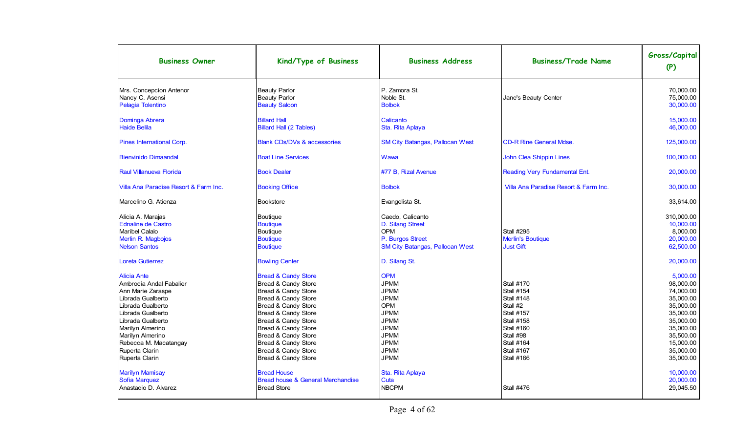| <b>Business Owner</b>                                                                                                                                                                                                                                       | Kind/Type of Business                                                                                                                                                                                                                                                                       | <b>Business Address</b>                                                                                                                                                        | <b>Business/Trade Name</b>                                                                                                                                                                                  | Gross/Capital<br>(P)                                                                                                                                    |
|-------------------------------------------------------------------------------------------------------------------------------------------------------------------------------------------------------------------------------------------------------------|---------------------------------------------------------------------------------------------------------------------------------------------------------------------------------------------------------------------------------------------------------------------------------------------|--------------------------------------------------------------------------------------------------------------------------------------------------------------------------------|-------------------------------------------------------------------------------------------------------------------------------------------------------------------------------------------------------------|---------------------------------------------------------------------------------------------------------------------------------------------------------|
| Mrs. Concepcion Antenor<br>Nancy C. Asensi<br>Pelagia Tolentino                                                                                                                                                                                             | <b>Beauty Parlor</b><br><b>Beauty Parlor</b><br><b>Beauty Saloon</b>                                                                                                                                                                                                                        | P. Zamora St.<br>Noble St.<br><b>Bolbok</b>                                                                                                                                    | Jane's Beauty Center                                                                                                                                                                                        | 70,000.00<br>75.000.00<br>30.000.00                                                                                                                     |
| Dominga Abrera<br><b>Haide Belila</b>                                                                                                                                                                                                                       | <b>Billard Hall</b><br><b>Billard Hall (2 Tables)</b>                                                                                                                                                                                                                                       | Calicanto<br>Sta. Rita Aplaya                                                                                                                                                  |                                                                                                                                                                                                             | 15,000.00<br>46,000.00                                                                                                                                  |
| Pines International Corp.                                                                                                                                                                                                                                   | <b>Blank CDs/DVs &amp; accessories</b>                                                                                                                                                                                                                                                      | <b>SM City Batangas, Pallocan West</b>                                                                                                                                         | <b>CD-R Rine General Mdse.</b>                                                                                                                                                                              | 125,000.00                                                                                                                                              |
| <b>Bienvinido Dimaandal</b>                                                                                                                                                                                                                                 | <b>Boat Line Services</b>                                                                                                                                                                                                                                                                   | Wawa                                                                                                                                                                           | John Clea Shippin Lines                                                                                                                                                                                     | 100,000.00                                                                                                                                              |
| <b>Raul Villanueva Florida</b>                                                                                                                                                                                                                              | <b>Book Dealer</b>                                                                                                                                                                                                                                                                          | #77 B, Rizal Avenue                                                                                                                                                            | Reading Very Fundamental Ent.                                                                                                                                                                               | 20,000.00                                                                                                                                               |
| Villa Ana Paradise Resort & Farm Inc.                                                                                                                                                                                                                       | <b>Booking Office</b>                                                                                                                                                                                                                                                                       | <b>Bolbok</b>                                                                                                                                                                  | Villa Ana Paradise Resort & Farm Inc.                                                                                                                                                                       | 30,000.00                                                                                                                                               |
| Marcelino G. Atienza                                                                                                                                                                                                                                        | <b>Bookstore</b>                                                                                                                                                                                                                                                                            | Evangelista St.                                                                                                                                                                |                                                                                                                                                                                                             | 33,614.00                                                                                                                                               |
| Alicia A. Marajas<br><b>Ednaline de Castro</b><br>Maribel Calalo<br>Merlin R. Magbojos<br><b>Nelson Santos</b>                                                                                                                                              | <b>Boutique</b><br><b>Boutique</b><br><b>Boutique</b><br><b>Boutique</b><br><b>Boutique</b>                                                                                                                                                                                                 | Caedo. Calicanto<br>D. Silang Street<br><b>OPM</b><br>P. Burgos Street<br><b>SM City Batangas, Pallocan West</b>                                                               | <b>Stall #295</b><br><b>Merlin's Boutique</b><br><b>Just Gift</b>                                                                                                                                           | 310.000.00<br>10,000.00<br>8.000.00<br>20,000.00<br>62,500.00                                                                                           |
| Loreta Gutierrez                                                                                                                                                                                                                                            | <b>Bowling Center</b>                                                                                                                                                                                                                                                                       | D. Silang St.                                                                                                                                                                  |                                                                                                                                                                                                             | 20,000.00                                                                                                                                               |
| <b>Alicia Ante</b><br>Ambrocia Andal Fabalier<br>Ann Marie Zaraspe<br>Librada Gualberto<br>Librada Gualberto<br>Librada Gualberto<br>Librada Gualberto<br>Marilyn Almerino<br>Marilyn Almerino<br>Rebecca M. Macatangay<br>Ruperta Clarin<br>Ruperta Clarin | <b>Bread &amp; Candy Store</b><br>Bread & Candy Store<br>Bread & Candy Store<br>Bread & Candy Store<br>Bread & Candy Store<br>Bread & Candy Store<br>Bread & Candy Store<br>Bread & Candy Store<br>Bread & Candy Store<br>Bread & Candy Store<br>Bread & Candy Store<br>Bread & Candy Store | <b>OPM</b><br><b>JPMM</b><br><b>JPMM</b><br><b>JPMM</b><br><b>OPM</b><br><b>JPMM</b><br><b>JPMM</b><br><b>JPMM</b><br><b>JPMM</b><br><b>JPMM</b><br><b>JPMM</b><br><b>JPMM</b> | <b>Stall #170</b><br><b>Stall #154</b><br><b>Stall #148</b><br>Stall #2<br><b>Stall #157</b><br><b>Stall #158</b><br><b>Stall #160</b><br>Stall #98<br><b>Stall #164</b><br>Stall #167<br><b>Stall #166</b> | 5,000.00<br>98.000.00<br>74,000.00<br>35.000.00<br>35,000.00<br>35,000.00<br>35.000.00<br>35,000.00<br>35,500.00<br>15.000.00<br>35,000.00<br>35,000.00 |
| <b>Marilyn Mamisay</b><br>Sofia Marquez<br>Anastacio D. Alvarez                                                                                                                                                                                             | <b>Bread House</b><br>Bread house & General Merchandise<br><b>Bread Store</b>                                                                                                                                                                                                               | Sta. Rita Aplaya<br>Cuta<br><b>NBCPM</b>                                                                                                                                       | <b>Stall #476</b>                                                                                                                                                                                           | 10.000.00<br>20,000.00<br>29,045.50                                                                                                                     |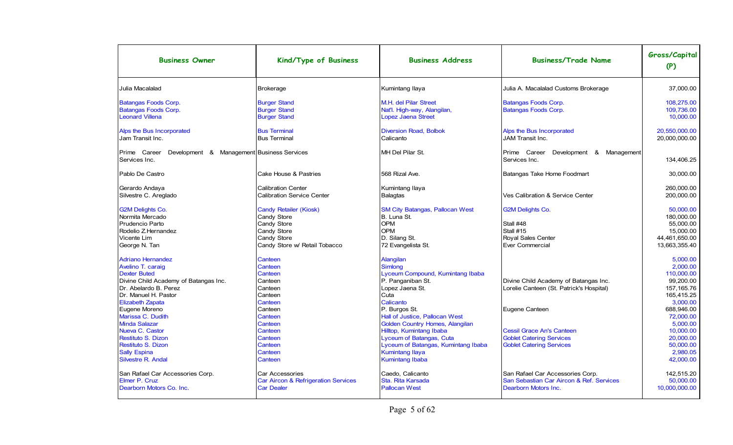| <b>Business Owner</b>                                                                                                                                                                                                                                   | Kind/Type of Business                                                                                                             | <b>Business Address</b>                                                                                                                                                                                     | <b>Business/Trade Name</b>                                                                             | Gross/Capital<br>(P)                                                                                                           |
|---------------------------------------------------------------------------------------------------------------------------------------------------------------------------------------------------------------------------------------------------------|-----------------------------------------------------------------------------------------------------------------------------------|-------------------------------------------------------------------------------------------------------------------------------------------------------------------------------------------------------------|--------------------------------------------------------------------------------------------------------|--------------------------------------------------------------------------------------------------------------------------------|
| Julia Macalalad                                                                                                                                                                                                                                         | <b>Brokerage</b>                                                                                                                  | Kumintang Ilaya                                                                                                                                                                                             | Julia A. Macalalad Customs Brokerage                                                                   | 37,000.00                                                                                                                      |
| <b>Batangas Foods Corp.</b><br><b>Batangas Foods Corp.</b><br><b>Leonard Villena</b>                                                                                                                                                                    | <b>Burger Stand</b><br><b>Burger Stand</b><br><b>Burger Stand</b>                                                                 | M.H. del Pilar Street<br>Nat'l. High-way, Alangilan,<br><b>Lopez Jaena Street</b>                                                                                                                           | <b>Batangas Foods Corp.</b><br><b>Batangas Foods Corp.</b>                                             | 108.275.00<br>109.736.00<br>10.000.00                                                                                          |
| Alps the Bus Incorporated<br>IJam Transit Inc.                                                                                                                                                                                                          | <b>Bus Terminal</b><br><b>Bus Terminal</b>                                                                                        | <b>Diversion Road, Bolbok</b><br>Calicanto                                                                                                                                                                  | Alps the Bus Incorporated<br>JAM Transit Inc.                                                          | 20.550.000.00<br>20,000,000.00                                                                                                 |
| Development & Management Business Services<br>Prime Career<br>Services Inc.                                                                                                                                                                             |                                                                                                                                   | MH Del Pilar St.                                                                                                                                                                                            | Prime Career<br>Development & Management<br>Services Inc.                                              | 134,406.25                                                                                                                     |
| Pablo De Castro                                                                                                                                                                                                                                         | Cake House & Pastries                                                                                                             | 568 Rizal Ave.                                                                                                                                                                                              | Batangas Take Home Foodmart                                                                            | 30,000.00                                                                                                                      |
| Gerardo Andaya<br>Silvestre C. Areglado                                                                                                                                                                                                                 | <b>Calibration Center</b><br><b>Calibration Service Center</b>                                                                    | Kumintang Ilaya<br><b>Balagtas</b>                                                                                                                                                                          | Ves Calibration & Service Center                                                                       | 260,000.00<br>200,000.00                                                                                                       |
| <b>G2M Delights Co.</b><br>Normita Mercado<br>Prudencio Parto<br>Rodelio Z.Hernandez<br>Vicente Lim<br>George N. Tan                                                                                                                                    | <b>Candy Retailer (Kiosk)</b><br>Candy Store<br>Candy Store<br>Candy Store<br><b>Candy Store</b><br>Candy Store w/ Retail Tobacco | <b>SM City Batangas, Pallocan West</b><br>B. Luna St.<br><b>OPM</b><br><b>OPM</b><br>D. Silang St.<br>72 Evangelista St.                                                                                    | <b>G2M Delights Co.</b><br>Stall #48<br>Stall #15<br><b>Royal Sales Center</b><br>Ever Commercial      | 50,000.00<br>180,000.00<br>55,000.00<br>15,000.00<br>44,461,650.00<br>13,663,355.40                                            |
| <b>Adriano Hernandez</b><br>Avelino T. caraig<br><b>Dexter Buted</b><br>Divine Child Academy of Batangas Inc.<br>Dr. Abelardo B. Perez<br>Dr. Manuel H. Pastor<br><b>Elizabeth Zapata</b><br>Eugene Moreno<br>Marissa C. Dudith<br><b>Minda Salazar</b> | Canteen<br>Canteen<br>Canteen<br>Canteen<br>Canteen<br>Canteen<br>Canteen<br>Canteen<br>Canteen<br>Canteen                        | Alangilan<br>Simlong<br>Lyceum Compound, Kumintang Ibaba<br>P. Panganiban St.<br>Lopez Jaena St.<br>Cuta<br>Calicanto<br>P. Burgos St.<br>Hall of Justice, Pallocan West<br>Golden Country Homes, Alangilan | Divine Child Academy of Batangas Inc.<br>Lorelie Canteen (St. Patrick's Hospital)<br>Eugene Canteen    | 5.000.00<br>2.000.00<br>110.000.00<br>99.200.00<br>157.165.76<br>165.415.25<br>3.000.00<br>688.946.00<br>72.000.00<br>5.000.00 |
| Nueva C. Castor<br>Restituto S. Dizon<br>Restituto S. Dizon<br><b>Sally Espina</b><br>Silvestre R. Andal                                                                                                                                                | Canteen<br>Canteen<br>Canteen<br>Canteen<br>Canteen                                                                               | Hilltop, Kumintang Ibaba<br>Lyceum of Batangas, Cuta<br>Lyceum of Batangas, Kumintang Ibaba<br><b>Kumintang Ilaya</b><br><b>Kumintang Ibaba</b>                                                             | <b>Cessil Grace An's Canteen</b><br><b>Goblet Catering Services</b><br><b>Goblet Catering Services</b> | 10.000.00<br>20.000.00<br>50.000.00<br>2.980.05<br>42.000.00                                                                   |
| San Rafael Car Accessories Corp.<br>Elmer P. Cruz<br>Dearborn Motors Co. Inc.                                                                                                                                                                           | Car Accessories<br>Car Aircon & Refrigeration Services<br><b>Car Dealer</b>                                                       | Caedo, Calicanto<br>Sta. Rita Karsada<br><b>Pallocan West</b>                                                                                                                                               | San Rafael Car Accessories Corp.<br>San Sebastian Car Aircon & Ref. Services<br>Dearborn Motors Inc.   | 142,515.20<br>50,000.00<br>10,000,000.00                                                                                       |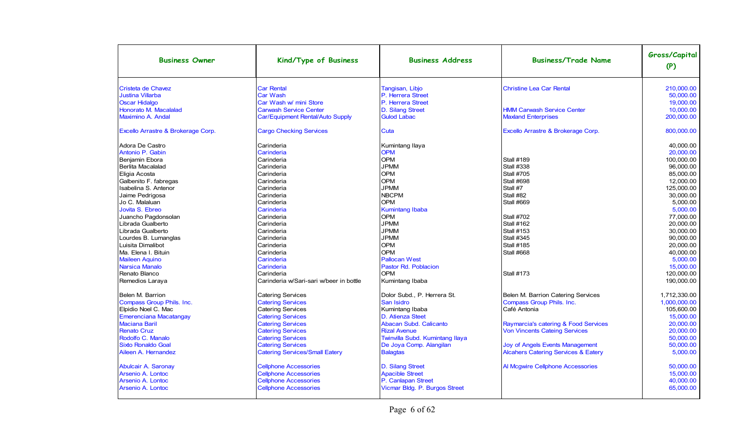| <b>Business Owner</b>              | Kind/Type of Business                   | <b>Business Address</b>         | <b>Business/Trade Name</b>                     | Gross/Capital<br>(P) |
|------------------------------------|-----------------------------------------|---------------------------------|------------------------------------------------|----------------------|
| Cristeta de Chavez                 | <b>Car Rental</b>                       | Tangisan, Libjo                 | <b>Christine Lea Car Rental</b>                | 210.000.00           |
| <b>Justina Villarba</b>            | <b>Car Wash</b>                         | P. Herrera Street               |                                                | 50.000.00            |
| <b>Oscar Hidalgo</b>               | Car Wash w/ mini Store                  | P. Herrera Street               |                                                | 19.000.00            |
| Honorato M. Macalalad              | <b>Carwash Service Center</b>           | D. Silang Street                | <b>HMM Carwash Service Center</b>              | 10.000.00            |
| Maximino A. Andal                  | Car/Equipment Rental/Auto Supply        | <b>Gulod Labac</b>              | <b>Maxland Enterprises</b>                     | 200,000.00           |
| Excello Arrastre & Brokerage Corp. | <b>Cargo Checking Services</b>          | Cuta                            | Excello Arrastre & Brokerage Corp.             | 800,000.00           |
| Adora De Castro                    | Carinderia                              | Kumintang Ilaya                 |                                                | 40.000.00            |
| Antonio P. Gabin                   | Carinderia                              | <b>OPM</b>                      |                                                | 20.000.00            |
| Beniamin Ebora                     | Carinderia                              | <b>OPM</b>                      | <b>Stall #189</b>                              | 100.000.00           |
| Berlita Macalalad                  | Carinderia                              | <b>JPMM</b>                     | <b>Stall #338</b>                              | 96,000.00            |
| Eligia Acosta                      | Carinderia                              | <b>OPM</b>                      | <b>Stall #705</b>                              | 85.000.00            |
| Galbenito F. fabregas              | Carinderia                              | <b>OPM</b>                      | <b>Stall #698</b>                              | 12.000.00            |
| Isabelina S. Antenor               | Carinderia                              | <b>JPMM</b>                     | Stall #7                                       | 125.000.00           |
| Jaime Pedrigosa                    | Carinderia                              | <b>NBCPM</b>                    | Stall #82                                      | 30.000.00            |
| Jo C. Malaluan                     | Carinderia                              | <b>OPM</b>                      | <b>Stall #669</b>                              | 5.000.00             |
| Jovita S. Ebreo                    | Carinderia                              | <b>Kumintang Ibaba</b>          |                                                | 5.000.00             |
| Juancho Pagdonsolan                | Carinderia                              | <b>OPM</b>                      | <b>Stall #702</b>                              | 77,000.00            |
| Librada Gualberto                  | Carinderia                              | <b>JPMM</b>                     | <b>Stall #162</b>                              | 20.000.00            |
| Librada Gualberto                  | Carinderia                              | <b>JPMM</b>                     | <b>Stall #153</b>                              | 30.000.00            |
| Lourdes B. Lumanglas               | Carinderia                              | <b>JPMM</b>                     | <b>Stall #345</b>                              | 90.000.00            |
| Luisita Dimalibot                  | Carinderia                              | <b>OPM</b>                      | <b>Stall #185</b>                              | 20.000.00            |
| Ma. Elena I. Bituin                | Carinderia                              | <b>OPM</b>                      | <b>Stall #668</b>                              | 40.000.00            |
| <b>Maileen Aquino</b>              | Carinderia                              | <b>Pallocan West</b>            |                                                | 5.000.00             |
| <b>Narsica Manalo</b>              | Carinderia                              | Pastor Rd. Poblacion            |                                                | 15,000.00            |
| Renato Blanco                      | Carinderia                              | OPM                             | <b>Stall #173</b>                              | 120,000.00           |
| Remedios Laraya                    | Carinderia w/Sari-sari w/beer in bottle | Kumintang Ibaba                 |                                                | 190,000.00           |
| Belen M. Barrion                   | <b>Catering Services</b>                | Dolor Subd., P. Herrera St.     | Belen M. Barrion Catering Services             | 1,712,330.00         |
| <b>Compass Group Phils. Inc.</b>   | <b>Catering Services</b>                | San Isidro                      | Compass Group Phils. Inc.                      | 1.000.000.00         |
| Elpidio Noel C. Mac                | <b>Catering Services</b>                | Kumintang Ibaba                 | Café Antonia                                   | 105.600.00           |
| <b>Emerenciana Macatangay</b>      | <b>Catering Services</b>                | D. Atienza Steet                |                                                | 15,000.00            |
| <b>Maciana Baril</b>               | <b>Catering Services</b>                | Abacan Subd. Calicanto          | Raymarcia's catering & Food Services           | 20,000.00            |
| <b>Renato Cruz</b>                 | <b>Catering Services</b>                | <b>Rizal Avenue</b>             | <b>Von Vincents Cateing Services</b>           | 20.000.00            |
| Rodolfo C. Manalo                  | <b>Catering Services</b>                | Twinvilla Subd. Kumintang Ilaya |                                                | 50,000.00            |
| <b>Sixto Ronaldo Goal</b>          | <b>Catering Services</b>                | De Joya Comp. Alangilan         | <b>Joy of Angels Events Management</b>         | 50.000.00            |
| Aileen A. Hernandez                | <b>Catering Services/Small Eatery</b>   | <b>Balagtas</b>                 | <b>Alcahers Catering Services &amp; Eatery</b> | 5.000.00             |
| <b>Abulcair A. Saronay</b>         | <b>Cellphone Accessories</b>            | D. Silang Street                | Al Mcgwire Cellphone Accessories               | 50.000.00            |
| Arsenio A. Lontoc                  | <b>Cellphone Accessories</b>            | <b>Apacible Street</b>          |                                                | 15.000.00            |
| <b>Arsenio A. Lontoc</b>           | <b>Cellphone Accessories</b>            | P. Canlapan Street              |                                                | 40,000.00            |
| Arsenio A. Lontoc                  | <b>Cellphone Accessories</b>            | Vicmar Bldg. P. Burgos Street   |                                                | 65.000.00            |
|                                    |                                         |                                 |                                                |                      |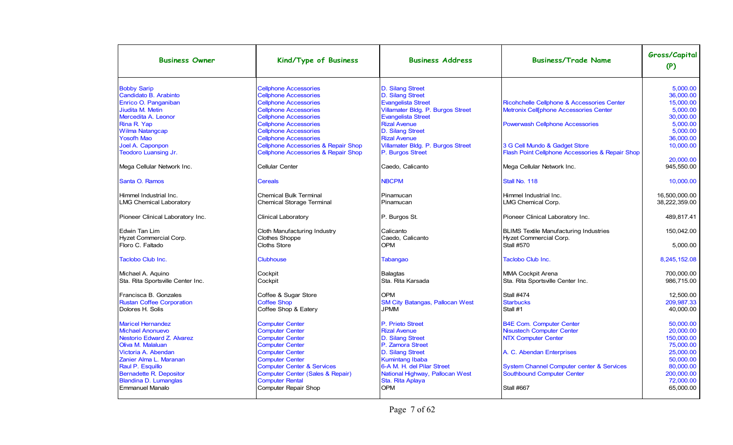| <b>Business Owner</b>             | Kind/Type of Business                          | <b>Business Address</b>                | <b>Business/Trade Name</b>                           | Gross/Capital<br>(P) |
|-----------------------------------|------------------------------------------------|----------------------------------------|------------------------------------------------------|----------------------|
| <b>Bobby Sarip</b>                | <b>Cellphone Accessories</b>                   | D. Silang Street                       |                                                      | 5.000.00             |
| Candidato B. Arabinto             | Cellphone Accessories                          | D. Silang Street                       |                                                      | 36,000.00            |
| Enrico O. Panganiban              | <b>Cellphone Accessories</b>                   | <b>Evangelista Street</b>              | Ricohchelle Cellphone & Accessories Center           | 15,000.00            |
| Jiudita M. Metin                  | <b>Cellphone Accessories</b>                   | Villamater Bldg. P. Burgos Street      | Metronix Cell[phone Accessories Center               | 5,000.00             |
| Mercedita A. Leonor               | <b>Cellphone Accessories</b>                   | <b>Evangelista Street</b>              |                                                      | 30.000.00            |
| Rina R. Yap                       | <b>Cellphone Accessories</b>                   | <b>Rizal Avenue</b>                    | <b>Powerwash Cellphone Accessories</b>               | 5.000.00             |
| <b>Wilma Natangcap</b>            | <b>Cellphone Accessories</b>                   | D. Silang Street                       |                                                      | 5,000.00             |
| <b>Yosofh Mao</b>                 | <b>Cellphone Accessories</b>                   | <b>Rizal Avenue</b>                    |                                                      | 36,000.00            |
| Joel A. Caponpon                  | <b>Cellphone Accessories &amp; Repair Shop</b> | Villamater Bldg. P. Burgos Street      | 3 G Cell Mundo & Gadget Store                        | 10.000.00            |
| <b>Teodoro Luansing Jr.</b>       | <b>Cellphone Accessories &amp; Repair Shop</b> | P. Burgos Street                       | Flash Point Cellphone Accessories & Repair Shop      |                      |
|                                   |                                                |                                        |                                                      | 20,000.00            |
| Mega Cellular Network Inc.        | Cellular Center                                | Caedo, Calicanto                       | Mega Cellular Network Inc.                           | 945.550.00           |
| Santa O. Ramos                    | <b>Cereals</b>                                 | <b>NBCPM</b>                           | Stall No. 118                                        | 10,000.00            |
| Himmel Industrial Inc.            | <b>Chemical Bulk Terminal</b>                  | Pinamucan                              | Himmel Industrial Inc.                               | 16,500,000.00        |
| <b>LMG Chemical Laboratory</b>    | <b>Chemical Storage Terminal</b>               | Pinamucan                              | LMG Chemical Corp.                                   | 38,222,359.00        |
|                                   |                                                |                                        |                                                      |                      |
| Pioneer Clinical Laboratory Inc.  | Clinical Laboratory                            | P. Burgos St.                          | Pioneer Clinical Laboratory Inc.                     | 489.817.41           |
| Edwin Tan Lim                     | Cloth Manufacturing Industry                   | Calicanto                              | <b>BLIMS Textile Manufacturing Industries</b>        | 150.042.00           |
| Hyzet Commercial Corp.            | <b>Clothes Shoppe</b>                          | Caedo, Calicanto                       | Hyzet Commercial Corp.                               |                      |
| Floro C. Faltado                  | Cloths Store                                   | <b>OPM</b>                             | <b>Stall #570</b>                                    | 5,000.00             |
| Taclobo Club Inc.                 | <b>Clubhouse</b>                               | Tabangao                               | Taclobo Club Inc.                                    | 8,245,152.08         |
| Michael A. Aguino                 | Cockpit                                        | <b>Balagtas</b>                        | <b>MMA Cockpit Arena</b>                             | 700,000.00           |
| Sta. Rita Sportsville Center Inc. | Cockpit                                        | Sta. Rita Karsada                      | Sta. Rita Sportsville Center Inc.                    | 986.715.00           |
| Francisca B. Gonzales             | Coffee & Sugar Store                           | <b>OPM</b>                             | <b>Stall #474</b>                                    | 12,500.00            |
| <b>Rustan Coffee Corporation</b>  | <b>Coffee Shop</b>                             | <b>SM City Batangas, Pallocan West</b> | <b>Starbucks</b>                                     | 209.987.33           |
| Dolores H. Solis                  | Coffee Shop & Eatery                           | <b>JPMM</b>                            | Stall #1                                             | 40.000.00            |
| <b>Maricel Hernandez</b>          | <b>Computer Center</b>                         | P. Prieto Street                       | <b>B4E Com. Computer Center</b>                      | 50.000.00            |
| <b>Michael Anonuevo</b>           | <b>Computer Center</b>                         | <b>Rizal Avenue</b>                    | <b>Nisustech Computer Center</b>                     | 20,000.00            |
| Nestorio Edward Z. Alvarez        | <b>Computer Center</b>                         | D. Silang Street                       | <b>NTX Computer Center</b>                           | 150,000.00           |
| Oliva M. Malaluan                 | <b>Computer Center</b>                         | P. Zamora Street                       |                                                      | 75,000.00            |
| Victoria A. Abendan               | <b>Computer Center</b>                         | D. Silang Street                       | A. C. Abendan Enterprises                            | 25.000.00            |
| Zanier Alma L. Maranan            | <b>Computer Center</b>                         | <b>Kumintang Ibaba</b>                 |                                                      | 50.000.00            |
| Raul P. Esquillo                  | <b>Computer Center &amp; Services</b>          | 6-A M. H. del Pilar Street             | <b>System Channel Computer center &amp; Services</b> | 80,000.00            |
| Bernadette R. Depositor           | <b>Computer Center (Sales &amp; Repair)</b>    | National Highway, Pallocan West        | <b>Southbound Computer Center</b>                    | 200.000.00           |
| Blandina D. Lumanglas             | <b>Computer Rental</b>                         | Sta. Rita Aplaya                       |                                                      | 72,000.00            |
| Emmanuel Manalo                   | Computer Repair Shop                           | <b>OPM</b>                             | Stall #667                                           | 65,000.00            |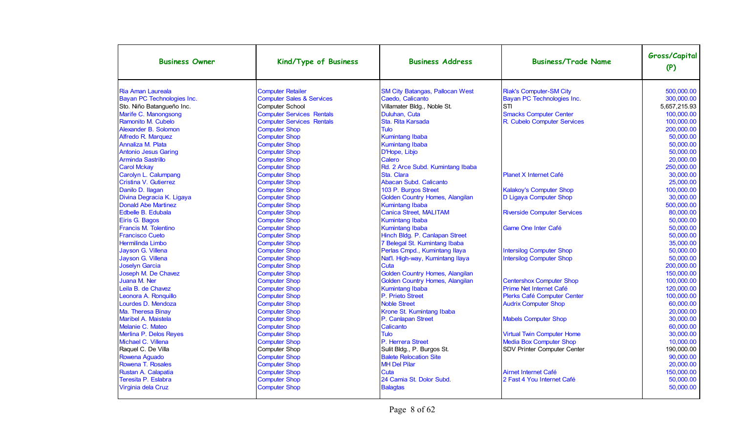| <b>Business Owner</b>       | Kind/Type of Business                | <b>Business Address</b>                | <b>Business/Trade Name</b>         | Gross/Capital<br>(P) |
|-----------------------------|--------------------------------------|----------------------------------------|------------------------------------|----------------------|
| Ria Aman Laureala           | <b>Computer Retailer</b>             | <b>SM City Batangas, Pallocan West</b> | <b>Riak's Computer-SM City</b>     | 500.000.00           |
| Bayan PC Technologies Inc.  | <b>Computer Sales &amp; Services</b> | Caedo, Calicanto                       | Bayan PC Technologies Inc.         | 300,000.00           |
| Sto. Niño Batangueño Inc.   | <b>Computer School</b>               | Villamater Bldg., Noble St.            | <b>STI</b>                         | 5,657,215.93         |
| Marife C. Manongsong        | <b>Computer Services Rentals</b>     | Duluhan, Cuta                          | <b>Smacks Computer Center</b>      | 100.000.00           |
| Ramonito M. Cubelo          | <b>Computer Services Rentals</b>     | Sta. Rita Karsada                      | R. Cubelo Computer Services        | 100.000.00           |
| Alexander B. Solomon        | <b>Computer Shop</b>                 | <b>Tulo</b>                            |                                    | 200,000.00           |
| Alfredo R. Marquez          | <b>Computer Shop</b>                 | <b>Kumintang Ibaba</b>                 |                                    | 50,000.00            |
| Annaliza M. Plata           | <b>Computer Shop</b>                 | <b>Kumintang Ibaba</b>                 |                                    | 50,000.00            |
| <b>Antonio Jesus Garing</b> | <b>Computer Shop</b>                 | D'Hope, Libjo                          |                                    | 50.000.00            |
| <b>Arminda Sastrillo</b>    | <b>Computer Shop</b>                 | Calero                                 |                                    | 20,000.00            |
| <b>Carol Mckay</b>          | <b>Computer Shop</b>                 | Rd. 2 Arce Subd. Kumintang Ibaba       |                                    | 250,000.00           |
| Carolyn L. Calumpang        | <b>Computer Shop</b>                 | Sta. Clara                             | Planet X Internet Café             | 30,000.00            |
| Cristina V. Gutierrez       | <b>Computer Shop</b>                 | Abacan Subd. Calicanto                 |                                    | 25,000.00            |
| Danilo D. Ilagan            | <b>Computer Shop</b>                 | 103 P. Burgos Street                   | <b>Kalakoy's Computer Shop</b>     | 100,000.00           |
| Divina Degracia K. Ligaya   | <b>Computer Shop</b>                 | Golden Country Homes, Alangilan        | D Ligaya Computer Shop             | 30,000.00            |
| <b>Donald Abe Martinez</b>  | <b>Computer Shop</b>                 | <b>Kumintang Ibaba</b>                 |                                    | 500,000.00           |
| Edbelle B. Edubala          | <b>Computer Shop</b>                 | <b>Canica Street, MALITAM</b>          | <b>Riverside Computer Services</b> | 80,000.00            |
| Eiris G. Bagos              | <b>Computer Shop</b>                 | <b>Kumintang Ibaba</b>                 |                                    | 50,000.00            |
| Francis M. Tolentino        | <b>Computer Shop</b>                 | <b>Kumintang Ibaba</b>                 | Game One Inter Café                | 50.000.00            |
| <b>Francisco Cueto</b>      | <b>Computer Shop</b>                 | Hinch Bldg. P. Canlapan Street         |                                    | 50.000.00            |
| Hermilinda Limbo            | <b>Computer Shop</b>                 | 7 Belegal St. Kumintang Ibaba          |                                    | 35,000.00            |
| Jayson G. Villena           | <b>Computer Shop</b>                 | Perlas Cmpd., Kumintang Ilaya          | <b>Intersilog Computer Shop</b>    | 50,000.00            |
| Jayson G. Villena           | <b>Computer Shop</b>                 | Nat'l. High-way, Kumintang Ilaya       | <b>Intersilog Computer Shop</b>    | 50,000.00            |
| Joselyn Garcia              | <b>Computer Shop</b>                 | Cuta                                   |                                    | 200,000.00           |
| Joseph M. De Chavez         | <b>Computer Shop</b>                 | Golden Country Homes, Alangilan        |                                    | 150,000.00           |
| Juana M. Ner                | <b>Computer Shop</b>                 | Golden Country Homes, Alangilan        | <b>Centershox Computer Shop</b>    | 100,000.00           |
| Leila B. de Chavez          | <b>Computer Shop</b>                 | <b>Kumintang Ibaba</b>                 | Prime Net Internet Café            | 120,000.00           |
| Leonora A. Ronquillo        | <b>Computer Shop</b>                 | P. Prieto Street                       | Plerks Café Computer Center        | 100,000.00           |
| Lourdes D. Mendoza          | <b>Computer Shop</b>                 | <b>Noble Street</b>                    | <b>Audrix Computer Shop</b>        | 60,000.00            |
| Ma. Theresa Binay           | <b>Computer Shop</b>                 | Krone St. Kumintang Ibaba              |                                    | 20,000.00            |
| Maribel A. Maistela         | <b>Computer Shop</b>                 | P. Canlapan Street                     | <b>Mabels Computer Shop</b>        | 30.000.00            |
| Melanie C. Mateo            | <b>Computer Shop</b>                 | Calicanto                              |                                    | 60,000.00            |
| Merlina P. Delos Reyes      | <b>Computer Shop</b>                 | <b>Tulo</b>                            | <b>Virtual Twin Computer Home</b>  | 30.000.00            |
| Michael C. Villena          | <b>Computer Shop</b>                 | P. Herrera Street                      | <b>Media Box Computer Shop</b>     | 10,000.00            |
| Raquel C. De Villa          | <b>Computer Shop</b>                 | Sulit Bldg., P. Burgos St.             | SDV Printer Computer Center        | 190,000.00           |
| Rowena Aguado               | <b>Computer Shop</b>                 | <b>Balete Relocation Site</b>          |                                    | 90,000.00            |
| Rowena T. Rosales           | <b>Computer Shop</b>                 | <b>MH Del Pilar</b>                    |                                    | 20,000.00            |
| Rustan A. Calapatia         | <b>Computer Shop</b>                 | Cuta                                   | Airnet Internet Café               | 150,000.00           |
| Teresita P. Eslabra         | <b>Computer Shop</b>                 | 24 Camia St. Dolor Subd.               | 2 Fast 4 You Internet Café         | 50,000.00            |
| Virginia dela Cruz          | <b>Computer Shop</b>                 | <b>Balagtas</b>                        |                                    | 50,000.00            |
|                             |                                      |                                        |                                    |                      |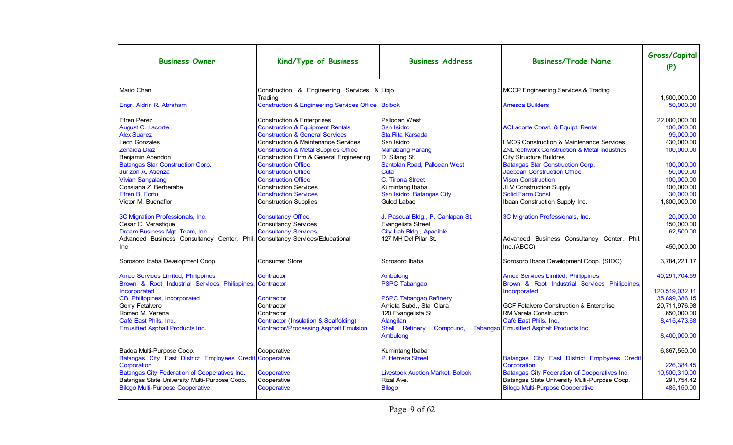| <b>Business Owner</b>                                                        | Kind/Type of Business                                        | <b>Business Address</b>                 | <b>Business/Trade Name</b>                             | Gross/Capital<br>(P)      |
|------------------------------------------------------------------------------|--------------------------------------------------------------|-----------------------------------------|--------------------------------------------------------|---------------------------|
| Mario Chan                                                                   | Construction & Engineering Services & Libjo                  |                                         | MCCP Engineering Services & Trading                    |                           |
| Engr. Aldrin R. Abraham                                                      | Trading<br>Construction & Engineering Services Office Bolbok |                                         | <b>Amesca Builders</b>                                 | 1.500.000.00<br>50.000.00 |
| Efren Perez                                                                  | <b>Construction &amp; Enterprises</b>                        | Pallocan West                           |                                                        | 22,000,000.00             |
| August C. Lacorte                                                            | <b>Construction &amp; Equipment Rentals</b>                  | San Isidro                              | <b>ACLacorte Const. &amp; Equipt. Rental</b>           | 100.000.00                |
| <b>Alex Suarez</b>                                                           | <b>Construction &amp; General Services</b>                   | Sta. Rita Karsada                       |                                                        | 99.000.00                 |
| Leon Gonzales                                                                | <b>Construction &amp; Maintenance Services</b>               | San Isidro                              | <b>LMCG Construction &amp; Maintenance Services</b>    | 430.000.00                |
| Zenaida Diaz                                                                 | <b>Construction &amp; Metal Supplies Office</b>              | <b>Mahabang Parang</b>                  | <b>ZNLTechworx Construction &amp; Metal Industries</b> | 100,000.00                |
| Benjamin Abendon                                                             | Construction Firm & General Engineering                      | D. Silang St.                           | City Structure Buildres                                |                           |
| <b>Batangas Star Construction Corp.</b>                                      | <b>Construction Office</b>                                   | Santolan Road, Pallocan West            | Batangas Star Construction Corp.                       | 100.000.00                |
| Jurizon A. Atienza                                                           | <b>Construction Office</b>                                   | Cuta                                    | <b>Jaebean Construction Office</b>                     | 50.000.00                 |
| <b>Vivian Sangalang</b>                                                      | <b>Construction Office</b>                                   | C. Tirona Street                        | <b>Vison Construction</b>                              | 100.000.00                |
| Consiana Z. Berberabe                                                        | <b>Construction Services</b>                                 | Kumintang Ibaba                         | <b>JLV Construction Supply</b>                         | 100,000.00                |
| Efren B. Fortu                                                               | <b>Construction Services</b>                                 | San Isidro, Batangas City               | Solid Farm Const.                                      | 30.000.00                 |
| Victor M. Buenaflor                                                          | <b>Construction Supplies</b>                                 | Gulod Labac                             | Ibaan Construction Supply Inc.                         | 1.800.000.00              |
|                                                                              |                                                              |                                         |                                                        |                           |
| 3C Migration Professionals, Inc.                                             | <b>Consultancy Office</b>                                    | J. Pascual Bldg., P. Canlapan St.       | 3C Migration Professionals, Inc.                       | 20.000.00                 |
| Cesar C. Verastique                                                          | <b>Consultancy Services</b>                                  | Evangelista Street                      |                                                        | 150.000.00                |
| Dream Business Mgt. Team, Inc.                                               | <b>Consultancy Services</b>                                  | City Lab Bldg., Apacible                |                                                        | 62.500.00                 |
| Advanced Business Consultancy Center, Phil. Consultancy Services/Educational |                                                              | 127 MH Del Pilar St.                    | Advanced Business Consultancy Center, Phil.            |                           |
|                                                                              |                                                              |                                         |                                                        | 450,000.00                |
| Inc.                                                                         |                                                              |                                         | Inc.(ABCC)                                             |                           |
| Sorosoro Ibaba Development Coop.                                             | Consumer Store                                               | Sorosoro Ibaba                          | Sorosoro Ibaba Development Coop. (SIDC)                | 3,784,221.17              |
| <b>Amec Services Limited, Philippines</b>                                    | Contractor                                                   | Ambulong                                | <b>Amec Services Limited, Philippines</b>              | 40,291,704.59             |
| Brown & Root Industrial Services Philippines, Contractor                     |                                                              | <b>PSPC Tabangao</b>                    | Brown & Root Industrial Services Philippines,          |                           |
| Incorporated                                                                 |                                                              |                                         | Incorporated                                           | 120.519.032.11            |
| <b>CBI Philippines, Incorporated</b>                                         | Contractor                                                   | <b>PSPC Tabangao Refinery</b>           |                                                        | 35,899,386.15             |
| Gerry Fetalvero                                                              | Contractor                                                   | Arrieta Subd., Sta. Clara               | <b>GCF Fetalvero Construction &amp; Enterprise</b>     | 20,711,976.98             |
| Romeo M. Verena                                                              | Contractor                                                   | 120 Evangelista St.                     | <b>IRM Varela Construction</b>                         | 650.000.00                |
| Café East Phils, Inc.                                                        | <b>Contractor (Insulation &amp; Scalfolding)</b>             | Alangilan                               | Café East Phils, Inc.                                  | 8,415,473.68              |
| <b>Emusified Asphalt Products Inc.</b>                                       | <b>Contractor/Processing Asphalt Emulsion</b>                | Shell Refinery<br>Compound,             | Tabangao Emusified Asphalt Products Inc.               |                           |
|                                                                              |                                                              | Ambulong                                |                                                        | 8,400,000.00              |
|                                                                              |                                                              |                                         |                                                        |                           |
| Badoa Multi-Purpose Coop.                                                    | Cooperative                                                  | Kumintang Ibaba                         |                                                        | 6.867.550.00              |
| Batangas City East District Employees Credit Cooperative                     |                                                              | P. Herrera Street                       | Batangas City East District Employees Credit           |                           |
| Corporation                                                                  |                                                              |                                         | Corporation                                            | 226,384.45                |
| Batangas City Federation of Cooperatives Inc.                                |                                                              | <b>Livestock Auction Market, Bolbok</b> | Batangas City Federation of Cooperatives Inc.          | 10.500.310.00             |
| Batangas State University Multi-Purpose Coop.                                | Cooperative                                                  | Rizal Ave.                              | Batangas State University Multi-Purpose Coop.          | 291.754.42                |
| <b>Bilogo Multi-Purpose Cooperative</b>                                      | Cooperative                                                  | <b>Bilogo</b>                           | <b>Bilogo Multi-Purpose Cooperative</b>                | 485, 150.00               |
|                                                                              | Cooperative                                                  |                                         |                                                        |                           |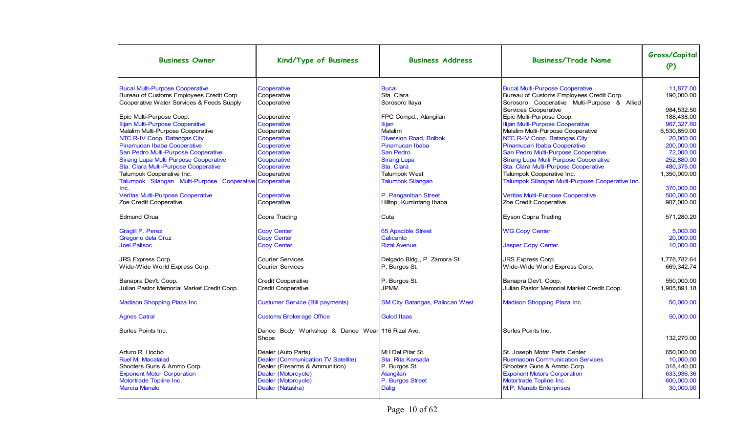| <b>Business Owner</b>                                                                 | Kind/Type of Business                                    | <b>Business Address</b>                | <b>Business/Trade Name</b>                                                              | Gross/Capital<br>(P)     |
|---------------------------------------------------------------------------------------|----------------------------------------------------------|----------------------------------------|-----------------------------------------------------------------------------------------|--------------------------|
| <b>Bucal Multi-Purpose Cooperative</b>                                                | Cooperative                                              | <b>Bucal</b>                           | <b>Bucal Multi-Purpose Cooperative</b>                                                  | 11.877.00                |
| Bureau of Customs Employees Credit Corp.<br>Cooperative Water Services & Feeds Supply | Cooperative<br>Cooperative                               | Sta. Clara<br>Sorosoro Ilaya           | Bureau of Customs Employees Credit Corp.<br>Sorosoro Cooperative Multi-Purpose & Allied | 190,000.00               |
| Epic Multi-Purpose Coop.                                                              | Cooperative                                              | FPC Compd., Alangilan                  | Services Cooperative<br>Epic Multi-Purpose Coop.                                        | 984.532.50<br>188.438.00 |
| Ilijan Multi-Purpose Cooperative                                                      | Cooperative                                              | <b>Iliian</b>                          | Ilijan Multi-Purpose Cooperative                                                        | 967.327.60               |
| Malalim Multi-Purpose Cooperative                                                     | Cooperative                                              | Malalim                                | Malalim Multi-Purpose Cooperative                                                       | 6,530,850.00             |
| NTC R-IV Coop. Batangas City                                                          | Cooperative                                              | <b>Diversion Road, Bolbok</b>          | NTC R-IV Coop. Batangas City                                                            | 20,000.00                |
| Pinamucan Ibaba Cooperative                                                           | Cooperative                                              | Pinamucan Ibaba                        | Pinamucan Ibaba Cooperative                                                             | 200,000.00               |
| San Pedro Multi-Purpose Cooperative                                                   | Cooperative                                              | San Pedro                              | San Pedro Multi-Purpose Cooperative                                                     | 72,000.00                |
| Sirang Lupa Multi Purpose Cooperative                                                 | Cooperative                                              | <b>Sirang Lupa</b>                     | Sirang Lupa Multi Purpose Cooperative                                                   | 252.880.00               |
| Sta. Clara Multi-Purpose Cooperative                                                  | Cooperative                                              | Sta. Clara                             | Sta. Clara Multi-Purpose Cooperative                                                    | 480,375.00               |
| Talumpok Cooperative Inc.                                                             | Cooperative                                              | <b>Talumpok West</b>                   | Talumpok Cooperative Inc.                                                               | 1.350.000.00             |
| Talumpok Silangan Multi-Purpose Cooperative Cooperative                               |                                                          | <b>Talumpok Silangan</b>               | Talumpok Silangan Multi-Purpose Cooperative Inc.                                        |                          |
| Inc.                                                                                  |                                                          |                                        |                                                                                         | 370.000.00               |
| Veritas Multi-Purpose Cooperative                                                     | Cooperative                                              | P. Panganiban Street                   | Veritas Multi-Purpose Cooperative                                                       | 500,000.00               |
| Zoe Credit Cooperative                                                                | Cooperative                                              | Hilltop, Kumintang Ibaba               | Zoe Credit Cooperative                                                                  | 907,000.00               |
| <b>IEdmund Chua</b>                                                                   | Copra Trading                                            | Cuta                                   | Eyson Copra Trading                                                                     | 571,280.20               |
| <b>Gragill P. Perez</b>                                                               | <b>Copy Center</b>                                       | <b>65 Apacible Street</b>              | <b>WG Copy Center</b>                                                                   | 5.000.00                 |
| Gregorio dela Cruz                                                                    | <b>Copy Center</b>                                       | Calicanto                              |                                                                                         | 20,000.00                |
| <b>Joel Palisoc</b>                                                                   | <b>Copy Center</b>                                       | <b>Rizal Avenue</b>                    | <b>Jasper Copy Center</b>                                                               | 10,000.00                |
| <b>JRS Express Corp.</b>                                                              | <b>Courier Services</b>                                  | Delgado Bldg., P. Zamora St.           | <b>JRS Express Corp.</b>                                                                | 1.778.782.64             |
| Wide-Wide World Express Corp.                                                         | <b>Courier Services</b>                                  | P. Burgos St.                          | Wide-Wide World Express Corp.                                                           | 669,342.74               |
| Banapra Dev't. Coop.                                                                  | <b>Credit Cooperative</b>                                | P. Burgos St.                          | Banapra Dev't. Coop.                                                                    | 550.000.00               |
| Julian Pastor Memorial Market Credit Coop.                                            | <b>Credit Cooperative</b>                                | <b>JPMM</b>                            | Julian Pastor Memorial Market Credit Coop.                                              | 1.905.891.18             |
| Madison Shopping Plaza Inc.                                                           | <b>Custumer Service (Bill payments)</b>                  | <b>SM City Batangas, Pallocan West</b> | <b>Madison Shopping Plaza Inc.</b>                                                      | 50.000.00                |
| <b>Agnes Catral</b>                                                                   | <b>Customs Brokerage Office</b>                          | <b>Gulod Itaas</b>                     |                                                                                         | 50,000.00                |
| Surles Points Inc.                                                                    | Dance Body Workshop & Dance Wear 116 Rizal Ave.<br>Shops |                                        | Surles Points Inc.                                                                      | 132,270.00               |
| Arturo R. Hocbo                                                                       | Dealer (Auto Parts)                                      | MH Del Pilar St.                       | St. Joseph Motor Parts Center                                                           | 650.000.00               |
| <b>Ruel M. Macalalad</b>                                                              | Dealer (Communication TV Satellite)                      | Sta. Rita Karsada                      | <b>Ruemacom Communication Services</b>                                                  | 10.000.00                |
| Shooters Guns & Ammo Corp.                                                            | Dealer (Firearms & Ammunition)                           | P. Burgos St.                          | Shooters Guns & Ammo Corp.                                                              | 318,440.00               |
| <b>Exponent Motor Corporation</b>                                                     | Dealer (Motorcycle)                                      | Alangilan                              | <b>Exponent Motors Corporation</b>                                                      | 633,936.36               |
| Motortrade Topline Inc.                                                               | Dealer (Motorcycle)                                      | P. Burgos Street                       | Motortrade Topline Inc.                                                                 | 600,000.00               |
| <b>Marcia Manalo</b>                                                                  | Dealer (Natasha)                                         | <b>Dalig</b>                           | M.P. Manalo Enterprises                                                                 | 30,000.00                |
|                                                                                       |                                                          |                                        |                                                                                         |                          |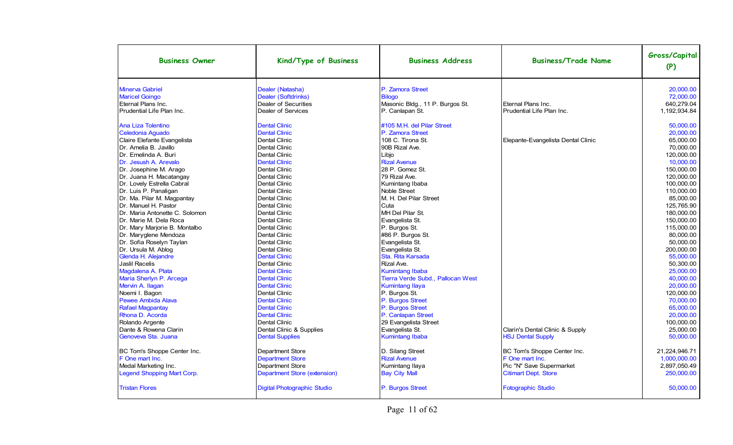| <b>Business Owner</b>             | Kind/Type of Business               | <b>Business Address</b>           | <b>Business/Trade Name</b>         | Gross/Capital<br>(P) |
|-----------------------------------|-------------------------------------|-----------------------------------|------------------------------------|----------------------|
| <b>Minerva Gabriel</b>            | Dealer (Natasha)                    | P. Zamora Street                  |                                    | 20,000.00            |
| <b>Maricel Goingo</b>             | Dealer (Softdrinks)                 | <b>Bilogo</b>                     |                                    | 72,000.00            |
| Eternal Plans Inc.                | Dealer of Securities                | Masonic Bldg., 11 P. Burgos St.   | Eternal Plans Inc.                 | 640,279.04           |
| Prudential Life Plan Inc.         | Dealer of Services                  | P. Canlapan St.                   | Prudential Life Plan Inc.          | 1,192,934.84         |
| Ana Liza Tolentino                | <b>Dental Clinic</b>                | #105 M.H. del Pilar Street        |                                    | 50.000.00            |
| Celedonia Aguado                  | <b>Dental Clinic</b>                | P. Zamora Street                  |                                    | 20,000.00            |
| Claire Elefante Evangelista       | <b>Dental Clinic</b>                | 108 C. Tirona St.                 | Elepante-Evangelista Dental Clinic | 65,000.00            |
| Dr. Amelia B. Javillo             | <b>Dental Clinic</b>                | 90B Rizal Ave.                    |                                    | 70,000.00            |
| IDr. Emelinda A. Buri             | <b>Dental Clinic</b>                | Libjo                             |                                    | 120.000.00           |
| Dr. Jesush A. Arevalo             | <b>Dental Clinic</b>                | <b>Rizal Avenue</b>               |                                    | 10.000.00            |
| Dr. Josephine M. Arago            | <b>Dental Clinic</b>                | 28 P. Gomez St.                   |                                    | 150,000.00           |
| Dr. Juana H. Macatangay           | <b>Dental Clinic</b>                | 79 Rizal Ave.                     |                                    | 120,000.00           |
| Dr. Lovely Estrella Cabral        | <b>Dental Clinic</b>                | Kumintang Ibaba                   |                                    | 100.000.00           |
| Dr. Luis P. Panaligan             | <b>Dental Clinic</b>                | Noble Street                      |                                    | 110.000.00           |
| Dr. Ma. Pilar M. Magpantay        | <b>Dental Clinic</b>                | M. H. Del Pilar Street            |                                    | 85.000.00            |
| Dr. Manuel H. Pastor              | Dental Clinic                       | Cuta                              |                                    | 125,765.90           |
| Dr. Maria Antonette C. Solomon    | Dental Clinic                       | MH Del Pilar St.                  |                                    | 180,000.00           |
| Dr. Marie M. Dela Roca            | Dental Clinic                       | Evangelista St.                   |                                    | 150,000.00           |
| Dr. Mary Marjorie B. Montalbo     | <b>Dental Clinic</b>                | P. Burgos St.                     |                                    | 115.000.00           |
| Dr. Maryglene Mendoza             | Dental Clinic                       | #86 P. Burgos St.                 |                                    | 80.000.00            |
| Dr. Sofia Roselyn Taylan          | <b>Dental Clinic</b>                | Evangelista St.                   |                                    | 50,000.00            |
| Dr. Ursula M. Ablog               | <b>Dental Clinic</b>                | Evangelista St.                   |                                    | 200,000.00           |
| Glenda H. Alejandre               | <b>Dental Clinic</b>                | Sta. Rita Karsada                 |                                    | 55.000.00            |
| Jaslil Racelis                    | <b>Dental Clinic</b>                | Rizal Ave.                        |                                    | 50,300.00            |
| Magdalena A. Plata                | <b>Dental Clinic</b>                | <b>Kumintang Ibaba</b>            |                                    | 25.000.00            |
| Maria Sherlyn P. Arcega           | <b>Dental Clinic</b>                | Tierra Verde Subd., Pallocan West |                                    | 40,000.00            |
| Mervin A. Ilagan                  | <b>Dental Clinic</b>                | <b>Kumintang Ilaya</b>            |                                    | 20.000.00            |
| Noemi I. Bagon                    | <b>Dental Clinic</b>                | P. Burgos St.                     |                                    | 120.000.00           |
| <b>Pewee Ambida Alava</b>         | <b>Dental Clinic</b>                | P. Burgos Street                  |                                    | 70.000.00            |
| <b>Rafael Magpantay</b>           | <b>Dental Clinic</b>                | P. Burgos Street                  |                                    | 65.000.00            |
| Rhona D. Acorda                   | <b>Dental Clinic</b>                | P. Canlapan Street                |                                    | 20,000.00            |
| Rolando Argente                   | <b>Dental Clinic</b>                | 29 Evangelista Street             |                                    | 100,000.00           |
| Dante & Rowena Clarin             | Dental Clinic & Supplies            | Evangelista St.                   | Clarin's Dental Clinic & Supply    | 25,000.00            |
| Genoveva Sta. Juana               | <b>Dental Supplies</b>              | <b>Kumintang Ibaba</b>            | <b>HSJ Dental Supply</b>           | 50.000.00            |
| BC Tom's Shoppe Center Inc.       | <b>Department Store</b>             | D. Silang Street                  | BC Tom's Shoppe Center Inc.        | 21,224,946.71        |
| F One mart Inc.                   | <b>Department Store</b>             | <b>Rizal Avenue</b>               | F One mart Inc.                    | 1,000,000.00         |
| Medal Marketing Inc.              | <b>Department Store</b>             | Kumintang Ilaya                   | Pic "N" Save Supermarket           | 2,897,050.49         |
| <b>Legend Shopping Mart Corp.</b> | <b>Department Store (extension)</b> | <b>Bay City Mall</b>              | <b>Citimart Dept. Store</b>        | 250,000.00           |
| <b>Tristan Flores</b>             | <b>Digital Photographic Studio</b>  | P. Burgos Street                  | <b>Fotographic Studio</b>          | 50,000.00            |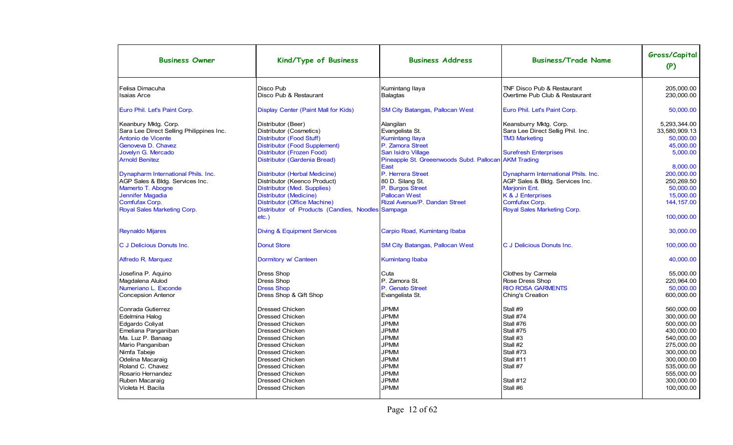| <b>Business Owner</b>                                                                                                                                                                                                                      | Kind/Type of Business                                                                                                                                                                                                                                                                                  | <b>Business Address</b>                                                                                                                                                          | <b>Business/Trade Name</b>                                                                                                                                           | Gross/Capital<br>(P)                                                                                                                                                 |
|--------------------------------------------------------------------------------------------------------------------------------------------------------------------------------------------------------------------------------------------|--------------------------------------------------------------------------------------------------------------------------------------------------------------------------------------------------------------------------------------------------------------------------------------------------------|----------------------------------------------------------------------------------------------------------------------------------------------------------------------------------|----------------------------------------------------------------------------------------------------------------------------------------------------------------------|----------------------------------------------------------------------------------------------------------------------------------------------------------------------|
| Felisa Dimacuha<br><b>Isaias Arce</b>                                                                                                                                                                                                      | Disco Pub<br>Disco Pub & Restaurant                                                                                                                                                                                                                                                                    | Kumintang Ilaya<br><b>Balagtas</b>                                                                                                                                               | <b>TNF Disco Pub &amp; Restaurant</b><br>Overtime Pub Club & Restaurant                                                                                              | 205,000.00<br>230,000.00                                                                                                                                             |
| Euro Phil. Let's Paint Corp.                                                                                                                                                                                                               | <b>Display Center (Paint Mall for Kids)</b>                                                                                                                                                                                                                                                            | <b>SM City Batangas, Pallocan West</b>                                                                                                                                           | Euro Phil. Let's Paint Corp.                                                                                                                                         | 50,000.00                                                                                                                                                            |
| Keanbury Mktg. Corp.<br>Sara Lee Direct Selling Philippines Inc.<br>Antonio de Vicente<br>Genoveva D. Chavez<br>Jovelyn G. Mercado<br><b>Arnold Benitez</b>                                                                                | Distributor (Beer)<br>Distributor (Cosmetics)<br>Distributor (Food Stuff)<br>Distributor (Food Supplement)<br>Distributor (Frozen Food)<br>Distributor (Gardenia Bread)                                                                                                                                | Alangilan<br>Evangelista St.<br><b>Kumintang Ilaya</b><br>P. Zamora Street<br>San Isidro Village<br>Pineapple St. Greeenwoods Subd. Pallocan AKM Trading                         | Keansburry Mktg. Corp.<br>Sara Lee Direct Sellig Phil. Inc.<br><b>TM3 Marketing</b><br><b>Surefresh Enterprises</b>                                                  | 5,293,344.00<br>33,580,909.13<br>50,000.00<br>45,000.00<br>5.000.00                                                                                                  |
| Dynapharm International Phils. Inc.<br>AGP Sales & Bldg. Services Inc.<br>Mamerto T. Abogne<br>Jennifer Magadia<br>Comfufax Corp.<br>Royal Sales Marketing Corp.                                                                           | Distributor (Herbal Medicine)<br>Distributor (Keenco Product)<br>Distributor (Med. Supplies)<br>Distributor (Medicine)<br>Distributor (Office Machine)<br>Distributor of Products (Candies, Noodles Sampaga<br>$etc.$ )                                                                                | East<br>P. Herrera Street<br>80 D. Silang St.<br>P. Burgos Street<br><b>Pallocan West</b><br><b>Rizal Avenue/P. Dandan Street</b>                                                | Dynapharm International Phils. Inc.<br>AGP Sales & Bldg. Services Inc.<br><b>Marjonin Ent.</b><br>K & J Enterprises<br>Comfufax Corp.<br>Royal Sales Marketing Corp. | 8.000.00<br>200,000.00<br>250,269.50<br>50,000.00<br>15,000.00<br>144, 157.00<br>100,000.00                                                                          |
| <b>Reynaldo Mijares</b>                                                                                                                                                                                                                    | <b>Diving &amp; Equipment Services</b>                                                                                                                                                                                                                                                                 | Carpio Road, Kumintang Ibaba                                                                                                                                                     |                                                                                                                                                                      | 30,000.00                                                                                                                                                            |
| C J Delicious Donuts Inc.                                                                                                                                                                                                                  | <b>Donut Store</b>                                                                                                                                                                                                                                                                                     | <b>SM City Batangas, Pallocan West</b>                                                                                                                                           | C J Delicious Donuts Inc.                                                                                                                                            | 100,000.00                                                                                                                                                           |
| Alfredo R. Marquez                                                                                                                                                                                                                         | Dormitory w/ Canteen                                                                                                                                                                                                                                                                                   | <b>Kumintang Ibaba</b>                                                                                                                                                           |                                                                                                                                                                      | 40.000.00                                                                                                                                                            |
| Josefina P. Aquino<br>Magdalena Alulod<br>Numeriano L. Exconde<br><b>Concepsion Antenor</b>                                                                                                                                                | Dress Shop<br>Dress Shop<br><b>Dress Shop</b><br>Dress Shop & Gift Shop                                                                                                                                                                                                                                | Cuta<br>P. Zamora St.<br>P. Genato Street<br>Evangelista St.                                                                                                                     | Clothes by Carmela<br>Rose Dress Shop<br><b>RIO ROSA GARMENTS</b><br>Ching's Creation                                                                                | 55.000.00<br>220,964.00<br>50,000.00<br>600,000.00                                                                                                                   |
| Conrada Gutierrez<br>Edelmina Halog<br>Edgardo Coliyat<br>Emeliana Panganiban<br>Ma. Luz P. Banaag<br>Mario Panganiban<br>Nimfa Tabeje<br>Odelina Macaraig<br>Roland C. Chavez<br>Rosario Hernandez<br>Ruben Macaraig<br>Violeta H. Bacila | <b>Dressed Chicken</b><br><b>Dressed Chicken</b><br>Dressed Chicken<br><b>Dressed Chicken</b><br><b>Dressed Chicken</b><br><b>Dressed Chicken</b><br><b>Dressed Chicken</b><br><b>Dressed Chicken</b><br><b>Dressed Chicken</b><br><b>Dressed Chicken</b><br><b>Dressed Chicken</b><br>Dressed Chicken | <b>JPMM</b><br><b>JPMM</b><br><b>JPMM</b><br><b>JPMM</b><br><b>JPMM</b><br><b>JPMM</b><br><b>JPMM</b><br><b>JPMM</b><br><b>JPMM</b><br><b>JPMM</b><br><b>JPMM</b><br><b>JPMM</b> | Stall #9<br>Stall #74<br>Stall #76<br>Stall #75<br>Stall #3<br>Stall #2<br>Stall #73<br>Stall #11<br>Stall #7<br>Stall #12<br>Stall #6                               | 560.000.00<br>300.000.00<br>500,000.00<br>430,000.00<br>540,000.00<br>275,000.00<br>300,000.00<br>300.000.00<br>535,000.00<br>555,000.00<br>300,000.00<br>100,000.00 |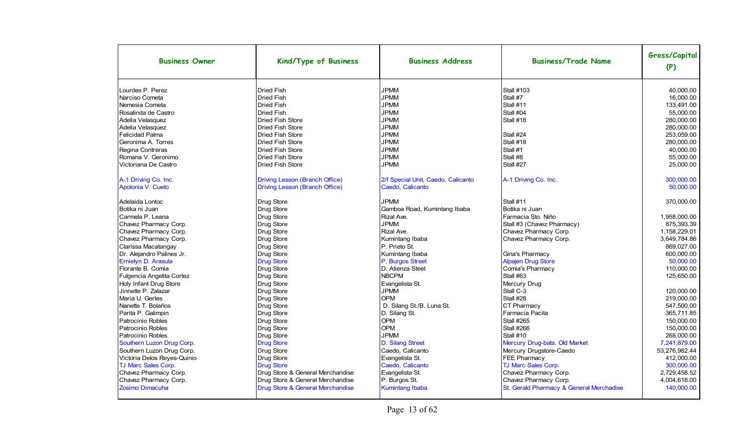| <b>Business Owner</b>       | Kind/Type of Business                 | <b>Business Address</b>            | <b>Business/Trade Name</b>               | Gross/Capital<br>(P) |
|-----------------------------|---------------------------------------|------------------------------------|------------------------------------------|----------------------|
| Lourdes P. Perez            | <b>Dried Fish</b>                     | <b>JPMM</b>                        | <b>Stall #103</b>                        | 40,000.00            |
| Narciso Cometa              | <b>Dried Fish</b>                     | <b>JPMM</b>                        | Stall #7                                 | 16,000.00            |
| Nemesia Cometa              | <b>Dried Fish</b>                     | <b>JPMM</b>                        | Stall #11                                | 133,491.00           |
| Rosalinda de Castro         | <b>Dried Fish</b>                     | <b>JPMM</b>                        | Stall #04                                | 55,000.00            |
| Adelia Velasquez            | <b>Dried Fish Store</b>               | <b>JPMM</b>                        | Stall #18                                | 280,000.00           |
| Adelia Velasquez            | Dried Fish Store                      | <b>JPMM</b>                        |                                          | 280,000.00           |
| Felicidad Palma             | <b>Dried Fish Store</b>               | <b>JPMM</b>                        | Stall #24                                | 253.059.00           |
| Geronima A. Torres          | <b>Dried Fish Store</b>               | <b>JPMM</b>                        | Stall #18                                | 280,000.00           |
| Regina Contreras            | <b>Dried Fish Store</b>               | <b>JPMM</b>                        | Stall #1                                 | 40,000.00            |
| Romana V. Geronimo          | <b>Dried Fish Store</b>               | <b>JPMM</b>                        | Stall #8                                 | 55.000.00            |
| Victoriana De Castro        | <b>Dried Fish Store</b>               | <b>JPMM</b>                        | Stall #27                                | 25.000.00            |
| A-1 Driving Co. Inc.        | <b>Driving Lesson (Branch Office)</b> | 2/f Special Unit, Caedo, Calicanto | A-1 Driving Co. Inc.                     | 300,000.00           |
| Apolonia V. Cueto           | <b>Driving Lesson (Branch Office)</b> | Caedo, Calicanto                   |                                          | 50,000.00            |
| Adelaida Lontoc             | Drug Store                            | <b>JPMM</b>                        | Stall #11                                | 370,000.00           |
| Botika ni Juan              | Drug Store                            | Gamboa Road, Kumintang Ibaba       | Botika ni Juan                           |                      |
| Carmela P. Leana            | Drug Store                            | Rizal Ave.                         | Farmacia Sto. Niño                       | 1,958,000.00         |
| Chavez Pharmacy Corp.       | Drug Store                            | <b>JPMM</b>                        | Stall #3 (Chavez Pharmacy)               | 875,393.39           |
| Chavez Pharmacy Corp.       | Drug Store                            | Rizal Ave.                         | Chavez Pharmacy Corp.                    | 1,158,229.01         |
| Chavez Pharmacy Corp.       | Drug Store                            | Kumintang Ibaba                    | Chavez Pharmacy Corp.                    | 3.649.784.86         |
| Clarissa Macatangay         | Drug Store                            | P. Prieto St.                      |                                          | 869,027.00           |
| Dr. Alejandro Palines Jr.   | Drug Store                            | Kumintang Ibaba                    | Gina's Pharmacy                          | 600,000.00           |
| Ernielyn D. Arasula         | <b>Drug Store</b>                     | P. Burgos Street                   | <b>Alpajen Drug Store</b>                | 50.000.00            |
| Florante B. Comia           | Drug Store                            | D. Atienza Steet                   | Comia's Pharmacy                         | 110,000.00           |
| Fulgencia Angelita Cortez   | Drug Store                            | <b>NBCPM</b>                       | Stall #63                                | 125,650.00           |
| Holy Infant Drug Store      | Drug Store                            | Evangelista St.                    | Mercury Drug                             |                      |
| Jinnette P. Zalazar         | Drug Store                            | <b>JPMM</b>                        | Stall C-3                                | 120,000.00           |
| Maria U. Gertes             | Drug Store                            | <b>OPM</b>                         | Stall #28                                | 219,000.00           |
| Nanette T. Bolaños          | Drug Store                            | D. Silang St./B. Luna St.          | CT Pharmacy                              | 547,500.00           |
| Parita P. Galimpin          | Drug Store                            | D. Silang St.                      | Farmacia Pacita                          | 365.711.85           |
| Patrocinio Robles           | Drug Store                            | OPM                                | Stall #265                               | 150,000.00           |
| Patrocinio Robles           | Drug Store                            | <b>OPM</b>                         | Stall #266                               | 150,000.00           |
| Patrocinio Robles           | Drug Store                            | <b>JPMM</b>                        | Stall #10                                | 268,000.00           |
| Southern Luzon Drug Corp.   | <b>Drug Store</b>                     | D. Silang Street                   | Mercury Drug-bats. Old Market            | 7,241,879.00         |
| Southern Luzon Drug Corp.   | Drug Store                            | Caedo, Calicanto                   | Mercury Drugstore-Caedo                  | 53,276,982.44        |
| Victoria Delos Reyes-Quinio | Drug Store                            | Evangelista St.                    | FEE Pharmacy                             | 412.000.00           |
| TJ Marc Sales Corp.         | <b>Drug Store</b>                     | Caedo, Calicanto                   | TJ Marc Sales Corp.                      | 300,000.00           |
| Chavez Pharmacy Corp.       | Drug Store & General Merchandise      | Evangelista St.                    | Chavez Pharmacy Corp.                    | 2,729,458.52         |
| Chavez Pharmacy Corp.       | Drug Store & General Merchandise      | P. Burgos St.                      | Chavez Pharmacy Corp.                    | 4,004,618.00         |
| <b>Zosimo Dimacuha</b>      | Drug Store & General Merchandise      | <b>Kumintang Ibaba</b>             | St. Gerald Pharmacy & General Merchadise | 140,000.00           |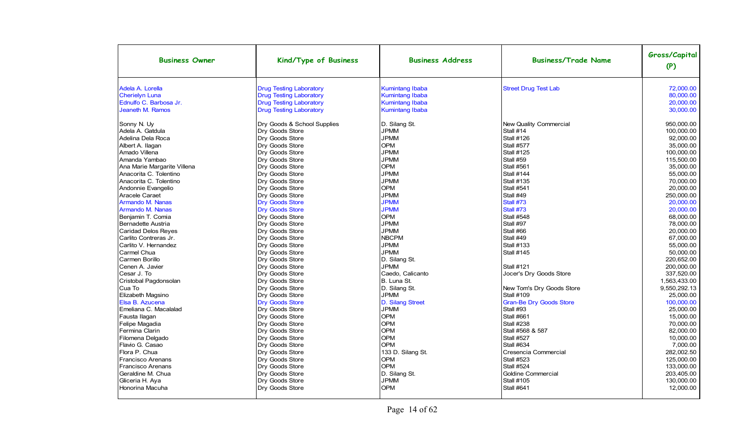| <b>Business Owner</b>                                                                                                                                                                                                                                                                                                                                                                                                                                                                                                                                                          | Kind/Type of Business                                                                                                                                                                                                                                                                                                                                                                                                                                                                                                                                          | <b>Business Address</b>                                                                                                                                                                                                                                                                                                                                                                                                        | <b>Business/Trade Name</b>                                                                                                                                                                                                                                                                                                                                                                                                                                                                        | Gross/Capital<br>(P)                                                                                                                                                                                                                                                                                                                                                       |
|--------------------------------------------------------------------------------------------------------------------------------------------------------------------------------------------------------------------------------------------------------------------------------------------------------------------------------------------------------------------------------------------------------------------------------------------------------------------------------------------------------------------------------------------------------------------------------|----------------------------------------------------------------------------------------------------------------------------------------------------------------------------------------------------------------------------------------------------------------------------------------------------------------------------------------------------------------------------------------------------------------------------------------------------------------------------------------------------------------------------------------------------------------|--------------------------------------------------------------------------------------------------------------------------------------------------------------------------------------------------------------------------------------------------------------------------------------------------------------------------------------------------------------------------------------------------------------------------------|---------------------------------------------------------------------------------------------------------------------------------------------------------------------------------------------------------------------------------------------------------------------------------------------------------------------------------------------------------------------------------------------------------------------------------------------------------------------------------------------------|----------------------------------------------------------------------------------------------------------------------------------------------------------------------------------------------------------------------------------------------------------------------------------------------------------------------------------------------------------------------------|
| Adela A. Lorella                                                                                                                                                                                                                                                                                                                                                                                                                                                                                                                                                               | <b>Drug Testing Laboratory</b>                                                                                                                                                                                                                                                                                                                                                                                                                                                                                                                                 | <b>Kumintang Ibaba</b>                                                                                                                                                                                                                                                                                                                                                                                                         | <b>Street Drug Test Lab</b>                                                                                                                                                                                                                                                                                                                                                                                                                                                                       | 72.000.00                                                                                                                                                                                                                                                                                                                                                                  |
| <b>Cherielyn Luna</b>                                                                                                                                                                                                                                                                                                                                                                                                                                                                                                                                                          | <b>Drug Testing Laboratory</b>                                                                                                                                                                                                                                                                                                                                                                                                                                                                                                                                 | <b>Kumintang Ibaba</b>                                                                                                                                                                                                                                                                                                                                                                                                         |                                                                                                                                                                                                                                                                                                                                                                                                                                                                                                   | 80.000.00                                                                                                                                                                                                                                                                                                                                                                  |
| Ednulfo C. Barbosa Jr.                                                                                                                                                                                                                                                                                                                                                                                                                                                                                                                                                         | <b>Drug Testing Laboratory</b>                                                                                                                                                                                                                                                                                                                                                                                                                                                                                                                                 | <b>Kumintang Ibaba</b>                                                                                                                                                                                                                                                                                                                                                                                                         |                                                                                                                                                                                                                                                                                                                                                                                                                                                                                                   | 20.000.00                                                                                                                                                                                                                                                                                                                                                                  |
| Jeaneth M. Ramos                                                                                                                                                                                                                                                                                                                                                                                                                                                                                                                                                               | <b>Drug Testing Laboratory</b>                                                                                                                                                                                                                                                                                                                                                                                                                                                                                                                                 | <b>Kumintang Ibaba</b>                                                                                                                                                                                                                                                                                                                                                                                                         |                                                                                                                                                                                                                                                                                                                                                                                                                                                                                                   | 30,000.00                                                                                                                                                                                                                                                                                                                                                                  |
| Sonny N. Uy<br>Adela A. Gatdula<br>Adelina Dela Roca<br>Albert A. Ilagan<br>Amado Villena<br>Amanda Yambao<br>Ana Marie Margarite Villena<br>Anacorita C. Tolentino<br>Anacorita C. Tolentino<br>Andonnie Evangelio<br>Aracele Caraet<br>Armando M. Nanas<br>Armando M. Nanas<br>Benjamin T. Comia<br>Bernadette Austria<br><b>Caridad Delos Reves</b><br>Carlito Contreras Jr.<br>Carlito V. Hernandez<br>Carmel Chua<br>Carmen Borillo<br>Cenen A. Javier<br>Cesar J. To<br>Cristobal Pagdonsolan<br>Cua To<br>Elizabeth Magsino<br>Elsa B. Azucena<br>Emeliana C. Macalalad | Dry Goods & School Supplies<br>Dry Goods Store<br>Dry Goods Store<br>Dry Goods Store<br>Dry Goods Store<br>Dry Goods Store<br>Dry Goods Store<br>Dry Goods Store<br>Dry Goods Store<br>Dry Goods Store<br>Dry Goods Store<br><b>Dry Goods Store</b><br><b>Dry Goods Store</b><br>Dry Goods Store<br>Dry Goods Store<br>Dry Goods Store<br>Dry Goods Store<br>Dry Goods Store<br>Dry Goods Store<br>Dry Goods Store<br>Dry Goods Store<br>Dry Goods Store<br>Dry Goods Store<br>Dry Goods Store<br>Dry Goods Store<br><b>Dry Goods Store</b><br>Dry Goods Store | D. Silang St.<br><b>JPMM</b><br><b>JPMM</b><br><b>OPM</b><br><b>JPMM</b><br><b>JPMM</b><br><b>OPM</b><br><b>JPMM</b><br><b>JPMM</b><br><b>OPM</b><br><b>JPMM</b><br><b>JPMM</b><br><b>JPMM</b><br><b>OPM</b><br><b>JPMM</b><br><b>JPMM</b><br><b>NBCPM</b><br><b>JPMM</b><br><b>JPMM</b><br>D. Silang St.<br><b>JPMM</b><br>Caedo, Calicanto<br>B. Luna St.<br>D. Silang St.<br><b>JPMM</b><br>D. Silang Street<br><b>JPMM</b> | New Quality Commercial<br>Stall #14<br><b>Stall #126</b><br><b>Stall #577</b><br><b>Stall #125</b><br>Stall #59<br><b>Stall #561</b><br><b>Stall #144</b><br><b>Stall #135</b><br><b>Stall #541</b><br>Stall #49<br>Stall #73<br>Stall #73<br><b>Stall #548</b><br>Stall #97<br>Stall #66<br>Stall #49<br><b>Stall #133</b><br><b>Stall #145</b><br><b>Stall #121</b><br>Jocer's Dry Goods Store<br>New Tom's Dry Goods Store<br><b>Stall #109</b><br><b>Gran-Be Dry Goods Store</b><br>Stall #93 | 950,000.00<br>100,000.00<br>92,000.00<br>35,000.00<br>100,000.00<br>115,500.00<br>35,000.00<br>55,000.00<br>70,000.00<br>20,000.00<br>250,000.00<br>20,000.00<br>20,000.00<br>68,000.00<br>78,000.00<br>20,000.00<br>67.000.00<br>55,000.00<br>50,000.00<br>220,652.00<br>200,000.00<br>337,520.00<br>1.563.433.00<br>9,550,292.13<br>25,000.00<br>100,000.00<br>25,000.00 |
| Fausta Ilagan                                                                                                                                                                                                                                                                                                                                                                                                                                                                                                                                                                  | Dry Goods Store                                                                                                                                                                                                                                                                                                                                                                                                                                                                                                                                                | <b>OPM</b>                                                                                                                                                                                                                                                                                                                                                                                                                     | <b>Stall #661</b>                                                                                                                                                                                                                                                                                                                                                                                                                                                                                 | 15,000.00                                                                                                                                                                                                                                                                                                                                                                  |
| Felipe Magadia                                                                                                                                                                                                                                                                                                                                                                                                                                                                                                                                                                 | Dry Goods Store                                                                                                                                                                                                                                                                                                                                                                                                                                                                                                                                                | <b>OPM</b>                                                                                                                                                                                                                                                                                                                                                                                                                     | <b>Stall #238</b>                                                                                                                                                                                                                                                                                                                                                                                                                                                                                 | 70.000.00                                                                                                                                                                                                                                                                                                                                                                  |
| Fermina Clarin                                                                                                                                                                                                                                                                                                                                                                                                                                                                                                                                                                 | Dry Goods Store                                                                                                                                                                                                                                                                                                                                                                                                                                                                                                                                                | <b>OPM</b>                                                                                                                                                                                                                                                                                                                                                                                                                     | Stall #568 & 587                                                                                                                                                                                                                                                                                                                                                                                                                                                                                  | 82,000.00                                                                                                                                                                                                                                                                                                                                                                  |
| Filomena Delgado                                                                                                                                                                                                                                                                                                                                                                                                                                                                                                                                                               | Dry Goods Store                                                                                                                                                                                                                                                                                                                                                                                                                                                                                                                                                | <b>OPM</b>                                                                                                                                                                                                                                                                                                                                                                                                                     | <b>Stall #527</b>                                                                                                                                                                                                                                                                                                                                                                                                                                                                                 | 10,000.00                                                                                                                                                                                                                                                                                                                                                                  |
| Flavio G. Casao                                                                                                                                                                                                                                                                                                                                                                                                                                                                                                                                                                | Dry Goods Store                                                                                                                                                                                                                                                                                                                                                                                                                                                                                                                                                | <b>OPM</b>                                                                                                                                                                                                                                                                                                                                                                                                                     | <b>Stall #634</b>                                                                                                                                                                                                                                                                                                                                                                                                                                                                                 | 7,000.00                                                                                                                                                                                                                                                                                                                                                                   |
| Flora P. Chua                                                                                                                                                                                                                                                                                                                                                                                                                                                                                                                                                                  | Dry Goods Store                                                                                                                                                                                                                                                                                                                                                                                                                                                                                                                                                | 133 D. Silang St.                                                                                                                                                                                                                                                                                                                                                                                                              | Cresencia Commercial                                                                                                                                                                                                                                                                                                                                                                                                                                                                              | 282,002.50                                                                                                                                                                                                                                                                                                                                                                 |
| Francisco Arenans                                                                                                                                                                                                                                                                                                                                                                                                                                                                                                                                                              | Dry Goods Store                                                                                                                                                                                                                                                                                                                                                                                                                                                                                                                                                | <b>OPM</b>                                                                                                                                                                                                                                                                                                                                                                                                                     | <b>Stall #523</b>                                                                                                                                                                                                                                                                                                                                                                                                                                                                                 | 125,000.00                                                                                                                                                                                                                                                                                                                                                                 |
| Francisco Arenans                                                                                                                                                                                                                                                                                                                                                                                                                                                                                                                                                              | Dry Goods Store                                                                                                                                                                                                                                                                                                                                                                                                                                                                                                                                                | <b>OPM</b>                                                                                                                                                                                                                                                                                                                                                                                                                     | <b>Stall #524</b>                                                                                                                                                                                                                                                                                                                                                                                                                                                                                 | 133,000.00                                                                                                                                                                                                                                                                                                                                                                 |
| Geraldine M. Chua                                                                                                                                                                                                                                                                                                                                                                                                                                                                                                                                                              | Dry Goods Store                                                                                                                                                                                                                                                                                                                                                                                                                                                                                                                                                | D. Silang St.                                                                                                                                                                                                                                                                                                                                                                                                                  | Goldine Commercial                                                                                                                                                                                                                                                                                                                                                                                                                                                                                | 203.405.00                                                                                                                                                                                                                                                                                                                                                                 |
| Gliceria H. Aya                                                                                                                                                                                                                                                                                                                                                                                                                                                                                                                                                                | Dry Goods Store                                                                                                                                                                                                                                                                                                                                                                                                                                                                                                                                                | <b>JPMM</b>                                                                                                                                                                                                                                                                                                                                                                                                                    | <b>Stall #105</b>                                                                                                                                                                                                                                                                                                                                                                                                                                                                                 | 130,000.00                                                                                                                                                                                                                                                                                                                                                                 |
| Honorina Macuha                                                                                                                                                                                                                                                                                                                                                                                                                                                                                                                                                                | Dry Goods Store                                                                                                                                                                                                                                                                                                                                                                                                                                                                                                                                                | <b>OPM</b>                                                                                                                                                                                                                                                                                                                                                                                                                     | <b>Stall #641</b>                                                                                                                                                                                                                                                                                                                                                                                                                                                                                 | 12,000.00                                                                                                                                                                                                                                                                                                                                                                  |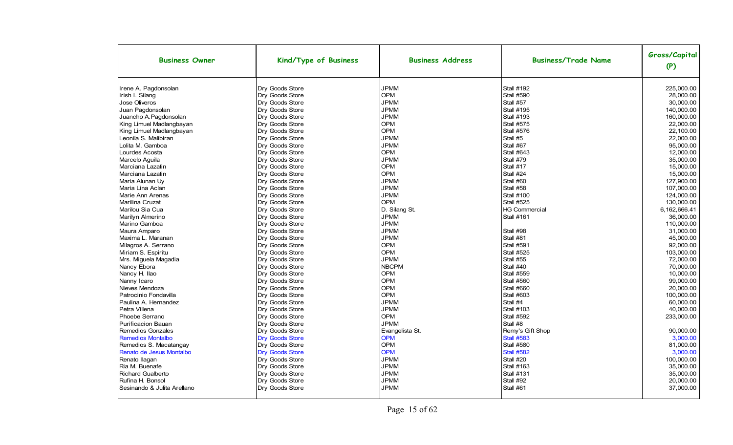| <b>Business Owner</b>                                                                                                                                                                                                                                                                                                                                                                                                                                                                                                    | Kind/Type of Business                                                                                                                                                                                                                                                                                                                                                                                                                                                                                     | <b>Business Address</b>                                                                                                                                                                                                                                                                                                                          | <b>Business/Trade Name</b>                                                                                                                                                                                                                                                                                                                                                                                    | Gross/Capital<br>(P)                                                                                                                                                                                                                                                                         |
|--------------------------------------------------------------------------------------------------------------------------------------------------------------------------------------------------------------------------------------------------------------------------------------------------------------------------------------------------------------------------------------------------------------------------------------------------------------------------------------------------------------------------|-----------------------------------------------------------------------------------------------------------------------------------------------------------------------------------------------------------------------------------------------------------------------------------------------------------------------------------------------------------------------------------------------------------------------------------------------------------------------------------------------------------|--------------------------------------------------------------------------------------------------------------------------------------------------------------------------------------------------------------------------------------------------------------------------------------------------------------------------------------------------|---------------------------------------------------------------------------------------------------------------------------------------------------------------------------------------------------------------------------------------------------------------------------------------------------------------------------------------------------------------------------------------------------------------|----------------------------------------------------------------------------------------------------------------------------------------------------------------------------------------------------------------------------------------------------------------------------------------------|
| Irene A. Pagdonsolan<br>Irish I. Silang<br><b>Jose Oliveros</b><br>Juan Pagdonsolan<br>Juancho A.Pagdonsolan<br>King Limuel Madlangbayan<br>King Limuel Madlangbayan<br>Leonila S. Malibiran<br>Lolita M. Gamboa<br>Lourdes Acosta<br>Marcelo Aquila<br>Marciana Lazatin<br>Marciana Lazatin<br>Maria Alunan Uy<br>Maria Lina Aclan<br>Marie Ann Arenas<br>Marilina Cruzat<br>Marilou Sia Cua<br>Marilyn Almerino<br>Marino Gamboa                                                                                       | Dry Goods Store<br>Dry Goods Store<br>Dry Goods Store<br>Dry Goods Store<br>Dry Goods Store<br>Dry Goods Store<br>Dry Goods Store<br>Dry Goods Store<br>Dry Goods Store<br>Dry Goods Store<br>Dry Goods Store<br>Dry Goods Store<br>Dry Goods Store<br>Dry Goods Store<br>Dry Goods Store<br><b>Dry Goods Store</b><br>Dry Goods Store<br>Dry Goods Store<br>Dry Goods Store<br>Dry Goods Store                                                                                                           | <b>JPMM</b><br><b>OPM</b><br><b>JPMM</b><br><b>JPMM</b><br><b>JPMM</b><br><b>OPM</b><br><b>OPM</b><br><b>JPMM</b><br><b>JPMM</b><br><b>OPM</b><br><b>JPMM</b><br><b>OPM</b><br><b>OPM</b><br><b>JPMM</b><br><b>JPMM</b><br><b>JPMM</b><br><b>OPM</b><br>D. Silang St.<br><b>JPMM</b><br><b>JPMM</b>                                              | <b>Stall #192</b><br>Stall #590<br>Stall #57<br><b>Stall #195</b><br><b>Stall #193</b><br><b>Stall #575</b><br>Stall #576<br>Stall #5<br>Stall #67<br><b>Stall #643</b><br>Stall #79<br>Stall #17<br>Stall #24<br>Stall #60<br>Stall #58<br><b>Stall #100</b><br><b>Stall #525</b><br><b>HG Commercial</b><br><b>Stall #161</b>                                                                               | 225.000.00<br>28,000.00<br>30,000.00<br>140.000.00<br>160,000.00<br>22,000.00<br>22,100.00<br>22,000.00<br>95,000.00<br>12.000.00<br>35.000.00<br>15.000.00<br>15,000.00<br>127,900.00<br>107,000.00<br>124,000.00<br>130.000.00<br>6.162.666.41<br>36.000.00<br>110,000.00                  |
| Maura Amparo<br>Maxima L. Maranan<br>Milagros A. Serrano<br>Miriam S. Espiritu<br>Mrs. Miguela Magadia<br>Nancy Ebora<br>Nancy H. Ilao<br>Nanny Icaro<br>Nieves Mendoza<br>Patrocinio Fondavilla<br>Paulina A. Hernandez<br>Petra Villena<br>Phoebe Serrano<br><b>Purificacion Bauan</b><br><b>Remedios Gonzales</b><br><b>Remedios Montalbo</b><br>Remedios S. Macatangay<br>Renato de Jesus Montalbo<br>Renato Ilagan<br>Ria M. Buenafe<br><b>Richard Gualberto</b><br>Rufina H. Bonsol<br>Sesinando & Julita Arellano | Dry Goods Store<br>Dry Goods Store<br>Dry Goods Store<br><b>Dry Goods Store</b><br><b>Dry Goods Store</b><br>Dry Goods Store<br>Dry Goods Store<br>Dry Goods Store<br>Dry Goods Store<br><b>Dry Goods Store</b><br>Dry Goods Store<br><b>Dry Goods Store</b><br>Dry Goods Store<br>Dry Goods Store<br>Dry Goods Store<br><b>Dry Goods Store</b><br><b>Dry Goods Store</b><br><b>Dry Goods Store</b><br><b>Dry Goods Store</b><br>Dry Goods Store<br>Dry Goods Store<br>Dry Goods Store<br>Dry Goods Store | <b>JPMM</b><br><b>JPMM</b><br><b>OPM</b><br><b>OPM</b><br><b>JPMM</b><br><b>NBCPM</b><br><b>OPM</b><br><b>OPM</b><br><b>OPM</b><br><b>OPM</b><br><b>JPMM</b><br><b>JPMM</b><br><b>OPM</b><br><b>JPMM</b><br>Evangelista St.<br><b>OPM</b><br><b>OPM</b><br><b>OPM</b><br><b>JPMM</b><br><b>JPMM</b><br><b>JPMM</b><br><b>JPMM</b><br><b>JPMM</b> | Stall #98<br>Stall #81<br><b>Stall #591</b><br><b>Stall #525</b><br>Stall #55<br>Stall #40<br><b>Stall #559</b><br><b>Stall #560</b><br><b>Stall #660</b><br><b>Stall #603</b><br>Stall #4<br><b>Stall #103</b><br><b>Stall #592</b><br>Stall #8<br>Remy's Gift Shop<br><b>Stall #583</b><br>Stall #580<br><b>Stall #582</b><br>Stall #20<br><b>Stall #163</b><br><b>Stall #131</b><br>Stall #92<br>Stall #61 | 31,000.00<br>45,000.00<br>92.000.00<br>103,000.00<br>72.000.00<br>70.000.00<br>10,000.00<br>99,000.00<br>20.000.00<br>100,000.00<br>60.000.00<br>40.000.00<br>233,000.00<br>90.000.00<br>3,000.00<br>81.000.00<br>3,000.00<br>100.000.00<br>35,000.00<br>35,000.00<br>20,000.00<br>37,000.00 |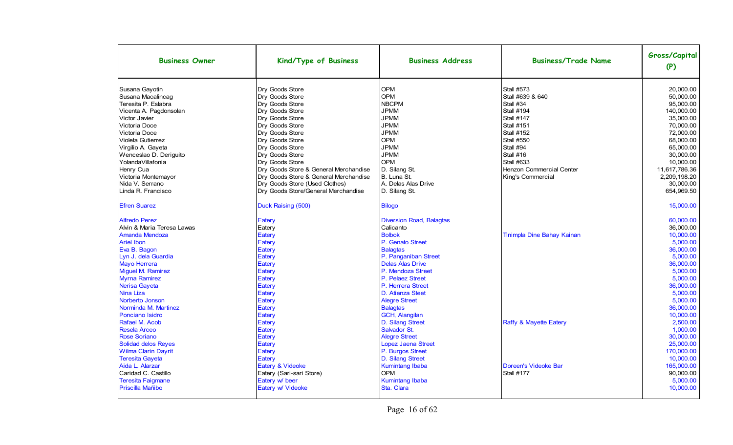| <b>Business Owner</b>                 | Kind/Type of Business                                                 | <b>Business Address</b>            | <b>Business/Trade Name</b> | Gross/Capital<br>(P)    |
|---------------------------------------|-----------------------------------------------------------------------|------------------------------------|----------------------------|-------------------------|
| Susana Gayotin                        | Dry Goods Store                                                       | <b>OPM</b>                         | <b>Stall #573</b>          | 20.000.00               |
| Susana Macalincag                     | Dry Goods Store                                                       | <b>OPM</b>                         | Stall #639 & 640           | 50.000.00               |
| Teresita P. Eslabra                   | Dry Goods Store                                                       | <b>NBCPM</b>                       | Stall #34                  | 95,000.00               |
| Vicenta A. Pagdonsolan                | Dry Goods Store                                                       | <b>JPMM</b>                        | <b>Stall #194</b>          | 140,000.00              |
| Victor Javier                         | Dry Goods Store                                                       | <b>JPMM</b>                        | <b>Stall #147</b>          | 35,000.00               |
| Victoria Doce                         | Dry Goods Store                                                       | <b>JPMM</b>                        | Stall #151                 | 70,000.00               |
| Victoria Doce                         | Dry Goods Store                                                       | <b>JPMM</b>                        | Stall #152                 | 72.000.00               |
| Violeta Gutierrez                     | Dry Goods Store                                                       | <b>OPM</b>                         | Stall #550                 | 68,000.00               |
| Virgilio A. Gayeta                    | Dry Goods Store                                                       | <b>JPMM</b>                        | Stall #94                  | 65,000.00               |
| Wenceslao D. Deriguito                | Dry Goods Store                                                       | <b>JPMM</b>                        | Stall #16                  | 30,000.00               |
| YolandaVillafonia                     | Dry Goods Store                                                       | <b>OPM</b>                         | <b>Stall #633</b>          | 10.000.00               |
| Henry Cua                             | Dry Goods Store & General Merchandise                                 | D. Silang St.                      | Henzon Commercial Center   | 11.617.786.36           |
| Victoria Montemayor                   | Dry Goods Store & General Merchandise                                 | B. Luna St.<br>A. Delas Alas Drive | King's Commercial          | 2,209,198.20            |
| Nida V. Serrano<br>Linda R. Francisco | Dry Goods Store (Used Clothes)<br>Dry Goods Store/General Merchandise | D. Silang St.                      |                            | 30,000.00<br>654,969.50 |
|                                       |                                                                       |                                    |                            |                         |
| <b>Efren Suarez</b>                   | Duck Raising (500)                                                    | <b>Bilogo</b>                      |                            | 15,000.00               |
| <b>Alfredo Perez</b>                  | <b>Eatery</b>                                                         | <b>Diversion Road, Balagtas</b>    |                            | 60,000.00               |
| Alvin & Maria Teresa Lawas            | Eatery                                                                | Calicanto                          |                            | 36,000.00               |
| <b>Amanda Mendoza</b>                 | Eatery                                                                | <b>Bolbok</b>                      | Tinimpla Dine Bahay Kainan | 10,000.00               |
| <b>Ariel Ibon</b>                     | Eatery                                                                | P. Genato Street                   |                            | 5,000.00                |
| Eva B. Bagon                          | Eatery                                                                | <b>Balagtas</b>                    |                            | 36.000.00               |
| Lyn J. dela Guardia                   | Eatery                                                                | P. Panganiban Street               |                            | 5,000.00                |
| Mayo Herrera                          | Eatery                                                                | <b>Delas Alas Drive</b>            |                            | 36,000.00               |
| Miguel M. Ramirez                     | <b>Eatery</b>                                                         | P. Mendoza Street                  |                            | 5,000.00                |
| <b>Myrna Ramirez</b>                  | Eatery                                                                | P. Pelaez Street                   |                            | 5,000.00                |
| Nerisa Gayeta                         | <b>Eatery</b>                                                         | P. Herrera Street                  |                            | 36,000.00               |
| Nina Liza                             | Eatery                                                                | D. Atienza Steet                   |                            | 5.000.00                |
| Norberto Jonson                       | Eatery                                                                | <b>Alegre Street</b>               |                            | 5,000.00                |
| Norminda M. Martinez                  | Eatery                                                                | <b>Balagtas</b>                    |                            | 36,000.00               |
| Ponciano Isidro                       | Eatery                                                                | GCH, Alangilan                     |                            | 10,000.00               |
| Rafael M. Acob                        | Eatery                                                                | D. Silang Street                   | Raffy & Mayette Eatery     | 2.500.00                |
| <b>Resela Arceo</b>                   | Eatery                                                                | Salvador St.                       |                            | 1.000.00                |
| <b>Rose Soriano</b>                   | Eatery                                                                | <b>Alegre Street</b>               |                            | 30,000.00               |
| <b>Solidad delos Reyes</b>            | Eatery                                                                | Lopez Jaena Street                 |                            | 25,000.00               |
| <b>Wilma Clarin Dayrit</b>            | Eatery                                                                | P. Burgos Street                   |                            | 170,000.00              |
| <b>Teresita Gayeta</b>                | Eatery                                                                | D. Silang Street                   |                            | 10.000.00               |
| Aida L. Alarzar                       | Eatery & Videoke                                                      | Kumintang Ibaba                    | Doreen's Videoke Bar       | 165,000.00              |
| Caridad C. Castillo                   | Eatery (Sari-sari Store)                                              | <b>OPM</b>                         | <b>Stall #177</b>          | 90,000.00               |
| <b>Teresita Faigmane</b>              | Eatery w/ beer                                                        | <b>Kumintang Ibaba</b>             |                            | 5,000.00                |
| Priscilla Mañibo                      | Eatery w/ Videoke                                                     | Sta. Clara                         |                            | 10,000.00               |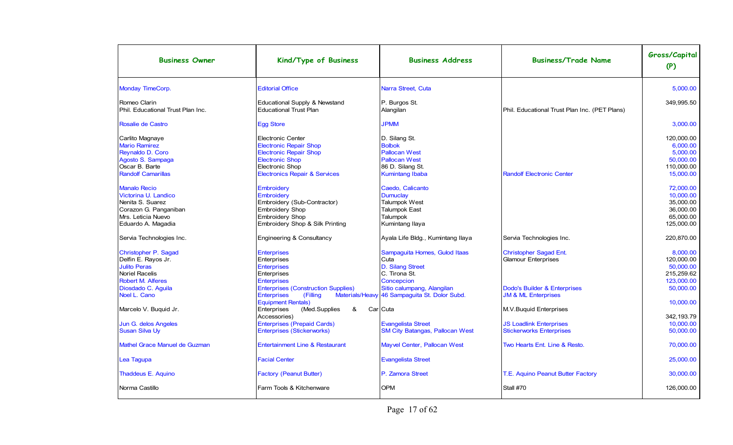| <b>Business Owner</b>                | Kind/Type of Business                                       | <b>Business Address</b>                       | <b>Business/Trade Name</b>                    | Gross/Capital<br>(P) |
|--------------------------------------|-------------------------------------------------------------|-----------------------------------------------|-----------------------------------------------|----------------------|
| Monday TimeCorp.                     | <b>Editorial Office</b>                                     | Narra Street, Cuta                            |                                               | 5,000.00             |
| Romeo Clarin                         | Educational Supply & Newstand                               | P. Burgos St.                                 |                                               | 349,995.50           |
| Phil. Educational Trust Plan Inc.    | <b>Educational Trust Plan</b>                               | Alangilan                                     | Phil. Educational Trust Plan Inc. (PET Plans) |                      |
| Rosalie de Castro                    | <b>Egg Store</b>                                            | <b>JPMM</b>                                   |                                               | 3,000.00             |
| Carlito Magnaye                      | <b>Electronic Center</b>                                    | D. Silang St.                                 |                                               | 120.000.00           |
| <b>Mario Ramirez</b>                 | <b>Electronic Repair Shop</b>                               | <b>Bolbok</b>                                 |                                               | 6,000.00             |
| Reynaldo D. Coro                     | <b>Electronic Repair Shop</b>                               | <b>Pallocan West</b>                          |                                               | 5,000.00             |
| Agosto S. Sampaga                    | <b>Electronic Shop</b>                                      | <b>Pallocan West</b>                          |                                               | 50,000.00            |
| Oscar B. Barte                       | Electronic Shop                                             | 86 D. Silang St.                              |                                               | 110,000.00           |
| <b>Randolf Camarillas</b>            | <b>Electronics Repair &amp; Services</b>                    | <b>Kumintang Ibaba</b>                        | <b>Randolf Electronic Center</b>              | 15,000.00            |
| <b>Manalo Recio</b>                  | Embroidery                                                  | Caedo, Calicanto                              |                                               | 72,000.00            |
| Victorina U. Landico                 | Embroidery                                                  | <b>Dumuclay</b>                               |                                               | 10,000.00            |
| Nenita S. Suarez                     | Embroidery (Sub-Contractor)                                 | Talumpok West                                 |                                               | 35.000.00            |
| Corazon G. Panganiban                | <b>Embroidery Shop</b>                                      | <b>Talumpok East</b>                          |                                               | 36.000.00            |
| Mrs. Leticia Nuevo                   | <b>Embroidery Shop</b>                                      | Talumpok                                      |                                               | 65.000.00            |
| Eduardo A. Magadia                   | Embroidery Shop & Silk Printing                             | Kumintang Ilaya                               |                                               | 125,000.00           |
| Servia Technologies Inc.             | Engineering & Consultancy                                   | Ayala Life Bldg., Kumintang Ilaya             | Servia Technologies Inc.                      | 220,870.00           |
| Christopher P. Sagad                 | <b>Enterprises</b>                                          | Sampaguita Homes, Gulod Itaas                 | <b>Christopher Sagad Ent.</b>                 | 8.000.00             |
| Delfin E. Rayos Jr.                  | Enterprises                                                 | Cuta                                          | <b>Glamour Enterprises</b>                    | 120.000.00           |
| <b>Julito Peras</b>                  | <b>Enterprises</b>                                          | D. Silang Street                              |                                               | 50,000.00            |
| <b>Noriel Racelis</b>                | Enterprises                                                 | C. Tirona St.                                 |                                               | 215,259.62           |
| <b>Robert M. Alferes</b>             | <b>Enterprises</b>                                          | Concepcion                                    |                                               | 123,000.00           |
| Diosdado C. Aguila                   | <b>Enterprises (Construction Supplies)</b>                  | Sitio calumpang, Alangilan                    | Dodo's Builder & Enterprises                  | 50,000.00            |
| Noel L. Cano                         | <b>Enterprises</b><br>(Filling<br><b>Equipment Rentals)</b> | Materials/Heavy 46 Sampaguita St. Dolor Subd. | <b>JM &amp; ML Enterprises</b>                | 10,000.00            |
| Marcelo V. Buquid Jr.                | (Med.Supplies<br>Enterprises<br>&<br>Accessories)           | Car Cuta                                      | M.V. Buquid Enterprises                       | 342, 193.79          |
|                                      |                                                             |                                               |                                               | 10,000.00            |
| Jun G. delos Angeles                 | <b>Enterprises (Prepaid Cards)</b>                          | <b>Evangelista Street</b>                     | <b>JS Loadlink Enterprises</b>                |                      |
| <b>Susan Silva Uy</b>                | <b>Enterprises (Stickerworks)</b>                           | <b>SM City Batangas, Pallocan West</b>        | <b>Stickerworks Enterprises</b>               | 50,000.00            |
| <b>Mathel Grace Manuel de Guzman</b> | <b>Entertainment Line &amp; Restaurant</b>                  | Mayvel Center, Pallocan West                  | Two Hearts Ent. Line & Resto.                 | 70,000.00            |
| Lea Tagupa                           | <b>Facial Center</b>                                        | <b>Evangelista Street</b>                     |                                               | 25,000.00            |
| Thaddeus E. Aquino                   | <b>Factory (Peanut Butter)</b>                              | P. Zamora Street                              | T.E. Aguino Peanut Butter Factory             | 30.000.00            |
| Norma Castillo                       | Farm Tools & Kitchenware                                    | <b>OPM</b>                                    | Stall #70                                     | 126,000.00           |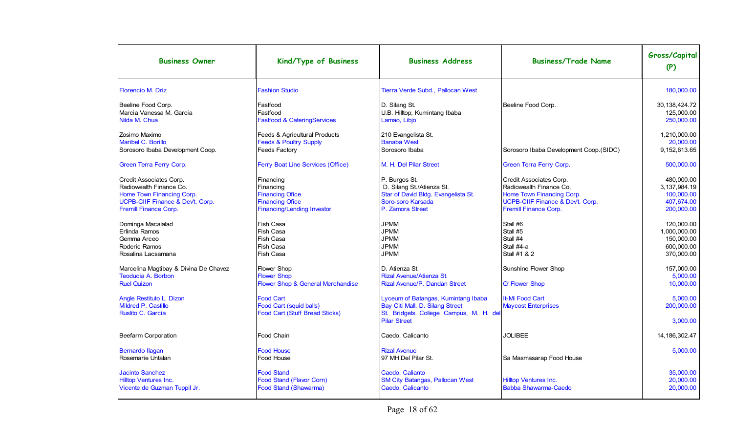| <b>Business Owner</b>                                                                                                                                                                                                                                                                                                                                                                                               | Kind/Type of Business                                                                                                                                                                                                                                                                                                                              | <b>Business Address</b>                                                                                                                                                                                                                                                                                                                                                                                         | <b>Business/Trade Name</b>                                                                                                                                                                                                                                                                                              | Gross/Capital<br>(P)                                                                                                                                                                                          |
|---------------------------------------------------------------------------------------------------------------------------------------------------------------------------------------------------------------------------------------------------------------------------------------------------------------------------------------------------------------------------------------------------------------------|----------------------------------------------------------------------------------------------------------------------------------------------------------------------------------------------------------------------------------------------------------------------------------------------------------------------------------------------------|-----------------------------------------------------------------------------------------------------------------------------------------------------------------------------------------------------------------------------------------------------------------------------------------------------------------------------------------------------------------------------------------------------------------|-------------------------------------------------------------------------------------------------------------------------------------------------------------------------------------------------------------------------------------------------------------------------------------------------------------------------|---------------------------------------------------------------------------------------------------------------------------------------------------------------------------------------------------------------|
| Florencio M. Driz                                                                                                                                                                                                                                                                                                                                                                                                   | <b>Fashion Studio</b>                                                                                                                                                                                                                                                                                                                              | Tierra Verde Subd., Pallocan West                                                                                                                                                                                                                                                                                                                                                                               |                                                                                                                                                                                                                                                                                                                         | 180,000.00                                                                                                                                                                                                    |
| Beeline Food Corp.<br>Marcia Vanessa M. Garcia<br>Nilda M. Chua                                                                                                                                                                                                                                                                                                                                                     | Fastfood<br>Fastfood<br><b>Fastfood &amp; CateringServices</b>                                                                                                                                                                                                                                                                                     | D. Silang St.<br>U.B. Hilltop, Kumintang Ibaba<br>Lamao, Libjo                                                                                                                                                                                                                                                                                                                                                  | Beeline Food Corp.                                                                                                                                                                                                                                                                                                      | 30, 138, 424. 72<br>125.000.00<br>250.000.00                                                                                                                                                                  |
| Zosimo Maximo<br>Maribel C. Borillo<br>Sorosoro Ibaba Development Coop.                                                                                                                                                                                                                                                                                                                                             | Feeds & Agricultural Products<br><b>Feeds &amp; Poultry Supply</b><br>Feeds Factory                                                                                                                                                                                                                                                                | 210 Evangelista St.<br><b>Banaba West</b><br>Sorosoro Ibaba                                                                                                                                                                                                                                                                                                                                                     | Sorosoro Ibaba Development Coop.(SIDC)                                                                                                                                                                                                                                                                                  | 1,210,000.00<br>20,000.00<br>9,152,613.65                                                                                                                                                                     |
| Green Terra Ferry Corp.                                                                                                                                                                                                                                                                                                                                                                                             | Ferry Boat Line Services (Office)                                                                                                                                                                                                                                                                                                                  | M. H. Del Pilar Street                                                                                                                                                                                                                                                                                                                                                                                          | Green Terra Ferry Corp.                                                                                                                                                                                                                                                                                                 | 500,000.00                                                                                                                                                                                                    |
| Credit Associates Corp.<br>Radiowealth Finance Co.<br>Home Town Financing Corp.<br>UCPB-CIIF Finance & Dev't. Corp.<br><b>Fremill Finance Corp.</b><br>Dominga Macalalad<br>Erlinda Ramos<br>Gemma Arceo<br>Roderic Ramos<br>Rosalina Lacsamana<br>Marcelina Magtibay & Divina De Chavez<br><b>Teoducia A. Borbon</b><br><b>Ruel Quizon</b><br>Angle Restituto L. Dizon<br>Mildred P. Castillo<br>Ruslito C. Garcia | Financing<br>Financing<br><b>Financing Ofice</b><br><b>Financing Ofice</b><br><b>Financing/Lending Investor</b><br>Fish Casa<br>Fish Casa<br>Fish Casa<br>Fish Casa<br>Fish Casa<br>Flower Shop<br><b>Flower Shop</b><br>Flower Shop & General Merchandise<br><b>Food Cart</b><br>Food Cart (squid balls)<br><b>Food Cart (Stuff Bread Sticks)</b> | P. Burgos St.<br>D. Silang St./Atienza St.<br>Star of David Bldg. Evangelista St.<br>Soro-soro Karsada<br>P. Zamora Street<br><b>JPMM</b><br><b>JPMM</b><br><b>JPMM</b><br><b>JPMM</b><br><b>JPMM</b><br>D. Atienza St.<br><b>Rizal Avenue/Atienza St.</b><br>Rizal Avenue/P. Dandan Street<br>Lyceum of Batangas, Kumintang Ibaba<br>Bay Citi Mall, D. Silang Street<br>St. Bridgets College Campus, M. H. del | Credit Associates Corp.<br>Radiowealth Finance Co.<br>Home Town Financing Corp.<br>UCPB-CIIF Finance & Dev't. Corp.<br><b>Fremill Finance Corp.</b><br>Stall #6<br>Stall #5<br>Stall #4<br>Stall #4-a<br>Stall #1 & 2<br>Sunshine Flower Shop<br>Q' Flower Shop<br><b>It-Mi Food Cart</b><br><b>Maycost Enterprises</b> | 480.000.00<br>3,137,984.19<br>100,000.00<br>407,674.00<br>200,000.00<br>120,000.00<br>1.000.000.00<br>150,000.00<br>600,000.00<br>370,000.00<br>157.000.00<br>5,000.00<br>10,000.00<br>5,000.00<br>200,000.00 |
|                                                                                                                                                                                                                                                                                                                                                                                                                     |                                                                                                                                                                                                                                                                                                                                                    | <b>Pilar Street</b>                                                                                                                                                                                                                                                                                                                                                                                             |                                                                                                                                                                                                                                                                                                                         | 3,000.00                                                                                                                                                                                                      |
| <b>Beefarm Corporation</b>                                                                                                                                                                                                                                                                                                                                                                                          | Food Chain                                                                                                                                                                                                                                                                                                                                         | Caedo, Calicanto                                                                                                                                                                                                                                                                                                                                                                                                | <b>JOLIBEE</b>                                                                                                                                                                                                                                                                                                          | 14, 186, 302. 47                                                                                                                                                                                              |
| <b>Bernardo Ilagan</b><br>Rosemarie Untalan                                                                                                                                                                                                                                                                                                                                                                         | <b>Food House</b><br>Food House                                                                                                                                                                                                                                                                                                                    | <b>Rizal Avenue</b><br>97 MH Del Pilar St.                                                                                                                                                                                                                                                                                                                                                                      | Sa Masmasarap Food House                                                                                                                                                                                                                                                                                                | 5,000.00                                                                                                                                                                                                      |
| <b>Jacinto Sanchez</b><br><b>Hilltop Ventures Inc.</b><br>Vicente de Guzman Tuppil Jr.                                                                                                                                                                                                                                                                                                                              | <b>Food Stand</b><br>Food Stand (Flavor Corn)<br>Food Stand (Shawarma)                                                                                                                                                                                                                                                                             | Caedo, Calianto<br><b>SM City Batangas, Pallocan West</b><br>Caedo, Calicanto                                                                                                                                                                                                                                                                                                                                   | <b>Hilltop Ventures Inc.</b><br><b>Babba Shawarma-Caedo</b>                                                                                                                                                                                                                                                             | 35,000.00<br>20,000.00<br>20.000.00                                                                                                                                                                           |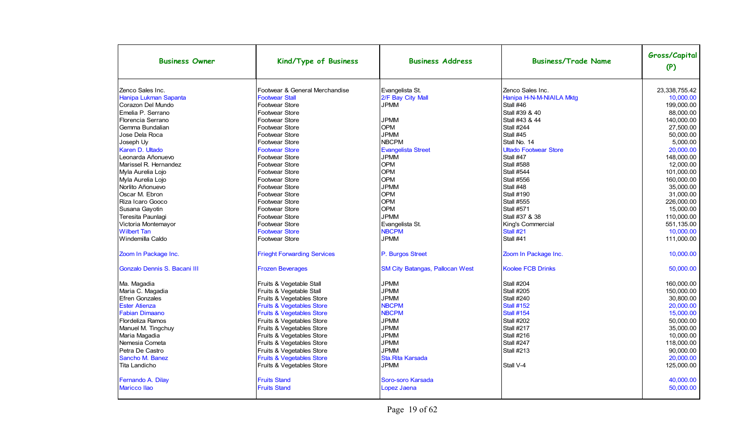| <b>Business Owner</b>                     | Kind/Type of Business                                   | <b>Business Address</b>                | <b>Business/Trade Name</b>                   | Gross/Capital<br>(P)       |
|-------------------------------------------|---------------------------------------------------------|----------------------------------------|----------------------------------------------|----------------------------|
| Zenco Sales Inc.<br>Hanipa Lukman Sapanta | Footwear & General Merchandise<br><b>Footwear Stall</b> | Evangelista St.<br>2/F Bay City Mall   | Zenco Sales Inc.<br>Hanipa H-N-M-NIAILA Mktg | 23,338,755.42<br>10.000.00 |
| Corazon Del Mundo<br>Emelia P. Serrano    | Footwear Store<br><b>Footwear Store</b>                 | <b>JPMM</b>                            | Stall #46<br>Stall #39 & 40                  | 199.000.00<br>88,000.00    |
| Florencia Serrano                         | Footwear Store                                          | <b>JPMM</b>                            | Stall #43 & 44                               | 140,000.00                 |
| Gemma Bundalian                           | Footwear Store                                          | <b>OPM</b>                             | Stall #244                                   | 27,500.00                  |
| Jose Dela Roca                            | Footwear Store                                          | <b>JPMM</b>                            | Stall #45                                    | 50,000.00                  |
| Joseph Uy                                 | Footwear Store                                          | <b>NBCPM</b>                           | Stall No. 14                                 | 5,000.00                   |
| Karen D. Ultado                           | <b>Footwear Store</b>                                   | <b>Evangelista Street</b>              | <b>Ultado Footwear Store</b>                 | 20.000.00                  |
| Leonarda Añonuevo                         | Footwear Store                                          | <b>JPMM</b>                            | Stall #47                                    | 148.000.00                 |
| Marissel R. Hernandez                     | <b>Footwear Store</b>                                   | <b>OPM</b>                             | <b>Stall #588</b>                            | 12,000.00                  |
| Myla Aurelia Lojo                         | <b>Footwear Store</b>                                   | <b>OPM</b>                             | <b>Stall #544</b>                            | 101,000.00                 |
| Myla Aurelia Lojo                         | Footwear Store                                          | <b>OPM</b>                             | <b>Stall #556</b>                            | 160.000.00                 |
| Norlito Añonuevo                          | Footwear Store                                          | <b>JPMM</b>                            | Stall #48                                    | 35.000.00                  |
| Oscar M. Ebron                            | Footwear Store                                          | <b>OPM</b><br><b>OPM</b>               | <b>Stall #190</b>                            | 31,000.00                  |
| Riza Icaro Gooco                          | Footwear Store                                          | <b>OPM</b>                             | <b>Stall #555</b>                            | 226,000.00                 |
| Susana Gayotin                            | <b>Footwear Store</b><br>Footwear Store                 | <b>JPMM</b>                            | <b>Stall #571</b><br>Stall #37 & 38          | 15.000.00                  |
| Teresita Paunlagi                         | <b>Footwear Store</b>                                   |                                        |                                              | 110,000.00<br>551,135.00   |
| Victoria Montemayor<br><b>Wilbert Tan</b> | <b>Footwear Store</b>                                   | Evangelista St.<br><b>NBCPM</b>        | King's Commercial<br>Stall #21               | 10,000.00                  |
| Windemilla Caldo                          | <b>Footwear Store</b>                                   | <b>JPMM</b>                            | Stall #41                                    | 111,000.00                 |
|                                           |                                                         |                                        |                                              |                            |
| Zoom In Package Inc.                      | <b>Frieght Forwarding Services</b>                      | P. Burgos Street                       | Zoom In Package Inc.                         | 10,000.00                  |
| Gonzalo Dennis S. Bacani III              | <b>Frozen Beverages</b>                                 | <b>SM City Batangas, Pallocan West</b> | <b>Koolee FCB Drinks</b>                     | 50.000.00                  |
| Ma. Magadia                               | Fruits & Vegetable Stall                                | <b>JPMM</b>                            | <b>Stall #204</b>                            | 160.000.00                 |
| Maria C. Magadia                          | Fruits & Vegetable Stall                                | <b>JPMM</b>                            | <b>Stall #205</b>                            | 150,000.00                 |
| <b>Efren Gonzales</b>                     | Fruits & Vegetables Store                               | <b>JPMM</b>                            | <b>Stall #240</b>                            | 30,800.00                  |
| <b>Ester Atienza</b>                      | Fruits & Vegetables Store                               | <b>NBCPM</b>                           | <b>Stall #152</b>                            | 20,000.00                  |
| <b>Fabian Dimaano</b>                     | <b>Fruits &amp; Vegetables Store</b>                    | <b>NBCPM</b>                           | <b>Stall #154</b>                            | 15.000.00                  |
| <b>Flordeliza Ramos</b>                   | Fruits & Vegetables Store                               | <b>JPMM</b>                            | Stall #202                                   | 50.000.00                  |
| Manuel M. Tingchuy                        | Fruits & Vegetables Store                               | <b>JPMM</b>                            | <b>Stall #217</b>                            | 35,000.00                  |
| Maria Magadia                             | Fruits & Vegetables Store                               | <b>JPMM</b>                            | <b>Stall #216</b>                            | 10.000.00                  |
| Nemesia Cometa                            | Fruits & Vegetables Store                               | <b>JPMM</b>                            | Stall #247                                   | 118,000.00                 |
| Petra De Castro                           | Fruits & Vegetables Store                               | <b>JPMM</b>                            | <b>Stall #213</b>                            | 90.000.00                  |
| Sancho M. Banez                           | Fruits & Vegetables Store                               | Sta. Rita Karsada                      |                                              | 20,000.00                  |
| Tita Landicho                             | Fruits & Vegetables Store                               | <b>JPMM</b>                            | Stall V-4                                    | 125,000.00                 |
| Fernando A. Dilay                         | <b>Fruits Stand</b>                                     | Soro-soro Karsada                      |                                              | 40,000.00                  |
| <b>Maricco Ilao</b>                       | <b>Fruits Stand</b>                                     | Lopez Jaena                            |                                              | 50,000.00                  |
|                                           |                                                         |                                        |                                              |                            |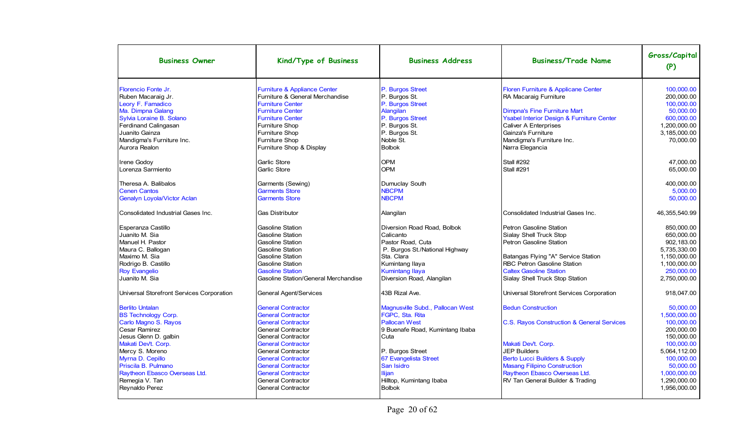| <b>Business Owner</b>                                                                                                                                                                                                                                          | Kind/Type of Business                                                                                                                                                                                                                                                                                         | <b>Business Address</b>                                                                                                                                                                                                 | <b>Business/Trade Name</b>                                                                                                                                                                                                                                                    | Gross/Capital<br>(P)                                                                                                                                         |
|----------------------------------------------------------------------------------------------------------------------------------------------------------------------------------------------------------------------------------------------------------------|---------------------------------------------------------------------------------------------------------------------------------------------------------------------------------------------------------------------------------------------------------------------------------------------------------------|-------------------------------------------------------------------------------------------------------------------------------------------------------------------------------------------------------------------------|-------------------------------------------------------------------------------------------------------------------------------------------------------------------------------------------------------------------------------------------------------------------------------|--------------------------------------------------------------------------------------------------------------------------------------------------------------|
| Florencio Fonte Jr.<br>Ruben Macaraig Jr.<br>Leory F. Famadico<br>Ma. Dimpna Galang<br>Sylvia Loraine B. Solano<br>Ferdinand Calingasan<br>Juanito Gainza<br>Mandigma's Furniture Inc.<br>Aurora Realon                                                        | Furniture & Appliance Center<br>Furniture & General Merchandise<br><b>Furniture Center</b><br><b>Furniture Center</b><br><b>Furniture Center</b><br><b>Furniture Shop</b><br><b>Furniture Shop</b><br><b>Furniture Shop</b><br>Furniture Shop & Display                                                       | P. Burgos Street<br>P. Burgos St.<br>P. Burgos Street<br>Alangilan<br>P. Burgos Street<br>P. Burgos St.<br>P. Burgos St.<br>Noble St.<br><b>Bolbok</b>                                                                  | Floren Furniture & Applicane Center<br>RA Macaraig Furniture<br><b>Dimpna's Fine Furniture Mart</b><br>Ysabel Interior Design & Furniture Center<br><b>Caliver A Enterprises</b><br>Gainza's Furniture<br>Mandigma's Furniture Inc.<br>Narra Elegancia                        | 100.000.00<br>200,000.00<br>100,000.00<br>50.000.00<br>600,000.00<br>1.200.000.00<br>3,185,000.00<br>70.000.00                                               |
| <b>Irene Godov</b><br>Lorenza Sarmiento                                                                                                                                                                                                                        | Garlic Store<br>Garlic Store                                                                                                                                                                                                                                                                                  | <b>OPM</b><br><b>OPM</b>                                                                                                                                                                                                | <b>Stall #292</b><br><b>Stall #291</b>                                                                                                                                                                                                                                        | 47.000.00<br>65,000.00                                                                                                                                       |
| Theresa A. Balibalos<br><b>Cenen Cantos</b><br>Genalyn Loyola/Victor Aclan                                                                                                                                                                                     | Garments (Sewing)<br><b>Garments Store</b><br><b>Garments Store</b>                                                                                                                                                                                                                                           | Dumuclay South<br><b>NBCPM</b><br><b>NBCPM</b>                                                                                                                                                                          |                                                                                                                                                                                                                                                                               | 400,000.00<br>5,000.00<br>50,000.00                                                                                                                          |
| Consolidated Industrial Gases Inc.                                                                                                                                                                                                                             | <b>Gas Distributor</b>                                                                                                                                                                                                                                                                                        | Alangilan                                                                                                                                                                                                               | Consolidated Industrial Gases Inc.                                                                                                                                                                                                                                            | 46, 355, 540.99                                                                                                                                              |
| Esperanza Castillo<br>Juanito M. Sia<br>Manuel H. Pastor<br>Maura C. Ballogan<br>Maximo M. Sia<br>Rodrigo B. Castillo<br><b>Roy Evangelio</b><br>Juanito M. Sia                                                                                                | <b>Gasoline Station</b><br><b>Gasoline Station</b><br><b>Gasoline Station</b><br><b>Gasoline Station</b><br><b>Gasoline Station</b><br><b>Gasoline Station</b><br><b>Gasoline Station</b><br>Gasoline Station/General Merchandise                                                                             | Diversion Road Road, Bolbok<br>Calicanto<br>Pastor Road, Cuta<br>P. Burgos St./National Highway<br>Sta. Clara<br>Kumintang Ilaya<br><b>Kumintang Ilaya</b><br>Diversion Road, Alangilan                                 | Petron Gasoline Station<br>Sialay Shell Truck Stop<br>Petron Gasoline Station<br>Batangas Flying "A" Service Station<br>RBC Petron Gasoline Station<br><b>Caltex Gasoline Station</b><br>Sialay Shell Truck Stop Station                                                      | 850.000.00<br>650.000.00<br>902, 183.00<br>5,735,330.00<br>1,150,000.00<br>1,100,000.00<br>250.000.00<br>2,750,000.00                                        |
| Universal Storefront Services Corporation                                                                                                                                                                                                                      | General Agent/Services                                                                                                                                                                                                                                                                                        | 43B Rizal Ave.                                                                                                                                                                                                          | Universal Storefront Services Corporation                                                                                                                                                                                                                                     | 918,047.00                                                                                                                                                   |
| <b>Berlito Untalan</b><br><b>BS Technology Corp.</b><br>Carlo Magno S. Rayos<br>Cesar Ramirez<br>Jesus Glenn D. galbin<br>Makati Dev't. Corp.<br>Mercy S. Moreno<br>Myrna D. Cepillo<br>Priscila B. Pulmano<br>Raytheon Ebasco Overseas Ltd.<br>Remegia V. Tan | <b>General Contractor</b><br><b>General Contractor</b><br><b>General Contractor</b><br><b>General Contractor</b><br><b>General Contractor</b><br><b>General Contractor</b><br>General Contractor<br><b>General Contractor</b><br><b>General Contractor</b><br><b>General Contractor</b><br>General Contractor | Magnusville Subd., Pallocan West<br>FGPC, Sta. Rita<br><b>Pallocan West</b><br>9 Buenafe Road, Kumintang Ibaba<br>Cuta<br>P. Burgos Street<br>67 Evangelista Street<br>San Isidro<br>Ilijan<br>Hilltop, Kumintang Ibaba | <b>Bedun Construction</b><br>C.S. Rayos Construction & General Services<br>Makati Dev't. Corp.<br><b>JEP Builders</b><br><b>Berto Lucci Builders &amp; Supply</b><br><b>Masang Filipino Construction</b><br>Raytheon Ebasco Overseas Ltd.<br>RV Tan General Builder & Trading | 50.000.00<br>1.500.000.00<br>100,000.00<br>200,000.00<br>150,000.00<br>100,000.00<br>5.064.112.00<br>100.000.00<br>50.000.00<br>1,000,000.00<br>1,290,000.00 |
| Reynaldo Perez                                                                                                                                                                                                                                                 | <b>General Contractor</b>                                                                                                                                                                                                                                                                                     | <b>Bolbok</b>                                                                                                                                                                                                           |                                                                                                                                                                                                                                                                               | 1,956,000.00                                                                                                                                                 |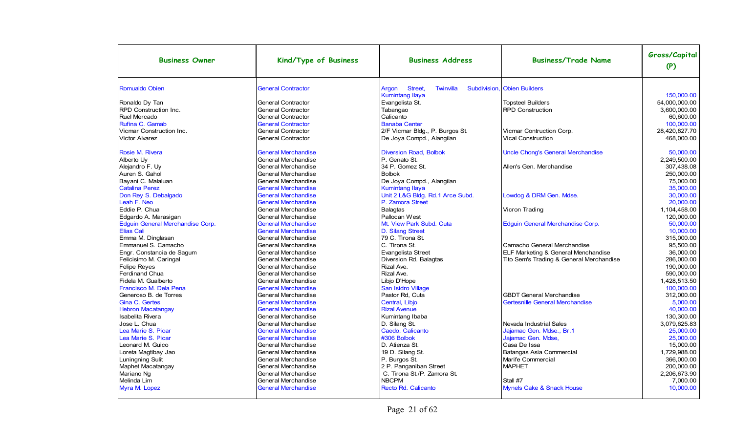| <b>Business Owner</b>                           | Kind/Type of Business                                    | <b>Business Address</b>                       | <b>Business/Trade Name</b>               | Gross/Capital<br>(P)   |
|-------------------------------------------------|----------------------------------------------------------|-----------------------------------------------|------------------------------------------|------------------------|
| Romualdo Obien                                  | <b>General Contractor</b>                                | Street,<br>Twinvilla<br>Subdivision.<br>Argon | <b>Obien Builders</b>                    |                        |
|                                                 |                                                          | <b>Kumintang Ilaya</b>                        |                                          | 150.000.00             |
| Ronaldo Dy Tan                                  | <b>General Contractor</b>                                | Evangelista St.                               | <b>Topsteel Builders</b>                 | 54.000.000.00          |
| <b>RPD Construction Inc.</b>                    | <b>General Contractor</b>                                | Tabangao                                      | <b>RPD Construction</b>                  | 3,600,000.00           |
| Ruel Mercado                                    | <b>General Contractor</b>                                | Calicanto                                     |                                          | 60.600.00              |
| Rufina C. Gamab                                 | <b>General Contractor</b>                                | <b>Banaba Center</b>                          |                                          | 100,000.00             |
| Vicmar Construction Inc.                        | <b>General Contractor</b>                                | 2/F Vicmar Bldg., P. Burgos St.               | Vicmar Contruction Corp.                 | 28,420,827.70          |
| <b>Victor Alvarez</b>                           | <b>General Contractor</b>                                | De Joya Compd., Alangilan                     | <b>Vical Construction</b>                | 468,000.00             |
| Rosie M. Rivera                                 | <b>General Merchandise</b>                               | <b>Diversion Road, Bolbok</b>                 | <b>Uncle Chong's General Merchandise</b> | 50.000.00              |
| Alberto Uv                                      | <b>General Merchandise</b>                               | P. Genato St.                                 |                                          | 2,249,500.00           |
| Alejandro F. Uv                                 | <b>General Merchandise</b>                               | 34 P. Gomez St.                               | Allen's Gen. Merchandise                 | 307.438.08             |
| Auren S. Gahol                                  | <b>General Merchandise</b>                               | <b>Bolbok</b>                                 |                                          | 250.000.00             |
| Bayani C. Malaluan                              | <b>General Merchandise</b>                               | De Joya Compd., Alangilan                     |                                          | 75,000.00              |
| <b>Catalina Perez</b>                           | <b>General Merchandise</b>                               | <b>Kumintang Ilaya</b>                        |                                          | 35.000.00              |
| Don Rey S. Debalgado                            | <b>General Merchandise</b>                               | Unit 2 L&G Bldg. Rd.1 Arce Subd.              | Lowdog & DRM Gen. Mdse.                  | 30,000.00              |
| Leah F. Neo                                     | <b>General Merchandise</b>                               | P. Zamora Street                              |                                          | 20.000.00              |
| Eddie P. Chua                                   | <b>General Merchandise</b>                               | Balagtas                                      | Vicron Trading                           | 1,104,458.00           |
| Edgardo A. Marasigan                            | <b>General Merchandise</b>                               | Pallocan West                                 |                                          | 120,000.00             |
| Edguin General Merchandise Corp.                | <b>General Merchandise</b>                               | Mt. View Park Subd. Cuta                      | Edguin General Merchandise Corp.         | 50,000.00              |
| <b>Elias Cali</b>                               | <b>General Merchandise</b>                               | D. Silang Street                              |                                          | 10.000.00              |
| Emma M. Dinglasan                               | <b>General Merchandise</b>                               | 79 C. Tirona St.                              |                                          | 315.000.00             |
| Emmanuel S. Camacho                             | <b>General Merchandise</b>                               | C. Tirona St.                                 | Camacho General Merchandise              | 95,500.00              |
| Engr. Constancia de Sagum                       | <b>General Merchandise</b>                               | Evangelista Street                            | ELF Marketing & General Menchandise      | 36.000.00              |
| Felicisimo M. Caringal                          | General Merchandise                                      | Diversion Rd. Balagtas                        | Tito Sem's Trading & General Merchandise | 286,000.00             |
| <b>Felipe Reyes</b>                             | <b>General Merchandise</b>                               | Rizal Ave.                                    |                                          | 190.000.00             |
| Ferdinand Chua                                  | <b>General Merchandise</b>                               | Rizal Ave.                                    |                                          | 590,000.00             |
| Fidela M. Gualberto                             | <b>General Merchandise</b>                               | Libio D'Hope                                  |                                          | 1,428,513.50           |
| Francisco M. Dela Pena<br>Generoso B. de Torres | <b>General Merchandise</b><br><b>General Merchandise</b> | San Isidro Village<br>Pastor Rd, Cuta         | <b>GBDT General Merchandise</b>          | 100,000.00             |
| Gina C. Gertes                                  | <b>General Merchandise</b>                               | Central, Libjo                                | Gertesnille General Merchandise          | 312,000.00<br>5,000.00 |
| <b>Hebron Macatangay</b>                        | <b>General Merchandise</b>                               | <b>Rizal Avenue</b>                           |                                          | 40.000.00              |
| Isabelita Rivera                                | General Merchandise                                      | Kumintang Ibaba                               |                                          | 130,300.00             |
| Jose L. Chua                                    | <b>General Merchandise</b>                               | D. Silang St.                                 | Nevada Industrial Sales                  | 3.079.625.83           |
| Lea Marie S. Picar                              | <b>General Merchandise</b>                               | Caedo, Calicanto                              | Jajamac Gen. Mdse., Br.1                 | 25.000.00              |
| Lea Marie S. Picar                              | <b>General Merchandise</b>                               | #306 Bolbok                                   | Jajamac Gen. Mdse.                       | 25.000.00              |
| Leonard M. Guico                                | <b>General Merchandise</b>                               | D. Atienza St.                                | Casa De Issa                             | 15.000.00              |
| Loreta Magtibay Jao                             | <b>General Merchandise</b>                               | 19 D. Silang St.                              | Batangas Asia Commercial                 | 1.729.988.00           |
| Luningning Sulit                                | <b>General Merchandise</b>                               | P. Burgos St.                                 | Marife Commercial                        | 366,000.00             |
| Maphet Macatangay                               | <b>General Merchandise</b>                               | 2 P. Panganiban Street                        | <b>MAPHET</b>                            | 200.000.00             |
| Mariano Ng                                      | <b>General Merchandise</b>                               | C. Tirona St./P. Zamora St.                   |                                          | 2.206.673.90           |
| Melinda Lim                                     | <b>General Merchandise</b>                               | <b>NBCPM</b>                                  | Stall #7                                 | 7.000.00               |
| Myra M. Lopez                                   | <b>General Merchandise</b>                               | Recto Rd. Calicanto                           | <b>Mynels Cake &amp; Snack House</b>     | 10,000.00              |
|                                                 |                                                          |                                               |                                          |                        |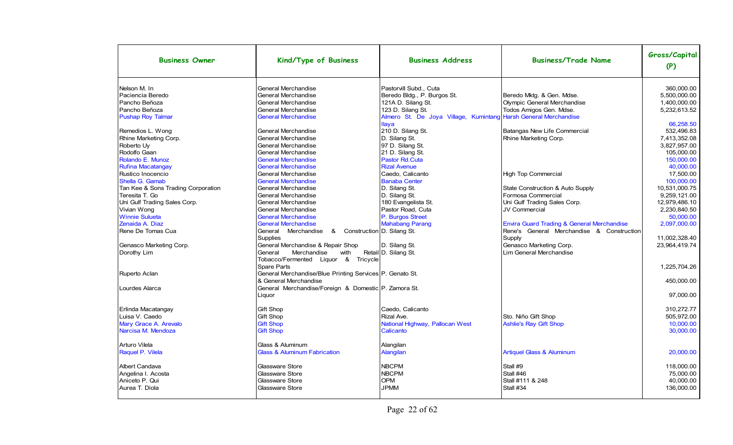| <b>Business Owner</b>              | Kind/Type of Business                                    | <b>Business Address</b>                                         | <b>Business/Trade Name</b>                            | Gross/Capital<br>(P) |
|------------------------------------|----------------------------------------------------------|-----------------------------------------------------------------|-------------------------------------------------------|----------------------|
| Nelson M. In                       | General Merchandise                                      | Pastorvill Subd., Cuta                                          |                                                       | 360.000.00           |
| l Paciencia Beredo                 | General Merchandise                                      | Beredo Bldg., P. Burgos St.                                     | Beredo Mktg. & Gen. Mdse.                             | 5,500,000.00         |
| Pancho Beñoza                      | General Merchandise                                      | 121A D. Silang St.                                              | Olympic General Merchandise                           | 1,400,000.00         |
| l Pancho Beñoza                    | General Merchandise                                      | 123 D. Silang St.                                               | Todos Amigos Gen. Mdse.                               | 5,232,613.52         |
| <b>Pushap Roy Talmar</b>           | <b>General Merchandise</b>                               | Almero St. De Joya Village, Kumintang Harsh General Merchandise |                                                       |                      |
|                                    |                                                          | <b>Ilaya</b>                                                    |                                                       | 66,258.50            |
| Remedios L. Wong                   | General Merchandise                                      | 210 D. Silang St.                                               | Batangas New Life Commercial                          | 532.496.83           |
| Rhine Marketing Corp.              | General Merchandise                                      | D. Silang St.                                                   | Rhine Marketing Corp.                                 | 7,413,352.08         |
| Roberto Uy                         | General Merchandise                                      | 97 D. Silang St.                                                |                                                       | 3,827,957.00         |
| Rodolfo Gaan                       | General Merchandise                                      | 21 D. Silang St.                                                |                                                       | 105,000.00           |
| Rolando E. Munoz                   | <b>General Merchandise</b>                               | Pastor Rd.Cuta                                                  |                                                       | 150.000.00           |
| <b>Rufina Macatangay</b>           | <b>General Merchandise</b>                               | <b>Rizal Avenue</b>                                             |                                                       | 40.000.00            |
| Rustico Inocencio                  | General Merchandise                                      | Caedo, Calicanto                                                | High Top Commercial                                   | 17,500.00            |
| Shella G. Gamab                    | <b>General Merchandise</b>                               | <b>Banaba Center</b>                                            |                                                       | 100,000.00           |
| Tan Kee & Sons Trading Corporation | General Merchandise                                      | D. Silang St.                                                   | State Construction & Auto Supply                      | 10,531,000.75        |
| Teresita T. Go                     | General Merchandise                                      | D. Silang St.                                                   | Formosa Commercial                                    | 9,259,121.00         |
| Uni Gulf Trading Sales Corp.       | General Merchandise                                      | 180 Evangelista St.                                             | Uni Gulf Trading Sales Corp.                          | 12,979,486.10        |
| Vivian Wong                        | General Merchandise                                      | Pastor Road, Cuta                                               | JV Commercial                                         | 2,230,840.50         |
| <b>Winnie Sulueta</b>              | <b>General Merchandise</b>                               | P. Burgos Street                                                |                                                       | 50.000.00            |
| Zenaida A. Diaz                    | <b>General Merchandise</b>                               | <b>Mahabang Parang</b>                                          | <b>Envira Guard Trading &amp; General Merchandise</b> | 2,097,000.00         |
| Rene De Tomas Cua                  | & Construction D. Silang St.<br>General Merchandise      |                                                                 | Rene's General Merchandise & Construction             |                      |
|                                    | Supplies                                                 |                                                                 | Supply                                                | 11,002,328.40        |
| Genasco Marketing Corp.            | General Merchandise & Repair Shop                        | D. Silang St.                                                   | Genasco Marketing Corp.                               | 23,964,419.74        |
| Dorothy Lim                        | General<br>Merchandise<br>with                           | Retail D. Silang St.                                            | Lim General Merchandise                               |                      |
|                                    | Tobacco/Fermented Liquor & Tricycle                      |                                                                 |                                                       |                      |
|                                    | <b>Spare Parts</b>                                       |                                                                 |                                                       | 1,225,704.26         |
| Ruperto Aclan                      | General Merchandise/Blue Printing Services P. Genato St. |                                                                 |                                                       |                      |
|                                    | l& General Merchandise                                   |                                                                 |                                                       | 450.000.00           |
| Lourdes Alarca                     | General Merchandise/Foreign & Domestic P. Zamora St.     |                                                                 |                                                       |                      |
|                                    | Liquor                                                   |                                                                 |                                                       | 97,000.00            |
| Erlinda Macatangay                 | <b>Gift Shop</b>                                         | Caedo, Calicanto                                                |                                                       | 310,272.77           |
| Luisa V. Caedo                     | Gift Shop                                                | Rizal Ave.                                                      | Sto. Niño Gift Shop                                   | 505.972.00           |
| Mary Grace A. Arevalo              | <b>Gift Shop</b>                                         | National Highway, Pallocan West                                 | <b>Ashlie's Ray Gift Shop</b>                         | 10,000.00            |
| Narcisa M. Mendoza                 | <b>Gift Shop</b>                                         | Calicanto                                                       |                                                       | 30,000.00            |
|                                    |                                                          |                                                                 |                                                       |                      |
| Arturo Vilela                      | Glass & Aluminum                                         | Alangilan                                                       |                                                       |                      |
| Raquel P. Vilela                   | <b>Glass &amp; Aluminum Fabrication</b>                  | Alangilan                                                       | <b>Artiquel Glass &amp; Aluminum</b>                  | 20.000.00            |
| <b>Albert Candava</b>              | Glassware Store                                          | <b>NBCPM</b>                                                    | Stall #9                                              | 118,000.00           |
| Angelina I. Acosta                 | <b>Glassware Store</b>                                   | <b>NBCPM</b>                                                    | Stall #46                                             | 75.000.00            |
| Aniceto P. Qui                     | <b>Glassware Store</b>                                   | <b>OPM</b>                                                      | Stall #111 & 248                                      | 40,000.00            |
| Aurea T. Diola                     | <b>Glassware Store</b>                                   | <b>JPMM</b>                                                     | Stall #34                                             | 136,000.00           |
|                                    |                                                          |                                                                 |                                                       |                      |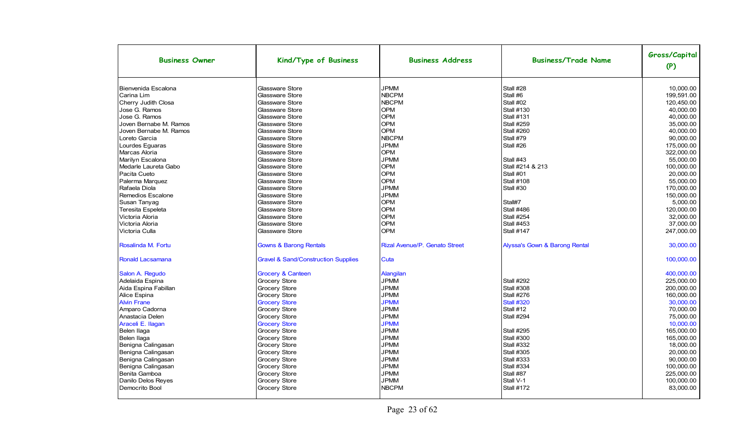|                                                                                                                                                                                                                                                                                                                                           |                                                                                                                                                                                                                                                                                                                                                        |                                                                                                                                                                                                                                                            | <b>Business/Trade Name</b>                                                                                                                                                                                                                                                        | (P)                                                                                                                                                                                                                                |
|-------------------------------------------------------------------------------------------------------------------------------------------------------------------------------------------------------------------------------------------------------------------------------------------------------------------------------------------|--------------------------------------------------------------------------------------------------------------------------------------------------------------------------------------------------------------------------------------------------------------------------------------------------------------------------------------------------------|------------------------------------------------------------------------------------------------------------------------------------------------------------------------------------------------------------------------------------------------------------|-----------------------------------------------------------------------------------------------------------------------------------------------------------------------------------------------------------------------------------------------------------------------------------|------------------------------------------------------------------------------------------------------------------------------------------------------------------------------------------------------------------------------------|
| Bienvenida Escalona<br>Carina Lim<br>Cherry Judith Closa<br>Jose G. Ramos<br>Jose G. Ramos<br>Joven Bernabe M. Ramos<br>Joven Bernabe M. Ramos<br>Loreto Garcia<br>Lourdes Eguaras<br>Marcas Aloria<br>Marilyn Escalona<br>Medarle Laureta Gabo<br>Pacita Cueto                                                                           | Glassware Store<br>Glassware Store<br>Glassware Store<br>Glassware Store<br>Glassware Store<br><b>Glassware Store</b><br>Glassware Store<br>Glassware Store<br>Glassware Store<br>Glassware Store<br><b>Glassware Store</b><br>Glassware Store<br>Glassware Store                                                                                      | <b>JPMM</b><br><b>NBCPM</b><br><b>NBCPM</b><br><b>OPM</b><br><b>OPM</b><br><b>OPM</b><br><b>OPM</b><br><b>NBCPM</b><br><b>JPMM</b><br><b>OPM</b><br><b>JPMM</b><br><b>OPM</b><br>OPM<br><b>OPM</b>                                                         | Stall #28<br>Stall #6<br>Stall #02<br><b>Stall #130</b><br><b>Stall #131</b><br><b>Stall #259</b><br><b>Stall #260</b><br>Stall #79<br>Stall #26<br>Stall #43<br>Stall #214 & 213<br>Stall #01                                                                                    | 10.000.00<br>199.591.00<br>120,450.00<br>40,000.00<br>40,000.00<br>35.000.00<br>40.000.00<br>90.000.00<br>175,000.00<br>322,000.00<br>55.000.00<br>100.000.00<br>20.000.00                                                         |
| Palerma Marquez<br>Rafaela Diola<br>Remedios Escalone<br>Susan Tanyaq<br><b>Teresita Espeleta</b><br>Victoria Aloria<br>Victoria Aloria<br>Victoria Culla                                                                                                                                                                                 | Glassware Store<br>Glassware Store<br>Glassware Store<br>Glassware Store<br>Glassware Store<br>Glassware Store<br>Glassware Store<br>Glassware Store                                                                                                                                                                                                   | <b>JPMM</b><br><b>JPMM</b><br><b>OPM</b><br><b>OPM</b><br><b>OPM</b><br><b>OPM</b><br><b>OPM</b>                                                                                                                                                           | <b>Stall #108</b><br>Stall #30<br>Stall#7<br><b>Stall #486</b><br><b>Stall #254</b><br><b>Stall #453</b><br><b>Stall #147</b>                                                                                                                                                     | 55,000.00<br>170,000.00<br>150,000.00<br>5.000.00<br>120,000.00<br>32.000.00<br>37,000.00<br>247,000.00                                                                                                                            |
| Rosalinda M. Fortu<br>Ronald Lacsamana                                                                                                                                                                                                                                                                                                    | <b>Gowns &amp; Barong Rentals</b><br><b>Gravel &amp; Sand/Construction Supplies</b>                                                                                                                                                                                                                                                                    | <b>Rizal Avenue/P. Genato Street</b><br>Cuta                                                                                                                                                                                                               | Alyssa's Gown & Barong Rental                                                                                                                                                                                                                                                     | 30.000.00<br>100,000.00                                                                                                                                                                                                            |
| Salon A. Regudo<br>Adelaida Espina<br>Aida Espina Fabillan<br>Alice Espina<br><b>Alvin Frane</b><br>Amparo Cadorna<br>Anastacia Delen<br>Araceli E. Ilagan<br>Belen Ilaga<br>Belen Ilaga<br>Benigna Calingasan<br>Benigna Calingasan<br>Benigna Calingasan<br>Benigna Calingasan<br>Benita Gamboa<br>Danilo Delos Reyes<br>Democrito Bool | <b>Grocery &amp; Canteen</b><br>Grocery Store<br><b>Grocery Store</b><br><b>Grocery Store</b><br><b>Grocery Store</b><br>Grocery Store<br>Grocery Store<br><b>Grocery Store</b><br>Grocery Store<br>Grocery Store<br>Grocery Store<br>Grocery Store<br>Grocery Store<br>Grocery Store<br>Grocery Store<br><b>Grocery Store</b><br><b>Grocery Store</b> | Alangilan<br><b>JPMM</b><br><b>JPMM</b><br><b>JPMM</b><br><b>JPMM</b><br><b>JPMM</b><br><b>JPMM</b><br><b>JPMM</b><br><b>JPMM</b><br><b>JPMM</b><br><b>JPMM</b><br><b>JPMM</b><br><b>JPMM</b><br><b>JPMM</b><br><b>JPMM</b><br><b>JPMM</b><br><b>NBCPM</b> | <b>Stall #292</b><br><b>Stall #308</b><br><b>Stall #276</b><br><b>Stall #320</b><br>Stall #12<br><b>Stall #294</b><br><b>Stall #295</b><br><b>Stall #300</b><br><b>Stall #332</b><br><b>Stall #305</b><br>Stall #333<br>Stall #334<br>Stall #87<br>Stall V-1<br><b>Stall #172</b> | 400,000.00<br>225,000.00<br>200.000.00<br>160.000.00<br>30,000.00<br>70,000.00<br>75,000.00<br>10.000.00<br>165.000.00<br>165,000.00<br>18,000.00<br>20,000.00<br>90,000.00<br>100,000.00<br>225.000.00<br>100,000.00<br>83,000.00 |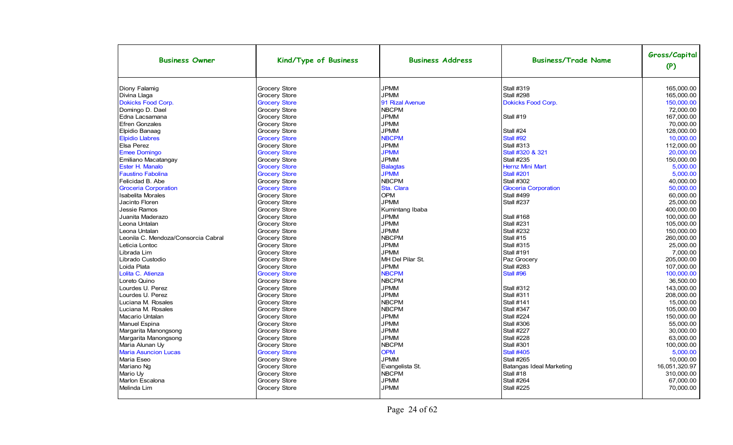| <b>Business Owner</b>                                             | Kind/Type of Business                                                | <b>Business Address</b>                      | <b>Business/Trade Name</b>             | Gross/Capital<br>(P)                  |
|-------------------------------------------------------------------|----------------------------------------------------------------------|----------------------------------------------|----------------------------------------|---------------------------------------|
| Diony Falamig                                                     | <b>Grocery Store</b>                                                 | <b>JPMM</b>                                  | <b>Stall #319</b>                      | 165.000.00                            |
| Divina Llaga                                                      | Grocery Store                                                        | <b>JPMM</b>                                  | Stall #298                             | 165,000.00                            |
| <b>Dokicks Food Corp.</b>                                         | <b>Grocery Store</b>                                                 | 91 Rizal Avenue                              | <b>Dokicks Food Corp.</b>              | 150.000.00                            |
| Domingo D. Dael                                                   | <b>Grocery Store</b>                                                 | <b>NBCPM</b>                                 | Stall #19                              | 72,000.00                             |
| Edna Lacsamana                                                    | <b>Grocery Store</b>                                                 | <b>JPMM</b>                                  |                                        | 167,000.00                            |
| <b>Efren Gonzales</b><br>Elpidio Banaaq<br><b>Elpidio Llabres</b> | Grocery Store<br><b>Grocery Store</b><br><b>Grocery Store</b>        | <b>JPMM</b><br><b>JPMM</b><br><b>NBCPM</b>   | Stall #24<br>Stall #92                 | 70,000.00<br>128,000.00<br>10,000.00  |
| <b>Elsa Perez</b>                                                 | <b>Grocery Store</b>                                                 | <b>JPMM</b>                                  | <b>Stall #313</b>                      | 112,000.00                            |
| <b>Emee Domingo</b>                                               | <b>Grocery Store</b>                                                 | <b>JPMM</b>                                  | Stall #320 & 321                       | 20,000.00                             |
| Emiliano Macatangay                                               | Grocery Store                                                        | <b>JPMM</b>                                  | <b>Stall #235</b>                      | 150,000.00                            |
| Ester H. Manalo                                                   | <b>Grocery Store</b>                                                 | <b>Balagtas</b>                              | <b>Hernz Mini Mart</b>                 | 5,000.00                              |
| <b>Faustino Fabolina</b>                                          | <b>Grocery Store</b>                                                 | <b>JPMM</b>                                  | <b>Stall #201</b>                      | 5.000.00                              |
| Felicidad B. Abe                                                  | Grocery Store                                                        | <b>NBCPM</b>                                 | <b>Stall #302</b>                      | 40,000.00                             |
| <b>Groceria Corporation</b>                                       | <b>Grocery Store</b>                                                 | Sta. Clara                                   | <b>Gloceria Corporation</b>            | 50.000.00                             |
| <b>Isabelita Morales</b><br>Jacinto Floren<br>Jessie Ramos        | <b>Grocery Store</b><br><b>Grocery Store</b><br>Grocery Store        | <b>OPM</b><br><b>JPMM</b><br>Kumintang Ibaba | <b>Stall #499</b><br><b>Stall #237</b> | 60,000.00<br>25,000.00<br>400,000.00  |
| Juanita Maderazo                                                  | <b>Grocery Store</b>                                                 | <b>JPMM</b>                                  | <b>Stall #168</b>                      | 100,000.00                            |
| Leona Untalan                                                     | <b>Grocery Store</b>                                                 | <b>JPMM</b>                                  | <b>Stall #231</b>                      | 105,000.00                            |
| Leona Untalan                                                     | <b>Grocery Store</b>                                                 | <b>JPMM</b>                                  | <b>Stall #232</b>                      | 150,000.00                            |
| Leonila C. Mendoza/Consorcia Cabral                               | Grocery Store                                                        | <b>NBCPM</b>                                 | Stall #15                              | 260.000.00                            |
| Leticia Lontoc                                                    | <b>Grocery Store</b>                                                 | <b>JPMM</b>                                  | <b>Stall #315</b>                      | 25,000.00                             |
| Librada Lim                                                       | <b>Grocery Store</b>                                                 | <b>JPMM</b>                                  | <b>Stall #191</b>                      | 7,000.00                              |
| Librado Custodio                                                  | <b>Grocery Store</b>                                                 | MH Del Pilar St.                             | Paz Grocery                            | 205,000.00                            |
| Loida Plata<br>Lolita C. Atienza<br>Loreto Quino                  | <b>Grocery Store</b><br><b>Grocery Store</b><br><b>Grocery Store</b> | <b>JPMM</b><br><b>NBCPM</b><br><b>NBCPM</b>  | <b>Stall #283</b><br>Stall #96         | 107,000.00<br>100,000.00<br>36.500.00 |
| Lourdes U. Perez                                                  | <b>Grocery Store</b>                                                 | <b>JPMM</b>                                  | <b>Stall #312</b>                      | 143,000.00                            |
| Lourdes U. Perez                                                  | <b>Grocery Store</b>                                                 | <b>JPMM</b>                                  | <b>Stall #311</b>                      | 208,000.00                            |
| Luciana M. Rosales                                                | <b>Grocery Store</b>                                                 | <b>NBCPM</b>                                 | <b>Stall #141</b>                      | 15,000.00                             |
| Luciana M. Rosales                                                | <b>Grocery Store</b>                                                 | <b>NBCPM</b>                                 | <b>Stall #347</b>                      | 105,000.00                            |
| Macario Untalan                                                   | <b>Grocery Store</b>                                                 | <b>JPMM</b>                                  | <b>Stall #224</b>                      | 150,000.00                            |
| Manuel Espina                                                     | <b>Grocery Store</b>                                                 | <b>JPMM</b>                                  | <b>Stall #306</b>                      | 55.000.00                             |
| Margarita Manongsong                                              | <b>Grocery Store</b>                                                 | <b>JPMM</b>                                  | <b>Stall #227</b>                      | 30,000.00                             |
| Margarita Manongsong                                              | Grocery Store                                                        | <b>JPMM</b>                                  | <b>Stall #228</b>                      | 63,000.00                             |
| Maria Alunan Uy                                                   | <b>Grocery Store</b>                                                 | <b>NBCPM</b>                                 | <b>Stall #301</b>                      | 100,000.00                            |
| <b>Maria Asuncion Lucas</b>                                       | <b>Grocery Store</b>                                                 | <b>OPM</b>                                   | <b>Stall #405</b>                      | 5,000.00                              |
| Maria Eseo                                                        | <b>Grocery Store</b>                                                 | <b>JPMM</b>                                  | <b>Stall #265</b>                      | 10.000.00                             |
| Mariano Ng                                                        | <b>Grocery Store</b>                                                 | Evangelista St.                              | Batangas Ideal Marketing               | 16,051,320.97                         |
| Mario Uy                                                          | <b>Grocery Store</b>                                                 | <b>NBCPM</b>                                 | Stall #18                              | 310.000.00                            |
| <b>Marlon Escalona</b>                                            | <b>Grocery Store</b>                                                 | <b>JPMM</b>                                  | <b>Stall #264</b>                      | 67,000.00                             |
| Melinda Lim                                                       | <b>Grocery Store</b>                                                 | <b>JPMM</b>                                  | <b>Stall #225</b>                      | 70,000.00                             |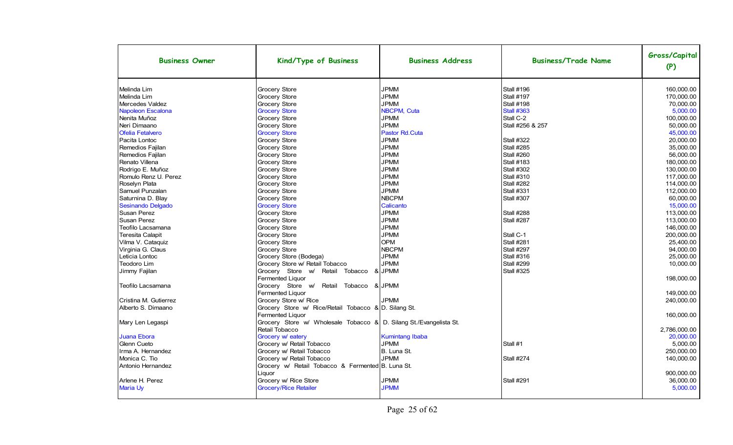| <b>Business Owner</b>   | Kind/Type of Business                                                | <b>Business Address</b> | <b>Business/Trade Name</b> | Gross/Capital<br>(P) |
|-------------------------|----------------------------------------------------------------------|-------------------------|----------------------------|----------------------|
| Melinda Lim             | Grocery Store                                                        | <b>JPMM</b>             | <b>Stall #196</b>          | 160.000.00           |
| Melinda Lim             | Grocery Store                                                        | <b>JPMM</b>             | <b>Stall #197</b>          | 170,000.00           |
| Mercedes Valdez         | Grocery Store                                                        | <b>JPMM</b>             | <b>Stall #198</b>          | 70,000.00            |
| Napoleon Escalona       | <b>Grocery Store</b>                                                 | NBCPM, Cuta             | <b>Stall #363</b>          | 5,000.00             |
| Nenita Muñoz            | Grocery Store                                                        | <b>JPMM</b>             | Stall C-2                  | 100,000.00           |
| Neri Dimaano            | Grocery Store                                                        | <b>JPMM</b>             | Stall #256 & 257           | 50,000.00            |
| <b>Ofelia Fetalvero</b> | <b>Grocery Store</b>                                                 | Pastor Rd.Cuta          |                            | 45,000.00            |
| Pacita Lontoc           | Grocery Store                                                        | <b>JPMM</b>             | <b>Stall #322</b>          | 20.000.00            |
| Remedios Fajilan        | Grocery Store                                                        | <b>JPMM</b>             | <b>Stall #285</b>          | 35.000.00            |
| Remedios Fajilan        | Grocery Store                                                        | <b>JPMM</b>             | Stall #260                 | 56.000.00            |
| Renato Villena          | Grocery Store                                                        | <b>JPMM</b>             | <b>Stall #183</b>          | 180,000.00           |
| Rodrigo E. Muñoz        | Grocery Store                                                        | <b>JPMM</b>             | <b>Stall #302</b>          | 130,000.00           |
| Romulo Renz U. Perez    | Grocery Store                                                        | <b>JPMM</b>             | Stall #310                 | 117,000.00           |
| Roselyn Plata           | Grocery Store                                                        | <b>JPMM</b>             | <b>Stall #282</b>          | 114,000.00           |
| Samuel Punzalan         | Grocery Store                                                        | <b>JPMM</b>             | <b>Stall #331</b>          | 112,000.00           |
| Saturnina D. Blay       | Grocery Store                                                        | <b>NBCPM</b>            | Stall #307                 | 60.000.00            |
| Sesinando Delgado       | <b>Grocery Store</b>                                                 | Calicanto               |                            | 15.000.00            |
| Susan Perez             | Grocery Store                                                        | <b>JPMM</b>             | Stall #288                 | 113,000.00           |
| Susan Perez             | Grocery Store                                                        | <b>JPMM</b>             | Stall #287                 | 113,000.00           |
| Teofilo Lacsamana       | Grocery Store                                                        | <b>JPMM</b>             |                            | 146,000.00           |
| <b>Teresita Calapit</b> | Grocery Store                                                        | <b>JPMM</b>             | Stall C-1                  | 200,000.00           |
| Vilma V. Cataquiz       | Grocery Store                                                        | <b>OPM</b>              | <b>Stall #281</b>          | 25,400.00            |
| Virginia G. Claus       | Grocery Store                                                        | <b>NBCPM</b>            | <b>Stall #297</b>          | 94.000.00            |
| Leticia Lontoc          | Grocery Store (Bodega)                                               | <b>JPMM</b>             | <b>Stall #316</b>          | 25.000.00            |
| Teodoro Lim             | Grocery Store w/ Retail Tobacco                                      | <b>JPMM</b>             | <b>Stall #299</b>          | 10,000.00            |
| Jimmy Fajilan           | Grocery Store w/<br>Retail Tobacco                                   | & JPMM                  | <b>Stall #325</b>          | 198,000.00           |
|                         | Fermented Liquor                                                     |                         |                            |                      |
| Teofilo Lacsamana       | Grocery Store w/<br>Retail Tobacco & JPMM<br><b>Fermented Liquor</b> |                         |                            | 149,000.00           |
| Cristina M. Gutierrez   | Grocery Store w/ Rice                                                | <b>JPMM</b>             |                            | 240,000.00           |
| Alberto S. Dimaano      | Grocery Store w/ Rice/Retail Tobacco & D. Silang St.                 |                         |                            |                      |
|                         | Fermented Liquor                                                     |                         |                            | 160,000.00           |
| Mary Len Legaspi        | Grocery Store w/ Wholesale Tobacco & D. Silang St./Evangelista St.   |                         |                            |                      |
|                         | Retail Tobacco                                                       |                         |                            | 2,786,000.00         |
| Juana Ebora             | Grocery w/ eatery                                                    | <b>Kumintang Ibaba</b>  |                            | 20.000.00            |
| Glenn Cueto             | Grocery w/ Retail Tobacco                                            | <b>JPMM</b>             | Stall #1                   | 5.000.00             |
| Irma A. Hernandez       | Grocery w/ Retail Tobacco                                            | B. Luna St.             |                            | 250.000.00           |
| Monica C. Tio           | Grocery w/ Retail Tobacco                                            | <b>JPMM</b>             | <b>Stall #274</b>          | 140,000.00           |
| Antonio Hernandez       | Grocery w/ Retail Tobacco & Fermented B. Luna St.                    |                         |                            |                      |
|                         | Liquor                                                               |                         |                            | 900,000.00           |
| Arlene H. Perez         | Grocery w/ Rice Store                                                | <b>JPMM</b>             | <b>Stall #291</b>          | 36,000.00            |
| Maria Uy                | <b>Grocery/Rice Retailer</b>                                         | <b>JPMM</b>             |                            | 5,000.00             |
|                         |                                                                      |                         |                            |                      |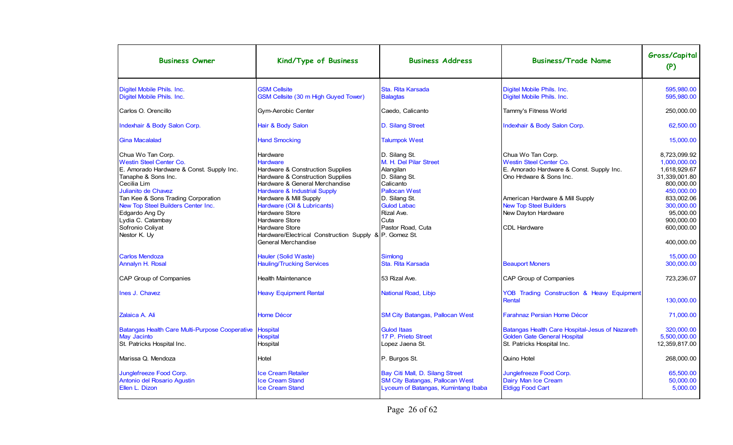| <b>Business Owner</b>                                                                                                                                                                                                                                                                                               | Kind/Type of Business                                                                                                                                                                                                                                                                                                                                                                                 | <b>Business Address</b>                                                                                                                                                                      | <b>Business/Trade Name</b>                                                                                                                                                                                                            | Gross/Capital<br>(P)                                                                                                                                                         |
|---------------------------------------------------------------------------------------------------------------------------------------------------------------------------------------------------------------------------------------------------------------------------------------------------------------------|-------------------------------------------------------------------------------------------------------------------------------------------------------------------------------------------------------------------------------------------------------------------------------------------------------------------------------------------------------------------------------------------------------|----------------------------------------------------------------------------------------------------------------------------------------------------------------------------------------------|---------------------------------------------------------------------------------------------------------------------------------------------------------------------------------------------------------------------------------------|------------------------------------------------------------------------------------------------------------------------------------------------------------------------------|
| Digitel Mobile Phils. Inc.<br>Digitel Mobile Phils. Inc.                                                                                                                                                                                                                                                            | <b>GSM Cellsite</b><br>GSM Cellsite (30 m High Guyed Tower)                                                                                                                                                                                                                                                                                                                                           | Sta. Rita Karsada<br><b>Balagtas</b>                                                                                                                                                         | Digitel Mobile Phils. Inc.<br>Digitel Mobile Phils. Inc.                                                                                                                                                                              | 595,980.00<br>595,980.00                                                                                                                                                     |
| Carlos O. Orencillo                                                                                                                                                                                                                                                                                                 | Gym-Aerobic Center                                                                                                                                                                                                                                                                                                                                                                                    | Caedo, Calicanto                                                                                                                                                                             | Tammy's Fitness World                                                                                                                                                                                                                 | 250,000.00                                                                                                                                                                   |
| Indexhair & Body Salon Corp.                                                                                                                                                                                                                                                                                        | Hair & Body Salon                                                                                                                                                                                                                                                                                                                                                                                     | D. Silang Street                                                                                                                                                                             | Indexhair & Body Salon Corp.                                                                                                                                                                                                          | 62,500.00                                                                                                                                                                    |
| <b>Gina Macalalad</b>                                                                                                                                                                                                                                                                                               | <b>Hand Smocking</b>                                                                                                                                                                                                                                                                                                                                                                                  | <b>Talumpok West</b>                                                                                                                                                                         |                                                                                                                                                                                                                                       | 15,000.00                                                                                                                                                                    |
| Chua Wo Tan Corp.<br><b>Westin Steel Center Co.</b><br>E. Amorado Hardware & Const. Supply Inc.<br>Tanaphe & Sons Inc.<br>Cecilia Lim<br>Julianito de Chavez<br>Tan Kee & Sons Trading Corporation<br>New Top Steel Builders Center Inc.<br>Edgardo Ang Dy<br>Lydia C. Catambay<br>Sofronio Coliyat<br>Nestor K. Uy | Hardware<br><b>Hardware</b><br>Hardware & Construction Supplies<br>Hardware & Construction Supplies<br>Hardware & General Merchandise<br><b>Hardware &amp; Industrial Supply</b><br>Hardware & Mill Supply<br>Hardware (Oil & Lubricants)<br><b>Hardware Store</b><br><b>Hardware Store</b><br><b>Hardware Store</b><br>Hardware/Electrical Construction Supply & P. Gomez St.<br>General Merchandise | D. Silang St.<br>M. H. Del Pilar Street<br>Alangilan<br>D. Silang St.<br>Calicanto<br><b>Pallocan West</b><br>D. Silang St.<br><b>Gulod Labac</b><br>Rizal Ave.<br>Cuta<br>Pastor Road. Cuta | Chua Wo Tan Corp.<br>Westin Steel Center Co.<br>E. Amorado Hardware & Const. Supply Inc.<br>Ono Hrdware & Sons Inc.<br>American Hardware & Mill Supply<br><b>New Top Steel Builders</b><br>New Dayton Hardware<br><b>CDL Hardware</b> | 8.723.099.92<br>1,000,000.00<br>1,618,929.67<br>31,339,001.80<br>800.000.00<br>450,000.00<br>833,002.06<br>300,000.00<br>95.000.00<br>900,000.00<br>600.000.00<br>400,000.00 |
| <b>Carlos Mendoza</b><br>Annalyn H. Rosal                                                                                                                                                                                                                                                                           | Hauler (Solid Waste)<br><b>Hauling/Trucking Services</b>                                                                                                                                                                                                                                                                                                                                              | <b>Simlong</b><br>Sta. Rita Karsada                                                                                                                                                          | <b>Beauport Moners</b>                                                                                                                                                                                                                | 15,000.00<br>300.000.00                                                                                                                                                      |
| CAP Group of Companies                                                                                                                                                                                                                                                                                              | <b>Health Maintenance</b>                                                                                                                                                                                                                                                                                                                                                                             | 53 Rizal Ave.                                                                                                                                                                                | CAP Group of Companies                                                                                                                                                                                                                | 723,236.07                                                                                                                                                                   |
| Ines J. Chavez                                                                                                                                                                                                                                                                                                      | <b>Heavy Equipment Rental</b>                                                                                                                                                                                                                                                                                                                                                                         | National Road, Libjo                                                                                                                                                                         | YOB Trading Construction & Heavy Equipment<br><b>Rental</b>                                                                                                                                                                           | 130,000.00                                                                                                                                                                   |
| Zalaica A. Ali                                                                                                                                                                                                                                                                                                      | <b>Home Décor</b>                                                                                                                                                                                                                                                                                                                                                                                     | <b>SM City Batangas, Pallocan West</b>                                                                                                                                                       | <b>Farahnaz Persian Home Décor</b>                                                                                                                                                                                                    | 71,000.00                                                                                                                                                                    |
| Batangas Health Care Multi-Purpose Cooperative   Hospital<br>May Jacinto<br>St. Patricks Hospital Inc.                                                                                                                                                                                                              | <b>Hospital</b><br>Hospital                                                                                                                                                                                                                                                                                                                                                                           | <b>Gulod Itaas</b><br>17 P. Prieto Street<br>Lopez Jaena St.                                                                                                                                 | Batangas Health Care Hospital-Jesus of Nazareth<br>Golden Gate General Hospital<br>St. Patricks Hospital Inc.                                                                                                                         | 320.000.00<br>5,500,000.00<br>12,359,817.00                                                                                                                                  |
| Marissa Q. Mendoza                                                                                                                                                                                                                                                                                                  | Hotel                                                                                                                                                                                                                                                                                                                                                                                                 | P. Burgos St.                                                                                                                                                                                | Quino Hotel                                                                                                                                                                                                                           | 268,000.00                                                                                                                                                                   |
| Junglefreeze Food Corp.<br>Antonio del Rosario Agustin<br>Ellen L. Dizon                                                                                                                                                                                                                                            | <b>Ice Cream Retailer</b><br><b>Ice Cream Stand</b><br><b>Ice Cream Stand</b>                                                                                                                                                                                                                                                                                                                         | Bay Citi Mall, D. Silang Street<br><b>SM City Batangas, Pallocan West</b><br>Lyceum of Batangas, Kumintang Ibaba                                                                             | Junglefreeze Food Corp.<br>Dairy Man Ice Cream<br><b>Eldigg Food Cart</b>                                                                                                                                                             | 65.500.00<br>50,000.00<br>5,000.00                                                                                                                                           |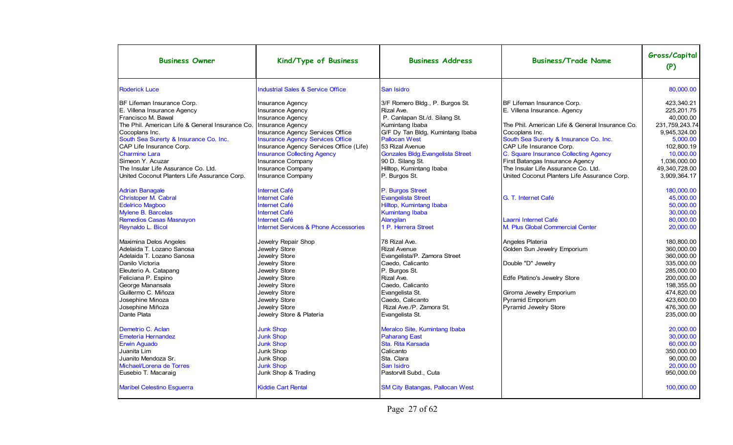| <b>Business Owner</b>                                                                                                                                                                                                                                                                                                                                                                                                                                                                                                                                                                                                                                                                                                                                                                                                                                                                                               | Kind/Type of Business                                                                                                                                                                                                                                                                                                                                                                                                                                                                                                                                                                                                                                                                                                                                                                                                              | <b>Business Address</b>                                                                                                                                                                                                                                                                                                                                                                                                                                                                                                                                                                                                                                                                                                                                                                | <b>Business/Trade Name</b>                                                                                                                                                                                                                                                                                                                                                                                                                                                                                                                                                                                                                   | Gross/Capital<br>(P)                                                                                                                                                                                                                                                                                                                                                                                                                                                                    |
|---------------------------------------------------------------------------------------------------------------------------------------------------------------------------------------------------------------------------------------------------------------------------------------------------------------------------------------------------------------------------------------------------------------------------------------------------------------------------------------------------------------------------------------------------------------------------------------------------------------------------------------------------------------------------------------------------------------------------------------------------------------------------------------------------------------------------------------------------------------------------------------------------------------------|------------------------------------------------------------------------------------------------------------------------------------------------------------------------------------------------------------------------------------------------------------------------------------------------------------------------------------------------------------------------------------------------------------------------------------------------------------------------------------------------------------------------------------------------------------------------------------------------------------------------------------------------------------------------------------------------------------------------------------------------------------------------------------------------------------------------------------|----------------------------------------------------------------------------------------------------------------------------------------------------------------------------------------------------------------------------------------------------------------------------------------------------------------------------------------------------------------------------------------------------------------------------------------------------------------------------------------------------------------------------------------------------------------------------------------------------------------------------------------------------------------------------------------------------------------------------------------------------------------------------------------|----------------------------------------------------------------------------------------------------------------------------------------------------------------------------------------------------------------------------------------------------------------------------------------------------------------------------------------------------------------------------------------------------------------------------------------------------------------------------------------------------------------------------------------------------------------------------------------------------------------------------------------------|-----------------------------------------------------------------------------------------------------------------------------------------------------------------------------------------------------------------------------------------------------------------------------------------------------------------------------------------------------------------------------------------------------------------------------------------------------------------------------------------|
| <b>Roderick Luce</b>                                                                                                                                                                                                                                                                                                                                                                                                                                                                                                                                                                                                                                                                                                                                                                                                                                                                                                | <b>Industrial Sales &amp; Service Office</b>                                                                                                                                                                                                                                                                                                                                                                                                                                                                                                                                                                                                                                                                                                                                                                                       | San Isidro                                                                                                                                                                                                                                                                                                                                                                                                                                                                                                                                                                                                                                                                                                                                                                             |                                                                                                                                                                                                                                                                                                                                                                                                                                                                                                                                                                                                                                              | 80,000.00                                                                                                                                                                                                                                                                                                                                                                                                                                                                               |
| BF Lifeman Insurance Corp.<br>E. Villena Insurance Agency<br>Francisco M. Bawal<br>The Phil. American Life & General Insurance Co.<br>Cocoplans Inc.<br>South Sea Surerty & Insurance Co. Inc.<br>CAP Life Insurance Corp.<br><b>Charmine Lara</b><br>Simeon Y. Acuzar<br>The Insular Life Assurance Co. Ltd.<br>United Coconut Planters Life Assurance Corp.<br><b>Adrian Banagale</b><br>Christoper M. Cabral<br><b>Edelrico Magboo</b><br>Mylene B. Barcelas<br>Remedios Casas Masnayon<br>Reynaldo L. Bicol<br>Maximina Delos Angeles<br>Adelaida T. Lozano Sanosa<br>Adelaida T. Lozano Sanosa<br>Danilo Victoria<br>Eleuterio A. Catapang<br>Feliciana P. Espino<br>George Manansala<br>Guillermo C. Miñoza<br>Josephine Minoza<br>Josephine Miñoza<br>Dante Plata<br>Demetrio C. Aclan<br><b>Emeteria Hernandez</b><br><b>Erwin Aguado</b><br>Juanita Lim<br>Juanito Mendoza Sr.<br>Michael/Lorena de Torres | <b>Insurance Agency</b><br>Insurance Agency<br><b>Insurance Agency</b><br>Insurance Agency<br>Insurance Agency Services Office<br><b>Insurance Agency Services Office</b><br>Insurance Agency Services Office (Life)<br><b>Insurance Collecting Agency</b><br>Insurance Company<br>Insurance Company<br><b>Insurance Company</b><br><b>Internet Café</b><br><b>Internet Café</b><br><b>Internet Café</b><br><b>Internet Café</b><br><b>Internet Café</b><br><b>Internet Services &amp; Phone Accessories</b><br>Jewelry Repair Shop<br>Jewelry Store<br>Jewelry Store<br>Jewelry Store<br>Jewelry Store<br>Jewelry Store<br>Jewelry Store<br>Jewelry Store<br>Jewelry Store<br>Jewelry Store<br>Jewelry Store & Plateria<br><b>Junk Shop</b><br><b>Junk Shop</b><br><b>Junk Shop</b><br>Junk Shop<br>Junk Shop<br><b>Junk Shop</b> | 3/F Romero Bldg., P. Burgos St.<br>Rizal Ave.<br>P. Canlapan St./d. Silang St.<br>Kumintang Ibaba<br>G/F Dy Tan Bldg, Kumintang Ibaba<br><b>Pallocan West</b><br>53 Rizal Avenue<br>Gonzales Bldg. Evangelista Street<br>90 D. Silang St.<br>Hilltop, Kumintang Ibaba<br>P. Burgos St.<br>P. Burgos Street<br>Evangelista Street<br>Hilltop, Kumintang Ibaba<br><b>Kumintang Ibaba</b><br>Alangilan<br>1 P. Herrera Street<br>78 Rizal Ave.<br><b>Rizal Avenue</b><br>Evangelista/P. Zamora Street<br>Caedo. Calicanto<br>P. Burgos St.<br>Rizal Ave.<br>Caedo, Calicanto<br>Evangelista St.<br>Caedo, Calicanto<br>Rizal Ave./P. Zamora St.<br>Evangelista St.<br>Meralco Site, Kumintang Ibaba<br><b>Paharang East</b><br>Sta. Rita Karsada<br>Calicanto<br>Sta. Clara<br>San Isidro | BF Lifeman Insurance Corp.<br>E. Villena Insurance. Agency<br>The Phil. American Life & General Insurance Co.<br>Cocoplans Inc.<br>South Sea Surerty & Insurance Co. Inc.<br>CAP Life Insurance Corp.<br>C. Square Insurance Collecting Agency<br>First Batangas Insurance Agency<br>The Insular Life Assurance Co. Ltd.<br>United Coconut Planters Life Assurance Corp.<br>G. T. Internet Café<br>Laarni Internet Café<br>M. Plus Global Commercial Center<br>Angeles Plateria<br>Golden Sun Jewelry Emporium<br>Double "D" Jewelry<br>Edfe Platino's Jewelry Store<br>Giroma Jewelry Emporium<br>Pyramid Emporium<br>Pyramid Jewelry Store | 423.340.21<br>225.201.75<br>40.000.00<br>231,759,243.74<br>9,945,324.00<br>5.000.00<br>102.800.19<br>10,000.00<br>1,036,000.00<br>49,340,728.00<br>3,909,364.17<br>180.000.00<br>45.000.00<br>50.000.00<br>30.000.00<br>80,000.00<br>20.000.00<br>180,800.00<br>360,000.00<br>360.000.00<br>335.000.00<br>285,000.00<br>200,000.00<br>198,355.00<br>474.820.00<br>423,600.00<br>476,300.00<br>235.000.00<br>20,000.00<br>30.000.00<br>60,000.00<br>350.000.00<br>90,000.00<br>20,000.00 |
| Eusebio T. Macaraig<br><b>Maribel Celestino Esguerra</b>                                                                                                                                                                                                                                                                                                                                                                                                                                                                                                                                                                                                                                                                                                                                                                                                                                                            | Junk Shop & Trading<br><b>Kiddie Cart Rental</b>                                                                                                                                                                                                                                                                                                                                                                                                                                                                                                                                                                                                                                                                                                                                                                                   | Pastorvill Subd., Cuta<br><b>SM City Batangas, Pallocan West</b>                                                                                                                                                                                                                                                                                                                                                                                                                                                                                                                                                                                                                                                                                                                       |                                                                                                                                                                                                                                                                                                                                                                                                                                                                                                                                                                                                                                              | 950,000.00<br>100,000.00                                                                                                                                                                                                                                                                                                                                                                                                                                                                |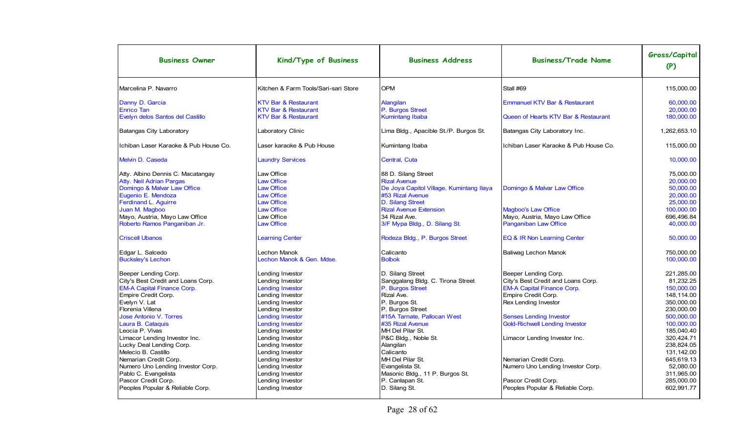| <b>Business Owner</b>                 | Kind/Type of Business                | <b>Business Address</b>                  | <b>Business/Trade Name</b>               | Gross/Capital<br>(P) |
|---------------------------------------|--------------------------------------|------------------------------------------|------------------------------------------|----------------------|
| Marcelina P. Navarro                  | Kitchen & Farm Tools/Sari-sari Store | <b>OPM</b>                               | Stall #69                                | 115,000.00           |
| Danny D. Garcia                       | <b>KTV Bar &amp; Restaurant</b>      | Alangilan                                | <b>Emmanuel KTV Bar &amp; Restaurant</b> | 60.000.00            |
| <b>Enrico Tan</b>                     | <b>KTV Bar &amp; Restaurant</b>      | P. Burgos Street                         |                                          | 20,000.00            |
| Evelyn delos Santos del Castillo      | <b>KTV Bar &amp; Restaurant</b>      | <b>Kumintang Ibaba</b>                   | Queen of Hearts KTV Bar & Restaurant     | 180.000.00           |
| Batangas City Laboratory              | Laboratory Clinic                    | Lima Bldg., Apacible St./P. Burgos St.   | Batangas City Laboratory Inc.            | 1.262.653.10         |
| Ichiban Laser Karaoke & Pub House Co. | Laser karaoke & Pub House            | Kumintang Ibaba                          | Ichiban Laser Karaoke & Pub House Co.    | 115.000.00           |
| Melvin D. Caseda                      | <b>Laundry Services</b>              | Central, Cuta                            |                                          | 10.000.00            |
| Atty. Albino Dennis C. Macatangay     | Law Office                           | 88 D. Silang Street                      |                                          | 75.000.00            |
| Atty. Neil Adrian Pargas              | <b>Law Office</b>                    | <b>Rizal Avenue</b>                      |                                          | 20,000.00            |
| Domingo & Malvar Law Office           | <b>Law Office</b>                    | De Joya Capitol Village, Kumintang Ilaya | Domingo & Malvar Law Office              | 50.000.00            |
| Eugenio E. Mendoza                    | <b>Law Office</b>                    | #53 Rizal Avenue                         |                                          | 20,000.00            |
| Ferdinand L. Aguirre                  | <b>Law Office</b>                    | D. Silang Street                         |                                          | 25.000.00            |
| Juan M. Magboo                        | <b>Law Office</b>                    | <b>Rizal Avenue Extension</b>            | <b>Magboo's Law Office</b>               | 100.000.00           |
| Mayo, Austria, Mayo Law Office        | Law Office                           | 34 Rizal Ave.                            | Mayo, Austria, Mayo Law Office           | 696,496.84           |
| Roberto Ramos Panganiban Jr.          | <b>Law Office</b>                    | 3/F Mypa Bldg., D. Silang St.            | <b>Panganiban Law Office</b>             | 40,000.00            |
| <b>Criscell Ubanos</b>                | <b>Learning Center</b>               | Rodeza Bldg., P. Burgos Street           | EQ & IR Non Learning Center              | 50,000.00            |
| Edgar L. Salcedo                      | Lechon Manok                         | Calicanto                                | <b>Baliwag Lechon Manok</b>              | 750.000.00           |
| <b>Bucksley's Lechon</b>              | Lechon Manok & Gen. Mdse.            | <b>Bolbok</b>                            |                                          | 100,000.00           |
| Beeper Lending Corp.                  | Lending Investor                     | D. Silang Street                         | Beeper Lending Corp.                     | 221.285.00           |
| City's Best Credit and Loans Corp.    | Lending Investor                     | Sanggalang Bldg. C. Tirona Street        | City's Best Credit and Loans Corp.       | 81.232.25            |
| <b>EM-A Capital Finance Corp.</b>     | <b>Lending Investor</b>              | P. Burgos Street                         | <b>EM-A Capital Finance Corp.</b>        | 150.000.00           |
| Empire Credit Corp.                   | Lending Investor                     | Rizal Ave.                               | Empire Credit Corp.                      | 148.114.00           |
| Evelyn V. Lat                         | Lending Investor                     | P. Burgos St.                            | Rex Lending Investor                     | 350.000.00           |
| Florenia Villena                      | Lending Investor                     | P. Burgos Street                         |                                          | 230.000.00           |
| <b>Jose Antonio V. Torres</b>         | <b>Lending Investor</b>              | #15A Tarnate, Pallocan West              | <b>Senses Lending Investor</b>           | 500.000.00           |
| Laura B. Cataquis                     | <b>Lending Investor</b>              | #35 Rizal Avenue                         | <b>Gold-Richwell Lending Investor</b>    | 100,000.00           |
| Leocia P. Vivas                       | Lending Investor                     | MH Del Pilar St.                         |                                          | 185,040.40           |
| Limacor Lending Investor Inc.         | Lending Investor                     | P&C Bldg., Noble St.                     | Limacor Lending Investor Inc.            | 320,424.71           |
| Lucky Deal Lending Corp.              | Lending Investor                     | Alangilan                                |                                          | 238,824.05           |
| Melecio B. Castillo                   | Lending Investor                     | Calicanto                                |                                          | 131,142.00           |
| Nemarian Credit Corp.                 | Lending Investor                     | MH Del Pilar St.                         | Nemarian Credit Corp.                    | 645.619.13           |
| Numero Uno Lending Investor Corp.     | Lending Investor                     | Evangelista St.                          | Numero Uno Lending Investor Corp.        | 52,080.00            |
| Pablo C. Evangelista                  | Lending Investor                     | Masonic Bldg., 11 P. Burgos St.          |                                          | 311,965.00           |
| Pascor Credit Corp.                   | Lending Investor                     | P. Canlapan St.                          | Pascor Credit Corp.                      | 285,000.00           |
| Peoples Popular & Reliable Corp.      | Lending Investor                     | D. Silang St.                            | Peoples Popular & Reliable Corp.         | 602,991.77           |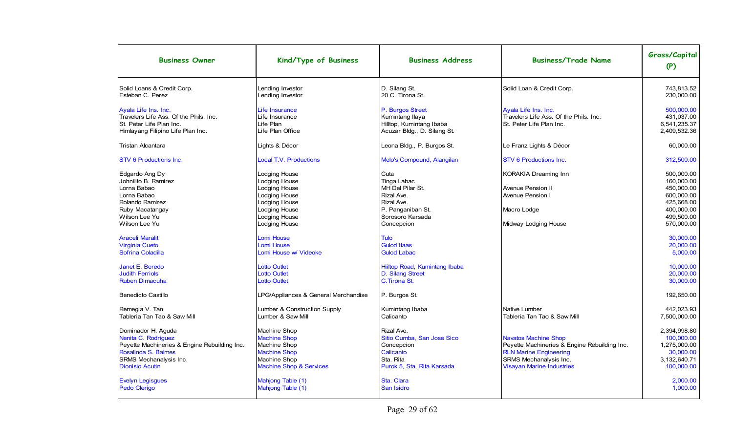| <b>Business Owner</b>                                                                                                                                                | Kind/Type of Business                                                                                                                                     | <b>Business Address</b>                                                                                                    | <b>Business/Trade Name</b>                                                                                                                                                 | Gross/Capital<br>(P)                                                                                         |
|----------------------------------------------------------------------------------------------------------------------------------------------------------------------|-----------------------------------------------------------------------------------------------------------------------------------------------------------|----------------------------------------------------------------------------------------------------------------------------|----------------------------------------------------------------------------------------------------------------------------------------------------------------------------|--------------------------------------------------------------------------------------------------------------|
| Solid Loans & Credit Corp.<br>Esteban C. Perez                                                                                                                       | Lending Investor<br>Lending Investor                                                                                                                      | D. Silang St.<br>20 C. Tirona St.                                                                                          | Solid Loan & Credit Corp.                                                                                                                                                  | 743.813.52<br>230.000.00                                                                                     |
| Ayala Life Ins. Inc.<br>Travelers Life Ass. Of the Phils. Inc.<br>St. Peter Life Plan Inc.<br>Himlayang Filipino Life Plan Inc.                                      | Life Insurance<br>Life Insurance<br>Life Plan<br>Life Plan Office                                                                                         | P. Burgos Street<br>Kumintang Ilaya<br>Hilltop, Kumintang Ibaba<br>Acuzar Bldg., D. Silang St.                             | Ayala Life Ins. Inc.<br>Travelers Life Ass. Of the Phils. Inc.<br>St. Peter Life Plan Inc.                                                                                 | 500,000.00<br>431,037.00<br>6,541,235.37<br>2,409,532.36                                                     |
| Tristan Alcantara                                                                                                                                                    | Lights & Décor                                                                                                                                            | Leona Bldg., P. Burgos St.                                                                                                 | Le Franz Lights & Décor                                                                                                                                                    | 60,000.00                                                                                                    |
| STV 6 Productions Inc.                                                                                                                                               | <b>Local T.V. Productions</b>                                                                                                                             | Melo's Compound, Alangilan                                                                                                 | <b>STV 6 Productions Inc.</b>                                                                                                                                              | 312,500.00                                                                                                   |
| Edgardo Ang Dy<br>Johnilito B. Ramirez<br>Lorna Babao<br>Lorna Babao<br>Rolando Ramirez<br>Ruby Macatangay<br>Wilson Lee Yu<br>Wilson Lee Yu                         | Lodging House<br>Lodging House<br><b>Lodging House</b><br>Lodging House<br>Lodging House<br><b>Lodging House</b><br><b>Lodging House</b><br>Lodging House | Cuta<br>Tinga Labac<br>MH Del Pilar St.<br>Rizal Ave.<br>Rizal Ave.<br>P. Panganiban St.<br>Sorosoro Karsada<br>Concepcion | <b>KORAKIA Dreaming Inn</b><br><b>Avenue Pension II</b><br>Avenue Pension I<br>Macro Lodge<br>Midway Lodging House                                                         | 500.000.00<br>160,000.00<br>450,000.00<br>600,000.00<br>425,668.00<br>400,000.00<br>499,500.00<br>570,000.00 |
| <b>Araceli Maralit</b><br><b>Virginia Cueto</b><br>Sofrina Coladilla                                                                                                 | Lomi House<br><b>Lomi House</b><br>Lomi House w/ Videoke                                                                                                  | <b>Tulo</b><br><b>Gulod Itaas</b><br><b>Gulod Labac</b>                                                                    |                                                                                                                                                                            | 30.000.00<br>20,000.00<br>5,000.00                                                                           |
| Janet E. Beredo<br><b>Judith Ferriols</b><br><b>Ruben Dimacuha</b>                                                                                                   | <b>Lotto Outlet</b><br><b>Lotto Outlet</b><br><b>Lotto Outlet</b>                                                                                         | Hiiltop Road, Kumintang Ibaba<br>D. Silang Street<br>C.Tirona St.                                                          |                                                                                                                                                                            | 10.000.00<br>20,000.00<br>30.000.00                                                                          |
| Benedicto Castillo<br>Remegia V. Tan<br>Tableria Tan Tao & Saw Mill                                                                                                  | LPG/Appliances & General Merchandise<br>Lumber & Construction Supply<br>Lumber & Saw Mill                                                                 | P. Burgos St.<br>Kumintang Ibaba<br>Calicanto                                                                              | <b>Native Lumber</b><br>Tableria Tan Tao & Saw Mill                                                                                                                        | 192,650.00<br>442.023.93<br>7,500,000.00                                                                     |
| Dominador H. Aguda<br>Nenita C. Rodriguez<br>Peyette Machineries & Engine Rebuilding Inc.<br>Rosalinda S. Balmes<br>SRMS Mechanalysis Inc.<br><b>Dionisio Acutin</b> | <b>Machine Shop</b><br><b>Machine Shop</b><br>Machine Shop<br><b>Machine Shop</b><br>Machine Shop<br><b>Machine Shop &amp; Services</b>                   | Rizal Ave.<br>Sitio Cumba, San Jose Sico<br>Concepcion<br>Calicanto<br>Sta. Rita<br>Purok 5, Sta. Rita Karsada             | <b>Navatos Machine Shop</b><br>Peyette Machineries & Engine Rebuilding Inc.<br><b>RLN Marine Engineering</b><br>SRMS Mechanalysis Inc.<br><b>Visayan Marine Industries</b> | 2.394.998.80<br>100,000.00<br>1,275,000.00<br>30,000.00<br>3,132,640.71<br>100,000.00                        |
| <b>Evelyn Legisgues</b><br>Pedo Clerigo                                                                                                                              | Mahjong Table (1)<br>Mahjong Table (1)                                                                                                                    | Sta. Clara<br>San Isidro                                                                                                   |                                                                                                                                                                            | 2,000.00<br>1,000.00                                                                                         |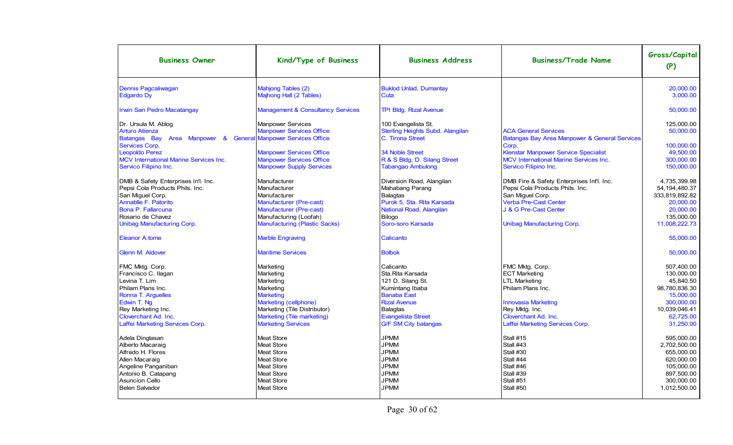| <b>Business Owner</b>                                                                                                                                                                              | Kind/Type of Business                                                                                                                                                                    | <b>Business Address</b>                                                                                                                                                                           | <b>Business/Trade Name</b>                                                                                                                                                               | Gross/Capital<br>(P)                                                                                                         |
|----------------------------------------------------------------------------------------------------------------------------------------------------------------------------------------------------|------------------------------------------------------------------------------------------------------------------------------------------------------------------------------------------|---------------------------------------------------------------------------------------------------------------------------------------------------------------------------------------------------|------------------------------------------------------------------------------------------------------------------------------------------------------------------------------------------|------------------------------------------------------------------------------------------------------------------------------|
| Dennis Pagcaliwagan<br><b>Edgardo Dy</b>                                                                                                                                                           | Mahjong Tables (2)<br>Majhong Hall (2 Tables)                                                                                                                                            | <b>Buklod Unlad, Dumantay</b><br>Cuta                                                                                                                                                             |                                                                                                                                                                                          | 20,000.00<br>3,000.00                                                                                                        |
| <b>Irwin San Pedro Macatangay</b>                                                                                                                                                                  | <b>Management &amp; Consultancy Services</b>                                                                                                                                             | <b>TPI Bldg. Rizal Avenue</b>                                                                                                                                                                     |                                                                                                                                                                                          | 50,000.00                                                                                                                    |
| Dr. Ursula M. Ablog<br><b>Arturo Atienza</b><br>Batangas Bay Area Manpower &<br>Services Corp.<br>Leopoldo Perez<br><b>MCV International Marine Services Inc.</b>                                  | <b>Manpower Services</b><br><b>Manpower Services Office</b><br><b>General Manpower Services Office</b><br><b>Manpower Services Office</b><br><b>Manpower Services Office</b>             | 100 Evangelista St.<br>Sterling Heights Subd. Alangilan<br>C. Tirona Street<br><b>34 Noble Street</b><br>R & S Bldg. D. Silang Street                                                             | <b>ACA General Services</b><br>Batangas Bay Area Manpower & General Services<br>Corp.<br><b>Klenstar Manpower Service Specialist</b><br><b>MCV International Marine Services Inc.</b>    | 125.000.00<br>50,000.00<br>100,000.00<br>49,500.00<br>300.000.00                                                             |
| Servico Filipino Inc.                                                                                                                                                                              | <b>Manpower Supply Services</b>                                                                                                                                                          | <b>Tabangao Ambulong</b>                                                                                                                                                                          | Servico Filipino Inc.                                                                                                                                                                    | 150,000.00                                                                                                                   |
| DMB & Safety Enterprises In'l. Inc.<br>Pepsi Cola Products Phils, Inc.<br>San Miguel Corp.<br>Annablle F. Patorito<br>Bona P. Fallarcuna<br>Rosario de Chavez                                      | Manufacturer<br>Manufacturer<br>Manufacturer<br>Manufacturer (Pre-cast)<br>Manufacturer (Pre-cast)<br>Manufacturing (Loofah)                                                             | Diversion Road, Alangilan<br>Mahabang Parang<br><b>Balagtas</b><br>Purok 5, Sta. Rita Karsada<br>National Road, Alangilan<br>Bilogo                                                               | DMB Fire & Safety Enterprises Int'l. Inc.<br>Pepsi Cola Products Phils. Inc.<br>San Miguel Corp.<br>Verba Pre-Cast Center<br>J & G Pre-Cast Center                                       | 4.735.399.98<br>54.194.480.37<br>333,819,892.82<br>20.000.00<br>20,000.00<br>135.000.00                                      |
| Unibag Manufacturing Corp.                                                                                                                                                                         | <b>Manufacturing (Plastic Sacks)</b>                                                                                                                                                     | Soro-soro Karsada                                                                                                                                                                                 | <b>Unibag Manufacturing Corp.</b>                                                                                                                                                        | 11,008,222.73                                                                                                                |
| Eleanor A.tome                                                                                                                                                                                     | <b>Marble Engraving</b>                                                                                                                                                                  | Calicanto                                                                                                                                                                                         |                                                                                                                                                                                          | 55.000.00                                                                                                                    |
| <b>Glenn M. Aldover</b>                                                                                                                                                                            | <b>Maritime Services</b>                                                                                                                                                                 | <b>Bolbok</b>                                                                                                                                                                                     |                                                                                                                                                                                          | 50,000.00                                                                                                                    |
| FMC Mktg. Corp.<br>Francisco C. Ilagan<br>Levina T. Lim<br>Philam Plans Inc.<br>Ronna T. Arguelles<br>Edwin T. Ng<br>Rey Marketing Inc.<br>Cloverchant Ad. Inc.<br>Laffei Marketing Services Corp. | Marketing<br>Marketing<br>Marketing<br>Marketing<br><b>Marketing</b><br>Marketing (cellphone)<br>Marketing (Tile Distributor)<br>Marketing (Tile marketing)<br><b>Marketing Services</b> | Calicanto<br>Sta.Rita Karsada<br>121 D. Silang St.<br>Kumintang Ibaba<br><b>Banaba East</b><br><b>Rizal Avenue</b><br><b>Balagtas</b><br><b>Evangelista Street</b><br><b>G/F SM City batangas</b> | FMC Mktg. Corp.<br><b>ECT Marketing</b><br><b>LTL Marketing</b><br>Philam Plans Inc.<br>Innovasia Marketing<br>Rey Mktg. Inc.<br>Cloverchant Ad. Inc.<br>Laffei Marketing Services Corp. | 507,400.00<br>130.000.00<br>45,840.50<br>98.780.836.30<br>15.000.00<br>300.000.00<br>10,039,046.41<br>62,725.00<br>31,250.00 |
| Adela Dinglasan<br>Alberto Macaraig<br>Alfredo H. Flores<br>Allen Macaraig<br>Angeline Panganiban<br>Antonio B. Catapang<br><b>Asuncion Cello</b><br>Belen Salvador                                | <b>Meat Store</b><br><b>Meat Store</b><br><b>Meat Store</b><br><b>Meat Store</b><br>Meat Store<br><b>Meat Store</b><br>Meat Store<br><b>Meat Store</b>                                   | <b>JPMM</b><br><b>JPMM</b><br><b>JPMM</b><br><b>JPMM</b><br><b>JPMM</b><br><b>JPMM</b><br><b>JPMM</b><br><b>JPMM</b>                                                                              | Stall #15<br>Stall #43<br>Stall #30<br>Stall #44<br>Stall #46<br>Stall #39<br>Stall #51<br>Stall #50                                                                                     | 595.000.00<br>2.702.500.00<br>655.000.00<br>620.000.00<br>105,000.00<br>897,500.00<br>300,000.00<br>1,012,500.00             |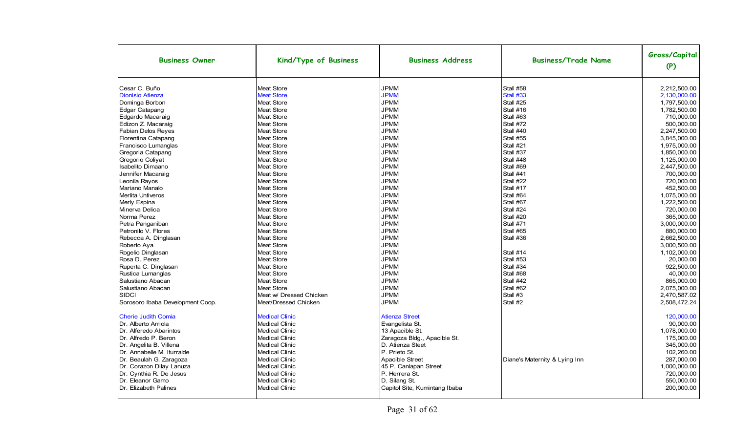| <b>Business Owner</b>            | Kind/Type of Business   | <b>Business Address</b>       | <b>Business/Trade Name</b>    | Gross/Capital<br>(P) |
|----------------------------------|-------------------------|-------------------------------|-------------------------------|----------------------|
| Cesar C. Buño                    | <b>Meat Store</b>       | <b>JPMM</b>                   | Stall #58                     | 2,212,500.00         |
| <b>Dionisio Atienza</b>          | <b>Meat Store</b>       | <b>JPMM</b>                   | Stall #33                     | 2,130,000.00         |
| Dominga Borbon                   | <b>Meat Store</b>       | <b>JPMM</b>                   | Stall #25                     | 1,797,500.00         |
| Edgar Catapang                   | <b>Meat Store</b>       | <b>JPMM</b>                   | Stall #16                     | 1,782,500.00         |
| Edgardo Macaraig                 | <b>Meat Store</b>       | <b>JPMM</b>                   | Stall #63                     | 710.000.00           |
| Edizon Z. Macaraig               | <b>Meat Store</b>       | <b>JPMM</b>                   | Stall #72                     | 500.000.00           |
| <b>Fabian Delos Reyes</b>        | <b>Meat Store</b>       | <b>JPMM</b>                   | Stall #40                     | 2,247,500.00         |
| Florentina Catapang              | <b>Meat Store</b>       | <b>JPMM</b>                   | Stall #55                     | 3,845,000.00         |
| Francisco Lumanglas              | <b>Meat Store</b>       | <b>JPMM</b>                   | Stall #21                     | 1,975,000.00         |
| Gregoria Catapang                | <b>Meat Store</b>       | <b>JPMM</b>                   | Stall #37                     | 1,850,000.00         |
| Gregorio Coliyat                 | <b>Meat Store</b>       | <b>JPMM</b>                   | Stall #48                     | 1.125.000.00         |
| <b>Isabelito Dimaano</b>         | <b>Meat Store</b>       | <b>JPMM</b>                   | Stall #69                     | 2,447,500.00         |
| Jennifer Macaraig                | <b>Meat Store</b>       | <b>JPMM</b>                   | Stall #41                     | 700.000.00           |
| Leonila Ravos                    | <b>Meat Store</b>       | <b>JPMM</b>                   | Stall #22                     | 720.000.00           |
| Mariano Manalo                   | <b>Meat Store</b>       | <b>JPMM</b>                   | Stall #17                     | 452.500.00           |
| Merlita Untiveros                | <b>Meat Store</b>       | <b>JPMM</b>                   | Stall #64                     | 1,075,000.00         |
| Merly Espina                     | <b>Meat Store</b>       | <b>JPMM</b>                   | Stall #67                     | 1,222,500.00         |
| Minerva Delica                   | <b>Meat Store</b>       | <b>JPMM</b>                   | Stall #24                     | 720,000.00           |
| Norma Perez                      | <b>Meat Store</b>       | <b>JPMM</b>                   | Stall #20                     | 365.000.00           |
| Petra Panganiban                 | <b>Meat Store</b>       | <b>JPMM</b>                   | Stall #71                     | 3,000,000.00         |
| Petronilo V. Flores              | <b>Meat Store</b>       | <b>JPMM</b>                   | Stall #65                     | 880.000.00           |
| Rebecca A. Dinglasan             | <b>Meat Store</b>       | <b>JPMM</b>                   | Stall #36                     | 2,662,500.00         |
| Roberto Aya                      | <b>Meat Store</b>       | <b>JPMM</b>                   |                               | 3,000,500.00         |
| Rogelio Dinglasan                | <b>Meat Store</b>       | <b>JPMM</b>                   | Stall #14                     | 1,102,000.00         |
| Rosa D. Perez                    | <b>Meat Store</b>       | <b>JPMM</b>                   | Stall #53                     | 20,000.00            |
| Ruperta C. Dinglasan             | <b>Meat Store</b>       | <b>JPMM</b>                   | Stall #34                     | 922,500.00           |
| Rustica Lumanglas                | <b>Meat Store</b>       | <b>JPMM</b>                   | Stall #68                     | 40,000.00            |
| Salustiano Abacan                | <b>Meat Store</b>       | <b>JPMM</b>                   | Stall #42                     | 865,000.00           |
| Salustiano Abacan                | <b>Meat Store</b>       | <b>JPMM</b>                   | Stall #62                     | 2.075.000.00         |
| <b>SIDCI</b>                     | Meat w/ Dressed Chicken | <b>JPMM</b>                   | Stall #3                      | 2,470,587.02         |
| Sorosoro Ibaba Development Coop. | Meat/Dressed Chicken    | <b>JPMM</b>                   | Stall #2                      | 2.508.472.24         |
| <b>Cherie Judith Comia</b>       | <b>Medical Clinic</b>   | <b>Atienza Street</b>         |                               | 120,000.00           |
| Dr. Alberto Arriola              | <b>Medical Clinic</b>   | Evangelista St.               |                               | 90,000.00            |
| Dr. Alferedo Abarintos           | <b>Medical Clinic</b>   | 13 Apacible St.               |                               | 1,078,000.00         |
| Dr. Alfredo P. Beron             | <b>Medical Clinic</b>   | Zaragoza Bldg., Apacible St.  |                               | 175,000.00           |
| Dr. Angelita B. Villena          | <b>Medical Clinic</b>   | D. Atienza Steet              |                               | 345,000.00           |
| Dr. Annabelle M. Iturralde       | <b>Medical Clinic</b>   | P. Prieto St.                 |                               | 102,260.00           |
| Dr. Beaulah G. Zaragoza          | <b>Medical Clinic</b>   | Apacible Street               | Diane's Maternity & Lying Inn | 287.000.00           |
| Dr. Corazon Dilay Lanuza         | <b>Medical Clinic</b>   | 45 P. Canlapan Street         |                               | 1,000,000.00         |
| Dr. Cynthia R. De Jesus          | <b>Medical Clinic</b>   | P. Herrera St.                |                               | 720,000.00           |
| Dr. Eleanor Gamo                 | <b>Medical Clinic</b>   | D. Silang St.                 |                               | 550,000.00           |
| Dr. Elizabeth Palines            | <b>Medical Clinic</b>   | Capitol Site, Kumintang Ibaba |                               | 200,000.00           |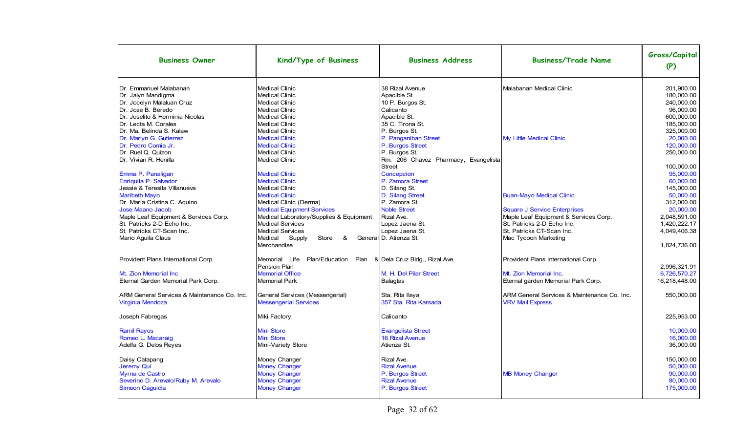| <b>Business Owner</b>                                                  | Kind/Type of Business                                           | <b>Business Address</b>                  | <b>Business/Trade Name</b>                                             | Gross/Capital<br>(P) |
|------------------------------------------------------------------------|-----------------------------------------------------------------|------------------------------------------|------------------------------------------------------------------------|----------------------|
| Dr. Emmanuel Malabanan                                                 | <b>Medical Clinic</b>                                           | 38 Rizal Avenue                          | Malabanan Medical Clinic                                               | 201,900.00           |
| Dr. Jalyn Mandigma                                                     | <b>Medical Clinic</b>                                           | Apacible St.                             |                                                                        | 180,000.00           |
| Dr. Jocelyn Malaluan Cruz                                              | <b>Medical Clinic</b>                                           | 10 P. Burgos St.                         |                                                                        | 240,000.00           |
| Dr. Jose B. Beredo                                                     | <b>Medical Clinic</b>                                           | Calicanto                                |                                                                        | 96,000.00            |
| IDr. Joselito & Herminia Nicolas                                       | <b>Medical Clinic</b>                                           | Apacible St.                             |                                                                        | 600.000.00           |
| Dr. Lecta M. Corales                                                   | <b>Medical Clinic</b>                                           | 35 C. Tirona St.                         |                                                                        | 185,000.00           |
| Dr. Ma. Belinda S. Kalaw                                               | <b>Medical Clinic</b>                                           | P. Burgos St.                            |                                                                        | 325,000.00           |
| Dr. Marlyn G. Gutierrez                                                | <b>Medical Clinic</b>                                           | P. Panganiban Street                     | My Little Medical Clinic                                               | 20,000.00            |
| Dr. Pedro Comia Jr.                                                    | <b>Medical Clinic</b>                                           | P. Burgos Street                         |                                                                        | 120,000.00           |
| Dr. Ruel Q. Quizon                                                     | <b>Medical Clinic</b>                                           | P. Burgos St.                            |                                                                        | 250.000.00           |
| Dr. Vivian R. Henilla                                                  | <b>Medical Clinic</b>                                           | Rm. 206 Chavez Pharmacy, Evangelista     |                                                                        |                      |
|                                                                        |                                                                 | <b>Street</b>                            |                                                                        | 100,000.00           |
| Emma P. Panaligan                                                      | <b>Medical Clinic</b>                                           | Concepcion                               |                                                                        | 95.000.00            |
| Enriquita P. Salvador                                                  | <b>Medical Clinic</b>                                           | P. Zamora Street                         |                                                                        | 60,000.00            |
| Jessie & Teresita Villanueva                                           | <b>Medical Clinic</b>                                           | D. Silang St.                            |                                                                        | 145.000.00           |
| <b>Maribeth Mayo</b>                                                   | <b>Medical Clinic</b>                                           | D. Silang Street                         | <b>Buan-Mayo Medical Clinic</b>                                        | 50,000.00            |
| Dr. Maria Cristina C. Aquino                                           | Medical Clinic (Derma)                                          | P. Zamora St.                            |                                                                        | 312,000.00           |
| Jose Maano Jacob                                                       | <b>Medical Equipment Services</b>                               | <b>Noble Street</b>                      | <b>Square J Service Enterprises</b>                                    | 20,000.00            |
| Maple Leaf Equipment & Services Corp.                                  | Medical Laboratory/Supplies & Equipment                         | Rizal Ave.                               | Maple Leaf Equipment & Services Corp.                                  | 2,048,591.00         |
| lSt. Patricks 2-D Echo Inc.                                            | <b>Medical Services</b>                                         | Lopez Jaena St.                          | St. Patricks 2-D Echo Inc.                                             | 1,420,222.17         |
| St. Patricks CT-Scan Inc.                                              | <b>Medical Services</b>                                         | Lopez Jaena St.                          | St. Patricks CT-Scan Inc.                                              | 4,049,406.38         |
| Mario Aguila Claus                                                     | Store<br>Medical Supply<br>&                                    | General D. Atienza St.                   | Mac Tycoon Marketing                                                   |                      |
|                                                                        | Merchandise                                                     |                                          |                                                                        | 1,824,736.00         |
| Provident Plans International Corp.                                    | Memorial Life<br>Plan/Education                                 | Plan & Dela Cruz Bldg., Rizal Ave.       | Provident Plans International Corp.                                    |                      |
|                                                                        | Pension Plan                                                    |                                          |                                                                        | 2,996,321.91         |
| Mt. Zion Memorial Inc.                                                 | <b>Memorial Office</b>                                          | M. H. Del Pilar Street                   | Mt. Zion Memorial Inc.                                                 | 6,726,570.27         |
| Eternal Garden Memorial Park Corp.                                     | Memorial Park                                                   | <b>Balagtas</b>                          | Eternal garden Memorial Park Corp.                                     | 16,218,448.00        |
| ARM General Services & Maintenance Co. Inc.<br><b>Virginia Mendoza</b> | General Services (Messengerial)<br><b>Messengerial Services</b> | Sta. Rita Ilaya<br>357 Sta. Rita Karsada | ARM General Services & Maintenance Co. Inc.<br><b>VRV Mail Express</b> | 550.000.00           |
|                                                                        |                                                                 |                                          |                                                                        |                      |
| Joseph Fabregas                                                        | Miki Factory                                                    | Calicanto                                |                                                                        | 225,953.00           |
| <b>Ramil Rayos</b>                                                     | Mini Store                                                      | <b>Evangelista Street</b>                |                                                                        | 10,000.00            |
| Romeo L. Macaraig                                                      | <b>Mini Store</b>                                               | 16 Rizal Avenue                          |                                                                        | 16,000.00            |
| Adelfa G. Delos Reyes                                                  | Mini-Variety Store                                              | Atienza St.                              |                                                                        | 36,000.00            |
|                                                                        |                                                                 |                                          |                                                                        |                      |
| Daisy Catapang                                                         | Money Changer                                                   | Rizal Ave.                               |                                                                        | 150.000.00           |
| Jeremy Qui                                                             | <b>Money Changer</b>                                            | <b>Rizal Avenue</b>                      |                                                                        | 50.000.00            |
| Myrna de Castro                                                        | <b>Money Changer</b>                                            | P. Burgos Street                         | <b>MB Money Changer</b>                                                | 90,000.00            |
| Severino D. Arevalo/Ruby M. Arevalo                                    | <b>Money Changer</b>                                            | <b>Rizal Avenue</b>                      |                                                                        | 80,000.00            |
| Simeon Caguicla                                                        | <b>Money Changer</b>                                            | P. Burgos Street                         |                                                                        | 175,000.00           |
|                                                                        |                                                                 |                                          |                                                                        |                      |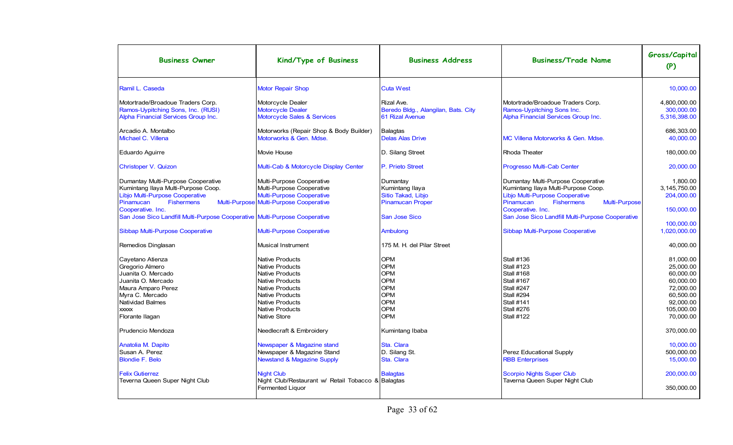| <b>Business Owner</b>                                                                                                                                                                                | Kind/Type of Business                                                                                                                                                                                                                      | <b>Business Address</b>                                                                               | <b>Business/Trade Name</b>                                                                                                                                      | Gross/Capital<br>(P)                                                                                                             |
|------------------------------------------------------------------------------------------------------------------------------------------------------------------------------------------------------|--------------------------------------------------------------------------------------------------------------------------------------------------------------------------------------------------------------------------------------------|-------------------------------------------------------------------------------------------------------|-----------------------------------------------------------------------------------------------------------------------------------------------------------------|----------------------------------------------------------------------------------------------------------------------------------|
| Ramil L. Caseda                                                                                                                                                                                      | <b>Motor Repair Shop</b>                                                                                                                                                                                                                   | <b>Cuta West</b>                                                                                      |                                                                                                                                                                 | 10,000.00                                                                                                                        |
| Motortrade/Broadoue Traders Corp.<br>Ramos-Uypitching Sons, Inc. (RUSI)<br>Alpha Financial Services Group Inc.                                                                                       | Motorcycle Dealer<br><b>Motorcycle Dealer</b><br>Motorcycle Sales & Services                                                                                                                                                               | Rizal Ave.<br>Beredo Bldg., Alangilan, Bats. City<br>61 Rizal Avenue                                  | Motortrade/Broadoue Traders Corp.<br>Ramos-Uypitching Sons Inc.<br>Alpha Financial Services Group Inc.                                                          | 4.800.000.00<br>300.000.00<br>5,316,398.00                                                                                       |
| Arcadio A. Montalbo<br>Michael C. Villena                                                                                                                                                            | Motorworks (Repair Shop & Body Builder)<br>Motorworks & Gen. Mdse.                                                                                                                                                                         | <b>Balagtas</b><br><b>Delas Alas Drive</b>                                                            | MC Villena Motorworks & Gen. Mdse.                                                                                                                              | 686.303.00<br>40,000.00                                                                                                          |
| Eduardo Aguirre                                                                                                                                                                                      | Movie House                                                                                                                                                                                                                                | D. Silang Street                                                                                      | Rhoda Theater                                                                                                                                                   | 180.000.00                                                                                                                       |
| Christoper V. Quizon                                                                                                                                                                                 | Multi-Cab & Motorcycle Display Center                                                                                                                                                                                                      | P. Prieto Street                                                                                      | Progresso Multi-Cab Center                                                                                                                                      | 20,000.00                                                                                                                        |
| Dumantay Multi-Purpose Cooperative<br>Kumintang Ilaya Multi-Purpose Coop.<br>Libjo Multi-Purpose Cooperative<br>Pinamucan<br><b>Fishermens</b>                                                       | Multi-Purpose Cooperative<br>Multi-Purpose Cooperative<br><b>Multi-Purpose Cooperative</b><br>Multi-Purpose Multi-Purpose Cooperative                                                                                                      | Dumantay<br>Kumintang Ilaya<br>Sitio Takad, Libjo<br><b>Pinamucan Proper</b>                          | Dumantay Multi-Purpose Cooperative<br>Kumintang Ilaya Multi-Purpose Coop.<br>Libjo Multi-Purpose Cooperative<br>Pinamucan<br><b>Fishermens</b><br>Multi-Purpose | 1.800.00<br>3.145.750.00<br>204,000.00                                                                                           |
| Cooperative. Inc.<br>San Jose Sico Landfill Multi-Purpose Cooperative Multi-Purpose Cooperative                                                                                                      |                                                                                                                                                                                                                                            | San Jose Sico                                                                                         | Cooperative. Inc.<br>San Jose Sico Landfill Multi-Purpose Cooperative                                                                                           | 150,000.00                                                                                                                       |
| Sibbap Multi-Purpose Cooperative                                                                                                                                                                     | <b>Multi-Purpose Cooperative</b>                                                                                                                                                                                                           | Ambulong                                                                                              | Sibbap Multi-Purpose Cooperative                                                                                                                                | 100,000.00<br>1,020,000.00                                                                                                       |
| Remedios Dinglasan                                                                                                                                                                                   | Musical Instrument                                                                                                                                                                                                                         | 175 M. H. del Pilar Street                                                                            |                                                                                                                                                                 | 40.000.00                                                                                                                        |
| Cayetano Atienza<br>Gregorio Almero<br>Juanita O. Mercado<br>Juanita O. Mercado<br>Maura Amparo Perez<br>Myra C. Mercado<br>Natividad Balmes<br><b>XXXXX</b><br>Florante Ilagan<br>Prudencio Mendoza | <b>Native Products</b><br><b>Native Products</b><br><b>Native Products</b><br><b>Native Products</b><br>Native Products<br>Native Products<br><b>Native Products</b><br><b>Native Products</b><br>Native Store<br>Needlecraft & Embroidery | <b>OPM</b><br><b>OPM</b><br><b>OPM</b><br><b>OPM</b><br><b>OPM</b><br>OPM<br>OPM<br>OPM<br><b>OPM</b> | Stall #136<br><b>Stall #123</b><br>Stall #168<br>Stall #167<br>Stall #247<br>Stall #294<br>Stall #141<br>Stall #276<br>Stall #122                               | 81.000.00<br>25,000.00<br>60,000.00<br>60,000.00<br>72.000.00<br>60,500.00<br>92.000.00<br>105.000.00<br>70,000.00<br>370,000.00 |
| Anatolia M. Dapito<br>Susan A. Perez<br><b>Blondie F. Belo</b>                                                                                                                                       | Newspaper & Magazine stand<br>Newspaper & Magazine Stand<br><b>Newstand &amp; Magazine Supply</b>                                                                                                                                          | Kumintang Ibaba<br>Sta. Clara<br>D. Silang St.<br>Sta. Clara                                          | Perez Educational Supply<br><b>RBB Enterprises</b>                                                                                                              | 10.000.00<br>500,000.00<br>15.000.00                                                                                             |
| <b>Felix Gutierrez</b><br>Teverna Queen Super Night Club                                                                                                                                             | <b>Night Club</b><br>Night Club/Restaurant w/ Retail Tobacco & Balagtas                                                                                                                                                                    | <b>Balagtas</b>                                                                                       | Scorpio Nights Super Club<br>Taverna Queen Super Night Club                                                                                                     | 200,000.00                                                                                                                       |
|                                                                                                                                                                                                      | <b>Fermented Liquor</b>                                                                                                                                                                                                                    |                                                                                                       |                                                                                                                                                                 | 350,000.00                                                                                                                       |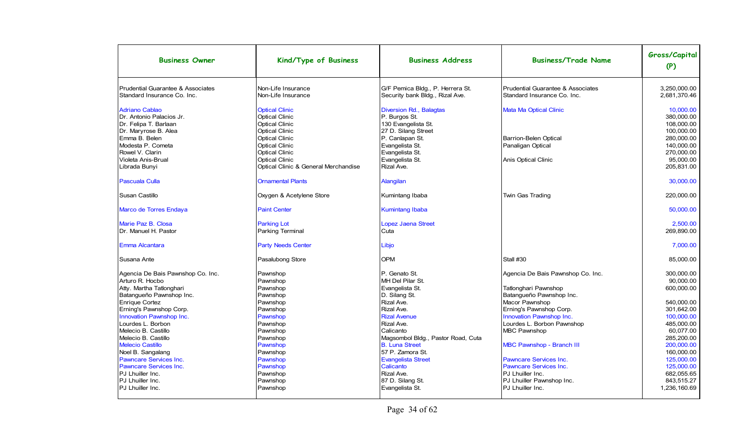| <b>Business Owner</b>                                                                                                                                                                                                                                                                                                                                                                                 | Kind/Type of Business                                                                                                                                                            | <b>Business Address</b>                                                                                                                                                                                                                                                                        | <b>Business/Trade Name</b>                                                                                                                                                                                                                                                                                                      | Gross/Capital<br>(P)                                                                                                                                                                           |
|-------------------------------------------------------------------------------------------------------------------------------------------------------------------------------------------------------------------------------------------------------------------------------------------------------------------------------------------------------------------------------------------------------|----------------------------------------------------------------------------------------------------------------------------------------------------------------------------------|------------------------------------------------------------------------------------------------------------------------------------------------------------------------------------------------------------------------------------------------------------------------------------------------|---------------------------------------------------------------------------------------------------------------------------------------------------------------------------------------------------------------------------------------------------------------------------------------------------------------------------------|------------------------------------------------------------------------------------------------------------------------------------------------------------------------------------------------|
| Prudential Guarantee & Associates<br>Standard Insurance Co. Inc.                                                                                                                                                                                                                                                                                                                                      | Non-Life Insurance<br>Non-Life Insurance                                                                                                                                         | G/F Pemica Bldg., P. Herrera St.<br>Security bank Bldg., Rizal Ave.                                                                                                                                                                                                                            | <b>Prudential Guarantee &amp; Associates</b><br>Standard Insurance Co. Inc.                                                                                                                                                                                                                                                     | 3.250.000.00<br>2,681,370.46                                                                                                                                                                   |
| <b>Adriano Cablao</b><br>Dr. Antonio Palacios Jr.<br>Dr. Felipa T. Barlaan<br>Dr. Maryrose B. Alea<br>Emma B. Belen<br>Modesta P. Cometa<br>Rowel V. Clarin                                                                                                                                                                                                                                           | <b>Optical Clinic</b><br><b>Optical Clinic</b><br><b>Optical Clinic</b><br><b>Optical Clinic</b><br><b>Optical Clinic</b><br><b>Optical Clinic</b><br><b>Optical Clinic</b>      | Diversion Rd., Balagtas<br>P. Burgos St.<br>130 Evangelista St.<br>27 D. Silang Street<br>P. Canlapan St.<br>Evangelista St.<br>Evangelista St.                                                                                                                                                | <b>Mata Ma Optical Clinic</b><br><b>Barrion-Belen Optical</b><br>Panaligan Optical                                                                                                                                                                                                                                              | 10.000.00<br>380.000.00<br>108,000.00<br>100.000.00<br>280,000.00<br>140,000.00<br>270,000.00                                                                                                  |
| Violeta Anis-Brual<br>Librada Bunyi                                                                                                                                                                                                                                                                                                                                                                   | <b>Optical Clinic</b><br>Optical Clinic & General Merchandise                                                                                                                    | Evangelista St.<br>Rizal Ave.                                                                                                                                                                                                                                                                  | Anis Optical Clinic                                                                                                                                                                                                                                                                                                             | 95,000.00<br>205,831.00                                                                                                                                                                        |
| <b>Pascuala Culla</b>                                                                                                                                                                                                                                                                                                                                                                                 | <b>Ornamental Plants</b>                                                                                                                                                         | Alangilan                                                                                                                                                                                                                                                                                      |                                                                                                                                                                                                                                                                                                                                 | 30,000.00                                                                                                                                                                                      |
| Susan Castillo                                                                                                                                                                                                                                                                                                                                                                                        | Oxygen & Acetylene Store                                                                                                                                                         | Kumintang Ibaba                                                                                                                                                                                                                                                                                | Twin Gas Trading                                                                                                                                                                                                                                                                                                                | 220,000.00                                                                                                                                                                                     |
| Marco de Torres Endaya                                                                                                                                                                                                                                                                                                                                                                                | <b>Paint Center</b>                                                                                                                                                              | <b>Kumintang Ibaba</b>                                                                                                                                                                                                                                                                         |                                                                                                                                                                                                                                                                                                                                 | 50,000.00                                                                                                                                                                                      |
| Marie Paz B. Closa<br>Dr. Manuel H. Pastor                                                                                                                                                                                                                                                                                                                                                            | <b>Parking Lot</b><br><b>Parking Terminal</b>                                                                                                                                    | <b>Lopez Jaena Street</b><br>Cuta                                                                                                                                                                                                                                                              |                                                                                                                                                                                                                                                                                                                                 | 2,500.00<br>269,890.00                                                                                                                                                                         |
| Emma Alcantara                                                                                                                                                                                                                                                                                                                                                                                        | <b>Party Needs Center</b>                                                                                                                                                        | Libjo                                                                                                                                                                                                                                                                                          |                                                                                                                                                                                                                                                                                                                                 | 7.000.00                                                                                                                                                                                       |
| Susana Ante                                                                                                                                                                                                                                                                                                                                                                                           | Pasalubong Store                                                                                                                                                                 | <b>OPM</b>                                                                                                                                                                                                                                                                                     | Stall #30                                                                                                                                                                                                                                                                                                                       | 85.000.00                                                                                                                                                                                      |
| Agencia De Bais Pawnshop Co. Inc.<br>Arturo R. Hocbo<br>Atty. Martha Tatlonghari<br>Batangueño Pawnshop Inc.<br><b>Enrique Cortez</b><br>Erning's Pawnshop Corp.<br>Innovation Pawnshop Inc.<br>Lourdes L. Borbon<br>Melecio B. Castillo<br>Melecio B. Castillo<br><b>Melecio Castillo</b><br>Noel B. Sangalang<br><b>Pawncare Services Inc.</b><br><b>Pawncare Services Inc.</b><br>PJ Lhuiller Inc. | Pawnshop<br>Pawnshop<br>Pawnshop<br>Pawnshop<br>Pawnshop<br>Pawnshop<br>Pawnshop<br>Pawnshop<br>Pawnshop<br>Pawnshop<br>Pawnshop<br>Pawnshop<br>Pawnshop<br>Pawnshop<br>Pawnshop | P. Genato St.<br>MH Del Pilar St.<br>Evangelista St.<br>D. Silang St.<br>Rizal Ave.<br>Rizal Ave.<br><b>Rizal Avenue</b><br>Rizal Ave.<br>Calicanto<br>Magsombol Bldg., Pastor Road, Cuta<br><b>B. Luna Street</b><br>57 P. Zamora St.<br><b>Evangelista Street</b><br>Calicanto<br>Rizal Ave. | Agencia De Bais Pawnshop Co. Inc.<br>Tatlonghari Pawnshop<br>Batangueño Pawnshop Inc.<br>Macor Pawnshop<br>Erning's Pawnshop Corp.<br>Innovation Pawnshop Inc.<br>Lourdes L. Borbon Pawnshop<br><b>MBC Pawnshop</b><br>MBC Pawnshop - Branch III<br>Pawncare Services Inc.<br><b>Pawncare Services Inc.</b><br>PJ Lhuiller Inc. | 300,000.00<br>90,000.00<br>600,000.00<br>540,000.00<br>301,642.00<br>100,000.00<br>485.000.00<br>60.077.00<br>285,200.00<br>200,000.00<br>160,000.00<br>125,000.00<br>125,000.00<br>682.055.65 |
| PJ Lhuiller Inc.<br>PJ Lhuiller Inc.                                                                                                                                                                                                                                                                                                                                                                  | Pawnshop<br>Pawnshop                                                                                                                                                             | 87 D. Silang St.<br>Evangelista St.                                                                                                                                                                                                                                                            | PJ Lhuiller Pawnshop Inc.<br>PJ Lhuiller Inc.                                                                                                                                                                                                                                                                                   | 843.515.27<br>1.236.160.69                                                                                                                                                                     |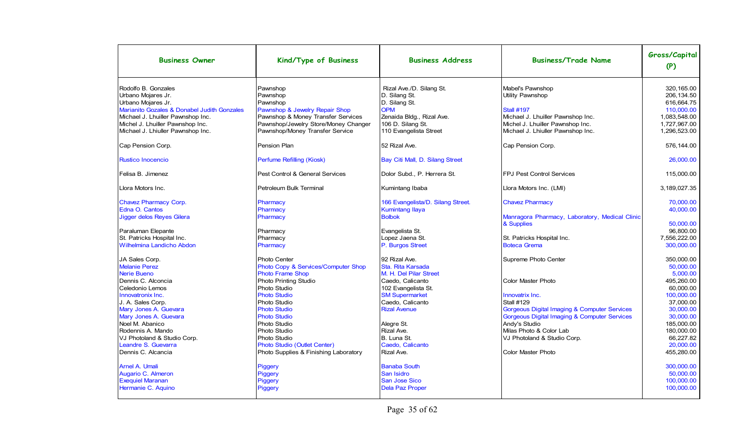| <b>Business Owner</b>                                                                                                                                                                                                        | Kind/Type of Business                                                                                                                                                               | <b>Business Address</b>                                                                                                                              | <b>Business/Trade Name</b>                                                                                                                                              | Gross/Capital<br>(P)                                                                                  |
|------------------------------------------------------------------------------------------------------------------------------------------------------------------------------------------------------------------------------|-------------------------------------------------------------------------------------------------------------------------------------------------------------------------------------|------------------------------------------------------------------------------------------------------------------------------------------------------|-------------------------------------------------------------------------------------------------------------------------------------------------------------------------|-------------------------------------------------------------------------------------------------------|
| Rodolfo B. Gonzales<br>Urbano Mojares Jr.<br>Urbano Mojares Jr.<br>Marianito Gozales & Donabel Judith Gonzales<br>Michael J. Lhuiller Pawnshop Inc.<br>Michel J. Lhuiller Pawnshop Inc.<br>Michael J. Lhiuller Pawnshop Inc. | Pawnshop<br>Pawnshop<br>Pawnshop<br>Pawnshop & Jewelry Repair Shop<br>Pawnshop & Money Transfer Services<br>Pawnshop/Jewelry Store/Money Changer<br>Pawnshop/Money Transfer Service | Rizal Ave./D. Silang St.<br>D. Silang St.<br>D. Silang St.<br><b>OPM</b><br>Zenaida Bldg., Rizal Ave.<br>106 D. Silang St.<br>110 Evangelista Street | Mabel's Pawnshop<br>Utility Pawnshop<br><b>Stall #197</b><br>Michael J. Lhuiller Pawnshop Inc.<br>Michel J. Lhuiller Pawnshop Inc.<br>Michael J. Lhiuller Pawnshop Inc. | 320.165.00<br>206, 134.50<br>616,664.75<br>110,000.00<br>1,083,548.00<br>1,727,967.00<br>1,296,523.00 |
| Cap Pension Corp.                                                                                                                                                                                                            | Pension Plan                                                                                                                                                                        | 52 Rizal Ave.                                                                                                                                        | Cap Pension Corp.                                                                                                                                                       | 576,144.00                                                                                            |
| <b>Rustico Inocencio</b>                                                                                                                                                                                                     | Perfume Refilling (Kiosk)                                                                                                                                                           | Bay Citi Mall, D. Silang Street                                                                                                                      |                                                                                                                                                                         | 26,000.00                                                                                             |
| Felisa B. Jimenez                                                                                                                                                                                                            | Pest Control & General Services                                                                                                                                                     | Dolor Subd., P. Herrera St.                                                                                                                          | <b>FPJ Pest Control Services</b>                                                                                                                                        | 115,000.00                                                                                            |
| Llora Motors Inc.                                                                                                                                                                                                            | Petroleum Bulk Terminal                                                                                                                                                             | Kumintang Ibaba                                                                                                                                      | Llora Motors Inc. (LMI)                                                                                                                                                 | 3,189,027.35                                                                                          |
| <b>Chavez Pharmacy Corp.</b><br>Edna O. Cantos<br>Jigger delos Reyes Gilera                                                                                                                                                  | Pharmacy<br>Pharmacy<br>Pharmacy                                                                                                                                                    | 166 Evangelista/D. Silang Street.<br><b>Kumintang Ilaya</b><br><b>Bolbok</b>                                                                         | <b>Chavez Pharmacy</b><br>Manragora Pharmacy, Laboratory, Medical Clinic                                                                                                | 70.000.00<br>40,000.00                                                                                |
| Paraluman Elepante<br>St. Patricks Hospital Inc.<br><b>Wilhelmina Landicho Abdon</b>                                                                                                                                         | Pharmacy<br>Pharmacy<br>Pharmacy                                                                                                                                                    | Evangelista St.<br>Lopez Jaena St.<br>P. Burgos Street                                                                                               | & Supplies<br>St. Patricks Hospital Inc.<br><b>Boteca Grema</b>                                                                                                         | 50.000.00<br>96,800.00<br>7,556,222.00<br>300,000.00                                                  |
| JA Sales Corp.<br><b>Melanie Perez</b><br><b>Nerie Bueno</b>                                                                                                                                                                 | Photo Center<br>Photo Copy & Services/Computer Shop<br><b>Photo Frame Shop</b>                                                                                                      | 92 Rizal Ave.<br>Sta. Rita Karsada<br>M. H. Del Pilar Street                                                                                         | Supreme Photo Center                                                                                                                                                    | 350.000.00<br>50,000.00<br>5,000.00                                                                   |
| Dennis C. Alconcia<br>Celedonio Lemos<br>Innovatronix Inc.                                                                                                                                                                   | Photo Printing Studio<br>Photo Studio<br><b>Photo Studio</b>                                                                                                                        | Caedo, Calicanto<br>102 Evangelista St.<br><b>SM Supermarket</b>                                                                                     | Color Master Photo<br>Innovatrix Inc.                                                                                                                                   | 495,260.00<br>60,000.00<br>100,000.00                                                                 |
| J. A. Sales Corp.<br>Mary Jones A. Guevara<br>Mary Jones A. Guevara                                                                                                                                                          | Photo Studio<br><b>Photo Studio</b><br><b>Photo Studio</b>                                                                                                                          | Caedo, Calicanto<br><b>Rizal Avenue</b>                                                                                                              | <b>Stall #129</b><br>Gorgeous Digital Imaging & Computer Services<br>Gorgeous Digital Imaging & Computer Services                                                       | 37,000.00<br>30,000.00<br>30,000.00                                                                   |
| Noel M. Abanico<br>Rodennis A. Mando<br>VJ Photoland & Studio Corp.<br>Leandre S. Guevarra                                                                                                                                   | Photo Studio<br>Photo Studio<br>Photo Studio<br>Photo Studio (Outlet Center)                                                                                                        | Alegre St.<br>Rizal Ave.<br>B. Luna St.<br>Caedo, Calicanto                                                                                          | Andy's Studio<br>Milas Photo & Color Lab<br>VJ Photoland & Studio Corp.                                                                                                 | 185.000.00<br>180,000.00<br>66.227.82<br>20,000.00                                                    |
| Dennis C. Alcancia                                                                                                                                                                                                           | Photo Supplies & Finishing Laboratory                                                                                                                                               | Rizal Ave.                                                                                                                                           | Color Master Photo                                                                                                                                                      | 455,280.00                                                                                            |
| Arnel A. Umali<br>Augario C. Almeron<br><b>Exequiel Maranan</b><br>Hermanie C. Aquino                                                                                                                                        | Piggery<br>Piggery<br>Piggery<br>Piggery                                                                                                                                            | <b>Banaba South</b><br>San Isidro<br><b>San Jose Sico</b><br><b>Dela Paz Proper</b>                                                                  |                                                                                                                                                                         | 300.000.00<br>50,000.00<br>100,000.00<br>100,000.00                                                   |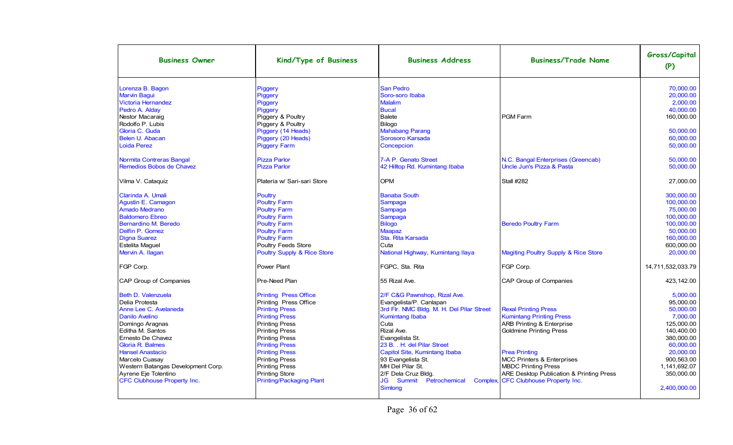| <b>Business Owner</b>              | Kind/Type of Business                  | <b>Business Address</b>                   | <b>Business/Trade Name</b>                      | Gross/Capital<br>(P) |
|------------------------------------|----------------------------------------|-------------------------------------------|-------------------------------------------------|----------------------|
| Lorenza B. Bagon                   | Piggery                                | <b>San Pedro</b>                          |                                                 | 70,000.00            |
| <b>Marvin Bagui</b>                | Piggery                                | Soro-soro Ibaba                           |                                                 | 20,000.00            |
| <b>Victoria Hernandez</b>          | Piggery                                | <b>Malalim</b>                            |                                                 | 2.000.00             |
| Pedro A. Alday                     | Piggery                                | <b>Bucal</b>                              |                                                 | 40.000.00            |
| Nestor Macaraig                    | Piggery & Poultry                      | Balete                                    | PGM Farm                                        | 160.000.00           |
| Rodolfo P. Lubis                   | Piggery & Poultry                      | Bilogo                                    |                                                 |                      |
| Gloria C. Guda                     | Piggery (14 Heads)                     | <b>Mahabang Parang</b>                    |                                                 | 50.000.00            |
| Belen U. Abacan                    | Piggery (20 Heads)                     | Sorosoro Karsada                          |                                                 | 60,000.00            |
| <b>Loida Perez</b>                 | <b>Piggery Farm</b>                    | Concepcion                                |                                                 | 50,000.00            |
| Normita Contreras Bangal           | <b>Pizza Parlor</b>                    | 7-A P. Genato Street                      | N.C. Bangal Enterprises (Greencab)              | 50,000.00            |
| Remedios Bobos de Chavez           | <b>Pizza Parlor</b>                    | 42 Hilltop Rd. Kumintang Ibaba            | Uncle Jun's Pizza & Pasta                       | 50,000.00            |
| Vilma V. Cataquiz                  | Plateria w/ Sari-sari Store            | <b>OPM</b>                                | <b>Stall #282</b>                               | 27,000.00            |
| Clarinda A. Umali                  | <b>Poultry</b>                         | <b>Banaba South</b>                       |                                                 | 300,000.00           |
| Agustin E. Camagon                 | <b>Poultry Farm</b>                    | Sampaga                                   |                                                 | 100,000.00           |
| <b>Amado Medrano</b>               | <b>Poultry Farm</b>                    | Sampaga                                   |                                                 | 75,000.00            |
| <b>Baldomero Ebreo</b>             | <b>Poultry Farm</b>                    | Sampaga                                   |                                                 | 100,000.00           |
| Bernardino M. Beredo               | <b>Poultry Farm</b>                    | <b>Bilogo</b>                             | <b>Beredo Poultry Farm</b>                      | 100,000.00           |
| Delfin P. Gomez                    | <b>Poultry Farm</b>                    | <b>Maapaz</b>                             |                                                 | 50.000.00            |
| <b>Digna Suarez</b>                | <b>Poultry Farm</b>                    | Sta. Rita Karsada                         |                                                 | 160,000.00           |
| <b>Estelita Maquel</b>             | <b>Poultry Feeds Store</b>             | Cuta                                      |                                                 | 600,000.00           |
| Mervin A. Ilagan                   | <b>Poultry Supply &amp; Rice Store</b> | National Highway, Kumintang Ilaya         | <b>Magiting Poultry Supply &amp; Rice Store</b> | 20,000.00            |
| FGP Corp.                          | <b>Power Plant</b>                     | FGPC, Sta. Rita                           | FGP Corp.                                       | 14,711,532,033.79    |
| CAP Group of Companies             | Pre-Need Plan                          | 55 Rizal Ave.                             | <b>CAP Group of Companies</b>                   | 423,142.00           |
| Beth D. Valenzuela                 | <b>Printing Press Office</b>           | 2/F C&G Pawnshop, Rizal Ave.              |                                                 | 5.000.00             |
| Delia Protesta                     | Printing Press Office                  | Evangelista/P. Canlapan                   |                                                 | 95,000.00            |
| Anne Lee C. Avelaneda              | <b>Printing Press</b>                  | 3rd Flr. NMC Bldg. M. H. Del Pilar Street | <b>Rexal Printing Press</b>                     | 50,000.00            |
| <b>Danilo Avelino</b>              | <b>Printing Press</b>                  | <b>Kumintang Ibaba</b>                    | <b>Kumintang Printing Press</b>                 | 7,000.00             |
| Domingo Aragnas                    | <b>Printing Press</b>                  | Cuta                                      | <b>ARB Printing &amp; Enterprise</b>            | 125,000.00           |
| Editha M. Santos                   | <b>Printing Press</b>                  | Rizal Ave.                                | <b>Goldmine Printing Press</b>                  | 140,400.00           |
| Ernesto De Chavez                  | <b>Printing Press</b>                  | Evangelista St.                           |                                                 | 380.000.00           |
| <b>Gloria R. Balmes</b>            | <b>Printing Press</b>                  | 23 B. . H. del Pilar Street               |                                                 | 60.000.00            |
| <b>Hansel Anastacio</b>            | <b>Printing Press</b>                  | Capitol Site, Kumintang Ibaba             | <b>Prea Printing</b>                            | 20.000.00            |
| Marcelo Cuasay                     | <b>Printing Press</b>                  | 93 Evangelista St.                        | <b>MCC Printers &amp; Enterprises</b>           | 900.563.00           |
| Western Batangas Development Corp. | <b>Printing Press</b>                  | MH Del Pilar St.                          | MBDC Printing Press                             | 1,141,692.07         |
| Ayrene Eje Tolentino               | <b>Printing Store</b>                  | 2/F Dela Cruz Bldg.                       | ARE Desktop Publication & Printing Press        | 350,000.00           |
| <b>CFC Clubhouse Property Inc.</b> | <b>Printing/Packaging Plant</b>        | Summit<br>JG<br>Petrochemical<br>Simlong  | Complex, CFC Clubhouse Property Inc.            | 2,400,000.00         |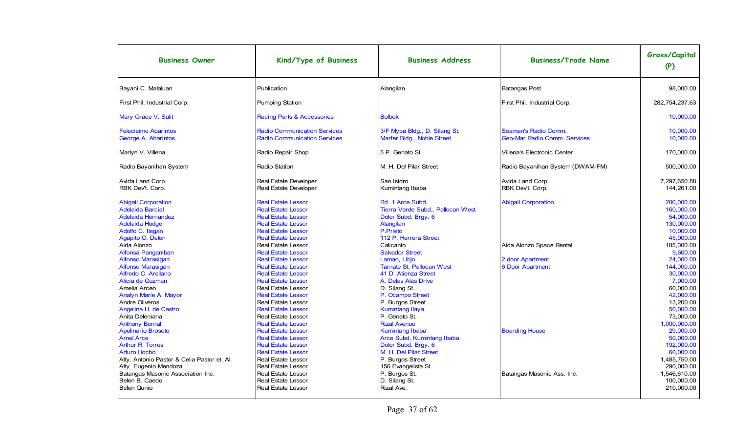| <b>Business Owner</b>                                                                                                                                                                                                                                                                                                                                         | Kind/Type of Business                                                                                                                                                                                                                                                                                                                                                                                                                           | <b>Business Address</b>                                                                                                                                                                                                                                                                                                           | <b>Business/Trade Name</b>                                                                            | Gross/Capital<br>(P)                                                                                                                                                                               |
|---------------------------------------------------------------------------------------------------------------------------------------------------------------------------------------------------------------------------------------------------------------------------------------------------------------------------------------------------------------|-------------------------------------------------------------------------------------------------------------------------------------------------------------------------------------------------------------------------------------------------------------------------------------------------------------------------------------------------------------------------------------------------------------------------------------------------|-----------------------------------------------------------------------------------------------------------------------------------------------------------------------------------------------------------------------------------------------------------------------------------------------------------------------------------|-------------------------------------------------------------------------------------------------------|----------------------------------------------------------------------------------------------------------------------------------------------------------------------------------------------------|
| Bayani C. Malaluan                                                                                                                                                                                                                                                                                                                                            | Publication                                                                                                                                                                                                                                                                                                                                                                                                                                     | Alangilan                                                                                                                                                                                                                                                                                                                         | <b>Batangas Post</b>                                                                                  | 98,000.00                                                                                                                                                                                          |
| First Phil. Industrial Corp.                                                                                                                                                                                                                                                                                                                                  | Pumping Station                                                                                                                                                                                                                                                                                                                                                                                                                                 |                                                                                                                                                                                                                                                                                                                                   | First Phil. Industrial Corp.                                                                          | 282,754,237.63                                                                                                                                                                                     |
| Mary Grace V. Sulit                                                                                                                                                                                                                                                                                                                                           | <b>Racing Parts &amp; Accessories</b>                                                                                                                                                                                                                                                                                                                                                                                                           | <b>Bolbok</b>                                                                                                                                                                                                                                                                                                                     |                                                                                                       | 10.000.00                                                                                                                                                                                          |
| <b>Felecisimo Abarintos</b><br>George A. Abarintos                                                                                                                                                                                                                                                                                                            | <b>Radio Communication Services</b><br><b>Radio Communication Services</b>                                                                                                                                                                                                                                                                                                                                                                      | 3/F Mypa Bldg., D. Silang St.<br>Marfer Bldg., Noble Street                                                                                                                                                                                                                                                                       | Seaman's Radio Comm.<br>Geo-Mar Radio Comm. Services                                                  | 10.000.00<br>10,000.00                                                                                                                                                                             |
| Marlyn V. Villena                                                                                                                                                                                                                                                                                                                                             | Radio Repair Shop                                                                                                                                                                                                                                                                                                                                                                                                                               | 5 P. Genato St.                                                                                                                                                                                                                                                                                                                   | Villena's Electronic Center                                                                           | 170.000.00                                                                                                                                                                                         |
| Radio Bayanihan System                                                                                                                                                                                                                                                                                                                                        | Radio Station                                                                                                                                                                                                                                                                                                                                                                                                                                   | M. H. Del Pilar Street                                                                                                                                                                                                                                                                                                            | Radio Bayanihan System (DWAM-FM)                                                                      | 500,000.00                                                                                                                                                                                         |
| Avida Land Corp.<br>RBK Dev't. Corp.                                                                                                                                                                                                                                                                                                                          | <b>Real Estate Developer</b><br>Real Estate Developer                                                                                                                                                                                                                                                                                                                                                                                           | San Isidro<br>Kumintang Ibaba                                                                                                                                                                                                                                                                                                     | Avida Land Corp.<br>RBK Devt. Corp.                                                                   | 7,297,650.88<br>144,261.00                                                                                                                                                                         |
| <b>Abigail Corporation</b><br><b>Adelaida Barcial</b><br>Adelaida Hernandez<br><b>Adelaida Hodge</b><br>Adolfo C. Ilagan<br>Agapito C. Delen<br>Aida Alonzo<br><b>Alfonsa Panganiban</b><br><b>Alfonso Marasigan</b><br><b>Alfonso Marasigan</b><br>Alfredo C. Arellano<br>Alicia de Guzman<br>Amelia Arceo<br><b>Analyn Marie A. Mayor</b><br>Andre Oliveros | <b>Real Estate Lessor</b><br><b>Real Estate Lessor</b><br><b>Real Estate Lessor</b><br><b>Real Estate Lessor</b><br><b>Real Estate Lessor</b><br><b>Real Estate Lessor</b><br><b>Real Estate Lessor</b><br><b>Real Estate Lessor</b><br><b>Real Estate Lessor</b><br><b>Real Estate Lessor</b><br><b>Real Estate Lessor</b><br><b>Real Estate Lessor</b><br><b>Real Estate Lessor</b><br><b>Real Estate Lessor</b><br><b>Real Estate Lessor</b> | Rd. 1 Arce Subd.<br>Tierra Verde Subd., Pallocan West<br>Dolor Subd. Brgy. 6<br>Alangilan<br>P.Prieto<br>112 P. Herrera Street<br>Calicanto<br><b>Salvador Street</b><br>Lamao, Libjo<br><b>Tarnate St. Pallocan West</b><br>41 D. Atienza Street<br>A. Delas Alas Drive<br>D. Silang St.<br>P. Ocampo Street<br>P. Burgos Street | <b>Abigail Corporation</b><br>Aida Alonzo Space Rental<br>2 door Apartment<br><b>6 Door Apartment</b> | 200.000.00<br>160,000.00<br>54,000.00<br>130,000.00<br>10,000.00<br>45,000.00<br>185,000.00<br>9,600.00<br>24,000.00<br>144.000.00<br>30.000.00<br>7.000.00<br>60.000.00<br>42.000.00<br>13.200.00 |
| Angelina H. de Castro<br>Anita Deleniana<br><b>Anthony Bernal</b><br><b>Apolinario Brosoto</b><br><b>Arnel Arce</b><br><b>Arthur R. Torres</b><br><b>Arturo Hocbo</b><br>Atty. Antonio Pastor & Celia Pastor et. Al.<br>Atty. Eugenio Mendoza<br>Batangas Masonic Association Inc.<br>Belen B. Caedo<br><b>Belen Qunio</b>                                    | <b>Real Estate Lessor</b><br><b>Real Estate Lessor</b><br><b>Real Estate Lessor</b><br><b>Real Estate Lessor</b><br><b>Real Estate Lessor</b><br><b>Real Estate Lessor</b><br><b>Real Estate Lessor</b><br><b>Real Estate Lessor</b><br><b>Real Estate Lessor</b><br><b>Real Estate Lessor</b><br><b>Real Estate Lessor</b><br><b>Real Estate Lessor</b>                                                                                        | <b>Kumintang Ilaya</b><br>P. Genato St.<br><b>Rizal Avenue</b><br><b>Kumintang Ibaba</b><br>Arce Subd. Kumintang Ibaba<br>Dolor Subd. Brgy. 6<br>M. H. Del Pilar Street<br>P. Burgos Street<br>156 Evangelista St.<br>P. Burgos St.<br>D. Silang St.<br>Rizal Ave.                                                                | <b>Boarding House</b><br>Batangas Masonic Ass. Inc.                                                   | 50.000.00<br>73,000.00<br>1.000.000.00<br>29.000.00<br>50.000.00<br>192,000.00<br>60,000.00<br>1,485,750.00<br>290,000.00<br>1,546,610.00<br>100.000.00<br>210,000.00                              |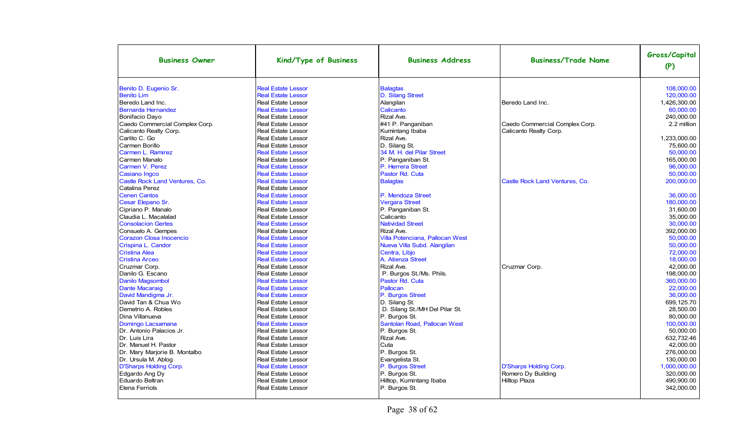| <b>Business Owner</b>          | Kind/Type of Business     | <b>Business Address</b>         | <b>Business/Trade Name</b>     | Gross/Capital<br>(P) |
|--------------------------------|---------------------------|---------------------------------|--------------------------------|----------------------|
| Benito D. Eugenio Sr.          | <b>Real Estate Lessor</b> | <b>Balagtas</b>                 |                                | 108.000.00           |
| <b>Benito Lim</b>              | <b>Real Estate Lessor</b> | D. Silang Street                |                                | 120.000.00           |
| Beredo Land Inc.               | <b>Real Estate Lessor</b> | Alangilan                       | Beredo Land Inc.               | 1,426,300.00         |
| Bernarda Hernandez             | <b>Real Estate Lessor</b> | Calicanto                       |                                | 60,000.00            |
| Bonifacio Dayo                 | <b>Real Estate Lessor</b> | Rizal Ave.                      |                                | 240.000.00           |
| Caedo Commercial Complex Corp. | <b>Real Estate Lessor</b> | #41 P. Panganiban               | Caedo Commercial Complex Corp. | 2.2 million          |
| Calicanto Realty Corp.         | <b>Real Estate Lessor</b> | Kumintang Ibaba                 | Calicanto Realty Corp.         |                      |
| Carlito C. Go                  | <b>Real Estate Lessor</b> | Rizal Ave.                      |                                | 1,233,000.00         |
| Carmen Borillo                 | <b>Real Estate Lessor</b> | D. Silang St.                   |                                | 75,600.00            |
| Carmen L. Ramirez              | <b>Real Estate Lessor</b> | 34 M. H. del Pilar Street       |                                | 50.000.00            |
| Carmen Manalo                  | <b>Real Estate Lessor</b> | P. Panganiban St.               |                                | 165.000.00           |
| Carmen V. Perez                | <b>Real Estate Lessor</b> | P. Herrera Street               |                                | 96.000.00            |
| <b>Casiano Ingco</b>           | <b>Real Estate Lessor</b> | Pastor Rd. Cuta                 |                                | 50.000.00            |
| Castle Rock Land Ventures, Co. | <b>Real Estate Lessor</b> | <b>Balagtas</b>                 | Castle Rock Land Ventures, Co. | 200.000.00           |
| Catalina Perez                 | <b>Real Estate Lessor</b> |                                 |                                |                      |
| <b>Cenen Cantos</b>            | <b>Real Estate Lessor</b> | P. Mendoza Street               |                                | 36,000.00            |
| Cesar Elepano Sr.              | <b>Real Estate Lessor</b> | <b>Vergara Street</b>           |                                | 180.000.00           |
| Cipriano P. Manalo             | <b>Real Estate Lessor</b> | P. Panganiban St.               |                                | 31,600.00            |
| Claudia L. Macalalad           | <b>Real Estate Lessor</b> | Calicanto                       |                                | 35.000.00            |
| <b>Consolacion Gertes</b>      | <b>Real Estate Lessor</b> | <b>Natividad Street</b>         |                                | 30,000.00            |
| Consuelo A. Gempes             | <b>Real Estate Lessor</b> | Rizal Ave.                      |                                | 392.000.00           |
| Corazon Closa Inocencio        | <b>Real Estate Lessor</b> | Villa Potenciana, Pallocan West |                                | 50.000.00            |
| Crispina L. Candor             | <b>Real Estate Lessor</b> | Nueva Villa Subd. Alangilan     |                                | 50.000.00            |
| <b>Cristina Alea</b>           | <b>Real Estate Lessor</b> | Centra, Libjo                   |                                | 72,000.00            |
| <b>Cristina Arceo</b>          | <b>Real Estate Lessor</b> | A. Atienza Street               |                                | 18.000.00            |
| Cruzmar Corp.                  | <b>Real Estate Lessor</b> | Rizal Ave.                      | Cruzmar Corp.                  | 42,000.00            |
| Danilo G. Escano               | <b>Real Estate Lessor</b> | P. Burgos St./Ms. Phils.        |                                | 198.000.00           |
| <b>Danilo Magsombol</b>        | <b>Real Estate Lessor</b> | Pastor Rd. Cuta                 |                                | 360.000.00           |
| <b>Dante Macaraig</b>          | <b>Real Estate Lessor</b> | Pallocan                        |                                | 22.000.00            |
| David Mandigma Jr.             | <b>Real Estate Lessor</b> | P. Burgos Street                |                                | 36.000.00            |
| David Tan & Chua Wo            | <b>Real Estate Lessor</b> | D. Silang St.                   |                                | 699.125.70           |
| Demetrio A. Robles             | <b>Real Estate Lessor</b> | D. Silang St./MH Del Pilar St.  |                                | 28,500.00            |
| Dina Villanueva                | <b>Real Estate Lessor</b> | P. Burgos St.                   |                                | 80,000.00            |
| Domingo Lacsamana              | <b>Real Estate Lessor</b> | Santolan Road, Pallocan West    |                                | 100,000.00           |
| Dr. Antonio Palacios Jr.       | <b>Real Estate Lessor</b> | P. Burgos St.                   |                                | 50,000.00            |
| Dr. Luis Lira                  | <b>Real Estate Lessor</b> | Rizal Ave.                      |                                | 632,732.46           |
| Dr. Manuel H. Pastor           | <b>Real Estate Lessor</b> | Cuta                            |                                | 42,000.00            |
| Dr. Mary Marjorie B. Montalbo  | <b>Real Estate Lessor</b> | P. Burgos St.                   |                                | 276,000.00           |
| Dr. Ursula M. Ablog            | <b>Real Estate Lessor</b> | Evangelista St.                 |                                | 130,000.00           |
| D'Sharps Holding Corp.         | <b>Real Estate Lessor</b> | P. Burgos Street                | <b>D'Sharps Holding Corp.</b>  | 1,000,000.00         |
| Edgardo Ang Dy                 | <b>Real Estate Lessor</b> | P. Burgos St.                   | Romero Dy Building             | 320.000.00           |
| Eduardo Beltran                | <b>Real Estate Lessor</b> | Hilltop, Kumintang Ibaba        | <b>Hilltop Plaza</b>           | 490.900.00           |
| Elena Ferriols                 | <b>Real Estate Lessor</b> | P. Burgos St.                   |                                | 342.000.00           |
|                                |                           |                                 |                                |                      |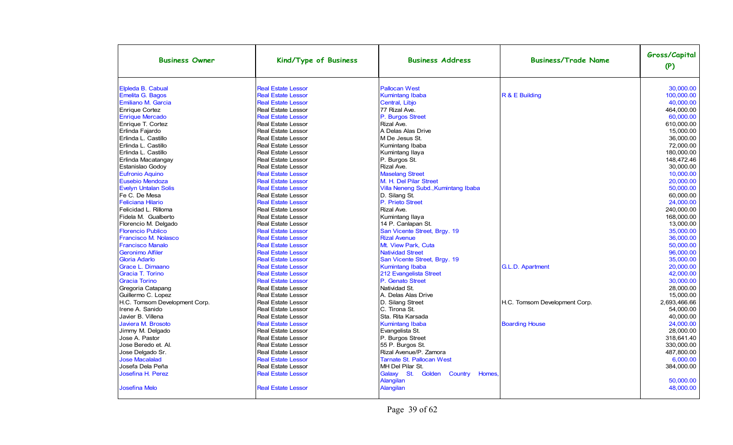| <b>Business Owner</b>         | Kind/Type of Business     | <b>Business Address</b>                          | <b>Business/Trade Name</b>    | Gross/Capital<br>(P) |
|-------------------------------|---------------------------|--------------------------------------------------|-------------------------------|----------------------|
| Elpleda B. Cabual             | <b>Real Estate Lessor</b> | <b>Pallocan West</b>                             |                               | 30.000.00            |
| Emelita G. Bagos              | <b>Real Estate Lessor</b> | Kumintang Ibaba                                  | R & E Building                | 100,000.00           |
| Emiliano M. Garcia            | <b>Real Estate Lessor</b> | Central, Libjo                                   |                               | 40,000.00            |
| <b>Enrique Cortez</b>         | <b>Real Estate Lessor</b> | 77 Rizal Ave.                                    |                               | 464.000.00           |
| <b>Enrique Mercado</b>        | <b>Real Estate Lessor</b> | P. Burgos Street                                 |                               | 60.000.00            |
| Enrique T. Cortez             | <b>Real Estate Lessor</b> | Rizal Ave.                                       |                               | 610.000.00           |
| Erlinda Fajardo               | <b>Real Estate Lessor</b> | A Delas Alas Drive                               |                               | 15.000.00            |
| Erlinda L. Castillo           | <b>Real Estate Lessor</b> | M De Jesus St.                                   |                               | 36.000.00            |
| Erlinda L. Castillo           | <b>Real Estate Lessor</b> | Kumintang Ibaba                                  |                               | 72.000.00            |
| Erlinda L. Castillo           | <b>Real Estate Lessor</b> | Kumintang Ilaya                                  |                               | 180.000.00           |
| Erlinda Macatangay            | Real Estate Lessor        | P. Burgos St.                                    |                               | 148.472.46           |
| Estanislao Godoy              | <b>Real Estate Lessor</b> | Rizal Ave.                                       |                               | 30,000.00            |
| <b>Eufronio Aquino</b>        | <b>Real Estate Lessor</b> | <b>Maselang Street</b>                           |                               | 10.000.00            |
| <b>Eusebio Mendoza</b>        | <b>Real Estate Lessor</b> | M. H. Del Pilar Street                           |                               | 20.000.00            |
| <b>Evelyn Untalan Solis</b>   | <b>Real Estate Lessor</b> | Villa Neneng Subd., Kumintang Ibaba              |                               | 50.000.00            |
| Fe C. De Mesa                 | <b>Real Estate Lessor</b> | D. Silang St.                                    |                               | 60.000.00            |
| <b>Feliciana Hilario</b>      | <b>Real Estate Lessor</b> | P. Prieto Street                                 |                               | 24,000.00            |
| Felicidad L. Rilloma          | <b>Real Estate Lessor</b> | Rizal Ave.                                       |                               | 240,000.00           |
| Fidela M. Gualberto           | <b>Real Estate Lessor</b> | Kumintang Ilaya                                  |                               | 168.000.00           |
| Florencio M. Delgado          | <b>Real Estate Lessor</b> | 14 P. Canlapan St.                               |                               | 13.000.00            |
| <b>Florencio Publico</b>      | <b>Real Estate Lessor</b> | San Vicente Street, Brgy. 19                     |                               | 35,000.00            |
| <b>Francisco M. Nolasco</b>   | <b>Real Estate Lessor</b> | <b>Rizal Avenue</b>                              |                               | 36,000.00            |
| <b>Francisco Manalo</b>       | <b>Real Estate Lessor</b> | Mt. View Park. Cuta                              |                               | 50.000.00            |
| <b>Geronimo Alfiler</b>       | <b>Real Estate Lessor</b> | <b>Natividad Street</b>                          |                               | 96.000.00            |
| <b>Gloria Adarlo</b>          | <b>Real Estate Lessor</b> | San Vicente Street, Brgy. 19                     |                               | 35,000.00            |
| Grace L. Dimaano              | <b>Real Estate Lessor</b> | <b>Kumintang Ibaba</b>                           | G.L.D. Apartment              | 20.000.00            |
| Gracia T. Torino              | <b>Real Estate Lessor</b> | 212 Evangelista Street                           |                               | 42,000.00            |
| <b>Gracia Torino</b>          | <b>Real Estate Lessor</b> | P. Genato Street                                 |                               | 30.000.00            |
| Gregoria Catapang             | <b>Real Estate Lessor</b> | Natividad St.                                    |                               | 28.000.00            |
| Guillermo C. Lopez            | <b>Real Estate Lessor</b> | A. Delas Alas Drive                              |                               | 15.000.00            |
| H.C. Tomsom Development Corp. | <b>Real Estate Lessor</b> | D. Silang Street                                 | H.C. Tomsom Development Corp. | 2.693.466.66         |
| Irene A. Sanido               | <b>Real Estate Lessor</b> | C. Tirona St.                                    |                               | 54,000.00            |
| Javier B. Villena             | <b>Real Estate Lessor</b> | Sta. Rita Karsada                                |                               | 40,000.00            |
| Javiera M. Brosoto            | <b>Real Estate Lessor</b> | <b>Kumintang Ibaba</b>                           | <b>Boarding House</b>         | 24.000.00            |
| Jimmy M. Delgado              | <b>Real Estate Lessor</b> | Evangelista St.                                  |                               | 28.000.00            |
| Jose A. Pastor                | <b>Real Estate Lessor</b> | P. Burgos Street                                 |                               | 318.641.40           |
| Jose Beredo et. Al.           | <b>Real Estate Lessor</b> | 55 P. Burgos St.                                 |                               | 330,000.00           |
| Jose Delgado Sr.              | <b>Real Estate Lessor</b> | Rizal Avenue/P. Zamora                           |                               | 487,800.00           |
| <b>Jose Macalalad</b>         | <b>Real Estate Lessor</b> | <b>Tarnate St. Pallocan West</b>                 |                               | 6,000.00             |
| Josefa Dela Peña              | <b>Real Estate Lessor</b> | MH Del Pilar St.                                 |                               | 384,000.00           |
| Josefina H. Perez             | <b>Real Estate Lessor</b> | Galaxy St. Golden Country<br>Homes.<br>Alangilan |                               | 50,000.00            |
| <b>Josefina Melo</b>          | <b>Real Estate Lessor</b> | Alangilan                                        |                               | 48,000.00            |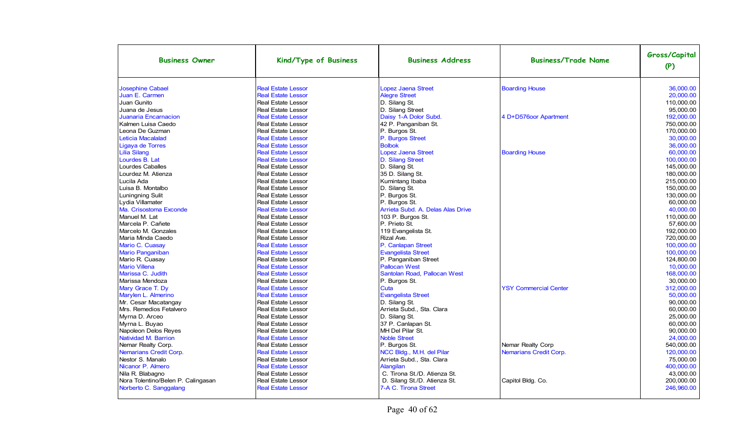| <b>Business Owner</b>              | Kind/Type of Business     | <b>Business Address</b>           | <b>Business/Trade Name</b>   | Gross/Capital<br>(P) |
|------------------------------------|---------------------------|-----------------------------------|------------------------------|----------------------|
| <b>Josephine Cabael</b>            | <b>Real Estate Lessor</b> | <b>Lopez Jaena Street</b>         | <b>Boarding House</b>        | 36.000.00            |
| Juan E. Carmen                     | <b>Real Estate Lessor</b> | <b>Alegre Street</b>              |                              | 20,000.00            |
| Juan Gunito                        | <b>Real Estate Lessor</b> | D. Silang St.                     |                              | 110,000.00           |
| Juana de Jesus                     | Real Estate Lessor        | D. Silang Street                  |                              | 95,000.00            |
| <b>Juanaria Encarnacion</b>        | <b>Real Estate Lessor</b> | Daisy 1-A Dolor Subd.             | 4 D+D576oor Apartment        | 192,000.00           |
| Kalmen Luisa Caedo                 | Real Estate Lessor        | 42 P. Panganiban St.              |                              | 750,000.00           |
| Leona De Guzman                    | <b>Real Estate Lessor</b> | P. Burgos St.                     |                              | 170,000.00           |
| Leticia Macalalad                  | <b>Real Estate Lessor</b> | P. Burgos Street                  |                              | 30,000.00            |
| Ligaya de Torres                   | <b>Real Estate Lessor</b> | <b>Bolbok</b>                     |                              | 36,000.00            |
| <b>Lilia Silang</b>                | <b>Real Estate Lessor</b> | Lopez Jaena Street                | <b>Boarding House</b>        | 60,000.00            |
| Lourdes B. Lat                     | <b>Real Estate Lessor</b> | <b>D.</b> Silang Street           |                              | 100,000.00           |
| Lourdes Caballes                   | <b>Real Estate Lessor</b> | D. Silang St.                     |                              | 145,000.00           |
| Lourdez M. Atienza                 | <b>Real Estate Lessor</b> | 35 D. Silang St.                  |                              | 180.000.00           |
| Lucila Ada                         | <b>Real Estate Lessor</b> | Kumintang Ibaba                   |                              | 215.000.00           |
| Luisa B. Montalbo                  | <b>Real Estate Lessor</b> | D. Silang St.                     |                              | 150.000.00           |
| <b>Luningning Sulit</b>            | Real Estate Lessor        | P. Burgos St.                     |                              | 130,000.00           |
| Lydia Villamater                   | <b>Real Estate Lessor</b> | P. Burgos St.                     |                              | 60.000.00            |
| Ma. Crisostoma Exconde             | <b>Real Estate Lessor</b> | Arrieta Subd. A. Delas Alas Drive |                              | 40.000.00            |
| Manuel M. Lat                      | <b>Real Estate Lessor</b> | 103 P. Burgos St.                 |                              | 110.000.00           |
| Marcela P. Cañete                  | <b>Real Estate Lessor</b> | P. Prieto St.                     |                              | 57.600.00            |
| Marcelo M. Gonzales                | <b>Real Estate Lessor</b> | 119 Evangelista St.               |                              | 192,000.00           |
| Maria Minda Caedo                  | <b>Real Estate Lessor</b> | Rizal Ave.                        |                              | 720.000.00           |
| Mario C. Cuasay                    | <b>Real Estate Lessor</b> | P. Canlapan Street                |                              | 100.000.00           |
| <b>Mario Panganiban</b>            | <b>Real Estate Lessor</b> | <b>Evangelista Street</b>         |                              | 100,000.00           |
| Mario R. Cuasay                    | <b>Real Estate Lessor</b> | P. Panganiban Street              |                              | 124,800.00           |
| <b>Mario Villena</b>               | <b>Real Estate Lessor</b> | <b>Pallocan West</b>              |                              | 10,000.00            |
| Marissa C. Judith                  | <b>Real Estate Lessor</b> | Santolan Road, Pallocan West      |                              | 168,000.00           |
| Marissa Mendoza                    | <b>Real Estate Lessor</b> | P. Burgos St.                     |                              | 30.000.00            |
| Mary Grace T. Dy                   | <b>Real Estate Lessor</b> | Cuta                              | <b>YSY Commercial Center</b> | 312,000.00           |
| Marylen L. Almerino                | <b>Real Estate Lessor</b> | <b>Evangelista Street</b>         |                              | 50.000.00            |
| Mr. Cesar Macatangay               | <b>Real Estate Lessor</b> | D. Silang St.                     |                              | 90.000.00            |
| Mrs. Remedios Fetalvero            | <b>Real Estate Lessor</b> | Arrieta Subd., Sta. Clara         |                              | 60,000.00            |
| Myrna D. Arceo                     | <b>Real Estate Lessor</b> | D. Silang St.                     |                              | 25.000.00            |
| Myrna L. Buyao                     | <b>Real Estate Lessor</b> | 37 P. Canlapan St.                |                              | 60.000.00            |
| Napoleon Delos Reyes               | <b>Real Estate Lessor</b> | MH Del Pilar St.                  |                              | 90.000.00            |
| Natividad M. Barrion               | <b>Real Estate Lessor</b> | <b>Noble Street</b>               |                              | 24,000.00            |
| Nemar Realty Corp.                 | <b>Real Estate Lessor</b> | P. Burgos St.                     | Nemar Realty Corp            | 540,000.00           |
| Nemarians Credit Corp.             | <b>Real Estate Lessor</b> | NCC Bldg., M.H. del Pilar         | Nemarians Credit Corp.       | 120,000.00           |
| Nestor S. Manalo                   | <b>Real Estate Lessor</b> | Arrieta Subd., Sta. Clara         |                              | 75,000.00            |
| Nicanor P. Almero                  | <b>Real Estate Lessor</b> | Alangilan                         |                              | 400,000.00           |
| Nila R. Blabagno                   | <b>Real Estate Lessor</b> | C. Tirona St./D. Atienza St.      |                              | 43,000.00            |
| Nora Tolentino/Belen P. Calingasan | <b>Real Estate Lessor</b> | D. Silang St./D. Atienza St.      | Capitol Bldg. Co.            | 200,000.00           |
| Norberto C. Sanggalang             | <b>Real Estate Lessor</b> | 7-A C. Tirona Street              |                              | 246,960.00           |
|                                    |                           |                                   |                              |                      |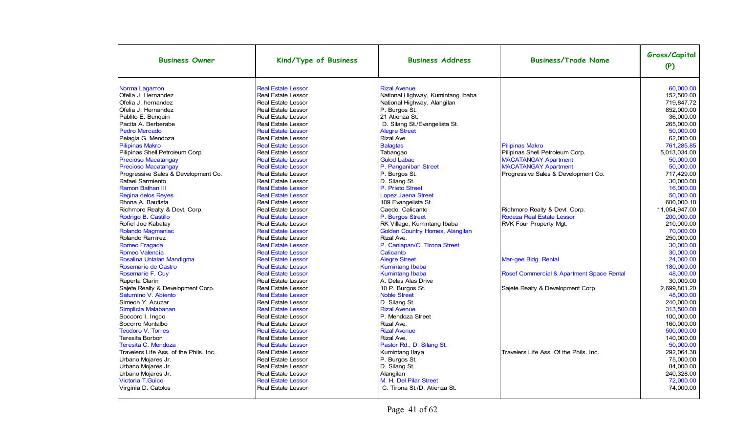| <b>Business Owner</b>                  | Kind/Type of Business     | <b>Business Address</b>           | <b>Business/Trade Name</b>                | Gross/Capital<br>(P) |
|----------------------------------------|---------------------------|-----------------------------------|-------------------------------------------|----------------------|
| Norma Lagamon                          | <b>Real Estate Lessor</b> | <b>Rizal Avenue</b>               |                                           | 60.000.00            |
| Ofelia J. Hernandez                    | <b>Real Estate Lessor</b> | National Highway, Kumintang Ibaba |                                           | 152.500.00           |
| Ofelia J. hernandez                    | <b>Real Estate Lessor</b> | National Highway, Alangilan       |                                           | 719.847.72           |
| Ofelia J. Hernandez                    | <b>Real Estate Lessor</b> | P. Burgos St.                     |                                           | 852.000.00           |
| Pablito E. Bunguin                     | <b>Real Estate Lessor</b> | 21 Atienza St.                    |                                           | 36.000.00            |
| Pacita A. Berberabe                    | <b>Real Estate Lessor</b> | D. Silang St./Evangelista St.     |                                           | 265.000.00           |
| Pedro Mercado                          | <b>Real Estate Lessor</b> | <b>Alegre Street</b>              |                                           | 50.000.00            |
| Pelagia G. Mendoza                     | <b>Real Estate Lessor</b> | Rizal Ave.                        |                                           | 62.000.00            |
| <b>Pilipinas Makro</b>                 | <b>Real Estate Lessor</b> | <b>Balagtas</b>                   | <b>Pilipinas Makro</b>                    | 761.285.85           |
| Pilipinas Shell Petroleum Corp.        | <b>Real Estate Lessor</b> | Tabangao                          | Pilipinas Shell Petroleum Corp.           | 5,013,034.00         |
| <b>Precioso Macatangay</b>             | <b>Real Estate Lessor</b> | <b>Gulod Labac</b>                | <b>MACATANGAY Apartment</b>               | 50,000.00            |
| <b>Precioso Macatangay</b>             | <b>Real Estate Lessor</b> | P. Panganiban Street              | <b>MACATANGAY Apartment</b>               | 50,000.00            |
| Progressive Sales & Development Co.    | <b>Real Estate Lessor</b> | P. Burgos St.                     | Progressive Sales & Development Co.       | 717,429.00           |
| Rafael Sarmiento                       | Real Estate Lessor        | D. Silang St.                     |                                           | 30,000.00            |
| <b>Ramon Bathan III</b>                | <b>Real Estate Lessor</b> | P. Prieto Street                  |                                           | 16,000.00            |
| <b>Regina delos Reyes</b>              | <b>Real Estate Lessor</b> | <b>Lopez Jaena Street</b>         |                                           | 50,000.00            |
| Rhona A. Bautista                      | Real Estate Lessor        | 109 Evangelista St.               |                                           | 600,000.10           |
| Richmore Realty & Devt. Corp.          | Real Estate Lessor        | Caedo, Calicanto                  | Richmore Realty & Devt. Corp.             | 11,054,947.00        |
| Rodrigo B. Castillo                    | <b>Real Estate Lessor</b> | P. Burgos Street                  | Rodeza Real Estate Lessor                 | 200,000.00           |
| Rofiel Joe Kabatay                     | <b>Real Estate Lessor</b> | RK Village, Kumintang Ibaba       | RVK Four Property Mgt.                    | 210,000.00           |
| Rolando Magmanlac                      | <b>Real Estate Lessor</b> | Golden Country Homes, Alangilan   |                                           | 70,000.00            |
| Rolando Ramirez                        | Real Estate Lessor        | Rizal Ave.                        |                                           | 250.000.00           |
| Romeo Fragada                          | <b>Real Estate Lessor</b> | P. Canlapan/C. Tirona Street      |                                           | 30,000.00            |
| <b>Romeo Valencia</b>                  | <b>Real Estate Lessor</b> | Calicanto                         |                                           | 30,000.00            |
| Rosalina Untalan Mandigma              | <b>Real Estate Lessor</b> | <b>Alegre Street</b>              | Mar-gee Bldg. Rental                      | 24,000.00            |
| Rosemarie de Castro                    | <b>Real Estate Lessor</b> | <b>Kumintang Ibaba</b>            |                                           | 180,000.00           |
| Rosemarie F. Cuy                       | <b>Real Estate Lessor</b> | <b>Kumintang Ibaba</b>            | Rosef Commercial & Apartment Space Rental | 48.000.00            |
| Ruperta Clarin                         | <b>Real Estate Lessor</b> | A. Delas Alas Drive               |                                           | 30.000.00            |
| Sajete Realty & Development Corp.      | <b>Real Estate Lessor</b> | 10 P. Burgos St.                  | Sajete Realty & Development Corp.         | 2,699,801.20         |
| Saturnino V. Abiento                   | <b>Real Estate Lessor</b> | <b>Noble Street</b>               |                                           | 48.000.00            |
| Simeon Y. Acuzar                       | <b>Real Estate Lessor</b> | D. Silang St.                     |                                           | 240.000.00           |
| Simplicia Malabanan                    | <b>Real Estate Lessor</b> | <b>Rizal Avenue</b>               |                                           | 313.500.00           |
| Soccoro I. Ingco                       | <b>Real Estate Lessor</b> | P. Mendoza Street                 |                                           | 100.000.00           |
| Socorro Montalbo                       | Real Estate Lessor        | Rizal Ave.                        |                                           | 160.000.00           |
| <b>Teodoro V. Torres</b>               | <b>Real Estate Lessor</b> | <b>Rizal Avenue</b>               |                                           | 500.000.00           |
| Teresita Borbon                        | <b>Real Estate Lessor</b> | Rizal Ave.                        |                                           | 140.000.00           |
| Teresita C. Mendoza                    | <b>Real Estate Lessor</b> | Pastor Rd., D. Silang St.         |                                           | 50.000.00            |
| Travelers Life Ass, of the Phils, Inc. | <b>Real Estate Lessor</b> | Kumintang Ilaya                   | Travelers Life Ass. Of the Phils, Inc.    | 292,064.38           |
| Urbano Mojares Jr.                     | <b>Real Estate Lessor</b> | P. Burgos St.                     |                                           | 75.000.00            |
| Urbano Mojares Jr.                     | <b>Real Estate Lessor</b> | D. Silang St.                     |                                           | 84.000.00            |
| Urbano Mojares Jr.                     | <b>Real Estate Lessor</b> | Alangilan                         |                                           | 240,328.00           |
| <b>Victoria T.Guico</b>                | <b>Real Estate Lessor</b> | M. H. Del Pilar Street            |                                           | 72,000.00            |
| Virginia D. Catolos                    | <b>Real Estate Lessor</b> | C. Tirona St./D. Atienza St.      |                                           | 74,000.00            |
|                                        |                           |                                   |                                           |                      |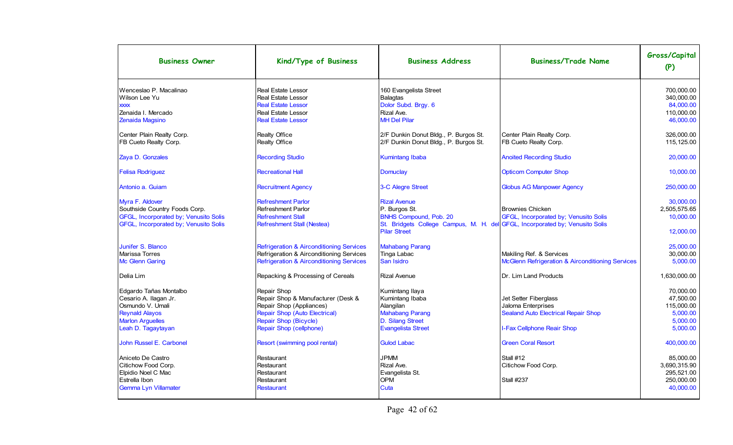| <b>Business Owner</b>                                                                                                                         | Kind/Type of Business                                                                                                                                                     | <b>Business Address</b>                                                                                                                               | <b>Business/Trade Name</b>                                                                                              | Gross/Capital<br>(P)                                                     |
|-----------------------------------------------------------------------------------------------------------------------------------------------|---------------------------------------------------------------------------------------------------------------------------------------------------------------------------|-------------------------------------------------------------------------------------------------------------------------------------------------------|-------------------------------------------------------------------------------------------------------------------------|--------------------------------------------------------------------------|
| Wenceslao P. Macalinao<br>Wilson Lee Yu<br><b>XXXX</b><br>Zenaida I. Mercado                                                                  | <b>Real Estate Lessor</b><br>Real Estate Lessor<br><b>Real Estate Lessor</b><br><b>Real Estate Lessor</b>                                                                 | 160 Evangelista Street<br><b>Balagtas</b><br>Dolor Subd. Brgy. 6<br>Rizal Ave.                                                                        |                                                                                                                         | 700.000.00<br>340,000.00<br>84.000.00<br>110.000.00                      |
| Zenaida Magsino<br>Center Plain Realty Corp.                                                                                                  | <b>Real Estate Lessor</b><br>Realty Office                                                                                                                                | <b>MH Del Pilar</b><br>2/F Dunkin Donut Bldg., P. Burgos St.                                                                                          | Center Plain Realty Corp.                                                                                               | 46.000.00<br>326.000.00                                                  |
| FB Cueto Realty Corp.                                                                                                                         | Realty Office                                                                                                                                                             | 2/F Dunkin Donut Bldg., P. Burgos St.                                                                                                                 | FB Cueto Realty Corp.                                                                                                   | 115,125.00                                                               |
| Zaya D. Gonzales                                                                                                                              | <b>Recording Studio</b>                                                                                                                                                   | <b>Kumintang Ibaba</b>                                                                                                                                | <b>Anoited Recording Studio</b>                                                                                         | 20,000.00                                                                |
| <b>Felisa Rodriguez</b>                                                                                                                       | <b>Recreational Hall</b>                                                                                                                                                  | <b>Domuclay</b>                                                                                                                                       | <b>Opticom Computer Shop</b>                                                                                            | 10,000.00                                                                |
| Antonio a. Guiam                                                                                                                              | <b>Recruitment Agency</b>                                                                                                                                                 | 3-C Alegre Street                                                                                                                                     | <b>Globus AG Manpower Agency</b>                                                                                        | 250,000.00                                                               |
| Myra F. Aldover<br>Southside Country Foods Corp.<br>GFGL, Incorporated by; Venusito Solis<br>GFGL, Incorporated by; Venusito Solis            | <b>Refreshment Parlor</b><br><b>Refreshment Parlor</b><br><b>Refreshment Stall</b><br>Refreshment Stall (Nestea)                                                          | <b>Rizal Avenue</b><br>P. Burgos St.<br><b>BNHS Compound, Pob. 20</b><br>St. Bridgets College Campus, M. H. del GFGL, Incorporated by; Venusito Solis | <b>Brownies Chicken</b><br>GFGL, Incorporated by; Venusito Solis                                                        | 30,000.00<br>2,505,575.65<br>10.000.00                                   |
|                                                                                                                                               |                                                                                                                                                                           | <b>Pilar Street</b>                                                                                                                                   |                                                                                                                         | 12.000.00                                                                |
| Junifer S. Blanco                                                                                                                             | <b>Refrigeration &amp; Airconditioning Services</b>                                                                                                                       | <b>Mahabang Parang</b>                                                                                                                                |                                                                                                                         | 25.000.00<br>30,000.00                                                   |
| <b>Marissa Torres</b><br><b>Mc Glenn Garing</b>                                                                                               | Refrigeration & Airconditioning Services<br><b>Refrigeration &amp; Airconditioning Services</b>                                                                           | Tinga Labac<br>San Isidro                                                                                                                             | Makiling Ref. & Services<br><b>McGlenn Refrigeration &amp; Airconditioning Services</b>                                 | 5.000.00                                                                 |
| Delia Lim                                                                                                                                     | Repacking & Processing of Cereals                                                                                                                                         | <b>Rizal Avenue</b>                                                                                                                                   | <b>IDr. Lim Land Products</b>                                                                                           | 1,630,000.00                                                             |
| Edgardo Tañas Montalbo<br>Cesario A. Ilagan Jr.<br>Osmundo V. Umali<br><b>Reynald Alayos</b><br><b>Marlon Arguelles</b><br>Leah D. Tagaytayan | Repair Shop<br>Repair Shop & Manufacturer (Desk &<br>Repair Shop (Appliances)<br><b>Repair Shop (Auto Electrical)</b><br>Repair Shop (Bicycle)<br>Repair Shop (cellphone) | Kumintang Ilaya<br>Kumintang Ibaba<br>Alangilan<br><b>Mahabang Parang</b><br>D. Silang Street<br><b>Evangelista Street</b>                            | Jet Setter Fiberglass<br>Jaloma Enterprises<br><b>Sealand Auto Electrical Repair Shop</b><br>I-Fax Cellphone Reair Shop | 70.000.00<br>47.500.00<br>115,000.00<br>5,000.00<br>5.000.00<br>5.000.00 |
| John Russel E. Carbonel                                                                                                                       | Resort (swimming pool rental)                                                                                                                                             | <b>Gulod Labac</b>                                                                                                                                    | <b>Green Coral Resort</b>                                                                                               | 400,000.00                                                               |
| Aniceto De Castro<br>Citichow Food Corp.<br>Elpidio Noel C Mac<br>Estrella Ibon<br>Gemma Lyn Villamater                                       | Restaurant<br>Restaurant<br>Restaurant<br>Restaurant<br><b>Restaurant</b>                                                                                                 | <b>JPMM</b><br>Rizal Ave.<br>Evangelista St.<br><b>OPM</b><br>Cuta                                                                                    | Stall #12<br>Citichow Food Corp.<br><b>Stall #237</b>                                                                   | 85.000.00<br>3.690.315.90<br>295,521.00<br>250,000.00<br>40,000.00       |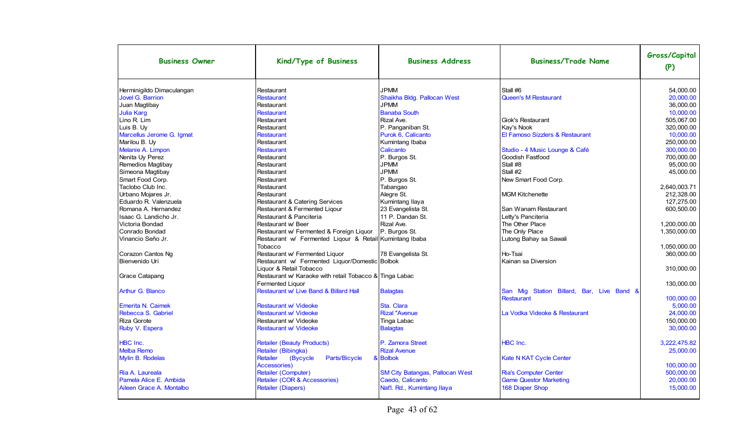| <b>Business Owner</b>     | Kind/Type of Business                                   | <b>Business Address</b>                | <b>Business/Trade Name</b>                | Gross/Capital<br>(P) |
|---------------------------|---------------------------------------------------------|----------------------------------------|-------------------------------------------|----------------------|
| Herminigildo Dimaculangan | Restaurant                                              | <b>JPMM</b>                            | Stall #6                                  | 54.000.00            |
| Jovel G. Barrion          | <b>Restaurant</b>                                       | Shaikha Bldg. Pallocan West            | Queen's M Restaurant                      | 20,000.00            |
| Juan Magtibay             | Restaurant                                              | <b>JPMM</b>                            |                                           | 36,000.00            |
| <b>Julia Karg</b>         | <b>Restaurant</b>                                       | <b>Banaba South</b>                    |                                           | 10.000.00            |
| Lino R. Lim               | Restaurant                                              | Rizal Ave.                             | Giok's Restaurant                         | 505,067.00           |
| Luis B. Uy                | Restaurant                                              | P. Panganiban St.                      | Kay's Nook                                | 320.000.00           |
| Marcellus Jerome G. Igmat | <b>Restaurant</b>                                       | Purok 6, Calicanto                     | El Famoso Sizzlers & Restaurant           | 10,000.00            |
| Marilou B. Uy             | Restaurant                                              | Kumintang Ibaba                        |                                           | 250,000.00           |
| Melanie A. Limpon         | <b>Restaurant</b>                                       | Calicanto                              | Studio - 4 Music Lounge & Café            | 300,000.00           |
| Nenita Uy Perez           | Restaurant                                              | P. Burgos St.                          | Goodish Fastfood                          | 700,000.00           |
| Remedios Magtibay         | Restaurant                                              | <b>JPMM</b>                            | Stall #8                                  | 95.000.00            |
| Simeona Magtibay          | Restaurant                                              | <b>JPMM</b>                            | Stall #2                                  | 45.000.00            |
| Smart Food Corp.          | Restaurant                                              | P. Burgos St.                          | New Smart Food Corp.                      |                      |
| Taclobo Club Inc.         | Restaurant                                              | Tabangao                               |                                           | 2,640,003.71         |
| Urbano Mojares Jr.        | Restaurant                                              | Alegre St.                             | <b>IMGM Kitchenette</b>                   | 212,328.00           |
| Eduardo R. Valenzuela     | Restaurant & Catering Services                          | Kumintang Ilaya                        |                                           | 127,275.00           |
| Romana A. Hernandez       | Restaurant & Fermented Liqour                           | 23 Evangelista St.                     | San Wanam Restaurant                      | 600.500.00           |
| Isaac G. Landicho Jr.     | Restaurant & Panciteria                                 | 11 P. Dandan St.                       | Letty's Panciteria                        |                      |
| Victoria Bondad           | Restaurant w/ Beer                                      | Rizal Ave.                             | The Other Place                           | 1,200,000.00         |
| Conrado Bondad            | Restaurant w/ Fermented & Foreign Liquor                | P. Burgos St.                          | The Only Place                            | 1,350,000.00         |
| Vinancio Seño Jr.         | Restaurant w/ Fermented Liqour & Retail Kumintang Ibaba |                                        | Lutong Bahay sa Sawali                    |                      |
|                           | Tobacco                                                 |                                        |                                           | 1.050.000.00         |
| Corazon Cantos Ng         | Restaurant w/ Fermented Liquor                          | 78 Evangelista St.                     | Ho-Tsai                                   | 360,000.00           |
| Bienvenido Uri            | Restaurant w/ Fermented Liquor/Domestic Bolbok          |                                        | Kainan sa Diversion                       |                      |
|                           | Liguor & Retail Tobacco                                 |                                        |                                           | 310.000.00           |
| Grace Catapang            | Restaurant w/ Karaoke with retail Tobacco & Tinga Labac |                                        |                                           |                      |
|                           | <b>Fermented Liquor</b>                                 |                                        |                                           | 130.000.00           |
| Arthur G. Blanco          | Restaurant w/ Live Band & Billard Hall                  | <b>Balagtas</b>                        | San Mig Station Billard, Bar, Live Band & |                      |
|                           |                                                         |                                        | Restaurant                                | 100,000.00           |
| <b>Emerita N. Caimek</b>  | <b>Restaurant w/ Videoke</b>                            | Sta. Clara                             |                                           | 5,000.00             |
| Rebecca S. Gabriel        | <b>Restaurant w/ Videoke</b>                            | <b>Rizal "Avenue</b>                   | La Vodka Videoke & Restaurant             | 24.000.00            |
| Riza Gorote               | Restaurant w/ Videoke                                   | Tinga Labac                            |                                           | 150.000.00           |
| Ruby V. Espera            | Restaurant w/ Videoke                                   | <b>Balagtas</b>                        |                                           | 30,000.00            |
|                           |                                                         |                                        |                                           |                      |
| HBC Inc.                  | <b>Retailer (Beauty Products)</b>                       | P. Zamora Street                       | <b>HBC</b> Inc.                           | 3,222,475.82         |
| <b>Melba Remo</b>         | Retailer (Bibingka)                                     | <b>Rizal Avenue</b>                    |                                           | 25,000.00            |
| Mylin B. Rodelas          | Retailer<br>(Bycycle<br>Parts/Bicycle                   | & Bolbok                               | <b>Kate N KAT Cycle Center</b>            |                      |
|                           | Accessories)                                            |                                        |                                           | 100.000.00           |
| Ria A. Laureala           | Retailer (Computer)                                     | <b>SM City Batangas, Pallocan West</b> | <b>Ria's Computer Center</b>              | 500,000.00           |
| Pamela Alice E. Ambida    | Retailer (COR & Accessories)                            | Caedo, Calicanto                       | <b>Game Questor Marketing</b>             | 20,000.00            |
| Aileen Grace A. Montalbo  | <b>Retailer (Diapers)</b>                               | Nat'l. Rd., Kumintang Ilaya            | 168 Diaper Shop                           | 15,000.00            |
|                           |                                                         |                                        |                                           |                      |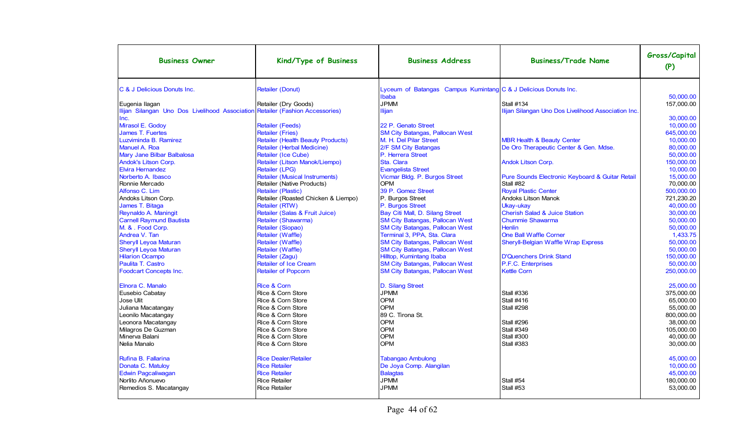| <b>Business Owner</b>                                                         | Kind/Type of Business                                 | <b>Business Address</b>                                         | <b>Business/Trade Name</b>                            | Gross/Capital<br>(P)    |
|-------------------------------------------------------------------------------|-------------------------------------------------------|-----------------------------------------------------------------|-------------------------------------------------------|-------------------------|
| C & J Delicious Donuts Inc.                                                   | <b>Retailer (Donut)</b>                               | Lyceum of Batangas Campus Kumintang C & J Delicious Donuts Inc. |                                                       |                         |
|                                                                               |                                                       | Ibaba                                                           |                                                       | 50.000.00               |
| Eugenia Ilagan                                                                | Retailer (Dry Goods)                                  | <b>JPMM</b>                                                     | <b>Stall #134</b>                                     | 157.000.00              |
| Ilijan Silangan Uno Dos Livelihood Association Retailer (Fashion Accessories) |                                                       | Ilijan                                                          | Ilijan Silangan Uno Dos Livelihood Association Inc.   |                         |
| Inc.                                                                          |                                                       |                                                                 |                                                       | 30.000.00               |
| Mirasol E. Godoy                                                              | <b>Retailer (Feeds)</b><br><b>Retailer (Fries)</b>    | 22 P. Genato Street                                             |                                                       | 10,000.00               |
| James T. Fuertes                                                              |                                                       | <b>SM City Batangas, Pallocan West</b>                          |                                                       | 645,000.00              |
| Luzviminda B. Ramirez                                                         | <b>Retailer (Health Beauty Products)</b>              | M. H. Del Pilar Street                                          | <b>MBR Health &amp; Beauty Center</b>                 | 10,000.00               |
| Manuel A. Roa                                                                 | Retailer (Herbal Medicine)                            | 2/F SM City Batangas                                            | De Oro Therapeutic Center & Gen. Mdse.                | 80.000.00               |
| Mary Jane Bilbar Balbalosa                                                    | Retailer (Ice Cube)<br>Retailer (Litson Manok/Liempo) | P. Herrera Street<br>Sta. Clara                                 |                                                       | 50,000.00<br>150,000.00 |
| Andok's Litson Corp.<br><b>Elvira Hernandez</b>                               | Retailer (LPG)                                        | <b>Evangelista Street</b>                                       | <b>Andok Litson Corp.</b>                             | 10,000.00               |
| Norberto A. Ibasco                                                            | <b>Retailer (Musical Instruments)</b>                 | Vicmar Bldg. P. Burgos Street                                   | Pure Sounds Electronic Keyboard & Guitar Retail       | 15.000.00               |
|                                                                               | Retailer (Native Products)                            | <b>OPM</b>                                                      | Stall #82                                             | 70,000.00               |
| Ronnie Mercado<br>Alfonso C. Lim                                              | Retailer (Plastic)                                    | 39 P. Gomez Street                                              | <b>Royal Plastic Center</b>                           | 500,000.00              |
| Andoks Litson Corp.                                                           | Retailer (Roasted Chicken & Liempo)                   | P. Burgos Street                                                | <b>Andoks Litson Manok</b>                            | 721,230.20              |
| James T. Bitaga                                                               | Retailer (RTW)                                        | P. Burgos Street                                                |                                                       | 40.000.00               |
| Reynaldo A. Maningit                                                          | Retailer (Salas & Fruit Juice)                        | Bay Citi Mall, D. Silang Street                                 | Ukay-ukay<br><b>Cherish Salad &amp; Juice Station</b> | 30,000.00               |
| <b>Carnell Raymund Bautista</b>                                               | Retailer (Shawarma)                                   | <b>SM City Batangas, Pallocan West</b>                          | <b>Chummie Shawarma</b>                               | 50,000.00               |
| M. & . Food Corp.                                                             | Retailer (Siopao)                                     | <b>SM City Batangas, Pallocan West</b>                          | <b>Henlin</b>                                         | 50.000.00               |
| Andrea V. Tan                                                                 | Retailer (Waffle)                                     | Terminal 3, PPA, Sta. Clara                                     | <b>One Ball Waffle Corner</b>                         | 1.433.75                |
| <b>Sheryll Leyoa Maturan</b>                                                  | Retailer (Waffle)                                     | <b>SM City Batangas, Pallocan West</b>                          | Sheryll-Belgian Waffle Wrap Express                   | 50.000.00               |
| <b>Sheryll Leyoa Maturan</b>                                                  | Retailer (Waffle)                                     | <b>SM City Batangas, Pallocan West</b>                          |                                                       | 50,000.00               |
| <b>Hilarion Ocampo</b>                                                        | Retailer (Zagu)                                       | Hilltop, Kumintang Ibaba                                        | <b>D'Quenchers Drink Stand</b>                        | 150,000.00              |
| Paulita T. Castro                                                             | <b>Retailer of Ice Cream</b>                          | <b>SM City Batangas, Pallocan West</b>                          | P.F.C. Enterprises                                    | 50,000.00               |
| <b>Foodcart Concepts Inc.</b>                                                 | <b>Retailer of Popcorn</b>                            | <b>SM City Batangas, Pallocan West</b>                          | <b>Kettle Corn</b>                                    | 250.000.00              |
|                                                                               |                                                       |                                                                 |                                                       |                         |
| Elnora C. Manalo                                                              | <b>Rice &amp; Corn</b>                                | D. Silang Street                                                |                                                       | 25.000.00               |
| Eusebio Cabatay                                                               | Rice & Corn Store                                     | <b>JPMM</b>                                                     | <b>Stall #336</b>                                     | 375.000.00              |
| Jose Ulit                                                                     | Rice & Corn Store                                     | <b>OPM</b>                                                      | <b>Stall #416</b>                                     | 65.000.00               |
| Juliana Macatangay                                                            | Rice & Corn Store                                     | <b>OPM</b>                                                      | <b>Stall #298</b>                                     | 55,000.00               |
| Leonilo Macatangay                                                            | Rice & Corn Store                                     | 89 C. Tirona St.                                                |                                                       | 800,000.00              |
| Leonora Macatangay                                                            | Rice & Corn Store                                     | <b>OPM</b>                                                      | <b>Stall #296</b>                                     | 38.000.00               |
| Milagros De Guzman                                                            | Rice & Corn Store                                     | <b>OPM</b>                                                      | <b>Stall #349</b>                                     | 105.000.00              |
| Minerva Balani                                                                | Rice & Corn Store                                     | <b>OPM</b>                                                      | <b>Stall #300</b>                                     | 40.000.00               |
| Nelia Manalo                                                                  | Rice & Corn Store                                     | <b>OPM</b>                                                      | <b>Stall #383</b>                                     | 30,000.00               |
| Rufina B. Fallarina                                                           | <b>Rice Dealer/Retailer</b>                           | <b>Tabangao Ambulong</b>                                        |                                                       | 45.000.00               |
| Donata C. Matuloy                                                             | <b>Rice Retailer</b>                                  | De Joya Comp. Alangilan                                         |                                                       | 10.000.00               |
| Edwin Pagcaliwagan                                                            | <b>Rice Retailer</b>                                  | <b>Balagtas</b>                                                 |                                                       | 45,000.00               |
| Norlito Añonuevo                                                              | <b>Rice Retailer</b>                                  | <b>JPMM</b>                                                     | Stall #54                                             | 180,000.00              |
| Remedios S. Macatangay                                                        | <b>Rice Retailer</b>                                  | <b>JPMM</b>                                                     | Stall #53                                             | 53,000.00               |
|                                                                               |                                                       |                                                                 |                                                       |                         |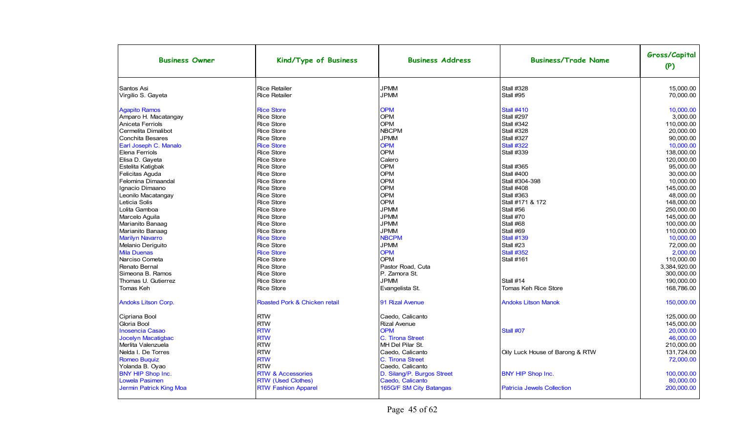| <b>Business Owner</b>      | Kind/Type of Business         | <b>Business Address</b>    | <b>Business/Trade Name</b>        | Gross/Capital<br>(P) |
|----------------------------|-------------------------------|----------------------------|-----------------------------------|----------------------|
| Santos Asi                 | <b>Rice Retailer</b>          | <b>JPMM</b>                | <b>Stall #328</b>                 | 15,000.00            |
| Virgilio S. Gayeta         | <b>Rice Retailer</b>          | <b>JPMM</b>                | Stall #95                         | 70,000.00            |
| <b>Agapito Ramos</b>       | <b>Rice Store</b>             | <b>OPM</b>                 | <b>Stall #410</b>                 | 10.000.00            |
| Amparo H. Macatangay       | <b>Rice Store</b>             | <b>OPM</b>                 | <b>Stall #297</b>                 | 3.000.00             |
| Aniceta Ferriols           | <b>Rice Store</b>             | <b>OPM</b>                 | <b>Stall #342</b>                 | 110.000.00           |
| Cermelita Dimalibot        | <b>Rice Store</b>             | <b>NBCPM</b>               | <b>Stall #328</b>                 | 20,000.00            |
| <b>Conchita Besares</b>    | <b>Rice Store</b>             | <b>JPMM</b>                | <b>Stall #327</b>                 | 90,000.00            |
| Earl Joseph C. Manalo      | <b>Rice Store</b>             | <b>OPM</b>                 | <b>Stall #322</b>                 | 10,000.00            |
| Elena Ferriols             | <b>Rice Store</b>             | <b>OPM</b>                 | <b>Stall #339</b>                 | 138,000.00           |
| Elisa D. Gayeta            | <b>Rice Store</b>             | Calero                     |                                   | 120.000.00           |
| Estelita Katigbak          | <b>Rice Store</b>             | <b>OPM</b>                 | <b>Stall #365</b>                 | 95.000.00            |
| Felicitas Aguda            | <b>Rice Store</b>             | <b>OPM</b>                 | <b>Stall #400</b>                 | 30.000.00            |
| Felomina Dimaandal         | <b>Rice Store</b>             | <b>OPM</b>                 | Stall #304-398                    | 10.000.00            |
| Ignacio Dimaano            | <b>Rice Store</b>             | <b>OPM</b>                 | <b>Stall #408</b>                 | 145.000.00           |
| Leonilo Macatangay         | <b>Rice Store</b>             | <b>OPM</b>                 | <b>Stall #363</b>                 | 48,000.00            |
| Leticia Solis              | <b>Rice Store</b>             | <b>OPM</b>                 | Stall #171 & 172                  | 148,000.00           |
| Lolita Gamboa              | <b>Rice Store</b>             | <b>JPMM</b>                | Stall #56                         | 250,000.00           |
| Marcelo Aguila             | <b>Rice Store</b>             | <b>JPMM</b>                | Stall #70                         | 145,000.00           |
| Marianito Banaag           | <b>Rice Store</b>             | <b>JPMM</b>                | Stall #68                         | 100,000.00           |
| Marianito Banaag           | <b>Rice Store</b>             | <b>JPMM</b>                | Stall #69                         | 110,000.00           |
| <b>Marilyn Navarro</b>     | <b>Rice Store</b>             | <b>NBCPM</b>               | <b>Stall #139</b>                 | 10,000.00            |
| Melanio Deriguito          | <b>Rice Store</b>             | <b>JPMM</b>                | Stall #23                         | 72,000.00            |
| <b>Mila Duenas</b>         | <b>Rice Store</b>             | <b>OPM</b>                 | <b>Stall #352</b>                 | 2,000.00             |
| Narciso Cometa             | <b>Rice Store</b>             | <b>OPM</b>                 | <b>Stall #161</b>                 | 110,000.00           |
| Renato Bernal              | <b>Rice Store</b>             | Pastor Road, Cuta          |                                   | 3,384,920.00         |
| Simeona B. Ramos           | <b>Rice Store</b>             | P. Zamora St.              |                                   | 300,000.00           |
| Thomas U. Gutierrez        | <b>Rice Store</b>             | <b>JPMM</b>                | Stall #14                         | 190,000.00           |
| <b>Tomas Keh</b>           | <b>Rice Store</b>             | Evangelista St.            | Tomas Keh Rice Store              | 168,786.00           |
| <b>Andoks Litson Corp.</b> | Roasted Pork & Chicken retail | 91 Rizal Avenue            | <b>Andoks Litson Manok</b>        | 150,000.00           |
| Cipriana Bool              | <b>RTW</b>                    | Caedo, Calicanto           |                                   | 125,000.00           |
| Gloria Bool                | <b>RTW</b>                    | <b>Rizal Avenue</b>        |                                   | 145,000.00           |
| <b>Inosencia Casao</b>     | <b>RTW</b>                    | <b>OPM</b>                 | Stall #07                         | 20.000.00            |
| Jocelyn Macatigbac         | <b>RTW</b>                    | C. Tirona Street           |                                   | 46,000.00            |
| Merlita Valenzuela         | <b>RTW</b>                    | MH Del Pilar St.           |                                   | 210,000.00           |
| Nelda I. De Torres         | <b>RTW</b>                    | Caedo, Calicanto           | Oily Luck House of Barong & RTW   | 131,724.00           |
| <b>Romeo Buquiz</b>        | <b>RTW</b>                    | C. Tirona Street           |                                   | 72.000.00            |
| Yolanda B. Oyao            | <b>RTW</b>                    | Caedo, Calicanto           |                                   |                      |
| <b>BNY HIP Shop Inc.</b>   | <b>RTW &amp; Accessories</b>  | D. Silang/P. Burgos Street | <b>BNY HIP Shop Inc.</b>          | 100,000.00           |
| <b>Lowela Pasimen</b>      | <b>RTW</b> (Used Clothes)     | Caedo, Calicanto           |                                   | 80,000.00            |
| Jermin Patrick King Moa    | <b>RTW Fashion Apparel</b>    | 165G/F SM City Batangas    | <b>Patricia Jewels Collection</b> | 200,000.00           |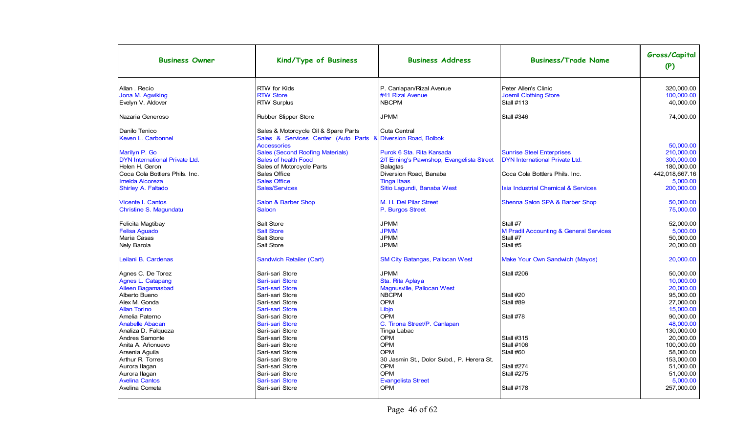| <b>Business Owner</b>                 | Kind/Type of Business                                                              | <b>Business Address</b>                   | <b>Business/Trade Name</b>                        | Gross/Capital<br>(P) |
|---------------------------------------|------------------------------------------------------------------------------------|-------------------------------------------|---------------------------------------------------|----------------------|
| Allan . Recio                         | RTW for Kids                                                                       | P. Canlapan/Rizal Avenue                  | Peter Allen's Clinic                              | 320,000.00           |
| Jona M. Agwiking                      | <b>RTW Store</b>                                                                   | #41 Rizal Avenue                          | <b>Joemil Clothing Store</b>                      | 100,000.00           |
| Evelyn V. Aldover                     | <b>RTW Surplus</b>                                                                 | <b>NBCPM</b>                              | <b>Stall #113</b>                                 | 40,000.00            |
| Nazaria Generoso                      | Rubber Slipper Store                                                               | <b>JPMM</b>                               | <b>Stall #346</b>                                 | 74,000.00            |
| Danilo Tenico                         | Sales & Motorcycle Oil & Spare Parts                                               | Cuta Central                              |                                                   |                      |
| Keven L. Carbonnel                    | Sales & Services Center (Auto Parts & Diversion Road, Bolbok<br><b>Accessories</b> |                                           |                                                   | 50.000.00            |
| Marilyn P. Go                         | <b>Sales (Second Roofing Materials)</b>                                            | Purok 6 Sta. Rita Karsada                 | <b>Sunrise Steel Enterprises</b>                  | 210,000.00           |
| <b>DYN International Private Ltd.</b> | Sales of health Food                                                               | 2/f Erning's Pawnshop, Evangelista Street | DYN International Private Ltd.                    | 300,000.00           |
| Helen H. Geron                        | Sales of Motorcycle Parts                                                          | <b>Balagtas</b>                           |                                                   | 180,000.00           |
| Coca Cola Bottlers Phils, Inc.        | Sales Office                                                                       | Diversion Road, Banaba                    | Coca Cola Bottlers Phils. Inc.                    | 442,018,667.16       |
| <b>Imelda Alcoreza</b>                | <b>Sales Office</b>                                                                | <b>Tinga Itaas</b>                        |                                                   | 5,000.00             |
| Shirley A. Faltado                    | Sales/Services                                                                     | Sitio Lagundi, Banaba West                | <b>Isia Industrial Chemical &amp; Services</b>    | 200,000.00           |
|                                       |                                                                                    |                                           |                                                   |                      |
| <b>Vicente I. Cantos</b>              | Salon & Barber Shop                                                                | M. H. Del Pilar Street                    | Shenna Salon SPA & Barber Shop                    | 50.000.00            |
| Christine S. Magundatu                | <b>Saloon</b>                                                                      | P. Burgos Street                          |                                                   | 75,000.00            |
| Felicita Magtibay                     | Salt Store                                                                         | <b>JPMM</b>                               | Stall #7                                          | 52,000.00            |
| <b>Felisa Aguado</b>                  | <b>Salt Store</b>                                                                  | <b>JPMM</b>                               | <b>M Pradil Accounting &amp; General Services</b> | 5,000.00             |
| Maria Casas                           | Salt Store                                                                         | <b>JPMM</b>                               | Stall #7                                          | 50,000.00            |
| Nely Barola                           | Salt Store                                                                         | <b>JPMM</b>                               | Stall #5                                          | 20,000.00            |
| Leilani B. Cardenas                   | Sandwich Retailer (Cart)                                                           | <b>SM City Batangas, Pallocan West</b>    | <b>Make Your Own Sandwich (Mayos)</b>             | 20,000.00            |
| Agnes C. De Torez                     | Sari-sari Store                                                                    | <b>JPMM</b>                               | <b>Stall #206</b>                                 | 50.000.00            |
| <b>Agnes L. Catapang</b>              | Sari-sari Store                                                                    | Sta. Rita Aplaya                          |                                                   | 10,000.00            |
| Aileen Bagamasbad                     | Sari-sari Store                                                                    | Magnusville, Pallocan West                |                                                   | 20,000.00            |
| Alberto Bueno                         | Sari-sari Store                                                                    | <b>NBCPM</b>                              | Stall #20                                         | 95,000.00            |
| Alex M. Gonda                         | Sari-sari Store                                                                    | <b>OPM</b>                                | Stall #89                                         | 27,000.00            |
| <b>Allan Torino</b>                   | Sari-sari Store                                                                    | Libjo                                     |                                                   | 15,000.00            |
| Amelia Paterno                        | Sari-sari Store                                                                    | <b>OPM</b>                                | Stall #78                                         | 90.000.00            |
| <b>Anabelle Abacan</b>                | Sari-sari Store                                                                    | C. Tirona Street/P. Canlapan              |                                                   | 48,000.00            |
| Analiza D. Falgueza                   | Sari-sari Store                                                                    | Tinga Labac                               |                                                   | 130.000.00           |
| Andres Samonte                        | Sari-sari Store                                                                    | <b>OPM</b>                                | <b>Stall #315</b>                                 | 20.000.00            |
| Anita A. Añonuevo                     | Sari-sari Store                                                                    | <b>OPM</b>                                | <b>Stall #106</b>                                 | 100.000.00           |
| Arsenia Aguila                        | Sari-sari Store                                                                    | OPM                                       | Stall #60                                         | 58,000.00            |
| Arthur R. Torres                      | Sari-sari Store                                                                    | 30 Jasmin St., Dolor Subd., P. Herera St. |                                                   | 153,000.00           |
| Aurora Ilagan                         | Sari-sari Store                                                                    | <b>OPM</b>                                | <b>Stall #274</b>                                 | 51,000.00            |
| Aurora Ilagan                         | Sari-sari Store                                                                    | <b>OPM</b>                                | <b>Stall #275</b>                                 | 51,000.00            |
| <b>Avelina Cantos</b>                 | Sari-sari Store                                                                    | <b>Evangelista Street</b>                 |                                                   | 5,000.00             |
| Avelina Cometa                        | Sari-sari Store                                                                    | <b>OPM</b>                                | <b>Stall #178</b>                                 | 257,000.00           |
|                                       |                                                                                    |                                           |                                                   |                      |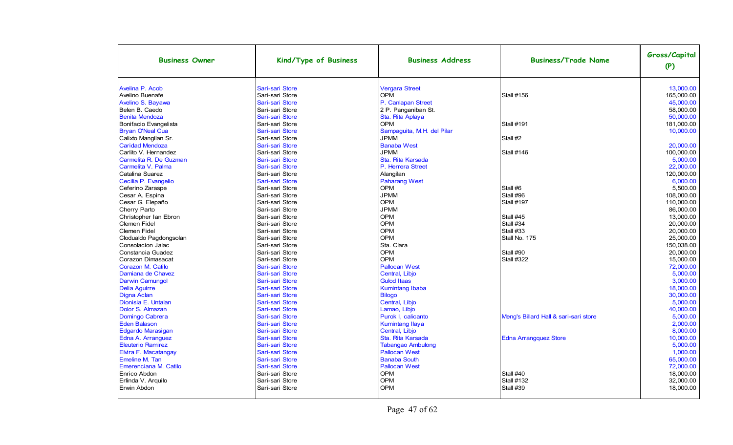| <b>Business Owner</b>    | Kind/Type of Business | <b>Business Address</b>    | <b>Business/Trade Name</b>            | Gross/Capital<br>(P) |
|--------------------------|-----------------------|----------------------------|---------------------------------------|----------------------|
| Avelina P. Acob          | Sari-sari Store       | <b>Vergara Street</b>      |                                       | 13,000.00            |
| Avelino Buenafe          | Sari-sari Store       | <b>OPM</b>                 | <b>Stall #156</b>                     | 165,000.00           |
| Avelino S. Bayawa        | Sari-sari Store       | P. Canlapan Street         |                                       | 45,000.00            |
| Belen B. Caedo           | Sari-sari Store       | 2 P. Panganiban St.        |                                       | 58,000.00            |
| <b>Benita Mendoza</b>    | Sari-sari Store       | Sta. Rita Aplaya           |                                       | 50,000.00            |
| Bonifacio Evangelista    | Sari-sari Store       | <b>OPM</b>                 | <b>Stall #191</b>                     | 181,000.00           |
| <b>Bryan O'Neal Cua</b>  | Sari-sari Store       | Sampaguita, M.H. del Pilar |                                       | 10.000.00            |
| Calixto Mangilan Sr.     | Sari-sari Store       | <b>JPMM</b>                | Stall #2                              |                      |
| <b>Caridad Mendoza</b>   | Sari-sari Store       | <b>Banaba West</b>         |                                       | 20.000.00            |
| Carlito V. Hernandez     | Sari-sari Store       | <b>JPMM</b>                | <b>Stall #146</b>                     | 100,000.00           |
| Carmelita R. De Guzman   | Sari-sari Store       | Sta. Rita Karsada          |                                       | 5.000.00             |
| Carmelita V. Palma       | Sari-sari Store       | P. Herrera Street          |                                       | 22,000.00            |
| Catalina Suarez          | Sari-sari Store       | Alangilan                  |                                       | 120,000.00           |
| Cecilia P. Evangelio     | Sari-sari Store       | <b>Paharang West</b>       |                                       | 6,000.00             |
| Ceferino Zaraspe         | Sari-sari Store       | <b>OPM</b>                 | Stall #6                              | 5,500.00             |
| Cesar A. Espina          | Sari-sari Store       | <b>JPMM</b>                | Stall #96                             | 108,000.00           |
| Cesar G. Elepaño         | Sari-sari Store       | <b>OPM</b>                 | <b>Stall #197</b>                     | 110.000.00           |
| Cherry Parto             | Sari-sari Store       | <b>JPMM</b>                |                                       | 86,000.00            |
| Christopher Ian Ebron    | Sari-sari Store       | <b>OPM</b>                 | Stall #45                             | 13.000.00            |
| Clemen Fidel             | Sari-sari Store       | <b>OPM</b>                 | Stall #34                             | 20.000.00            |
| Clemen Fidel             | Sari-sari Store       | <b>OPM</b>                 | Stall #33                             | 20.000.00            |
| Clodualdo Pagdongsolan   | Sari-sari Store       | <b>OPM</b>                 | Stall No. 175                         | 25,000.00            |
| Consolacion Jalac        | Sari-sari Store       | Sta. Clara                 |                                       | 150.038.00           |
| Constancia Guadez        | Sari-sari Store       | <b>OPM</b>                 | Stall #90                             | 20,000.00            |
| Corazon Dimasacat        | Sari-sari Store       | OPM                        | <b>Stall #322</b>                     | 15,000.00            |
| Corazon M. Catilo        | Sari-sari Store       | <b>Pallocan West</b>       |                                       | 72,000.00            |
| Damiana de Chavez        | Sari-sari Store       | Central, Libjo             |                                       | 5,000.00             |
| <b>Darwin Camungol</b>   | Sari-sari Store       | <b>Gulod Itaas</b>         |                                       | 3,000.00             |
| <b>Delia Aguirre</b>     | Sari-sari Store       | <b>Kumintang Ibaba</b>     |                                       | 18.000.00            |
| Digna Aclan              | Sari-sari Store       | <b>Bilogo</b>              |                                       | 30,000.00            |
| Dionisia E. Untalan      | Sari-sari Store       | Central, Libjo             |                                       | 5.000.00             |
| Dolor S. Almazan         | Sari-sari Store       | Lamao, Libjo               |                                       | 40,000.00            |
| Domingo Cabrera          | Sari-sari Store       | Purok I, calicanto         | Meng's Billard Hall & sari-sari store | 5.000.00             |
| <b>Eden Balason</b>      | Sari-sari Store       | <b>Kumintang Ilaya</b>     |                                       | 2.000.00             |
| <b>Edgardo Marasigan</b> | Sari-sari Store       | Central, Libjo             |                                       | 8,000.00             |
| Edna A. Arranguez        | Sari-sari Store       | Sta. Rita Karsada          | <b>Edna Arrangquez Store</b>          | 10,000.00            |
| <b>Eleuterio Ramirez</b> | Sari-sari Store       | <b>Tabangao Ambulong</b>   |                                       | 5,000.00             |
| Elvira F. Macatangay     | Sari-sari Store       | <b>Pallocan West</b>       |                                       | 1,000.00             |
| Emeline M. Tan           | Sari-sari Store       | <b>Banaba South</b>        |                                       | 65,000.00            |
| Emerenciana M. Catilo    | Sari-sari Store       | <b>Pallocan West</b>       |                                       | 72,000.00            |
| Enrico Abdon             | Sari-sari Store       | <b>OPM</b>                 | Stall #40                             | 18,000.00            |
| Erlinda V. Arguilo       | Sari-sari Store       | <b>OPM</b>                 | <b>Stall #132</b>                     | 32,000.00            |
| Erwin Abdon              | Sari-sari Store       | <b>OPM</b>                 | Stall #39                             | 18,000.00            |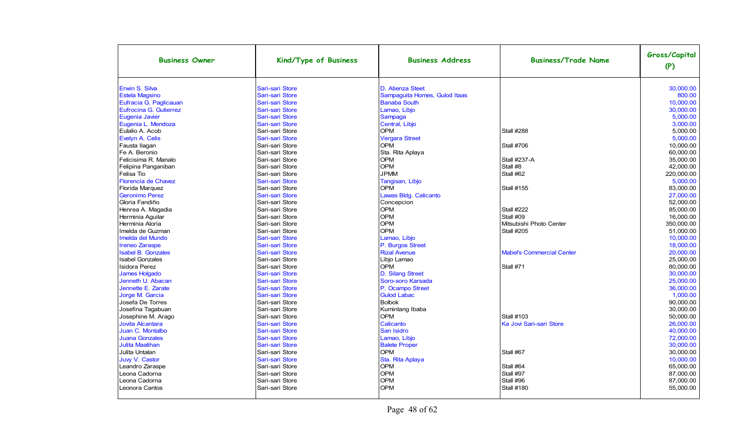| <b>Business Owner</b>          | Kind/Type of Business              | <b>Business Address</b>        | <b>Business/Trade Name</b>       | Gross/Capital<br>(P)   |
|--------------------------------|------------------------------------|--------------------------------|----------------------------------|------------------------|
| Erwin S. Silva                 | Sari-sari Store                    | D. Atienza Steet               |                                  | 30.000.00              |
| <b>Estela Magsino</b>          | Sari-sari Store                    | Sampaguita Homes, Gulod Itaas  |                                  | 800.00                 |
| Eufracia G. Paglicauan         | Sari-sari Store                    | <b>Banaba South</b>            |                                  | 10.000.00              |
| Eufrocina G. Gutierrez         | Sari-sari Store                    | Lamao, Libjo                   |                                  | 30,000.00              |
| Eugenia Javier                 | Sari-sari Store                    | Sampaga                        |                                  | 5.000.00               |
| Eugenia L. Mendoza             | Sari-sari Store                    | Central, Libjo                 |                                  | 3.000.00               |
| Eulalio A. Acob                | Sari-sari Store                    | <b>OPM</b>                     | <b>Stall #288</b>                | 5,000.00               |
| Evelyn A. Celis                | Sari-sari Store                    | <b>Vergara Street</b>          |                                  | 5,000.00               |
| Fausta Ilagan                  | Sari-sari Store                    | OPM                            | <b>Stall #706</b>                | 10,000.00              |
| Fe A. Beronio                  | Sari-sari Store                    | Sta. Rita Aplaya               |                                  | 60,000.00              |
| Felicisima R. Manalo           | Sari-sari Store                    | <b>OPM</b>                     | <b>Stall #237-A</b>              | 35.000.00              |
| Felipina Panganiban            | Sari-sari Store                    | <b>OPM</b>                     | Stall #8                         | 42.000.00              |
| Felisa Tio                     | Sari-sari Store                    | <b>JPMM</b>                    | Stall #62                        | 220.000.00             |
| Florencia de Chavez            | Sari-sari Store                    | Tangisan, Libjo                |                                  | 5.000.00               |
| Florida Marquez                | Sari-sari Store                    | <b>OPM</b>                     | <b>Stall #155</b>                | 83,000.00              |
| <b>Geronimo Perez</b>          | Sari-sari Store                    | Lawas Bldg. Calicanto          |                                  | 27,000.00              |
| Gloria Fandiño                 | Sari-sari Store                    | Concepcion                     |                                  | 52.000.00              |
| Henrea A. Magadia              | Sari-sari Store                    | <b>OPM</b>                     | <b>Stall #222</b>                | 85,000.00              |
| Herminia Aguilar               | Sari-sari Store                    | <b>OPM</b>                     | Stall #09                        | 16,000.00              |
| Herminia Aloria                | Sari-sari Store                    | <b>OPM</b>                     | Mitsubishi Photo Center          | 350,000.00             |
| Imelda de Guzman               | Sari-sari Store                    | <b>OPM</b>                     | Stall #205                       | 51.000.00              |
| Imelda del Mundo               | Sari-sari Store                    | Lamao, Libjo                   |                                  | 10,000.00              |
| <b>Ireneo Zaraspe</b>          | Sari-sari Store                    | P. Burgos Street               |                                  | 18,000.00              |
| <b>Isabel B. Gonzales</b>      | Sari-sari Store                    | <b>Rizal Avenue</b>            | <b>Mabel's Commercial Center</b> | 20,000.00              |
| <b>Isabel Gonzales</b>         | Sari-sari Store                    | Libjo Lamao                    |                                  | 25,000.00              |
| <b>Isidora Perez</b>           | Sari-sari Store                    | <b>OPM</b>                     | Stall #71                        | 80,000.00              |
| <b>James Holgado</b>           | Sari-sari Store                    | D. Silang Street               |                                  | 30.000.00              |
| Jenneth U. Abacan              | Sari-sari Store                    | Soro-soro Karsada              |                                  | 25,000.00              |
| Jennette E. Zarate             | Sari-sari Store                    | P. Ocampo Street               |                                  | 36,000.00              |
| Jorge M. Garcia                | Sari-sari Store                    | <b>Gulod Labac</b>             |                                  | 1.000.00               |
| Josefa De Torres               | Sari-sari Store                    | <b>Bolbok</b>                  |                                  | 90,000.00              |
| Josefina Tagabuan              | Sari-sari Store                    | Kumintang Ibaba                |                                  | 30,000.00              |
| Josephine M. Arago             | Sari-sari Store                    | <b>OPM</b>                     | <b>Stall #103</b>                | 50,000.00              |
| <b>Jovita Alcantara</b>        | Sari-sari Store                    | Calicanto                      | Ka Jovi Sari-sari Store          | 26,000.00              |
| Juan C. Montalbo               | Sari-sari Store                    | San Isidro                     |                                  | 40,000.00              |
| <b>Juana Gonzales</b>          | Sari-sari Store                    | Lamao, Libjo                   |                                  | 72,000.00              |
| <b>Julita Maalihan</b>         | Sari-sari Store                    | <b>Balete Proper</b>           |                                  | 30.000.00              |
| Julita Untalan                 | Sari-sari Store                    | <b>OPM</b>                     | Stall #67                        | 30,000.00              |
| Juvy V. Castor                 | Sari-sari Store                    | Sta. Rita Aplaya<br><b>OPM</b> |                                  | 10,000.00              |
| Leandro Zaraspe                | Sari-sari Store<br>Sari-sari Store |                                | Stall #64                        | 65,000.00              |
| Leona Cadorna<br>Leona Cadorna | Sari-sari Store                    | OPM<br><b>OPM</b>              | Stall #97                        | 87,000.00<br>87,000.00 |
| Leonora Cantos                 | Sari-sari Store                    | <b>OPM</b>                     | Stall #96<br><b>Stall #180</b>   | 55,000.00              |
|                                |                                    |                                |                                  |                        |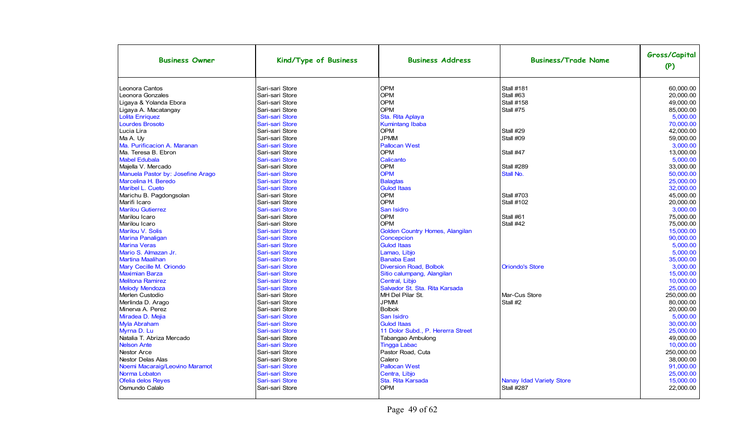| <b>Business Owner</b>             | Kind/Type of Business | <b>Business Address</b>           | <b>Business/Trade Name</b>      | Gross/Capital<br>(P) |
|-----------------------------------|-----------------------|-----------------------------------|---------------------------------|----------------------|
| Leonora Cantos                    | Sari-sari Store       | <b>OPM</b>                        | <b>Stall #181</b>               | 60,000.00            |
| Leonora Gonzales                  | Sari-sari Store       | <b>OPM</b>                        | Stall #63                       | 20,000.00            |
| Ligaya & Yolanda Ebora            | Sari-sari Store       | <b>OPM</b>                        | <b>Stall #158</b>               | 49,000.00            |
| Ligaya A. Macatangay              | Sari-sari Store       | <b>OPM</b>                        | Stall #75                       | 85,000.00            |
| Lolita Enriquez                   | Sari-sari Store       | Sta. Rita Aplaya                  |                                 | 5.000.00             |
| <b>Lourdes Brosoto</b>            | Sari-sari Store       | <b>Kumintang Ibaba</b>            |                                 | 70.000.00            |
| Lucia Lira                        | Sari-sari Store       | <b>OPM</b>                        | Stall #29                       | 42.000.00            |
| Ma A. Uy                          | Sari-sari Store       | <b>JPMM</b>                       | Stall #09                       | 59.000.00            |
| Ma. Purificacion A. Maranan       | Sari-sari Store       | <b>Pallocan West</b>              |                                 | 3.000.00             |
| Ma. Teresa B. Ebron               | Sari-sari Store       | <b>OPM</b>                        | Stall #47                       | 13.000.00            |
| <b>Mabel Edubala</b>              | Sari-sari Store       | Calicanto                         |                                 | 5.000.00             |
| Majella V. Mercado                | Sari-sari Store       | <b>OPM</b>                        | <b>Stall #289</b>               | 33,000.00            |
| Manuela Pastor by: Josefine Arago | Sari-sari Store       | <b>OPM</b>                        | Stall No.                       | 50,000.00            |
| Marcelina H. Beredo               | Sari-sari Store       | <b>Balagtas</b>                   |                                 | 25,000.00            |
| Maribel L. Cueto                  | Sari-sari Store       | <b>Gulod Itaas</b>                |                                 | 32.000.00            |
| Marichu B. Pagdongsolan           | Sari-sari Store       | <b>OPM</b>                        | <b>Stall #703</b>               | 45,000.00            |
| Marifi Icaro                      | Sari-sari Store       | <b>OPM</b>                        | <b>Stall #102</b>               | 20.000.00            |
| <b>Marilou Gutierrez</b>          | Sari-sari Store       | San Isidro                        |                                 | 3,000.00             |
| Marilou Icaro                     | Sari-sari Store       | <b>OPM</b>                        | Stall #61                       | 75.000.00            |
| Marilou Icaro                     | Sari-sari Store       | <b>OPM</b>                        | Stall #42                       | 75.000.00            |
| Marilou V. Solis                  | Sari-sari Store       | Golden Country Homes, Alangilan   |                                 | 15,000.00            |
| <b>Marina Panaligan</b>           | Sari-sari Store       | Concepcion                        |                                 | 90,000.00            |
| <b>Marina Veras</b>               | Sari-sari Store       | <b>Gulod Itaas</b>                |                                 | 5.000.00             |
| Mario S. Almazan Jr.              | Sari-sari Store       | Lamao, Libjo                      |                                 | 5,000.00             |
| <b>Martina Maalihan</b>           | Sari-sari Store       | <b>Banaba East</b>                |                                 | 35,000.00            |
| Mary Cecille M. Oriondo           | Sari-sari Store       | <b>Diversion Road, Bolbok</b>     | <b>Oriondo's Store</b>          | 3,000.00             |
| <b>Maximian Barza</b>             | Sari-sari Store       | Sitio calumpang, Alangilan        |                                 | 15.000.00            |
| <b>Melitona Ramirez</b>           | Sari-sari Store       | Central, Libjo                    |                                 | 10,000.00            |
| <b>Melody Mendoza</b>             | Sari-sari Store       | Salvador St. Sta. Rita Karsada    |                                 | 25,000.00            |
| Merlen Custodio                   | Sari-sari Store       | MH Del Pilar St.                  | Mar-Cus Store                   | 250,000.00           |
| Merlinda D. Arago                 | Sari-sari Store       | <b>JPMM</b>                       | Stall #2                        | 80.000.00            |
| Minerva A. Perez                  | Sari-sari Store       | <b>Bolbok</b>                     |                                 | 20,000.00            |
| Miradea D. Mejia                  | Sari-sari Store       | San Isidro                        |                                 | 5.000.00             |
| Myla Abraham                      | Sari-sari Store       | <b>Gulod Itaas</b>                |                                 | 30.000.00            |
| Myrna D. Lu                       | Sari-sari Store       | 11 Dolor Subd., P. Hererra Street |                                 | 25,000.00            |
| Natalia T. Abriza Mercado         | Sari-sari Store       | Tabangao Ambulong                 |                                 | 49,000.00            |
| <b>Nelson Ante</b>                | Sari-sari Store       | <b>Tingga Labac</b>               |                                 | 10,000.00            |
| <b>Nestor Arce</b>                | Sari-sari Store       | Pastor Road, Cuta                 |                                 | 250,000.00           |
| <b>Nestor Delas Alas</b>          | Sari-sari Store       | Calero                            |                                 | 38,000.00            |
| Noemi Macaraig/Leovino Maramot    | Sari-sari Store       | <b>Pallocan West</b>              |                                 | 91,000.00            |
| <b>Norma Lobaton</b>              | Sari-sari Store       | Centra, Libjo                     |                                 | 25.000.00            |
| Ofelia delos Reyes                | Sari-sari Store       | Sta. Rita Karsada                 | <b>Nanay Idad Variety Store</b> | 15,000.00            |
| Osmundo Calalo                    | Sari-sari Store       | <b>OPM</b>                        | <b>Stall #287</b>               | 22,000.00            |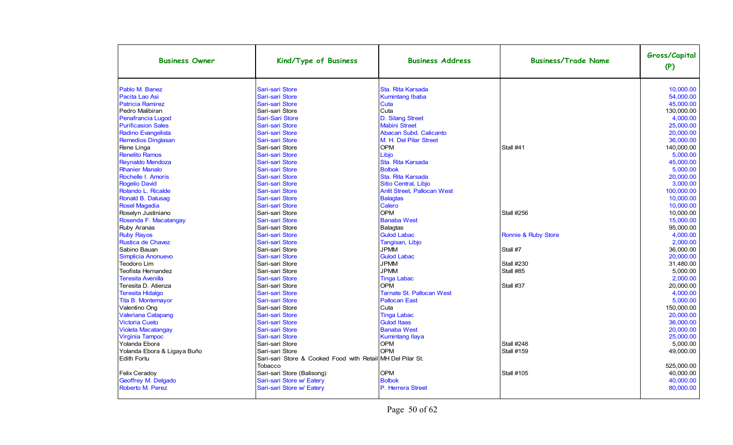| <b>Business Owner</b>       | Kind/Type of Business                                                 | <b>Business Address</b>            | <b>Business/Trade Name</b> | Gross/Capital<br>(P) |
|-----------------------------|-----------------------------------------------------------------------|------------------------------------|----------------------------|----------------------|
| Pablo M. Banez              | Sari-sari Store                                                       | Sta. Rita Karsada                  |                            | 10,000.00            |
| Pacita Lao Asi              | Sari-sari Store                                                       | <b>Kumintang Ibaba</b>             |                            | 54,000.00            |
| <b>Patricia Ramirez</b>     | Sari-sari Store                                                       | Cuta                               |                            | 45,000.00            |
| Pedro Malibiran             | Sari-sari Store                                                       | Cuta                               |                            | 130,000.00           |
| Penafrancia Lugod           | Sari-Sari Store                                                       | D. Silang Street                   |                            | 4,000.00             |
| <b>Purificasion Sales</b>   | Sari-sari Store                                                       | <b>Mabini Street</b>               |                            | 25.000.00            |
| Radino Evangelista          | Sari-sari Store                                                       | Abacan Subd. Calicanto             |                            | 20.000.00            |
| Remedios Dinglasan          | Sari-sari Store                                                       | M. H. Del Pilar Street             |                            | 36,000.00            |
| Rene Linga                  | Sari-sari Store                                                       | <b>OPM</b>                         | Stall #41                  | 140,000.00           |
| <b>Renelito Ramos</b>       | Sari-sari Store                                                       | Libjo                              |                            | 5,000.00             |
| Reynaldo Mendoza            | Sari-sari Store                                                       | Sta. Rita Karsada                  |                            | 45,000.00            |
| <b>Rhanier Manalo</b>       | Sari-sari Store                                                       | <b>Bolbok</b>                      |                            | 5,000.00             |
| Rochelle I. Amoris          | Sari-sari Store                                                       | Sta. Rita Karsada                  |                            | 20,000.00            |
| Rogelio David               | Sari-sari Store                                                       | Sitio Central, Libjo               |                            | 3.000.00             |
| Rolando L. Ricalde          | Sari-sari Store                                                       | <b>Anlit Street, Pallocan West</b> |                            | 100,000.00           |
| Ronald B. Dalusag           | Sari-sari Store                                                       | <b>Balagtas</b>                    |                            | 10.000.00            |
| <b>Rosel Magadia</b>        | Sari-sari Store                                                       | Calero                             |                            | 10.000.00            |
| Roselyn Justiniano          | Sari-sari Store                                                       | <b>OPM</b>                         | <b>Stall #256</b>          | 10,000.00            |
| Rosenda F. Macatangay       | Sari-sari Store                                                       | <b>Banaba West</b>                 |                            | 15,000.00            |
| Ruby Aranas                 | Sari-sari Store                                                       | Balagtas                           |                            | 95,000.00            |
| <b>Ruby Rayos</b>           | Sari-sari Store                                                       | <b>Gulod Labac</b>                 | Ronnie & Ruby Store        | 4,000.00             |
| Rustica de Chavez           | Sari-sari Store                                                       | Tangisan, Libjo                    |                            | 2,000.00             |
| Sabino Bauan                | Sari-sari Store                                                       | <b>JPMM</b>                        | Stall #7                   | 36.000.00            |
| Simplicia Anonuevo          | Sari-sari Store                                                       | <b>Gulod Labac</b>                 |                            | 20.000.00            |
| Teodoro Lim                 | Sari-sari Store                                                       | <b>JPMM</b>                        | <b>Stall #230</b>          | 31.480.00            |
| Teofista Hernandez          | Sari-sari Store                                                       | <b>JPMM</b>                        | Stall #85                  | 5.000.00             |
| <b>Teresita Avenilla</b>    | Sari-sari Store                                                       | <b>Tinga Labac</b>                 |                            | 2,000.00             |
| Teresita D. Atienza         | Sari-sari Store                                                       | <b>OPM</b>                         | Stall #37                  | 20,000.00            |
| <b>Teresita Hidalgo</b>     | Sari-sari Store                                                       | <b>Tarnate St. Pallocan West</b>   |                            | 4,000.00             |
| Tita B. Montemayor          | Sari-sari Store                                                       | <b>Pallocan East</b>               |                            | 5,000.00             |
| Valentino Ong               | Sari-sari Store                                                       | Cuta                               |                            | 150,000.00           |
| <b>Valeriana Catapang</b>   | Sari-sari Store                                                       | <b>Tinga Labac</b>                 |                            | 20,000.00            |
| <b>Victoria Cueto</b>       | Sari-sari Store                                                       | <b>Gulod Itaas</b>                 |                            | 36,000.00            |
| <b>Violeta Macatangay</b>   | Sari-sari Store                                                       | <b>Banaba West</b>                 |                            | 20.000.00            |
| <b>Virginia Tampoc</b>      | Sari-sari Store                                                       | <b>Kumintang Ilaya</b>             |                            | 25,000.00            |
| Yolanda Ebora               | Sari-sari Store                                                       | OPM                                | <b>Stall #248</b>          | 5,000.00             |
| Yolanda Ebora & Ligaya Buño | Sari-sari Store                                                       | <b>OPM</b>                         | <b>Stall #159</b>          | 49,000.00            |
| <b>Edith Fortu</b>          | Sari-sari Store & Cooked Food with Retail MH Del Pilar St.<br>Tobacco |                                    |                            | 525,000.00           |
| Felix Ceradoy               | Sari-sari Store (Balisong)                                            | <b>OPM</b>                         | <b>Stall #105</b>          | 40,000.00            |
| Geoffrey M. Delgado         | Sari-sari Store w/ Eatery                                             | <b>Bolbok</b>                      |                            | 40,000.00            |
| Roberto M. Perez            | Sari-sari Store w/ Eatery                                             | P. Herrera Street                  |                            | 80.000.00            |
|                             |                                                                       |                                    |                            |                      |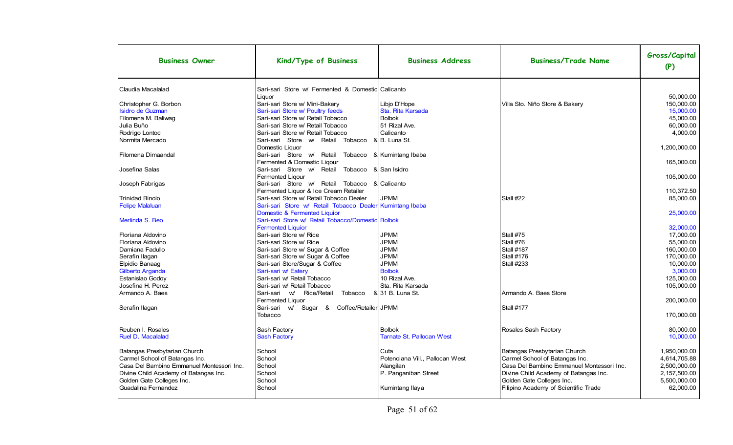| <b>Business Owner</b>                     | Kind/Type of Business                                       | <b>Business Address</b>          | <b>Business/Trade Name</b>                | Gross/Capital<br>(P) |
|-------------------------------------------|-------------------------------------------------------------|----------------------------------|-------------------------------------------|----------------------|
| Claudia Macalalad                         | Sari-sari Store w/ Fermented & Domestic Calicanto<br>Liquor |                                  |                                           | 50,000.00            |
| Christopher G. Borbon                     | Sari-sari Store w/ Mini-Bakery                              | Libio D'Hope                     | Villa Sto. Niño Store & Bakery            | 150,000.00           |
| Isidro de Guzman                          | Sari-sari Store w/ Poultry feeds                            | Sta. Rita Karsada                |                                           | 15,000.00            |
| Filomena M. Baliwaq                       | Sari-sari Store w/ Retail Tobacco                           | <b>Bolbok</b>                    |                                           | 45.000.00            |
| Julia Buño                                | Sari-sari Store w/ Retail Tobacco                           | 51 Rizal Ave.                    |                                           | 60.000.00            |
| Rodrigo Lontoc                            | Sari-sari Store w/ Retail Tobacco                           | Calicanto                        |                                           | 4,000.00             |
| Normita Mercado                           | Sari-sari Store w/ Retail Tobacco                           | &B. Luna St.                     |                                           |                      |
|                                           | Domestic Liquor                                             |                                  |                                           | 1,200,000.00         |
| Filomena Dimaandal                        | Sari-sari Store w/<br>Retail<br>Tobacco                     | & Kumintang Ibaba                |                                           |                      |
|                                           | Fermented & Domestic Ligour                                 |                                  |                                           | 165.000.00           |
| Josefina Salas                            | Sari-sari Store w/ Retail<br>Tobacco                        | & San Isidro                     |                                           |                      |
|                                           | Fermented Liqour                                            |                                  |                                           | 105,000.00           |
| Joseph Fabrigas                           | Sari-sari Store w/ Retail Tobacco                           | & Calicanto                      |                                           |                      |
|                                           | Fermented Liquor & Ice Cream Retailer                       |                                  |                                           | 110.372.50           |
| Trinidad Binolo                           | Sari-sari Store w/ Retail Tobacco Dealer                    | <b>JPMM</b>                      | Stall #22                                 | 85.000.00            |
| <b>Felipe Malaluan</b>                    | Sari-sari Store w/ Retail Tobacco Dealer Kumintang Ibaba    |                                  |                                           |                      |
|                                           | Domestic & Fermented Liquior                                |                                  |                                           | 25,000.00            |
| Merlinda S. Beo                           | Sari-sari Store w/ Retail Tobacco/Domestic Bolbok           |                                  |                                           |                      |
|                                           | <b>Fermented Liquior</b>                                    |                                  |                                           | 32.000.00            |
| Floriana Aldovino                         | Sari-sari Store w/ Rice                                     | <b>JPMM</b>                      | Stall #75                                 | 17.000.00            |
| Floriana Aldovino                         | Sari-sari Store w/ Rice                                     | <b>JPMM</b>                      | Stall #76                                 | 55.000.00            |
| Damiana Fadullo                           | Sari-sari Store w/ Sugar & Coffee                           | <b>JPMM</b>                      | Stall #187                                | 160,000.00           |
| Serafin Ilagan                            | Sari-sari Store w/ Sugar & Coffee                           | <b>JPMM</b>                      | <b>Stall #176</b>                         | 170.000.00           |
| Elpidio Banaag                            | Sari-sari Store/Sugar & Coffee                              | <b>JPMM</b>                      | <b>Stall #233</b>                         | 10.000.00            |
| Gilberto Arganda                          | Sari-sari w/ Eatery                                         | <b>Bolbok</b>                    |                                           | 3.000.00             |
|                                           | Sari-sari w/ Retail Tobacco                                 | 10 Rizal Ave.                    |                                           | 125,000.00           |
| Estanislao Godoy<br>Josefina H. Perez     | Sari-sari w/ Retail Tobacco                                 | Sta. Rita Karsada                |                                           |                      |
|                                           |                                                             |                                  |                                           | 105,000.00           |
| Armando A. Baes                           | Sari-sari<br>w/ Rice/Retail<br>Tobacco                      | & 31 B. Luna St.                 | Armando A. Baes Store                     |                      |
|                                           | Fermented Liquor                                            |                                  |                                           | 200.000.00           |
| Serafin Ilagan                            | Sari-sari<br>w/ Sugar &<br>Coffee/Retailer JPMM             |                                  | Stall #177                                |                      |
|                                           | Tobacco                                                     |                                  |                                           | 170,000.00           |
|                                           |                                                             |                                  |                                           |                      |
| Reuben I. Rosales                         | Sash Factory                                                | <b>Bolbok</b>                    | Rosales Sash Factory                      | 80,000.00            |
| <b>Ruel D. Macalalad</b>                  | <b>Sash Factory</b>                                         | <b>Tarnate St. Pallocan West</b> |                                           | 10.000.00            |
|                                           |                                                             |                                  |                                           |                      |
| Batangas Presbytarian Church              | School                                                      | Cuta                             | Batangas Presbytarian Church              | 1,950,000.00         |
| Carmel School of Batangas Inc.            | School                                                      | Potenciana Vill., Pallocan West  | Carmel School of Batangas Inc.            | 4,614,705.88         |
| Casa Del Bambino Emmanuel Montessori Inc. | School                                                      | Alangilan                        | Casa Del Bambino Emmanuel Montessori Inc. | 2,500,000.00         |
| Divine Child Academy of Batangas Inc.     | School                                                      | P. Panganiban Street             | Divine Child Academy of Batangas Inc.     | 2,157,500.00         |
| Golden Gate Colleges Inc.                 | School                                                      |                                  | Golden Gate Colleges Inc.                 | 5,500,000.00         |
| Guadalina Fernandez                       | School                                                      | Kumintang Ilaya                  | Filipino Academy of Scientific Trade      | 62,000.00            |
|                                           |                                                             |                                  |                                           |                      |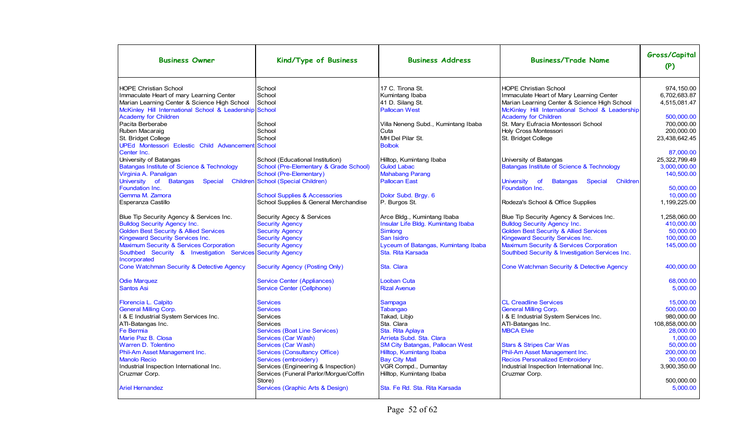| 17 C. Tirona St.<br><b>HOPE Christian School</b><br>School<br><b>HOPE Christian School</b><br>974.150.00<br>School<br>6,702,683.87<br>Immaculate Heart of mary Learning Center<br>Kumintang Ibaba<br>Immaculate Heart of Mary Learning Center<br>Marian Learning Center & Science High School<br>School<br>41 D. Silang St.<br>Marian Learning Center & Science High School<br>4,515,081.47<br>McKinley Hill International School & Leadership School<br><b>Pallocan West</b><br>McKinley Hill International School & Leadership<br><b>Academy for Children</b><br><b>Academy for Children</b><br>500.000.00<br>Pacita Berberabe<br>St. Mary Eufracia Montessori School<br>700.000.00<br>School<br>Villa Neneng Subd., Kumintang Ibaba<br>School<br>Cuta<br>Holy Cross Montessori<br>200.000.00<br>Ruben Macaraig<br>MH Del Pilar St.<br>School<br>23,438,642.45<br>St. Bridget College<br>St. Bridget College<br>UPEd Montessori Eclestic Child Advancement<br>School<br><b>Bolbok</b><br>Center Inc.<br>87.000.00<br>University of Batangas<br>School (Educational Institution)<br>Hilltop, Kumintang Ibaba<br>University of Batangas<br>25.322.799.49<br>Batangas Institute of Science & Technology<br>School (Pre-Elementary & Grade School)<br><b>Gulod Labac</b><br><b>Batangas Institute of Science &amp; Technology</b><br>3,000,000.00<br>School (Pre-Elementary)<br><b>Mahabang Parang</b><br>Virginia A. Panaligan<br>140.500.00<br><b>Children School (Special Children)</b><br><b>Pallocan East</b><br>University of<br><b>Batangas</b><br>Special<br><b>University</b><br><b>of</b><br><b>Batangas</b><br>Special<br>Children<br>Foundation Inc.<br>Foundation Inc.<br>50.000.00<br>Dolor Subd. Brgy. 6<br>Gemma M. Zamora<br><b>School Supplies &amp; Accessories</b><br>10,000.00<br>School Supplies & General Merchandise<br>Esperanza Castillo<br>P. Burgos St.<br>Rodeza's School & Office Supplies<br>1,199,225.00<br>Arce Bldg., Kumintang Ibaba<br>Blue Tip Security Agency & Services Inc.<br>Security Agecy & Services<br>Blue Tip Security Agency & Services Inc.<br>1,258,060.00<br><b>Security Agency</b><br>Insular Life Bldg. Kumintang Ibaba<br><b>Bulldog Security Agency Inc.</b><br>410,000.00<br><b>Bulldog Security Agency Inc.</b> | <b>Business Owner</b>                             | Kind/Type of Business  | <b>Business Address</b> | <b>Business/Trade Name</b>                        | Gross/Capital<br>(P) |
|------------------------------------------------------------------------------------------------------------------------------------------------------------------------------------------------------------------------------------------------------------------------------------------------------------------------------------------------------------------------------------------------------------------------------------------------------------------------------------------------------------------------------------------------------------------------------------------------------------------------------------------------------------------------------------------------------------------------------------------------------------------------------------------------------------------------------------------------------------------------------------------------------------------------------------------------------------------------------------------------------------------------------------------------------------------------------------------------------------------------------------------------------------------------------------------------------------------------------------------------------------------------------------------------------------------------------------------------------------------------------------------------------------------------------------------------------------------------------------------------------------------------------------------------------------------------------------------------------------------------------------------------------------------------------------------------------------------------------------------------------------------------------------------------------------------------------------------------------------------------------------------------------------------------------------------------------------------------------------------------------------------------------------------------------------------------------------------------------------------------------------------------------------------------------------------------------------------------------------------------------------------------|---------------------------------------------------|------------------------|-------------------------|---------------------------------------------------|----------------------|
|                                                                                                                                                                                                                                                                                                                                                                                                                                                                                                                                                                                                                                                                                                                                                                                                                                                                                                                                                                                                                                                                                                                                                                                                                                                                                                                                                                                                                                                                                                                                                                                                                                                                                                                                                                                                                                                                                                                                                                                                                                                                                                                                                                                                                                                                        |                                                   |                        |                         |                                                   |                      |
|                                                                                                                                                                                                                                                                                                                                                                                                                                                                                                                                                                                                                                                                                                                                                                                                                                                                                                                                                                                                                                                                                                                                                                                                                                                                                                                                                                                                                                                                                                                                                                                                                                                                                                                                                                                                                                                                                                                                                                                                                                                                                                                                                                                                                                                                        |                                                   |                        |                         |                                                   |                      |
|                                                                                                                                                                                                                                                                                                                                                                                                                                                                                                                                                                                                                                                                                                                                                                                                                                                                                                                                                                                                                                                                                                                                                                                                                                                                                                                                                                                                                                                                                                                                                                                                                                                                                                                                                                                                                                                                                                                                                                                                                                                                                                                                                                                                                                                                        |                                                   |                        |                         |                                                   |                      |
|                                                                                                                                                                                                                                                                                                                                                                                                                                                                                                                                                                                                                                                                                                                                                                                                                                                                                                                                                                                                                                                                                                                                                                                                                                                                                                                                                                                                                                                                                                                                                                                                                                                                                                                                                                                                                                                                                                                                                                                                                                                                                                                                                                                                                                                                        |                                                   |                        |                         |                                                   |                      |
|                                                                                                                                                                                                                                                                                                                                                                                                                                                                                                                                                                                                                                                                                                                                                                                                                                                                                                                                                                                                                                                                                                                                                                                                                                                                                                                                                                                                                                                                                                                                                                                                                                                                                                                                                                                                                                                                                                                                                                                                                                                                                                                                                                                                                                                                        |                                                   |                        |                         |                                                   |                      |
|                                                                                                                                                                                                                                                                                                                                                                                                                                                                                                                                                                                                                                                                                                                                                                                                                                                                                                                                                                                                                                                                                                                                                                                                                                                                                                                                                                                                                                                                                                                                                                                                                                                                                                                                                                                                                                                                                                                                                                                                                                                                                                                                                                                                                                                                        |                                                   |                        |                         |                                                   |                      |
|                                                                                                                                                                                                                                                                                                                                                                                                                                                                                                                                                                                                                                                                                                                                                                                                                                                                                                                                                                                                                                                                                                                                                                                                                                                                                                                                                                                                                                                                                                                                                                                                                                                                                                                                                                                                                                                                                                                                                                                                                                                                                                                                                                                                                                                                        |                                                   |                        |                         |                                                   |                      |
|                                                                                                                                                                                                                                                                                                                                                                                                                                                                                                                                                                                                                                                                                                                                                                                                                                                                                                                                                                                                                                                                                                                                                                                                                                                                                                                                                                                                                                                                                                                                                                                                                                                                                                                                                                                                                                                                                                                                                                                                                                                                                                                                                                                                                                                                        |                                                   |                        |                         |                                                   |                      |
|                                                                                                                                                                                                                                                                                                                                                                                                                                                                                                                                                                                                                                                                                                                                                                                                                                                                                                                                                                                                                                                                                                                                                                                                                                                                                                                                                                                                                                                                                                                                                                                                                                                                                                                                                                                                                                                                                                                                                                                                                                                                                                                                                                                                                                                                        |                                                   |                        |                         |                                                   |                      |
|                                                                                                                                                                                                                                                                                                                                                                                                                                                                                                                                                                                                                                                                                                                                                                                                                                                                                                                                                                                                                                                                                                                                                                                                                                                                                                                                                                                                                                                                                                                                                                                                                                                                                                                                                                                                                                                                                                                                                                                                                                                                                                                                                                                                                                                                        |                                                   |                        |                         |                                                   |                      |
|                                                                                                                                                                                                                                                                                                                                                                                                                                                                                                                                                                                                                                                                                                                                                                                                                                                                                                                                                                                                                                                                                                                                                                                                                                                                                                                                                                                                                                                                                                                                                                                                                                                                                                                                                                                                                                                                                                                                                                                                                                                                                                                                                                                                                                                                        |                                                   |                        |                         |                                                   |                      |
|                                                                                                                                                                                                                                                                                                                                                                                                                                                                                                                                                                                                                                                                                                                                                                                                                                                                                                                                                                                                                                                                                                                                                                                                                                                                                                                                                                                                                                                                                                                                                                                                                                                                                                                                                                                                                                                                                                                                                                                                                                                                                                                                                                                                                                                                        |                                                   |                        |                         |                                                   |                      |
|                                                                                                                                                                                                                                                                                                                                                                                                                                                                                                                                                                                                                                                                                                                                                                                                                                                                                                                                                                                                                                                                                                                                                                                                                                                                                                                                                                                                                                                                                                                                                                                                                                                                                                                                                                                                                                                                                                                                                                                                                                                                                                                                                                                                                                                                        |                                                   |                        |                         |                                                   |                      |
|                                                                                                                                                                                                                                                                                                                                                                                                                                                                                                                                                                                                                                                                                                                                                                                                                                                                                                                                                                                                                                                                                                                                                                                                                                                                                                                                                                                                                                                                                                                                                                                                                                                                                                                                                                                                                                                                                                                                                                                                                                                                                                                                                                                                                                                                        |                                                   |                        |                         |                                                   |                      |
|                                                                                                                                                                                                                                                                                                                                                                                                                                                                                                                                                                                                                                                                                                                                                                                                                                                                                                                                                                                                                                                                                                                                                                                                                                                                                                                                                                                                                                                                                                                                                                                                                                                                                                                                                                                                                                                                                                                                                                                                                                                                                                                                                                                                                                                                        |                                                   |                        |                         |                                                   |                      |
|                                                                                                                                                                                                                                                                                                                                                                                                                                                                                                                                                                                                                                                                                                                                                                                                                                                                                                                                                                                                                                                                                                                                                                                                                                                                                                                                                                                                                                                                                                                                                                                                                                                                                                                                                                                                                                                                                                                                                                                                                                                                                                                                                                                                                                                                        |                                                   |                        |                         |                                                   |                      |
|                                                                                                                                                                                                                                                                                                                                                                                                                                                                                                                                                                                                                                                                                                                                                                                                                                                                                                                                                                                                                                                                                                                                                                                                                                                                                                                                                                                                                                                                                                                                                                                                                                                                                                                                                                                                                                                                                                                                                                                                                                                                                                                                                                                                                                                                        |                                                   |                        |                         |                                                   |                      |
|                                                                                                                                                                                                                                                                                                                                                                                                                                                                                                                                                                                                                                                                                                                                                                                                                                                                                                                                                                                                                                                                                                                                                                                                                                                                                                                                                                                                                                                                                                                                                                                                                                                                                                                                                                                                                                                                                                                                                                                                                                                                                                                                                                                                                                                                        |                                                   |                        |                         |                                                   |                      |
|                                                                                                                                                                                                                                                                                                                                                                                                                                                                                                                                                                                                                                                                                                                                                                                                                                                                                                                                                                                                                                                                                                                                                                                                                                                                                                                                                                                                                                                                                                                                                                                                                                                                                                                                                                                                                                                                                                                                                                                                                                                                                                                                                                                                                                                                        |                                                   |                        |                         |                                                   |                      |
|                                                                                                                                                                                                                                                                                                                                                                                                                                                                                                                                                                                                                                                                                                                                                                                                                                                                                                                                                                                                                                                                                                                                                                                                                                                                                                                                                                                                                                                                                                                                                                                                                                                                                                                                                                                                                                                                                                                                                                                                                                                                                                                                                                                                                                                                        | <b>Golden Best Security &amp; Allied Services</b> | <b>Security Agency</b> | <b>Simlong</b>          | <b>Golden Best Security &amp; Allied Services</b> | 50,000.00            |
| <b>Kingeward Security Services Inc.</b><br><b>Security Agency</b><br>San Isidro<br><b>Kingeward Security Services Inc.</b><br>100.000.00                                                                                                                                                                                                                                                                                                                                                                                                                                                                                                                                                                                                                                                                                                                                                                                                                                                                                                                                                                                                                                                                                                                                                                                                                                                                                                                                                                                                                                                                                                                                                                                                                                                                                                                                                                                                                                                                                                                                                                                                                                                                                                                               |                                                   |                        |                         |                                                   |                      |
| Lyceum of Batangas, Kumintang Ibaba<br>Maximum Security & Services Corporation<br><b>Maximum Security &amp; Services Corporation</b><br><b>Security Agency</b><br>145,000.00                                                                                                                                                                                                                                                                                                                                                                                                                                                                                                                                                                                                                                                                                                                                                                                                                                                                                                                                                                                                                                                                                                                                                                                                                                                                                                                                                                                                                                                                                                                                                                                                                                                                                                                                                                                                                                                                                                                                                                                                                                                                                           |                                                   |                        |                         |                                                   |                      |
| Southbed Security & Investigation Services<br><b>Security Agency</b><br>Sta. Rita Karsada<br>Southbed Security & Investigation Services Inc.<br>Incorporated                                                                                                                                                                                                                                                                                                                                                                                                                                                                                                                                                                                                                                                                                                                                                                                                                                                                                                                                                                                                                                                                                                                                                                                                                                                                                                                                                                                                                                                                                                                                                                                                                                                                                                                                                                                                                                                                                                                                                                                                                                                                                                           |                                                   |                        |                         |                                                   |                      |
| Cone Watchman Security & Detective Agency<br><b>Security Agency (Posting Only)</b><br>Sta. Clara<br>Cone Watchman Security & Detective Agency<br>400.000.00                                                                                                                                                                                                                                                                                                                                                                                                                                                                                                                                                                                                                                                                                                                                                                                                                                                                                                                                                                                                                                                                                                                                                                                                                                                                                                                                                                                                                                                                                                                                                                                                                                                                                                                                                                                                                                                                                                                                                                                                                                                                                                            |                                                   |                        |                         |                                                   |                      |
| <b>Looban Cuta</b><br><b>Odie Marquez</b><br><b>Service Center (Appliances)</b><br>68.000.00                                                                                                                                                                                                                                                                                                                                                                                                                                                                                                                                                                                                                                                                                                                                                                                                                                                                                                                                                                                                                                                                                                                                                                                                                                                                                                                                                                                                                                                                                                                                                                                                                                                                                                                                                                                                                                                                                                                                                                                                                                                                                                                                                                           |                                                   |                        |                         |                                                   |                      |
| <b>Santos Asi</b><br><b>Service Center (Cellphone)</b><br><b>Rizal Avenue</b><br>5,000.00                                                                                                                                                                                                                                                                                                                                                                                                                                                                                                                                                                                                                                                                                                                                                                                                                                                                                                                                                                                                                                                                                                                                                                                                                                                                                                                                                                                                                                                                                                                                                                                                                                                                                                                                                                                                                                                                                                                                                                                                                                                                                                                                                                              |                                                   |                        |                         |                                                   |                      |
|                                                                                                                                                                                                                                                                                                                                                                                                                                                                                                                                                                                                                                                                                                                                                                                                                                                                                                                                                                                                                                                                                                                                                                                                                                                                                                                                                                                                                                                                                                                                                                                                                                                                                                                                                                                                                                                                                                                                                                                                                                                                                                                                                                                                                                                                        |                                                   |                        |                         |                                                   |                      |
| <b>CL Creadline Services</b><br><b>Services</b><br>15.000.00<br>Florencia L. Calpito<br>Sampaga                                                                                                                                                                                                                                                                                                                                                                                                                                                                                                                                                                                                                                                                                                                                                                                                                                                                                                                                                                                                                                                                                                                                                                                                                                                                                                                                                                                                                                                                                                                                                                                                                                                                                                                                                                                                                                                                                                                                                                                                                                                                                                                                                                        |                                                   |                        |                         |                                                   |                      |
| <b>General Milling Corp.</b><br>500,000.00<br><b>Services</b><br>Tabangao<br><b>General Milling Corp.</b>                                                                                                                                                                                                                                                                                                                                                                                                                                                                                                                                                                                                                                                                                                                                                                                                                                                                                                                                                                                                                                                                                                                                                                                                                                                                                                                                                                                                                                                                                                                                                                                                                                                                                                                                                                                                                                                                                                                                                                                                                                                                                                                                                              |                                                   |                        |                         |                                                   |                      |
| I & E Industrial System Services Inc.<br>Takad, Libio<br>1 & E Industrial System Services Inc.<br>980,000.00<br>Services                                                                                                                                                                                                                                                                                                                                                                                                                                                                                                                                                                                                                                                                                                                                                                                                                                                                                                                                                                                                                                                                                                                                                                                                                                                                                                                                                                                                                                                                                                                                                                                                                                                                                                                                                                                                                                                                                                                                                                                                                                                                                                                                               |                                                   |                        |                         |                                                   |                      |
| Sta. Clara<br>108,858,000.00<br>ATI-Batangas Inc.<br>Services<br>ATI-Batangas Inc.                                                                                                                                                                                                                                                                                                                                                                                                                                                                                                                                                                                                                                                                                                                                                                                                                                                                                                                                                                                                                                                                                                                                                                                                                                                                                                                                                                                                                                                                                                                                                                                                                                                                                                                                                                                                                                                                                                                                                                                                                                                                                                                                                                                     |                                                   |                        |                         |                                                   |                      |
| Fe Bermia<br><b>Services (Boat Line Services)</b><br>Sta. Rita Aplaya<br><b>MBCA Elvie</b><br>28.000.00                                                                                                                                                                                                                                                                                                                                                                                                                                                                                                                                                                                                                                                                                                                                                                                                                                                                                                                                                                                                                                                                                                                                                                                                                                                                                                                                                                                                                                                                                                                                                                                                                                                                                                                                                                                                                                                                                                                                                                                                                                                                                                                                                                |                                                   |                        |                         |                                                   |                      |
| Marie Paz B. Closa<br><b>Services (Car Wash)</b><br>Arrieta Subd. Sta. Clara<br>1,000.00                                                                                                                                                                                                                                                                                                                                                                                                                                                                                                                                                                                                                                                                                                                                                                                                                                                                                                                                                                                                                                                                                                                                                                                                                                                                                                                                                                                                                                                                                                                                                                                                                                                                                                                                                                                                                                                                                                                                                                                                                                                                                                                                                                               |                                                   |                        |                         |                                                   |                      |
| <b>Warren D. Tolentino</b><br>Services (Car Wash)<br><b>SM City Batangas, Pallocan West</b><br><b>Stars &amp; Stripes Car Was</b><br>50.000.00                                                                                                                                                                                                                                                                                                                                                                                                                                                                                                                                                                                                                                                                                                                                                                                                                                                                                                                                                                                                                                                                                                                                                                                                                                                                                                                                                                                                                                                                                                                                                                                                                                                                                                                                                                                                                                                                                                                                                                                                                                                                                                                         |                                                   |                        |                         |                                                   |                      |
| Phil-Am Asset Management Inc.<br><b>Services (Consultancy Office)</b><br>Hilltop, Kumintang Ibaba<br>Phil-Am Asset Management Inc.<br>200.000.00                                                                                                                                                                                                                                                                                                                                                                                                                                                                                                                                                                                                                                                                                                                                                                                                                                                                                                                                                                                                                                                                                                                                                                                                                                                                                                                                                                                                                                                                                                                                                                                                                                                                                                                                                                                                                                                                                                                                                                                                                                                                                                                       |                                                   |                        |                         |                                                   |                      |
| <b>Bay City Mall</b><br><b>Recios Personalized Embroidery</b><br>30.000.00<br><b>Manolo Recio</b><br>Services (embroidery)                                                                                                                                                                                                                                                                                                                                                                                                                                                                                                                                                                                                                                                                                                                                                                                                                                                                                                                                                                                                                                                                                                                                                                                                                                                                                                                                                                                                                                                                                                                                                                                                                                                                                                                                                                                                                                                                                                                                                                                                                                                                                                                                             |                                                   |                        |                         |                                                   |                      |
| Industrial Inspection International Inc.<br>Services (Engineering & Inspection)<br>VGR Compd., Dumantay<br>Industrial Inspection International Inc.<br>3,900,350.00                                                                                                                                                                                                                                                                                                                                                                                                                                                                                                                                                                                                                                                                                                                                                                                                                                                                                                                                                                                                                                                                                                                                                                                                                                                                                                                                                                                                                                                                                                                                                                                                                                                                                                                                                                                                                                                                                                                                                                                                                                                                                                    |                                                   |                        |                         |                                                   |                      |
| Services (Funeral Parlor/Morgue/Coffin<br>Hilltop, Kumintang Ibaba<br>Cruzmar Corp.<br>Cruzmar Corp.                                                                                                                                                                                                                                                                                                                                                                                                                                                                                                                                                                                                                                                                                                                                                                                                                                                                                                                                                                                                                                                                                                                                                                                                                                                                                                                                                                                                                                                                                                                                                                                                                                                                                                                                                                                                                                                                                                                                                                                                                                                                                                                                                                   |                                                   |                        |                         |                                                   |                      |
| 500.000.00<br>Store)                                                                                                                                                                                                                                                                                                                                                                                                                                                                                                                                                                                                                                                                                                                                                                                                                                                                                                                                                                                                                                                                                                                                                                                                                                                                                                                                                                                                                                                                                                                                                                                                                                                                                                                                                                                                                                                                                                                                                                                                                                                                                                                                                                                                                                                   |                                                   |                        |                         |                                                   |                      |
| Services (Graphic Arts & Design)<br>Sta. Fe Rd. Sta. Rita Karsada<br>5.000.00<br><b>Ariel Hernandez</b>                                                                                                                                                                                                                                                                                                                                                                                                                                                                                                                                                                                                                                                                                                                                                                                                                                                                                                                                                                                                                                                                                                                                                                                                                                                                                                                                                                                                                                                                                                                                                                                                                                                                                                                                                                                                                                                                                                                                                                                                                                                                                                                                                                |                                                   |                        |                         |                                                   |                      |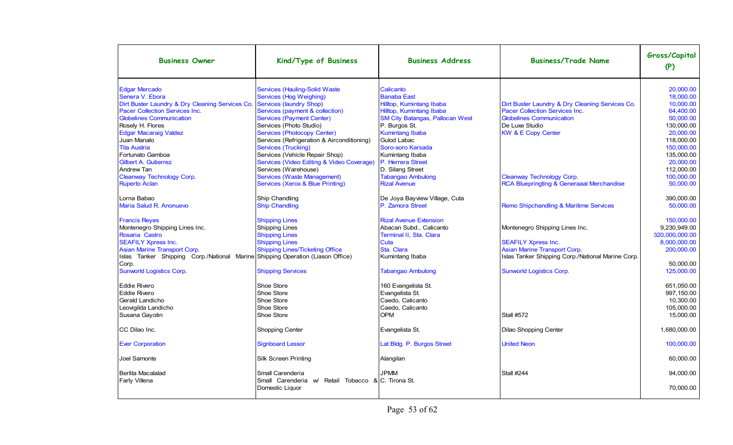| <b>Business Owner</b>                                                                                                                                                                                                                                                                                        | Kind/Type of Business                                                                                                                                                                                                                                                                                                                                                                         | <b>Business Address</b>                                                                                                                                                                                                                                  | <b>Business/Trade Name</b>                                                                                                                                              | Gross/Capital<br>(P)                                                                                                                            |
|--------------------------------------------------------------------------------------------------------------------------------------------------------------------------------------------------------------------------------------------------------------------------------------------------------------|-----------------------------------------------------------------------------------------------------------------------------------------------------------------------------------------------------------------------------------------------------------------------------------------------------------------------------------------------------------------------------------------------|----------------------------------------------------------------------------------------------------------------------------------------------------------------------------------------------------------------------------------------------------------|-------------------------------------------------------------------------------------------------------------------------------------------------------------------------|-------------------------------------------------------------------------------------------------------------------------------------------------|
| <b>Edgar Mercado</b><br>Senera V. Ebora<br>Dirt Buster Laundry & Dry Cleaning Services Co.<br>Pacer Collection Services Inc.<br><b>Globelines Communication</b><br>Rosely H. Flores<br><b>Edgar Macaraig Valdez</b><br>Juan Manalo<br><b>Tita Austria</b><br>Fortunato Gamboa<br><b>Gilbert A. Gutierrez</b> | <b>Services (Hauling-Solid Waste</b><br><b>Services (Hog Weighing)</b><br>Services (laundry Shop)<br>Services (payment & collection)<br><b>Services (Payment Center)</b><br>Services (Photo Studio)<br><b>Services (Photocopy Center)</b><br>Services (Refrigeration & Airconditioning)<br>Services (Trucking)<br>Services (Vehicle Repair Shop)<br>Services (Video Editing & Video Coverage) | Calicanto<br><b>Banaba East</b><br>Hilltop, Kumintang Ibaba<br>Hilltop, Kumintang Ibaba<br><b>SM City Batangas, Pallocan West</b><br>P. Burgos St.<br><b>Kumintang Ibaba</b><br>Gulod Labac<br>Soro-soro Karsada<br>Kumintang Ibaba<br>P. Herrera Street | Dirt Buster Laundry & Dry Cleaning Services Co.<br>Pacer Collection Services Inc.<br><b>Globelines Communication</b><br>De Luxe Studio<br><b>KW &amp; E Copy Center</b> | 20,000.00<br>18.000.00<br>10,000.00<br>64,400.00<br>50.000.00<br>130.000.00<br>20,000.00<br>118.000.00<br>150.000.00<br>135.000.00<br>20,000.00 |
| Andrew Tan<br>Cleanway Technology Corp.<br><b>Ruperto Aclan</b>                                                                                                                                                                                                                                              | Services (Warehouse)<br><b>Services (Waste Management)</b><br>Services (Xerox & Blue Printing)                                                                                                                                                                                                                                                                                                | D. Silang Street<br><b>Tabangao Ambulong</b><br><b>Rizal Avenue</b>                                                                                                                                                                                      | Cleanway Technology Corp.<br>RCA Bluepringting & Generaaal Merchandise                                                                                                  | 112.000.00<br>100.000.00<br>50,000.00                                                                                                           |
| Lorna Babao<br>Maria Salud R. Anonuevo                                                                                                                                                                                                                                                                       | Ship Chandling<br><b>Ship Chandling</b>                                                                                                                                                                                                                                                                                                                                                       | De Joya Bayview Village, Cuta<br>P. Zamora Street                                                                                                                                                                                                        | Remo Shipchandling & Maritime Services                                                                                                                                  | 390.000.00<br>50,000.00                                                                                                                         |
| <b>Francis Reyes</b><br>Montenegro Shipping Lines Inc.<br>Rosaria Castro<br><b>SEAFILY Xpress Inc.</b><br>Asian Marine Transport Corp.                                                                                                                                                                       | <b>Shipping Lines</b><br><b>Shipping Lines</b><br><b>Shipping Lines</b><br><b>Shipping Lines</b><br><b>Shipping Lines/Ticketing Office</b>                                                                                                                                                                                                                                                    | <b>Rizal Avenue Extension</b><br>Abacan Subd., Calicanto<br>Terminal II, Sta. Clara<br>Cuta<br>Sta. Clara                                                                                                                                                | Montenegro Shipping Lines Inc.<br><b>SEAFILY Xpress Inc.</b><br>Asian Marine Transport Corp.                                                                            | 150.000.00<br>9.230.949.00<br>320,000,000.00<br>8,000,000.00<br>200,000.00                                                                      |
| Islas Tanker Shipping Corp./National Marine Shipping Operation (Liason Office)<br>Corp.<br><b>Sunworld Logistics Corp.</b>                                                                                                                                                                                   | <b>Shipping Services</b>                                                                                                                                                                                                                                                                                                                                                                      | Kumintang Ibaba<br><b>Tabangao Ambulong</b>                                                                                                                                                                                                              | Islas Tanker Shipping Corp./National Marine Corp.<br>Sunworld Logistics Corp.                                                                                           | 50.000.00<br>125,000.00                                                                                                                         |
| <b>Eddie Rivero</b><br><b>Eddie Rivero</b><br>Gerald Landicho<br>Leovigilda Landicho<br>Susana Gayotin                                                                                                                                                                                                       | Shoe Store<br>Shoe Store<br>Shoe Store<br>Shoe Store<br>Shoe Store                                                                                                                                                                                                                                                                                                                            | 160 Evangelista St.<br>Evangelista St.<br>Caedo, Calicanto<br>Caedo, Calicanto<br>OPM                                                                                                                                                                    | <b>Stall #572</b>                                                                                                                                                       | 651,050.00<br>997,150.00<br>10.300.00<br>105.000.00<br>15,000.00                                                                                |
| CC Dilao Inc.                                                                                                                                                                                                                                                                                                | Shopping Center                                                                                                                                                                                                                                                                                                                                                                               | Evangelista St.                                                                                                                                                                                                                                          | Dilao Shopping Center                                                                                                                                                   | 1,680,000.00                                                                                                                                    |
| <b>Ever Corporation</b>                                                                                                                                                                                                                                                                                      | <b>Signboard Lessor</b>                                                                                                                                                                                                                                                                                                                                                                       | Lat Bldg. P. Burgos Street                                                                                                                                                                                                                               | <b>United Neon</b>                                                                                                                                                      | 100,000.00                                                                                                                                      |
| Joel Samonte                                                                                                                                                                                                                                                                                                 | Silk Screen Printing                                                                                                                                                                                                                                                                                                                                                                          | Alangilan                                                                                                                                                                                                                                                |                                                                                                                                                                         | 60.000.00                                                                                                                                       |
| Berlita Macalalad<br><b>Farly Villena</b>                                                                                                                                                                                                                                                                    | Small Carenderia<br>Retail Tobacco & C. Tirona St.<br>Small Carenderia w/<br>Domestic Liquor                                                                                                                                                                                                                                                                                                  | <b>JPMM</b>                                                                                                                                                                                                                                              | <b>Stall #244</b>                                                                                                                                                       | 94,000.00<br>70,000.00                                                                                                                          |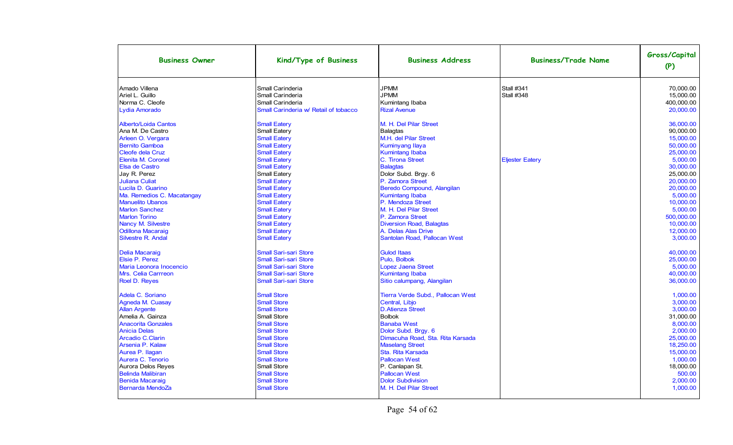| <b>Business Owner</b>       | Kind/Type of Business                 | <b>Business Address</b>           | <b>Business/Trade Name</b> | Gross/Capital<br>(P) |
|-----------------------------|---------------------------------------|-----------------------------------|----------------------------|----------------------|
| Amado Villena               | Small Carinderia                      | <b>JPMM</b>                       | <b>Stall #341</b>          | 70.000.00            |
| Ariel L. Guillo             | Small Carinderia                      | <b>JPMM</b>                       | <b>Stall #348</b>          | 15.000.00            |
| Norma C. Cleofe             | Small Carinderia                      | Kumintang Ibaba                   |                            | 400,000.00           |
| Lydia Amorado               | Small Carinderia w/ Retail of tobacco | <b>Rizal Avenue</b>               |                            | 20,000.00            |
| <b>Alberto/Loida Cantos</b> | <b>Small Eatery</b>                   | M. H. Del Pilar Street            |                            | 36.000.00            |
| Ana M. De Castro            | Small Eatery                          | <b>Balagtas</b>                   |                            | 90.000.00            |
| Arleen O. Vergara           | <b>Small Eatery</b>                   | M.H. del Pilar Street             |                            | 15,000.00            |
| <b>Bernito Gamboa</b>       | <b>Small Eatery</b>                   | <b>Kuminyang Ilaya</b>            |                            | 50.000.00            |
| <b>Cleofe dela Cruz</b>     | <b>Small Eatery</b>                   | <b>Kumintang Ibaba</b>            |                            | 25,000.00            |
| Elenita M. Coronel          | <b>Small Eatery</b>                   | C. Tirona Street                  | <b>Eljester Eatery</b>     | 5.000.00             |
| Elsa de Castro              | <b>Small Eatery</b>                   | <b>Balagtas</b>                   |                            | 30.000.00            |
| Jay R. Perez                | Small Eatery                          | Dolor Subd. Brgy. 6               |                            | 25.000.00            |
| <b>Juliana Culiat</b>       | <b>Small Eatery</b>                   | P. Zamora Street                  |                            | 20.000.00            |
| Lucila D. Guarino           | <b>Small Eatery</b>                   | Beredo Compound, Alangilan        |                            | 20.000.00            |
| Ma. Remedios C. Macatangay  | <b>Small Eatery</b>                   | <b>Kumintang Ibaba</b>            |                            | 5.000.00             |
| <b>Manuelito Ubanos</b>     | <b>Small Eatery</b>                   | P. Mendoza Street                 |                            | 10,000.00            |
| <b>Marlon Sanchez</b>       | <b>Small Eatery</b>                   | M. H. Del Pilar Street            |                            | 5,000.00             |
| <b>Marlon Torino</b>        | <b>Small Eatery</b>                   | P. Zamora Street                  |                            | 500,000.00           |
| Nancy M. Silvestre          | <b>Small Eatery</b>                   | <b>Diversion Road, Balagtas</b>   |                            | 10,000.00            |
| <b>Odillona Macaraig</b>    | <b>Small Eatery</b>                   | A. Delas Alas Drive               |                            | 12,000.00            |
| <b>Silvestre R. Andal</b>   | <b>Small Eatery</b>                   | Santolan Road, Pallocan West      |                            | 3,000.00             |
| <b>Delia Macaraig</b>       | <b>Small Sari-sari Store</b>          | <b>Gulod Itaas</b>                |                            | 40.000.00            |
| Elsie P. Perez              | <b>Small Sari-sari Store</b>          | Pulo. Bolbok                      |                            | 25.000.00            |
| Maria Leonora Inocencio     | <b>Small Sari-sari Store</b>          | <b>Lopez Jaena Street</b>         |                            | 5.000.00             |
| Mrs. Celia Carrreon         | <b>Small Sari-sari Store</b>          | <b>Kumintang Ibaba</b>            |                            | 40.000.00            |
| Roel D. Reyes               | <b>Small Sari-sari Store</b>          | Sitio calumpang, Alangilan        |                            | 36.000.00            |
| Adela C. Soriano            | <b>Small Store</b>                    | Tierra Verde Subd., Pallocan West |                            | 1.000.00             |
| Agneda M. Cuasay            | <b>Small Store</b>                    | Central, Libjo                    |                            | 3.000.00             |
| <b>Allan Argente</b>        | <b>Small Store</b>                    | <b>D.Atienza Street</b>           |                            | 3,000.00             |
| Amelia A. Gainza            | Small Store                           | <b>Bolbok</b>                     |                            | 31,000.00            |
| <b>Anacorita Gonzales</b>   | <b>Small Store</b>                    | <b>Banaba West</b>                |                            | 8,000.00             |
| <b>Anicia Delas</b>         | <b>Small Store</b>                    | Dolor Subd. Brgy. 6               |                            | 2,000.00             |
| <b>Arcadio C.Clarin</b>     | <b>Small Store</b>                    | Dimacuha Road, Sta. Rita Karsada  |                            | 25,000.00            |
| Arsenia P. Kalaw            | <b>Small Store</b>                    | <b>Maselang Street</b>            |                            | 18,250.00            |
| Aurea P. Ilagan             | <b>Small Store</b>                    | Sta. Rita Karsada                 |                            | 15,000.00            |
| Aurera C. Tenorio           | <b>Small Store</b>                    | <b>Pallocan West</b>              |                            | 1,000.00             |
| Aurora Delos Reyes          | Small Store                           | P. Canlapan St.                   |                            | 18,000.00            |
| <b>Belinda Malibiran</b>    | <b>Small Store</b>                    | <b>Pallocan West</b>              |                            | 500.00               |
| <b>Benida Macaraig</b>      | <b>Small Store</b>                    | <b>Dolor Subdivision</b>          |                            | 2.000.00             |
| Bernarda MendoZa            | <b>Small Store</b>                    | M. H. Del Pilar Street            |                            | 1.000.00             |
|                             |                                       |                                   |                            |                      |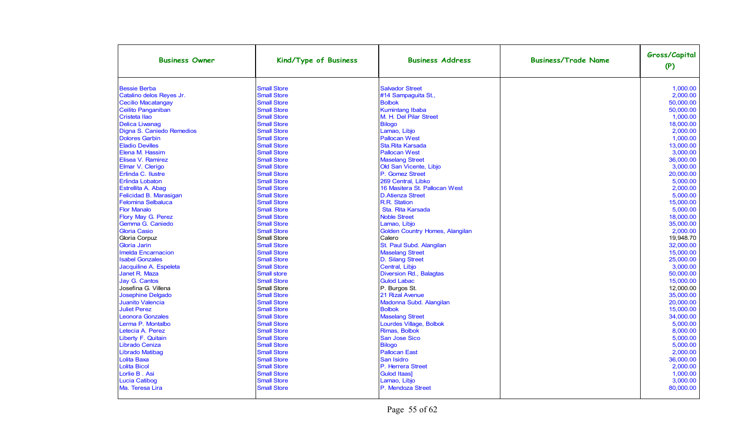| <b>Business Owner</b>     | Kind/Type of Business | <b>Business Address</b>         | <b>Business/Trade Name</b> | Gross/Capital<br>(P) |
|---------------------------|-----------------------|---------------------------------|----------------------------|----------------------|
| <b>Bessie Berba</b>       | <b>Small Store</b>    | <b>Salvador Street</b>          |                            | 1.000.00             |
| Catalino delos Reyes Jr.  | <b>Small Store</b>    | #14 Sampaguita St.,             |                            | 2.000.00             |
| <b>Cecilio Macatangay</b> | <b>Small Store</b>    | <b>Bolbok</b>                   |                            | 50.000.00            |
| Ceilito Panganiban        | <b>Small Store</b>    | <b>Kumintang Ibaba</b>          |                            | 50,000.00            |
| Cristeta Ilao             | <b>Small Store</b>    | M. H. Del Pilar Street          |                            | 1,000.00             |
| <b>Delica Liwanag</b>     | <b>Small Store</b>    | <b>Bilogo</b>                   |                            | 18,000.00            |
| Digna S. Caniedo Remedios | <b>Small Store</b>    | Lamao, Libjo                    |                            | 2,000.00             |
| <b>Dolores Garbin</b>     | <b>Small Store</b>    | <b>Pallocan West</b>            |                            | 1,000.00             |
| <b>Eladio Devilles</b>    | <b>Small Store</b>    | Sta. Rita Karsada               |                            | 13,000.00            |
| Elena M. Hassim           | <b>Small Store</b>    | <b>Pallocan West</b>            |                            | 3.000.00             |
| Elisea V. Ramirez         | <b>Small Store</b>    | <b>Maselang Street</b>          |                            | 36.000.00            |
| Elmar V. Clerigo          | <b>Small Store</b>    | Old San Vicente, Libjo          |                            | 3.000.00             |
| Erlinda C. Ilustre        | <b>Small Store</b>    | P. Gomez Street                 |                            | 20.000.00            |
| <b>Erlinda Lobaton</b>    | <b>Small Store</b>    | 269 Central. Libko              |                            | 5.000.00             |
| Estrellita A. Abag        | <b>Small Store</b>    | 16 Masitera St. Pallocan West   |                            | 2.000.00             |
| Felicidad B. Marasigan    | <b>Small Store</b>    | <b>D.Atienza Street</b>         |                            | 5.000.00             |
| <b>Felomina Selbaluca</b> | <b>Small Store</b>    | R.R. Station                    |                            | 15.000.00            |
| <b>Flor Manalo</b>        | <b>Small Store</b>    | Sta. Rita Karsada               |                            | 5,000.00             |
| Flory May G. Perez        | <b>Small Store</b>    | <b>Noble Street</b>             |                            | 18,000.00            |
| Gemma G. Caniedo          | <b>Small Store</b>    | Lamao, Libjo                    |                            | 35,000.00            |
| <b>Gloria Casio</b>       | <b>Small Store</b>    | Golden Country Homes, Alangilan |                            | 2,000.00             |
| Gloria Corpuz             | Small Store           | Calero                          |                            | 19,948.70            |
| <b>Gloria Jarin</b>       | <b>Small Store</b>    | St. Paul Subd. Alangilan        |                            | 32.000.00            |
| <b>Imelda Encarnacion</b> | <b>Small Store</b>    | <b>Maselang Street</b>          |                            | 15,000.00            |
| <b>Isabel Gonzales</b>    | <b>Small Store</b>    | D. Silang Street                |                            | 25.000.00            |
| Jacquiline A. Espeleta    | <b>Small Store</b>    | Central, Libjo                  |                            | 3,000.00             |
| Janet R. Maza             | <b>Small store</b>    | Diversion Rd., Balagtas         |                            | 50.000.00            |
| Jay G. Cantos             | <b>Small Store</b>    | <b>Gulod Labac</b>              |                            | 15,000.00            |
| Josefina G. Villena       | Small Store           | P. Burgos St.                   |                            | 12.000.00            |
| Josephine Delgado         | <b>Small Store</b>    | 21 Rizal Avenue                 |                            | 35,000.00            |
| <b>Juanito Valencia</b>   | <b>Small Store</b>    | Madonna Subd. Alangilan         |                            | 20.000.00            |
| <b>Juliet Perez</b>       | <b>Small Store</b>    | <b>Bolbok</b>                   |                            | 15,000.00            |
| <b>Leonora Gonzales</b>   | <b>Small Store</b>    | <b>Maselang Street</b>          |                            | 34,000.00            |
| Lerma P. Montalbo         | <b>Small Store</b>    | Lourdes Village, Bolbok         |                            | 5,000.00             |
| Letecia A. Perez          | <b>Small Store</b>    | Rimas, Bolbok                   |                            | 8,000.00             |
| Liberty F. Quitain        | <b>Small Store</b>    | San Jose Sico                   |                            | 5,000.00             |
| Librado Ceniza            | <b>Small Store</b>    | <b>Bilogo</b>                   |                            | 5,000.00             |
| Librado Matibag           | <b>Small Store</b>    | <b>Pallocan East</b>            |                            | 2,000.00             |
| Lolita Baxa               | <b>Small Store</b>    | San Isidro                      |                            | 36,000.00            |
| <b>Lolita Bicol</b>       | <b>Small Store</b>    | P. Herrera Street               |                            | 2,000.00             |
| Lorlie B. Asi             | <b>Small Store</b>    | <b>Gulod Itaas]</b>             |                            | 1,000.00             |
| Lucia Catibog             | <b>Small Store</b>    | Lamao, Libjo                    |                            | 3,000.00             |
| Ma. Teresa Lira           | <b>Small Store</b>    | P. Mendoza Street               |                            | 80,000.00            |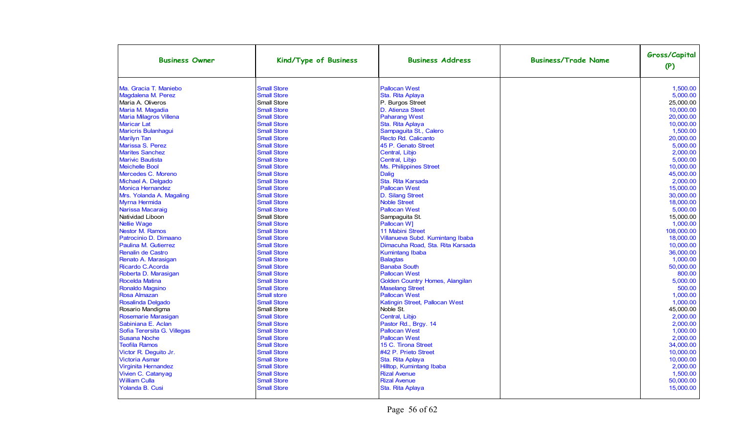| <b>Business Owner</b>         | Kind/Type of Business | <b>Business Address</b>                | <b>Business/Trade Name</b> | Gross/Capital<br>(P) |
|-------------------------------|-----------------------|----------------------------------------|----------------------------|----------------------|
| Ma. Gracia T. Maniebo         | <b>Small Store</b>    | <b>Pallocan West</b>                   |                            | 1,500.00             |
| Magdalena M. Perez            | <b>Small Store</b>    | Sta. Rita Aplaya                       |                            | 5,000.00             |
| Maria A. Oliveros             | Small Store           | P. Burgos Street                       |                            | 25,000.00            |
| Maria M. Magadia              | <b>Small Store</b>    | D. Atienza Steet                       |                            | 10,000.00            |
| <b>Maria Milagros Villena</b> | <b>Small Store</b>    | <b>Paharang West</b>                   |                            | 20.000.00            |
| <b>Maricar Lat</b>            | <b>Small Store</b>    | Sta. Rita Aplaya                       |                            | 10,000.00            |
| <b>Maricris Bulanhaqui</b>    | <b>Small Store</b>    | Sampaguita St., Calero                 |                            | 1.500.00             |
| <b>Marilyn Tan</b>            | <b>Small Store</b>    | Recto Rd. Calicanto                    |                            | 20.000.00            |
| <b>Marissa S. Perez</b>       | <b>Small Store</b>    | 45 P. Genato Street                    |                            | 5.000.00             |
| <b>Marites Sanchez</b>        | <b>Small Store</b>    | Central, Libjo                         |                            | 2,000.00             |
| <b>Marivic Bautista</b>       | <b>Small Store</b>    | Central, Libjo                         |                            | 5.000.00             |
| <b>Meichelle Bool</b>         | <b>Small Store</b>    | Ms. Philippines Street                 |                            | 10,000.00            |
| Mercedes C. Moreno            | <b>Small Store</b>    | <b>Dalig</b>                           |                            | 45,000.00            |
| Michael A. Delgado            | <b>Small Store</b>    | Sta. Rita Karsada                      |                            | 2,000.00             |
| <b>Monica Hernandez</b>       | <b>Small Store</b>    | <b>Pallocan West</b>                   |                            | 15.000.00            |
| Mrs. Yolanda A. Magaling      | <b>Small Store</b>    | D. Silang Street                       |                            | 30,000.00            |
| Myrna Hermida                 | <b>Small Store</b>    | <b>Noble Street</b>                    |                            | 18.000.00            |
| Narissa Macaraig              | <b>Small Store</b>    | <b>Pallocan West</b>                   |                            | 5,000.00             |
| Natividad Liboon              | Small Store           | Sampaguita St.                         |                            | 15.000.00            |
| <b>Nellie Wage</b>            | <b>Small Store</b>    | Pallocan W]                            |                            | 1,000.00             |
| Nestor M. Ramos               | <b>Small Store</b>    | <b>11 Mabini Street</b>                |                            | 108.000.00           |
| Patrocinio D. Dimaano         | <b>Small Store</b>    | Villanueva Subd. Kumintang Ibaba       |                            | 18.000.00            |
| Paulina M. Gutierrez          | <b>Small Store</b>    | Dimacuha Road, Sta. Rita Karsada       |                            | 10.000.00            |
| Renalin de Castro             | <b>Small Store</b>    | <b>Kumintang Ibaba</b>                 |                            | 36,000.00            |
| Renato A. Marasigan           | <b>Small Store</b>    | <b>Balagtas</b>                        |                            | 1,000.00             |
| Ricardo C.Acorda              | <b>Small Store</b>    | <b>Banaba South</b>                    |                            | 50,000.00            |
| Roberta D. Marasigan          | <b>Small Store</b>    | <b>Pallocan West</b>                   |                            | 800.00               |
| Rocelda Matina                | <b>Small Store</b>    | <b>Golden Country Homes, Alangilan</b> |                            | 5,000.00             |
| Ronaldo Magsino               | <b>Small Store</b>    | <b>Maselang Street</b>                 |                            | 500.00               |
| <b>Rosa Almazan</b>           | <b>Small store</b>    | <b>Pallocan West</b>                   |                            | 1,000.00             |
| Rosalinda Delgado             | <b>Small Store</b>    | Katingin Street, Pallocan West         |                            | 1.000.00             |
| Rosario Mandigma              | Small Store           | Noble St.                              |                            | 45,000.00            |
| Rosemarie Marasigan           | <b>Small Store</b>    | Central, Libjo                         |                            | 2.000.00             |
| Sabiniana E. Aclan            | <b>Small Store</b>    | Pastor Rd., Brgy. 14                   |                            | 2.000.00             |
| Sofia Terersita G. Villegas   | <b>Small Store</b>    | <b>Pallocan West</b>                   |                            | 1,000.00             |
| <b>Susana Noche</b>           | <b>Small Store</b>    | <b>Pallocan West</b>                   |                            | 2,000.00             |
| <b>Teofila Ramos</b>          | <b>Small Store</b>    | 15 C. Tirona Street                    |                            | 34,000.00            |
| Victor R. Deguito Jr.         | <b>Small Store</b>    | #42 P. Prieto Street                   |                            | 10,000.00            |
| <b>Victoria Asmar</b>         | <b>Small Store</b>    | Sta. Rita Aplaya                       |                            | 10,000.00            |
| Virginita Hernandez           | <b>Small Store</b>    | Hilltop, Kumintang Ibaba               |                            | 2,000.00             |
| Vivien C. Catanyag            | <b>Small Store</b>    | <b>Rizal Avenue</b>                    |                            | 1,500.00             |
| <b>William Culla</b>          | <b>Small Store</b>    | <b>Rizal Avenue</b>                    |                            | 50,000.00            |
| Yolanda B. Cusi               | <b>Small Store</b>    | Sta. Rita Aplaya                       |                            | 15.000.00            |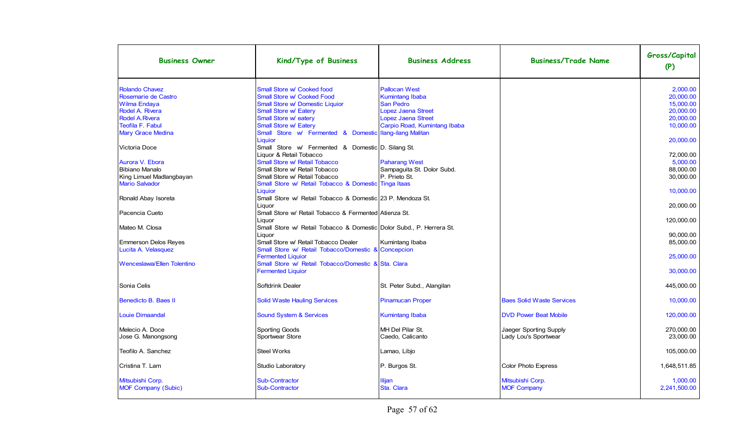| <b>Business Owner</b>                        | Kind/Type of Business                                                           | <b>Business Address</b>                        | <b>Business/Trade Name</b>       | Gross/Capital<br>(P)  |
|----------------------------------------------|---------------------------------------------------------------------------------|------------------------------------------------|----------------------------------|-----------------------|
| <b>Rolando Chavez</b><br>Rosemarie de Castro | Small Store w/ Cooked food<br>Small Store w/ Cooked Food                        | <b>Pallocan West</b><br><b>Kumintang Ibaba</b> |                                  | 2,000.00<br>20,000.00 |
| Wilma Endaya                                 | <b>Small Store w/ Domestic Liquior</b>                                          | <b>San Pedro</b>                               |                                  | 15,000.00             |
| Rodel A. Rivera                              | <b>Small Store w/ Eatery</b>                                                    | <b>Lopez Jaena Street</b>                      |                                  | 20,000.00             |
| <b>Rodel A. Rivera</b>                       | Small Store w/ eatery                                                           | <b>Lopez Jaena Street</b>                      |                                  | 20,000.00             |
| <b>Teofila F. Fabul</b>                      | Small Store w/ Eatery                                                           | Carpio Road, Kumintang Ibaba                   |                                  | 10,000.00             |
| <b>Mary Grace Medina</b>                     | Store w/ Fermented & Domestic Ilang-ilang Malitan<br><b>Small</b><br>Liquior    |                                                |                                  | 20,000.00             |
| Victoria Doce                                | Small Store w/ Fermented & Domestic D. Silang St.<br>Liquor & Retail Tobacco    |                                                |                                  | 72,000.00             |
| Aurora V. Ebora                              | Small Store w/ Retail Tobacco                                                   | <b>Paharang West</b>                           |                                  | 5.000.00              |
| <b>Bibiano Manalo</b>                        | Small Store w/ Retail Tobacco                                                   | Sampaguita St. Dolor Subd.                     |                                  | 88,000.00             |
| King Limuel Madlangbayan                     | Small Store w/ Retail Tobacco                                                   | P. Prieto St.                                  |                                  | 30,000.00             |
| <b>Mario Salvador</b>                        | Small Store w/ Retail Tobacco & Domestic Tinga Itaas                            |                                                |                                  |                       |
|                                              | Liquior                                                                         |                                                |                                  | 10,000.00             |
| Ronald Abay Isoreta                          | Small Store w/ Retail Tobacco & Domestic 23 P. Mendoza St.<br>Liguor            |                                                |                                  | 20,000.00             |
| Pacencia Cueto                               | Small Store w/ Retail Tobacco & Fermented Atienza St.<br>Liguor                 |                                                |                                  | 120,000.00            |
| Mateo M. Closa                               | Small Store w/ Retail Tobacco & Domestic Dolor Subd., P. Herrera St.<br>Liguor  |                                                |                                  | 90.000.00             |
| <b>Emmerson Delos Reves</b>                  | Small Store w/ Retail Tobacco Dealer                                            | Kumintang Ibaba                                |                                  | 85.000.00             |
| Lucita A. Velasquez                          | Small Store w/ Retail Tobacco/Domestic & Concepcion                             |                                                |                                  |                       |
|                                              | <b>Fermented Liquior</b>                                                        |                                                |                                  | 25,000.00             |
| Wenceslawa/Ellen Tolentino                   | Small Store w/ Retail Tobacco/Domestic & Sta. Clara<br><b>Fermented Liquior</b> |                                                |                                  | 30,000.00             |
|                                              |                                                                                 |                                                |                                  |                       |
| Sonia Celis                                  | Softdrink Dealer                                                                | St. Peter Subd., Alangilan                     |                                  | 445,000.00            |
| Benedicto B. Baes II                         | <b>Solid Waste Hauling Services</b>                                             | <b>Pinamucan Proper</b>                        | <b>Baes Solid Waste Services</b> | 10,000.00             |
| <b>Louie Dimaandal</b>                       | <b>Sound System &amp; Services</b>                                              | <b>Kumintang Ibaba</b>                         | <b>DVD Power Beat Mobile</b>     | 120.000.00            |
| Melecio A. Doce                              | Sporting Goods                                                                  | MH Del Pilar St.                               | Jaeger Sporting Supply           | 270,000.00            |
| Jose G. Manongsong                           | Sportwear Store                                                                 | Caedo, Calicanto                               | Lady Lou's Sportwear             | 23,000.00             |
| Teofilo A. Sanchez                           | <b>Steel Works</b>                                                              | Lamao, Libjo                                   |                                  | 105,000.00            |
| Cristina T. Lam                              | Studio Laboratory                                                               | P. Burgos St.                                  | <b>Color Photo Express</b>       | 1,648,511.85          |
| Mitsubishi Corp.                             | <b>Sub-Contractor</b>                                                           | Ilijan                                         | Mitsubishi Corp.                 | 1,000.00              |
| MOF Company (Subic)                          | <b>Sub-Contractor</b>                                                           | Sta. Clara                                     | <b>MOF Company</b>               | 2,241,500.00          |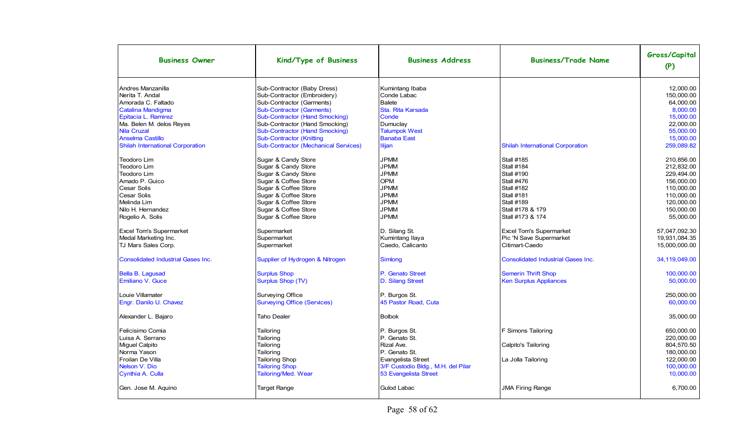| <b>Business Owner</b>                     | Kind/Type of Business                       | <b>Business Address</b>            | <b>Business/Trade Name</b>                | Gross/Capital<br>(P) |
|-------------------------------------------|---------------------------------------------|------------------------------------|-------------------------------------------|----------------------|
| Andres Manzanilla                         | Sub-Contractor (Baby Dress)                 | Kumintang Ibaba                    |                                           | 12.000.00            |
| Nerita T. Andal                           | Sub-Contractor (Embroidery)                 | Conde Labac                        |                                           | 150.000.00           |
| Amorada C. Faltado                        | Sub-Contractor (Garments)                   | <b>Balete</b>                      |                                           | 64.000.00            |
| Catalina Mandigma                         | <b>Sub-Contractor (Garments)</b>            | Sta. Rita Karsada                  |                                           | 8,000.00             |
| Epitacia L. Ramirez                       | <b>Sub-Contractor (Hand Smocking)</b>       | Conde                              |                                           | 15,000.00            |
| Ma. Belen M. delos Reyes                  | Sub-Contractor (Hand Smocking)              | Dumuclay                           |                                           | 22,000.00            |
| <b>Nila Cruzal</b>                        | <b>Sub-Contractor (Hand Smocking)</b>       | <b>Talumpok West</b>               |                                           | 55,000.00            |
| <b>Anselma Castillo</b>                   | <b>Sub-Contractor (Knitting</b>             | <b>Banaba East</b>                 |                                           | 15,000.00            |
| <b>Shilah International Corporation</b>   | <b>Sub-Contractor (Mechanical Services)</b> | <b>Ilijan</b>                      | <b>Shilah International Corporation</b>   | 259,089.82           |
| Teodoro Lim                               | Sugar & Candy Store                         | <b>JPMM</b>                        | <b>Stall #185</b>                         | 210,856.00           |
| Teodoro Lim                               | Sugar & Candy Store                         | <b>JPMM</b>                        | <b>Stall #184</b>                         | 212,832.00           |
| Teodoro Lim                               | Sugar & Candy Store                         | <b>JPMM</b>                        | <b>Stall #190</b>                         | 229.494.00           |
| Amado P. Guico                            | Sugar & Coffee Store                        | <b>OPM</b>                         | <b>Stall #476</b>                         | 156.000.00           |
| <b>Cesar Solis</b>                        | Sugar & Coffee Store                        | <b>JPMM</b>                        | <b>Stall #182</b>                         | 110.000.00           |
| <b>Cesar Solis</b>                        | Sugar & Coffee Store                        | <b>JPMM</b>                        | <b>Stall #181</b>                         | 110,000.00           |
| Melinda Lim                               | Sugar & Coffee Store                        | <b>JPMM</b>                        | <b>Stall #189</b>                         | 120.000.00           |
| Nilo H. Hernandez                         | Sugar & Coffee Store                        | <b>JPMM</b>                        | Stall #178 & 179                          | 150.000.00           |
| Rogelio A. Solis                          | Sugar & Coffee Store                        | <b>JPMM</b>                        | Stall #173 & 174                          | 55,000.00            |
| <b>Excel Tom's Supermarket</b>            | Supermarket                                 | D. Silang St.                      | <b>Excel Tom's Supermarket</b>            | 57.047.092.30        |
| Medal Marketing Inc.                      | Supermarket                                 | Kumintang Ilaya                    | Pic 'N Save Supermarket                   | 19,931,084.35        |
| TJ Mars Sales Corp.                       | Supermarket                                 | Caedo, Calicanto                   | Citimart-Caedo                            | 15,000,000.00        |
| <b>Consolidated Industrial Gases Inc.</b> | Supplier of Hydrogen & Nitrogen             | Simlong                            | <b>Consolidated Industrial Gases Inc.</b> | 34.119.049.00        |
| Bella B. Lagusad                          | <b>Surplus Shop</b>                         | P. Genato Street                   | Semerin Thrift Shop                       | 100,000.00           |
| <b>Emiliano V. Guce</b>                   | Surplus Shop (TV)                           | D. Silang Street                   | <b>Ken Surplus Appliances</b>             | 50,000.00            |
| Louie Villamater                          | Surveying Office                            | P. Burgos St.                      |                                           | 250.000.00           |
| Engr. Danilo U. Chavez                    | <b>Surveying Office (Services)</b>          | 45 Pastor Road, Cuta               |                                           | 60,000.00            |
| Alexander L. Bajaro                       | <b>Taho Dealer</b>                          | <b>Bolbok</b>                      |                                           | 35,000.00            |
| Felicisimo Comia                          | Tailoring                                   | P. Burgos St.                      | F Simons Tailoring                        | 650,000.00           |
| Luisa A. Serrano                          | Tailoring                                   | P. Genato St.                      |                                           | 220,000.00           |
| Miguel Calpito                            | Tailoring                                   | Rizal Ave.                         | Calpito's Tailoring                       | 804,570.50           |
| Norma Yason                               | Tailoring                                   | P. Genato St.                      |                                           | 180.000.00           |
| Froilan De Villa                          | <b>Tailoring Shop</b>                       | Evangelista Street                 | La Jolla Tailoring                        | 122,000.00           |
| Nelson V. Dio                             | <b>Tailoring Shop</b>                       | 3/F Custodio Bldg., M.H. del Pilar |                                           | 100,000.00           |
| Cynthia A. Culla                          | Tailoring/Med. Wear                         | 53 Evangelista Street              |                                           | 10,000.00            |
| Gen. Jose M. Aquino                       | <b>Target Range</b>                         | Gulod Labac                        | <b>JMA Firing Range</b>                   | 6,700.00             |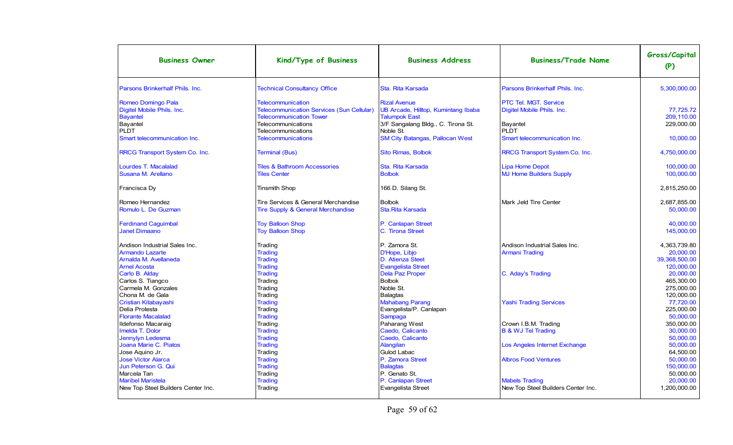| <b>Business Owner</b>              | Kind/Type of Business                            | <b>Business Address</b>                | <b>Business/Trade Name</b>         | Gross/Capital<br>(P) |
|------------------------------------|--------------------------------------------------|----------------------------------------|------------------------------------|----------------------|
| Parsons Brinkerhalf Phils, Inc.    | <b>Technical Consultancy Office</b>              | Sta. Rita Karsada                      | Parsons Brinkerhalf Phils, Inc.    | 5.300.000.00         |
| Romeo Domingo Pala                 | <b>Telecommunication</b>                         | <b>Rizal Avenue</b>                    | PTC Tel. MGT. Service              |                      |
| Digitel Mobile Phils. Inc.         | <b>Telecommunication Services (Sun Cellular)</b> | UB Arcade, Hilltop, Kumintang Ibaba    | Digitel Mobile Phils. Inc.         | 77.725.72            |
| <b>Bayantel</b>                    | <b>Telecommunication Tower</b>                   | <b>Talumpok East</b>                   |                                    | 209,110.00           |
| Bayantel                           | Telecommunications                               | 3/F Sangalang Bldg., C. Tirona St.     | <b>Bayantel</b>                    | 229,000.00           |
| <b>PLDT</b>                        | Telecommunications                               | Noble St.                              | PLDT                               |                      |
| Smart telecommunication Inc.       | <b>Telecommunications</b>                        | <b>SM City Batangas, Pallocan West</b> | Smart telecommunication Inc.       | 10,000.00            |
| RRCG Transport System Co. Inc.     | <b>Terminal (Bus)</b>                            | <b>Sito Rimas, Bolbok</b>              | RRCG Transport System Co. Inc.     | 4,750,000.00         |
|                                    |                                                  |                                        |                                    |                      |
| Lourdes T. Macalalad               | <b>Tiles &amp; Bathroom Accessories</b>          | Sta. Rita Karsada                      | <b>Lipa Home Depot</b>             | 100,000.00           |
| Susana M. Arellano                 | <b>Tiles Center</b>                              | <b>Bolbok</b>                          | <b>MJ Home Builders Supply</b>     | 100.000.00           |
| Francisca Dy                       | <b>Tinsmith Shop</b>                             | 166 D. Silang St.                      |                                    | 2,815,250.00         |
| Romeo Hernandez                    | Tire Services & General Merchandise              | <b>Bolbok</b>                          | Mark Jeld Tire Center              | 2.687.855.00         |
| Romulo L. De Guzman                | <b>Tire Supply &amp; General Merchandise</b>     | Sta.Rita Karsada                       |                                    | 50.000.00            |
| <b>Ferdinand Caguimbal</b>         | <b>Toy Balloon Shop</b>                          | P. Canlapan Street                     |                                    | 40.000.00            |
| <b>Janet Dimaano</b>               | <b>Toy Balloon Shop</b>                          | C. Tirona Street                       |                                    | 145.000.00           |
| Andison Industrial Sales Inc.      | Trading                                          | P. Zamora St.                          | Andison Industrial Sales Inc.      | 4.363.739.80         |
| <b>Armando Lazarte</b>             | Trading                                          | D'Hope, Libjo                          | <b>Armani Trading</b>              | 20.000.00            |
| Arnalda M. Avellaneda              | <b>Trading</b>                                   | D. Atienza Steet                       |                                    | 39.368.500.00        |
| <b>Arnel Acosta</b>                | Trading                                          | <b>Evangelista Street</b>              |                                    | 120,000.00           |
| Carlo B. Alday                     | <b>Trading</b>                                   | <b>Dela Paz Proper</b>                 | C. Aday's Trading                  | 20,000.00            |
| Carlos S. Tiangco                  | Trading                                          | <b>Bolbok</b>                          |                                    | 465,300.00           |
| Carmela M. Gonzales                | Trading                                          | Noble St.                              |                                    | 275,000.00           |
| Chona M. de Gala                   | Trading                                          | <b>Balagtas</b>                        |                                    | 120,000.00           |
| Cristian Kitabayashi               | <b>Trading</b>                                   | <b>Mahabang Parang</b>                 | <b>Yashi Trading Services</b>      | 77,720.00            |
| Delia Protesta                     | Trading                                          | Evangelista/P. Canlapan                |                                    | 225,000.00           |
| <b>Florante Macalalad</b>          | <b>Trading</b>                                   | Sampaga                                |                                    | 50,000.00            |
| Ildefonso Macaraig                 | Trading                                          | Paharang West                          | Crown I.B.M. Trading               | 350.000.00           |
| Imelda T. Dolor                    | <b>Trading</b>                                   | Caedo, Calicanto                       | <b>B &amp; WJ Tel Trading</b>      | 30.000.00            |
| Jennylyn Ledesma                   | <b>Trading</b>                                   | Caedo, Calicanto                       |                                    | 50.000.00            |
| Joana Marie C. Piatos              | <b>Trading</b>                                   | Alangilan                              | Los Angeles Internet Exchange      | 50.000.00            |
| Jose Aquino Jr.                    | Trading                                          | Gulod Labac                            |                                    | 64.500.00            |
| <b>Jose Victor Alarca</b>          | <b>Trading</b>                                   | P. Zamora Street                       | <b>Albros Food Ventures</b>        | 50.000.00            |
| Jun Peterson G. Qui                | <b>Trading</b>                                   | <b>Balagtas</b>                        |                                    | 150.000.00           |
| Marcela Tan                        | Trading                                          | P. Genato St.                          |                                    | 50.000.00            |
| <b>Maribel Maristela</b>           | <b>Trading</b>                                   | P. Canlapan Street                     | <b>Mabels Trading</b>              | 20,000.00            |
| New Top Steel Builders Center Inc. | Trading                                          | Evangelista Street                     | New Top Steel Builders Center Inc. | 1,200,000.00         |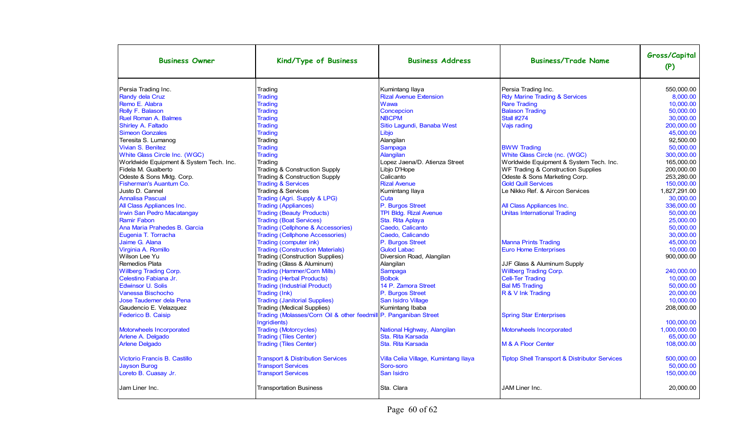| <b>Business Owner</b>                   | Kind/Type of Business                                                            | <b>Business Address</b>              | <b>Business/Trade Name</b>                               | Gross/Capital<br>(P) |
|-----------------------------------------|----------------------------------------------------------------------------------|--------------------------------------|----------------------------------------------------------|----------------------|
| Persia Trading Inc.                     | Trading                                                                          | Kumintang Ilaya                      | Persia Trading Inc.                                      | 550.000.00           |
| Randy dela Cruz                         | <b>Trading</b>                                                                   | <b>Rizal Avenue Extension</b>        | <b>Rdy Marine Trading &amp; Services</b>                 | 8.000.00             |
| Remo E. Alabra                          | <b>Trading</b>                                                                   | Wawa                                 | <b>Rare Trading</b>                                      | 10.000.00            |
| Rolly F. Balason                        | <b>Trading</b>                                                                   | Concepcion                           | <b>Balason Trading</b>                                   | 50,000.00            |
| Ruel Roman A. Balmes                    | <b>Trading</b>                                                                   | <b>NBCPM</b>                         | <b>Stall #274</b>                                        | 30,000.00            |
| Shirley A. Faltado                      | <b>Trading</b>                                                                   | Sitio Lagundi, Banaba West           | Vajs rading                                              | 200.000.00           |
| <b>Simeon Gonzales</b>                  | <b>Trading</b>                                                                   | Libjo                                |                                                          | 45.000.00            |
| Teresita S. Lumanog                     | Trading                                                                          | Alangilan                            |                                                          | 92.500.00            |
| Vivian S. Benitez                       | <b>Trading</b>                                                                   | Sampaga                              | <b>BWW Trading</b>                                       | 50.000.00            |
| White Glass Circle Inc. (WGC)           | <b>Trading</b>                                                                   | <b>Alangilan</b>                     | White Glass Circle (nc. (WGC)                            | 300.000.00           |
| Worldwide Equipment & System Tech. Inc. | Trading                                                                          | Lopez Jaena/D. Atienza Street        | Worldwide Equipment & System Tech. Inc.                  | 165,000.00           |
| Fidela M. Gualberto                     | Trading & Construction Supply                                                    | Libio D'Hope                         | WF Trading & Construction Supplies                       | 200,000.00           |
| Odeste & Sons Mktg. Corp.               | Trading & Construction Supply                                                    | Calicanto                            | Odeste & Sons Marketing Corp.                            | 253.280.00           |
| Fisherman's Auantum Co.                 | <b>Trading &amp; Services</b>                                                    | <b>Rizal Avenue</b>                  | <b>Gold Quill Services</b>                               | 150,000.00           |
| Justo D. Cannel                         | Trading & Services                                                               | Kumintang Ilaya                      | Le Nikko Ref. & Aircon Services                          | 1,827,291.00         |
| <b>Annalisa Pascual</b>                 | Trading (Agri. Supply & LPG)                                                     | Cuta                                 |                                                          | 30.000.00            |
| All Class Appliances Inc.               | <b>Trading (Appliances)</b>                                                      | P. Burgos Street                     | All Class Appliances Inc.                                | 336.000.00           |
| <b>Irwin San Pedro Macatangay</b>       | <b>Trading (Beauty Products)</b>                                                 | <b>TPI Bldg. Rizal Avenue</b>        | <b>Unitas International Trading</b>                      | 50.000.00            |
| <b>Ramir Fabon</b>                      | <b>Trading (Boat Services)</b>                                                   | Sta. Rita Aplaya                     |                                                          | 25,000.00            |
| Ana Maria Prahedes B. Garcia            | <b>Trading (Cellphone &amp; Accessories)</b>                                     | Caedo, Calicanto                     |                                                          | 50,000.00            |
| Eugenia T. Torracha                     | <b>Trading (Cellphone Accessories)</b>                                           | Caedo, Calicando                     |                                                          | 30.000.00            |
| Jaime G. Alana                          | Trading (computer ink)                                                           | P. Burgos Street                     | <b>Manna Prints Trading</b>                              | 45.000.00            |
| Virginia A. Romillo                     | <b>Trading (Construction Materials)</b>                                          | <b>Gulod Labac</b>                   | <b>Euro Home Enterprises</b>                             | 10,000.00            |
| Wilson Lee Yu                           | <b>Trading (Construction Supplies)</b>                                           | Diversion Road, Alangilan            |                                                          | 900,000.00           |
| Remedios Plata                          | Trading (Glass & Aluminum)                                                       | Alangilan                            | JJF Glass & Aluminum Supply                              |                      |
| <b>Willberg Trading Corp.</b>           | <b>Trading (Hammer/Corn Mills)</b>                                               | Sampaga                              | <b>Willberg Trading Corp.</b>                            | 240.000.00           |
| Celestino Fabiana Jr.                   | <b>Trading (Herbal Products)</b>                                                 | <b>Bolbok</b>                        | <b>Cell-Ter Trading</b>                                  | 10,000.00            |
| <b>Edwinsor U. Solis</b>                | <b>Trading (Industrial Product)</b>                                              | 14 P. Zamora Street                  | <b>Bal M5 Trading</b>                                    | 50.000.00            |
| Vanessa Bischocho                       | Trading (Ink)                                                                    | P. Burgos Street                     | R & V Ink Trading                                        | 20.000.00            |
| Jose Taudemer dela Pena                 | <b>Trading (Janitorial Supplies)</b>                                             | San Isidro Village                   |                                                          | 10.000.00            |
| Gaudencio E. Velazquez                  | Trading (Medical Supplies)                                                       | Kumintang Ibaba                      |                                                          | 208,000.00           |
| Federico B. Caisip                      | Trading (Molasses/Corn Oil & other feedmill P. Panganiban Street<br>Ingridients) |                                      | <b>Spring Star Enterprises</b>                           | 100.000.00           |
| Motorwheels Incorporated                | <b>Trading (Motorcycles)</b>                                                     | National Highway, Alangilan          | Motorwheels Incorporated                                 | 1,000,000.00         |
| Arlene A. Delgado                       | <b>Trading (Tiles Center)</b>                                                    | Sta. Rita Karsada                    |                                                          | 65,000.00            |
| <b>Arlene Delgado</b>                   | <b>Trading (Tiles Center)</b>                                                    | Sta. Rita Karsada                    | M & A Floor Center                                       | 108,000.00           |
| Victorio Francis B. Castillo            | <b>Transport &amp; Distribution Services</b>                                     | Villa Celia Village, Kumintang Ilaya | <b>Tiptop Shell Transport &amp; Distributor Services</b> | 500,000.00           |
| <b>Jayson Burog</b>                     | <b>Transport Services</b>                                                        | Soro-soro                            |                                                          | 50,000.00            |
| Loreto B. Cuasay Jr.                    | <b>Transport Services</b>                                                        | San Isidro                           |                                                          | 150,000.00           |
| Jam Liner Inc.                          | <b>Transportation Business</b>                                                   | Sta. Clara                           | JAM Liner Inc.                                           | 20,000.00            |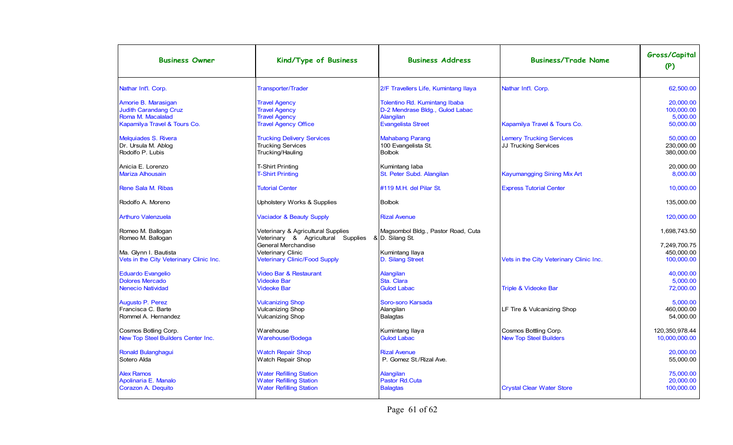| <b>Business Owner</b>                                                    | Kind/Type of Business                                                                              | <b>Business Address</b>                                                       | <b>Business/Trade Name</b>                                     | Gross/Capital<br>(P)                     |
|--------------------------------------------------------------------------|----------------------------------------------------------------------------------------------------|-------------------------------------------------------------------------------|----------------------------------------------------------------|------------------------------------------|
| Nathar Int'l. Corp.                                                      | <b>Transporter/Trader</b>                                                                          | 2/F Travellers Life, Kumintang Ilaya                                          | Nathar Int'l. Corp.                                            | 62,500.00                                |
| Amorie B. Marasigan<br><b>Judith Carandang Cruz</b><br>Roma M. Macalalad | <b>Travel Agency</b><br><b>Travel Agency</b><br><b>Travel Agency</b>                               | Tolentino Rd. Kumintang Ibaba<br>D-2 Mendrase Bldg., Gulod Labac<br>Alangilan |                                                                | 20.000.00<br>100,000.00<br>5,000.00      |
| Kapamilya Travel & Tours Co.                                             | <b>Travel Agency Office</b>                                                                        | <b>Evangelista Street</b>                                                     | Kapamilya Travel & Tours Co.                                   | 50,000.00                                |
| Melquiades S. Rivera<br>Dr. Ursula M. Ablog<br>Rodolfo P. Lubis          | <b>Trucking Delivery Services</b><br><b>Trucking Services</b><br>Trucking/Hauling                  | <b>Mahabang Parang</b><br>100 Evangelista St.<br><b>Bolbok</b>                | <b>Lemery Trucking Services</b><br><b>JJ Trucking Services</b> | 50.000.00<br>230,000.00<br>380,000.00    |
| Anicia E. Lorenzo<br><b>Mariza Alhousain</b>                             | <b>T-Shirt Printing</b><br><b>T-Shirt Printing</b>                                                 | Kumintang laba<br>St. Peter Subd. Alangilan                                   | <b>Kayumangging Sining Mix Art</b>                             | 20,000.00<br>8,000.00                    |
| Rene Sala M. Ribas                                                       | <b>Tutorial Center</b>                                                                             | #119 M.H. del Pilar St.                                                       | <b>Express Tutorial Center</b>                                 | 10.000.00                                |
| Rodolfo A. Moreno                                                        | <b>Upholstery Works &amp; Supplies</b>                                                             | <b>Bolbok</b>                                                                 |                                                                | 135,000.00                               |
| <b>Arthuro Valenzuela</b>                                                | Vaciador & Beauty Supply                                                                           | <b>Rizal Avenue</b>                                                           |                                                                | 120,000.00                               |
| Romeo M. Ballogan<br>Romeo M. Ballogan                                   | Veterinary & Agricultural Supplies<br>Veterinary & Agricultural Supplies                           | Magsombol Bldg., Pastor Road, Cuta<br>& D. Silang St.                         |                                                                | 1,698,743.50                             |
| Ma. Glynn I. Bautista<br>Vets in the City Veterinary Clinic Inc.         | <b>General Merchandise</b><br>Veterinary Clinic<br><b>Veterinary Clinic/Food Supply</b>            | Kumintang Ilaya<br>D. Silang Street                                           | Vets in the City Veterinary Clinic Inc.                        | 7.249.700.75<br>450,000.00<br>100,000.00 |
| <b>Eduardo Evangelio</b><br><b>Dolores Mercado</b>                       | <b>Video Bar &amp; Restaurant</b><br><b>Videoke Bar</b>                                            | Alangilan<br>Sta. Clara                                                       |                                                                | 40.000.00<br>5,000.00                    |
| <b>Nenecio Natividad</b>                                                 | <b>Videoke Bar</b>                                                                                 | <b>Gulod Labac</b>                                                            | Triple & Videoke Bar                                           | 72.000.00                                |
| Augusto P. Perez<br>Francisca C. Barte<br>Rommel A. Hernandez            | <b>Vulcanizing Shop</b><br><b>Vulcanizing Shop</b><br><b>Vulcanizing Shop</b>                      | Soro-soro Karsada<br>Alangilan<br><b>Balagtas</b>                             | LF Tire & Vulcanizing Shop                                     | 5.000.00<br>460,000.00<br>54,000.00      |
| Cosmos Botling Corp.<br>New Top Steel Builders Center Inc.               | Warehouse<br>Warehouse/Bodega                                                                      | Kumintang Ilaya<br><b>Gulod Labac</b>                                         | Cosmos Bottling Corp.<br><b>New Top Steel Builders</b>         | 120.350.978.44<br>10,000,000.00          |
| Ronald Bulanghagui<br>Sotero Alda                                        | <b>Watch Repair Shop</b><br>Watch Repair Shop                                                      | <b>Rizal Avenue</b><br>P. Gomez St./Rizal Ave.                                |                                                                | 20.000.00<br>55.000.00                   |
| <b>Alex Ramos</b><br>Apolinaria E. Manalo<br>Corazon A. Dequito          | <b>Water Refilling Station</b><br><b>Water Refilling Station</b><br><b>Water Refilling Station</b> | Alangilan<br>Pastor Rd.Cuta<br><b>Balagtas</b>                                | <b>Crystal Clear Water Store</b>                               | 75,000.00<br>20.000.00<br>100.000.00     |